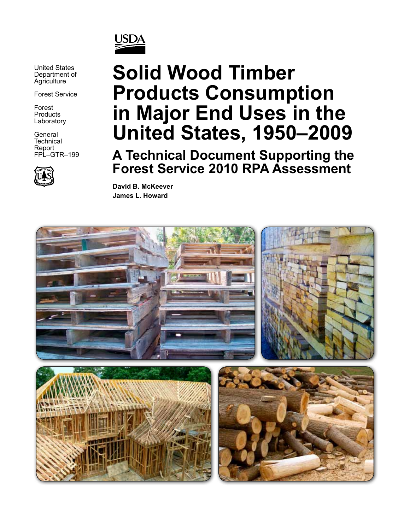

United States Department of **Agriculture** 

Forest Service

Forest **Products Laboratory** 

**General Technical** Report FPL–GTR–199



# **Solid Wood Timber Products Consumption in Major End Uses in the United States, 1950–2009**

**A Technical Document Supporting the Forest Service 2010 RPA Assessment**

**David B. McKeever James L. Howard**

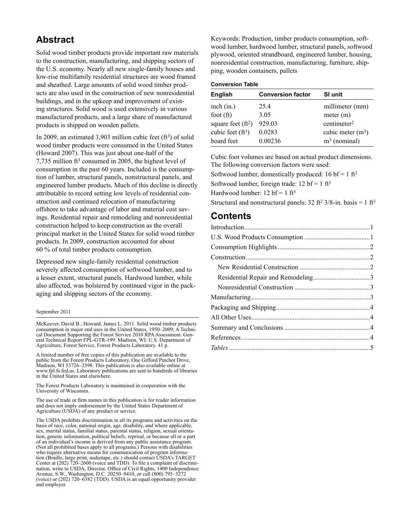#### **Abstract**

Solid wood timber products provide important raw materials to the construction, manufacturing, and shipping sectors of the U.S. economy. Nearly all new single-family houses and low-rise multifamily residential structures are wood framed and sheathed. Large amounts of solid wood timber products are also used in the construction of new nonresidential buildings, and in the upkeep and improvement of existing structures. Solid wood is used extensively in various manufactured products, and a large share of manufactured products is shipped on wooden pallets.

In 2009, an estimated 3,903 million cubic feet (ft3) of solid wood timber products were consumed in the United States (Howard 2007). This was just about one-half of the 7,735 million ft3 consumed in 2005, the highest level of consumption in the past 60 years. Included is the consumption of lumber, structural panels, nonstructural panels, and engineered lumber products. Much of this decline is directly attributable to record setting low levels of residential construction and continued relocation of manufacturing offshore to take advantage of labor and material cost savings. Residential repair and remodeling and nonresidential construction helped to keep construction as the overall principal market in the United States for solid wood timber products. In 2009, construction accounted for about 60 % of total timber products consumption.

Depressed new single-family residential construction severely affected consumption of softwood lumber, and to a lesser extent, structural panels. Hardwood lumber, while also affected, was bolstered by continued vigor in the packaging and shipping sectors of the economy.

#### September 2011

McKeever, David B.; Howard, James L. 2011. Solid wood timber products consumption in major end uses in the United States, 1950–2009; A Technical Document Supporting the Forest Service 2010 RPA Assessment. General Technical Report FPL-GTR-199. Madison, WI: U.S. Department of Agriculture, Forest Service, Forest Products Laboratory. 41 p.

A limited number of free copies of this publication are available to the public from the Forest Products Laboratory, One Gifford Pinchot Drive, Madison, WI 53726–2398. This publication is also available online at www.fpl.fs.fed.us. Laboratory publications are sent to hundreds of libraries in the United States and elsewhere.

The Forest Products Laboratory is maintained in cooperation with the University of Wisconsin.

The use of trade or firm names in this publication is for reader information and does not imply endorsement by the United States Department of Agriculture (USDA) of any product or service.

The USDA prohibits discrimination in all its programs and activities on the basis of race, color, national origin, age, disability, and where applicable, sex, marital status, familial status, parental status, religion, sexual orientation, genetic information, political beliefs, reprisal, or because all or a part of an individual's income is derived from any public assistance program. (Not all prohibited bases apply to all programs.) Persons with disabilities who require alternative means for communication of program information (Braille, large print, audiotape, etc.) should contact USDA's TARGET Center at (202) 720–2600 (voice and TDD). To file a complaint of discrimination, write to USDA, Director, Office of Civil Rights, 1400 Independence Avenue, S.W., Washington, D.C. 20250–9410, or call (800) 795–3272 (voice) or (202) 720–6382 (TDD). USDA is an equal opportunity provider and employer.

Keywords: Production, timber products consumption, softwood lumber, hardwood lumber, structural panels, softwood plywood, oriented strandboard, engineered lumber, housing, nonresidential construction, manufacturing, furniture, shipping, wooden containers, pallets

#### **Conversion Table**

| <b>English</b>       | <b>Conversion factor</b> | SI unit                 |
|----------------------|--------------------------|-------------------------|
| inch (in.)           | 25.4                     | millimeter (mm)         |
| foot $(ft)$          | 3.05                     | meter (m)               |
| square feet $(ft^2)$ | 929.03                   | centimeter <sup>2</sup> |
| cubic feet $(ft^3)$  | 0.0283                   | cubic meter $(m^3)$     |
| board feet           | 0.00236                  | $m3$ (nominal)          |

Cubic foot volumes are based on actual product dimensions. The following conversion factors were used:

Softwood lumber, domestically produced:  $16 \text{ bf} = 1 \text{ ft}^3$ 

Softwood lumber, foreign trade:  $12$  bf = 1 ft<sup>3</sup>

Hardwood lumber:  $12$  bf = 1 ft<sup>3</sup>

Structural and nonstructural panels:  $32$  ft<sup>2</sup>  $3/8$ -in. basis = 1 ft<sup>3</sup>

#### **Contents**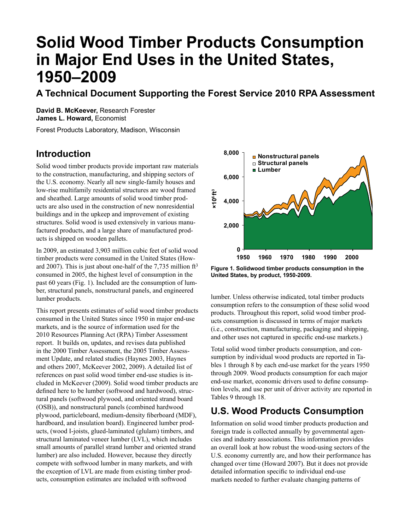## **Solid Wood Timber Products Consumption in Major End Uses in the United States, 1950–2009**

## **A Technical Document Supporting the Forest Service 2010 RPA Assessment**

**David B. McKeever,** Research Forester **James L. Howard,** Economist

Forest Products Laboratory, Madison, Wisconsin

## **Introduction**

Solid wood timber products provide important raw materials to the construction, manufacturing, and shipping sectors of the U.S. economy. Nearly all new single-family houses and low-rise multifamily residential structures are wood framed and sheathed. Large amounts of solid wood timber products are also used in the construction of new nonresidential buildings and in the upkeep and improvement of existing structures. Solid wood is used extensively in various manufactured products, and a large share of manufactured products is shipped on wooden pallets.

In 2009, an estimated 3,903 million cubic feet of solid wood timber products were consumed in the United States (Howard 2007). This is just about one-half of the 7,735 million  $ft<sup>3</sup>$ consumed in 2005, the highest level of consumption in the past 60 years (Fig. 1). Included are the consumption of lumber, structural panels, nonstructural panels, and engineered lumber products.

This report presents estimates of solid wood timber products consumed in the United States since 1950 in major end-use markets, and is the source of information used for the 2010 Resources Planning Act (RPA) Timber Assessment report. It builds on, updates, and revises data published in the 2000 Timber Assessment, the 2005 Timber Assessment Update, and related studies (Haynes 2003, Haynes and others 2007, McKeever 2002, 2009). A detailed list of references on past solid wood timber end-use studies is included in McKeever (2009). Solid wood timber products are defined here to be lumber (softwood and hardwood), structural panels (softwood plywood, and oriented strand board (OSB)), and nonstructural panels (combined hardwood plywood, particleboard, medium-density fiberboard (MDF), hardboard, and insulation board). Engineered lumber products, (wood I-joists, glued-laminated (glulam) timbers, and structural laminated veneer lumber (LVL), which includes small amounts of parallel strand lumber and oriented strand lumber) are also included. However, because they directly compete with softwood lumber in many markets, and with the exception of LVL are made from existing timber products, consumption estimates are included with softwood



**Figure 1. Solidwood timber products consumption in the United States, by product, 1950-2009.**

lumber. Unless otherwise indicated, total timber products consumption refers to the consumption of these solid wood products. Throughout this report, solid wood timber products consumption is discussed in terms of major markets (i.e., construction, manufacturing, packaging and shipping, and other uses not captured in specific end-use markets.)

Total solid wood timber products consumption, and consumption by individual wood products are reported in Tables 1 through 8 by each end-use market for the years 1950 through 2009. Wood products consumption for each major end-use market, economic drivers used to define consumption levels, and use per unit of driver activity are reported in Tables 9 through 18.

## **U.S. Wood Products Consumption**

Information on solid wood timber products production and foreign trade is collected annually by governmental agencies and industry associations. This information provides an overall look at how robust the wood-using sectors of the U.S. economy currently are, and how their performance has changed over time (Howard 2007). But it does not provide detailed information specific to individual end-use markets needed to further evaluate changing patterns of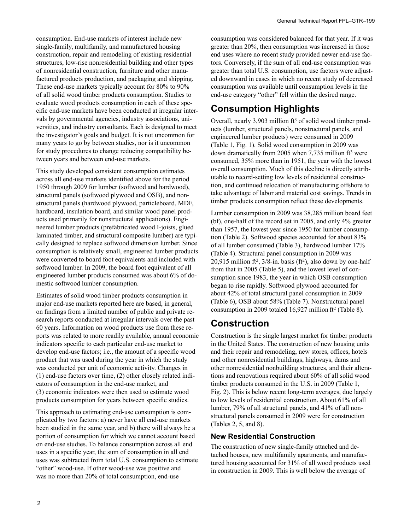consumption. End-use markets of interest include new single-family, multifamily, and manufactured housing construction, repair and remodeling of existing residential structures, low-rise nonresidential building and other types of nonresidential construction, furniture and other manufactured products production, and packaging and shipping. These end-use markets typically account for 80% to 90% of all solid wood timber products consumption. Studies to evaluate wood products consumption in each of these specific end-use markets have been conducted at irregular intervals by governmental agencies, industry associations, universities, and industry consultants. Each is designed to meet the investigator's goals and budget. It is not uncommon for many years to go by between studies, nor is it uncommon for study procedures to change reducing compatibility between years and between end-use markets.

This study developed consistent consumption estimates across all end-use markets identified above for the period 1950 through 2009 for lumber (softwood and hardwood), structural panels (softwood plywood and OSB), and nonstructural panels (hardwood plywood, particleboard, MDF, hardboard, insulation board, and similar wood panel products used primarily for nonstructural applications). Engineered lumber products (prefabricated wood I-joists, glued laminated timber, and structural composite lumber) are typically designed to replace softwood dimension lumber. Since consumption is relatively small, engineered lumber products were converted to board foot equivalents and included with softwood lumber. In 2009, the board foot equivalent of all engineered lumber products consumed was about 6% of domestic softwood lumber consumption.

Estimates of solid wood timber products consumption in major end-use markets reported here are based, in general, on findings from a limited number of public and private research reports conducted at irregular intervals over the past 60 years. Information on wood products use from these reports was related to more readily available, annual economic indicators specific to each particular end-use market to develop end-use factors; i.e., the amount of a specific wood product that was used during the year in which the study was conducted per unit of economic activity. Changes in (1) end-use factors over time, (2) other closely related indicators of consumption in the end-use market, and (3) economic indicators were then used to estimate wood products consumption for years between specific studies.

This approach to estimating end-use consumption is complicated by two factors: a) never have all end-use markets been studied in the same year, and b) there will always be a portion of consumption for which we cannot account based on end-use studies. To balance consumption across all end uses in a specific year, the sum of consumption in all end uses was subtracted from total U.S. consumption to estimate "other" wood-use. If other wood-use was positive and was no more than 20% of total consumption, end-use

consumption was considered balanced for that year. If it was greater than 20%, then consumption was increased in those end uses where no recent study provided newer end-use factors. Conversely, if the sum of all end-use consumption was greater than total U.S. consumption, use factors were adjusted downward in cases in which no recent study of decreased consumption was available until consumption levels in the end-use category "other" fell within the desired range.

#### **Consumption Highlights**

Overall, nearly 3,903 million ft<sup>3</sup> of solid wood timber products (lumber, structural panels, nonstructural panels, and engineered lumber products) were consumed in 2009 (Table 1, Fig. 1). Solid wood consumption in 2009 was down dramatically from 2005 when 7,735 million ft3 were consumed, 35% more than in 1951, the year with the lowest overall consumption. Much of this decline is directly attributable to record-setting low levels of residential construction, and continued relocation of manufacturing offshore to take advantage of labor and material cost savings. Trends in timber products consumption reflect these developments.

Lumber consumption in 2009 was 38,285 million board feet (bf), one-half of the record set in 2005, and only 4% greater than 1957, the lowest year since 1950 for lumber consumption (Table 2). Softwood species accounted for about 83% of all lumber consumed (Table 3), hardwood lumber 17% (Table 4). Structural panel consumption in 2009 was 20,915 million ft<sup>2</sup>,  $3/8$ -in. basis (ft<sup>2</sup>), also down by one-half from that in 2005 (Table 5), and the lowest level of consumption since 1983, the year in which OSB consumption began to rise rapidly. Softwood plywood accounted for about 42% of total structural panel consumption in 2009 (Table 6), OSB about 58% (Table 7). Nonstructural panel consumption in 2009 totaled 16,927 million ft2 (Table 8).

#### **Construction**

Construction is the single largest market for timber products in the United States. The construction of new housing units and their repair and remodeling, new stores, offices, hotels and other nonresidential buildings, highways, dams and other nonresidential nonbuilding structures, and their alterations and renovations required about 60% of all solid wood timber products consumed in the U.S. in 2009 (Table 1, Fig. 2). This is below recent long-term averages, due largely to low levels of residential construction. About 61% of all lumber, 79% of all structural panels, and 41% of all nonstructural panels consumed in 2009 were for construction (Tables 2, 5, and 8).

#### **New Residential Construction**

The construction of new single-family attached and detached houses, new multifamily apartments, and manufactured housing accounted for 31% of all wood products used in construction in 2009. This is well below the average of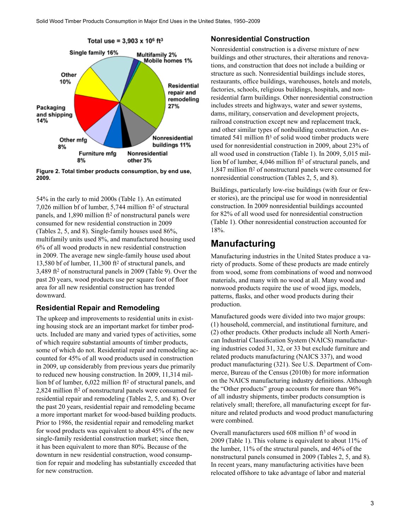

**Figure 2. Total timber products consumption, by end use, 2009.**

54% in the early to mid 2000s (Table 1). An estimated 7,026 million bf of lumber, 5,744 million ft2 of structural panels, and 1,890 million ft2 of nonstructural panels were consumed for new residential construction in 2009 (Tables 2, 5, and 8). Single-family houses used 86%, multifamily units used 8%, and manufactured housing used 6% of all wood products in new residential construction in 2009. The average new single-family house used about 13,580 bf of lumber, 11,300 ft2 of structural panels, and 3,489 ft2 of nonstructural panels in 2009 (Table 9). Over the past 20 years, wood products use per square foot of floor area for all new residential construction has trended downward.

#### **Residential Repair and Remodeling**

The upkeep and improvements to residential units in existing housing stock are an important market for timber products. Included are many and varied types of activities, some of which require substantial amounts of timber products, some of which do not. Residential repair and remodeling accounted for 45% of all wood products used in construction in 2009, up considerably from previous years due primarily to reduced new housing construction. In 2009, 11,314 million bf of lumber, 6,022 million ft<sup>2</sup> of structural panels, and 2,824 million ft<sup>2</sup> of nonstructural panels were consumed for residential repair and remodeling (Tables 2, 5, and 8). Over the past 20 years, residential repair and remodeling became a more important market for wood-based building products. Prior to 1986, the residential repair and remodeling market for wood products was equivalent to about 45% of the new single-family residential construction market; since then, it has been equivalent to more than 80%. Because of the downturn in new residential construction, wood consumption for repair and modeling has substantially exceeded that for new construction.

#### **Nonresidential Construction**

Nonresidential construction is a diverse mixture of new buildings and other structures, their alterations and renovations, and construction that does not include a building or structure as such. Nonresidential buildings include stores, restaurants, office buildings, warehouses, hotels and motels, factories, schools, religious buildings, hospitals, and nonresidential farm buildings. Other nonresidential construction includes streets and highways, water and sewer systems, dams, military, conservation and development projects, railroad construction except new and replacement track, and other similar types of nonbuilding construction. An estimated  $541$  million  $ft^3$  of solid wood timber products were used for nonresidential construction in 2009, about 23% of all wood used in construction (Table 1). In 2009, 5,015 million bf of lumber, 4,046 million ft<sup>2</sup> of structural panels, and 1,847 million ft2 of nonstructural panels were consumed for nonresidential construction (Tables 2, 5, and 8).

Buildings, particularly low-rise buildings (with four or fewer stories), are the principal use for wood in nonresidential construction. In 2009 nonresidential buildings accounted for 82% of all wood used for nonresidential construction (Table 1). Other nonresidential construction accounted for 18%.

#### **Manufacturing**

Manufacturing industries in the United States produce a variety of products. Some of these products are made entirely from wood, some from combinations of wood and nonwood materials, and many with no wood at all. Many wood and nonwood products require the use of wood jigs, models, patterns, flasks, and other wood products during their production.

Manufactured goods were divided into two major groups: (1) household, commercial, and institutional furniture, and (2) other products. Other products include all North American Industrial Classification System (NAICS) manufacturing industries coded 31, 32, or 33 but exclude furniture and related products manufacturing (NAICS 337), and wood product manufacturing (321). See U.S. Department of Commerce, Bureau of the Census (2010b) for more information on the NAICS manufacturing industry definitions. Although the "Other products" group accounts for more than 96% of all industry shipments, timber products consumption is relatively small; therefore, all manufacturing except for furniture and related products and wood product manufacturing were combined.

Overall manufacturers used 608 million ft<sup>3</sup> of wood in 2009 (Table 1). This volume is equivalent to about 11% of the lumber, 11% of the structural panels, and 46% of the nonstructural panels consumed in 2009 (Tables 2, 5, and 8). In recent years, many manufacturing activities have been relocated offshore to take advantage of labor and material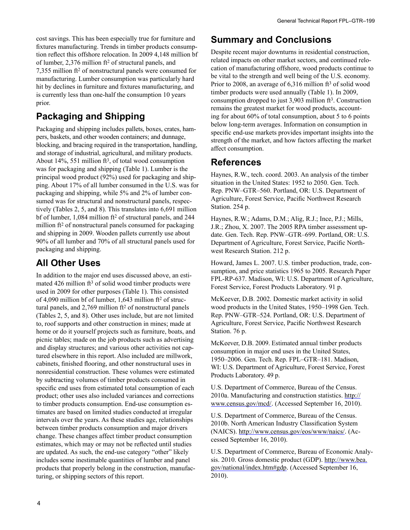cost savings. This has been especially true for furniture and fixtures manufacturing. Trends in timber products consumption reflect this offshore relocation. In 2009 4,148 million bf of lumber, 2,376 million ft2 of structural panels, and 7,355 million ft2 of nonstructural panels were consumed for manufacturing. Lumber consumption was particularly hard hit by declines in furniture and fixtures manufacturing, and is currently less than one-half the consumption 10 years prior.

## **Packaging and Shipping**

Packaging and shipping includes pallets, boxes, crates, hampers, baskets, and other wooden containers; and dunnage, blocking, and bracing required in the transportation, handling, and storage of industrial, agricultural, and military products. About 14%, 551 million ft3, of total wood consumption was for packaging and shipping (Table 1). Lumber is the principal wood product (92%) used for packaging and shipping. About 17% of all lumber consumed in the U.S. was for packaging and shipping, while 5% and 2% of lumber consumed was for structural and nonstructural panels, respectively (Tables 2, 5, and 8). This translates into 6,691 million bf of lumber, 1,084 million ft<sup>2</sup> of structural panels, and 244 million ft2 of nonstructural panels consumed for packaging and shipping in 2009. Wooden pallets currently use about 90% of all lumber and 70% of all structural panels used for packaging and shipping.

## **All Other Uses**

In addition to the major end uses discussed above, an estimated 426 million ft<sup>3</sup> of solid wood timber products were used in 2009 for other purposes (Table 1). This consisted of 4,090 million bf of lumber,  $1,643$  million ft<sup>2</sup> of structural panels, and 2,769 million ft2 of nonstructural panels (Tables 2, 5, and 8). Other uses include, but are not limited to, roof supports and other construction in mines; made at home or do it yourself projects such as furniture, boats, and picnic tables; made on the job products such as advertising and display structures; and various other activities not captured elsewhere in this report. Also included are millwork, cabinets, finished flooring, and other nonstructural uses in nonresidential construction. These volumes were estimated by subtracting volumes of timber products consumed in specific end uses from estimated total consumption of each product; other uses also included variances and corrections to timber products consumption. End-use consumption estimates are based on limited studies conducted at irregular intervals over the years. As these studies age, relationships between timber products consumption and major drivers change. These changes affect timber product consumption estimates, which may or may not be reflected until studies are updated. As such, the end-use category "other" likely includes some inestimable quantities of lumber and panel products that properly belong in the construction, manufacturing, or shipping sectors of this report.

#### **Summary and Conclusions**

Despite recent major downturns in residential construction, related impacts on other market sectors, and continued relocation of manufacturing offshore, wood products continue to be vital to the strength and well being of the U.S. economy. Prior to 2008, an average of  $6,316$  million  $ft^3$  of solid wood timber products were used annually (Table 1). In 2009, consumption dropped to just  $3.903$  million ft<sup>3</sup>. Construction remains the greatest market for wood products, accounting for about 60% of total consumption, about 5 to 6 points below long-term averages. Information on consumption in specific end-use markets provides important insights into the strength of the market, and how factors affecting the market affect consumption.

#### **References**

Haynes, R.W., tech. coord. 2003. An analysis of the timber situation in the United States: 1952 to 2050. Gen. Tech. Rep. PNW–GTR–560. Portland, OR: U.S. Department of Agriculture, Forest Service, Pacific Northwest Research Station. 254 p.

Haynes, R.W.; Adams, D.M.; Alig, R.J.; Ince, P.J.; Mills, J.R.; Zhou, X. 2007. The 2005 RPA timber assessment update. Gen. Tech. Rep. PNW–GTR–699. Portland, OR: U.S. Department of Agriculture, Forest Service, Pacific Northwest Research Station. 212 p.

Howard, James L. 2007. U.S. timber production, trade, consumption, and price statistics 1965 to 2005. Research Paper FPL-RP-637. Madison, WI: U.S. Department of Agriculture, Forest Service, Forest Products Laboratory. 91 p.

McKeever, D.B. 2002. Domestic market activity in solid wood products in the United States, 1950–1998 Gen. Tech. Rep. PNW–GTR–524. Portland, OR: U.S. Department of Agriculture, Forest Service, Pacific Northwest Research Station. 76 p.

McKeever, D.B. 2009. Estimated annual timber products consumption in major end uses in the United States, 1950–2006. Gen. Tech. Rep. FPL–GTR–181. Madison, WI: U.S. Department of Agriculture, Forest Service, Forest Products Laboratory. 49 p.

U.S. Department of Commerce, Bureau of the Census. 2010a. Manufacturing and construction statistics. http:// www.census.gov/mcd/. (Accessed September 16, 2010).

U.S. Department of Commerce, Bureau of the Census. 2010b. North American Industry Classification System (NAICS). http://www.census.gov/eos/www/naics/. (Accessed September 16, 2010).

U.S. Department of Commerce, Bureau of Economic Analysis. 2010. Gross domestic product (GDP). http://www.bea. gov/national/index.htm#gdp. (Accessed September 16, 2010).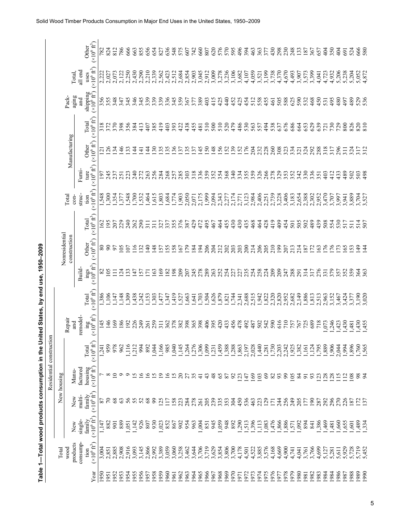|              |                                        |                                  |                                        | Table 1—Total wood products consumption in the United States, by end use, 1950–2009<br>Residential construction |                                 |                   |                                                        |                                |                                       |                                       |                                        |                                      |                                  |                                       |                                          |                                                       |                                       |
|--------------|----------------------------------------|----------------------------------|----------------------------------------|-----------------------------------------------------------------------------------------------------------------|---------------------------------|-------------------|--------------------------------------------------------|--------------------------------|---------------------------------------|---------------------------------------|----------------------------------------|--------------------------------------|----------------------------------|---------------------------------------|------------------------------------------|-------------------------------------------------------|---------------------------------------|
|              | Total                                  |                                  |                                        | New housing                                                                                                     |                                 |                   |                                                        |                                | Nonresidential                        |                                       |                                        |                                      |                                  |                                       |                                          |                                                       |                                       |
|              | products<br>wood                       | New                              | New                                    | Manu-                                                                                                           |                                 | Repair<br>and     |                                                        |                                | construction                          |                                       | Total<br>$con-$                        |                                      | Manufacturing                    |                                       | aging<br>Pack-                           | Total,                                                |                                       |
|              | consump-                               | single-                          | multi-                                 | factured                                                                                                        |                                 | remodel-          |                                                        | Build-                         |                                       |                                       | struc-                                 | Furni-                               |                                  |                                       | and                                      | all end                                               |                                       |
| Yea          | $(\times 10^6\,\mathrm{ft}^3)$<br>tion | family<br>$(x10^6 \text{ ft}^3)$ | $(\times 10^6 \text{ ft}^3)$<br>family | housing<br>$(x10^6 \text{ ft}^3)$                                                                               | $(*10^6 \text{ ft}^3)$<br>Total | $\lim_{(x,10^6)}$ | Total<br>$(\times 10^6 \text{ ft}^3)$                  | ings<br>$(x10^6 \text{ ft}^3)$ | Other<br>$(\times 10^6 \text{ ft}^3)$ | $(\times 10^6 \text{ ft}^3)$<br>Total | $(\times 10^6\,\mathrm{ft}^3)$<br>tion | $(\times 10^6\,\text{ft}^3)$<br>ture | Other<br>$(x10^6 \text{ ft}^3)$  | Total<br>$(\times 10^6 \text{ ft}^3)$ | shipping<br>$(\times 10^6 \text{ ft}^3)$ | uses<br>$(\times 10^6 \text{ ft}^3)$                  | $(\times 10^6 \text{ ft}^3)$<br>Other |
| 0561         | 3,004                                  | 1,147                            | 87                                     |                                                                                                                 | 1,24                            | 145               | ,386                                                   | $\infty$                       | 80                                    | 162                                   | \$48                                   | 197                                  | $\Xi$                            | 318                                   |                                          |                                                       | 782                                   |
| 1951         | 2,851                                  | 882                              |                                        |                                                                                                                 | 959                             | 146               | 106                                                    | $\delta$                       | $\mathcal{S}^0$                       | 195                                   | 300                                    | 245                                  | 26                               | 372                                   | 356<br>355<br>348                        |                                                       | 824                                   |
| 1952         | 2,885                                  | 901                              | 68                                     | $\circ$                                                                                                         | 978                             | 169               | ,147                                                   | $\equiv$                       | 97                                    | 207                                   | ,354                                   | 237                                  | $\overline{.34}$                 | 370                                   |                                          |                                                       | 812                                   |
| 1953         | 2,908                                  | 889                              | 63                                     | ⌒                                                                                                               | 962                             | 186               | ,148                                                   | $\overline{c}$                 | $\overline{0}$                        | 229                                   | 577                                    | 251                                  | 46                               | 398                                   | 347                                      |                                                       | 786                                   |
| 1954         | 2,916                                  | 1,051                            | 56                                     | ⌒                                                                                                               | 116                             | $\overline{5}$    | 309                                                    | 33                             | $\overline{0}$                        | 240                                   | ,548                                   | 223                                  | $\overline{3}$                   | 356                                   | 345                                      |                                                       | 666                                   |
| 1955         | 3,093                                  | 1,142                            | 55                                     | ΩÓ,                                                                                                             | 1,212                           | 226               | 438                                                    | 47                             | $\frac{6}{2}$                         | 262                                   | ,700                                   | 240                                  | $\overline{4}$                   | 384                                   | 346                                      | 2,227<br>2,027<br>2,072,250<br>2,073,290<br>2,073,290 | 663                                   |
| 1956<br>1957 | 3,145<br>2,866                         | 926<br>807                       | 68                                     | $\circ$                                                                                                         | 994<br>892                      | 249<br>261        | $742$<br>$153$                                         | 57<br>$\overline{1}$           | $\overline{32}$<br>$\frac{9}{4}$      | 290<br>$\overline{311}$               | 532<br>,464                            | 272<br>263                           | $\overline{4}$<br>$\overline{4}$ | 413<br>407                            | 345<br>339                               | 2,210                                                 | 855<br>656                            |
| 1958         | 2,992                                  | 930                              | 99                                     | $\sigma$ is $\sigma$                                                                                            | 64                              | 259               | ,303                                                   | $\overline{63}$                | 148                                   | $\overline{311}$                      | 615                                    | 256                                  | $\overline{30}$                  | 385                                   | 339                                      | 2,339                                                 | 654                                   |
| 959          | 3,389                                  | 1,023                            | $\overline{25}$                        |                                                                                                                 | 1,166                           | $\overline{311}$  | 477                                                    | 69                             | 157                                   | 327                                   | , 803                                  | 284                                  | 135                              | $\frac{9}{41}$                        | 339                                      | 2,562                                                 | 827                                   |
| 960          | 3,059                                  | 852                              | $\overline{11}$                        | $\overline{9}$ l                                                                                                | 985                             | 362               | 347                                                    | $\frac{182}{198}$              | I55                                   |                                       | ,684                                   |                                      | 135                              | 403                                   | 3345                                     | 2,423                                                 | 636                                   |
| 961          | 3,060                                  | 867                              | 158                                    | $\frac{15}{20}$                                                                                                 | 040                             |                   | 419                                                    |                                | 158                                   | 337<br>355<br>376                     | 1,774                                  |                                      | 136                              | 393                                   |                                          | 2,512                                                 | 548                                   |
| 962          | 3,258                                  | 902                              | 223                                    |                                                                                                                 | ,145                            |                   | 527                                                    | 209                            | 167                                   |                                       | ,903                                   |                                      | 137                              |                                       | 359                                      | 2,684<br>2,854                                        | 575<br>607                            |
| 963<br>964   | 3,462                                  | 954<br>963                       | 284<br>278                             | 27<br>35                                                                                                        | ,276<br>.264                    | 38888             | ,663<br>,641                                           | 207<br>245                     | $\overline{179}$<br>184               | 387                                   | 2,050<br>2,071                         | 267833359                            | 137                              | $3859$<br>$439$                       | 367<br>377                               |                                                       | 742                                   |
| 965          | 3,706<br>3,644                         | 1,004                            | 261                                    | $\overline{4}$                                                                                                  |                                 |                   | 502'                                                   | 278                            | 194                                   | 472                                   | 2,175                                  |                                      | 145                              |                                       | 389                                      | 2,903                                                 | 660                                   |
| 966          | 3,719                                  | 851                              | 205                                    | 43                                                                                                              | $.306$<br>906.                  | 406               | 504                                                    | 289                            | 206                                   | 495                                   | 1,999                                  |                                      | 150                              | 510                                   | 403                                      | 3,045                                                 | 807                                   |
| .967         | 3,629                                  | 945                              | 239                                    | 48                                                                                                              | 231                             | 395               | ,626                                                   | 263                            | 204                                   | 467                                   | 2,094                                  | 354                                  | 148                              | 500                                   | 415                                      |                                                       | 620                                   |
| 968          | 3,854<br>3,806                         | 1,059                            | 335                                    | 65                                                                                                              | ,459                            | 420               | 628'                                                   | 252                            | 212                                   | 464                                   | 2,343                                  |                                      | $150$<br>$152$                   | 510                                   | 425                                      | 3,009<br>3,278<br>3,236                               | 576                                   |
| 1969         |                                        | 948                              | 353                                    | 87                                                                                                              | ,388                            | 433               | $\frac{1,821}{7,744}$                                  | 254                            | 202                                   | 455                                   | 2,277                                  | 368                                  |                                  | 520                                   | 440                                      |                                                       | 570                                   |
| 970          | 3,700                                  | 892                              | 304                                    | 92                                                                                                              | ,288                            | 456               |                                                        | 227                            | 203                                   | 430                                   | 2,174                                  | 340                                  |                                  | 479                                   | 452                                      | 3,106<br>3,682                                        | 595                                   |
| 972<br>971   | 4,178<br>4,501                         | 290<br>1,513                     | 450<br>536                             | 123<br>147                                                                                                      | 1,863<br>2,197                  | 478<br>492        | 2,688<br>2,341                                         | 235<br>227                     | 200<br>203                            | 430<br>435                            | 3,123<br>2,771                         | 334                                  | 176<br>152                       | 486<br>530                            | 425<br>454                               | 4,107                                                 | 496<br>394                            |
| 1973         | 4,522                                  | , 396                            | 463                                    | 169                                                                                                             | 2,028                           | 487               | 2,515                                                  |                                |                                       | 468                                   | 2,984                                  |                                      |                                  |                                       | 512                                      |                                                       |                                       |
| 1974         | 3,885                                  | 113                              | 223                                    | 103                                                                                                             | 1,440                           | 502               | 1,942                                                  |                                | $\frac{214}{206}$                     | 464                                   | 2,406                                  | 359<br>326                           | 204<br>232                       | 563<br>557                            |                                          | 4,059<br>3,521                                        |                                       |
| 1975         | 3,576                                  | 1,083                            | 129                                    | 69                                                                                                              | 1,281                           | 542               | 1,822                                                  | 2823                           | 205                                   | 428                                   | 2,251                                  |                                      | 228                              |                                       | 558<br>455                               | 3,199<br>3,738                                        |                                       |
| 976          | 4,168                                  | ,476                             | 171                                    | 82                                                                                                              | 1,730                           |                   | 2,320                                                  |                                | 210<br>199                            | 419                                   | 2,739                                  | senangan<br>Sanggang                 | 260<br>308<br>323                | 494<br>538<br>676                     | 461                                      |                                                       | $4837708$<br>$487798$                 |
| 1978<br>1977 | 4,669<br>4,900                         |                                  |                                        | $\mathcal{S}^{\mathcal{S}}$<br>93                                                                               | 2,203<br>2,242                  | $rac{616}{710}$   | 2,820<br>2,952                                         | 209<br>247                     |                                       | 454                                   | 3,228<br>3,406                         |                                      |                                  |                                       | 505                                      | 4,370<br>4,670                                        | 230                                   |
| 1979         | 4,741                                  | 1,866<br>1,886<br>1,571          | 229<br>429                             | 105                                                                                                             |                                 |                   | 2,682                                                  |                                | $\frac{207}{213}$                     | 501                                   | 3,183                                  |                                      | 334                              | 686                                   | 625                                      |                                                       |                                       |
| 980          | 4,041                                  | 0.092                            | 205                                    | $\frac{84}{3}$                                                                                                  |                                 |                   | 2,149                                                  | 288                            | 214                                   | 505                                   | 2,654                                  |                                      | 321                              | 664                                   | 590                                      | 4,493<br>3,907                                        |                                       |
| 1981         |                                        | 894                              | 177                                    | $\overline{5}$                                                                                                  | 1,922<br>1,151<br>1,161         | 757<br>767<br>725 | $\begin{array}{c} 1,886 \\ 1,813 \\ 2,513 \end{array}$ | 314                            | 187                                   | 502                                   | 2,388                                  |                                      |                                  | 653                                   | 532                                      |                                                       | 243<br>1357<br>187                    |
| 982          | 3,761<br>3,766                         | 841                              | $\overline{5}$                         | $\mathfrak{S}$                                                                                                  | 124                             | 689               |                                                        | 317                            | 172                                   | 489                                   | 2,302                                  | 336                                  | 324                              | 629                                   | 468                                      | 3,573<br>3,399                                        |                                       |
| 983          | 4,699                                  | 1,386                            | 287                                    | 123                                                                                                             |                                 | 718               |                                                        | 276                            | 163                                   | 439                                   | 2,952                                  | 351                                  | 288<br>318                       | 639                                   | 450                                      | 4,041                                                 | 657                                   |
| 984          | 5,127                                  | ,469                             | 292                                    | 128                                                                                                             | $2880$<br>$-288$                | $0.73$<br>$246$   | 2,963                                                  | 331                            | $\overline{50}$                       | 508                                   | 3,470                                  | 403                                  |                                  | 721                                   | 531                                      | 4,723                                                 | 404                                   |
| 984          | 5,281                                  | ,481                             | 296                                    | 128                                                                                                             |                                 |                   | 3,152                                                  | 379                            | $\overline{176}$                      | 554                                   | 3,707                                  | 412                                  | 317                              | 730                                   | 495                                      | 4,932                                                 | 350                                   |
| 986          |                                        | ,660                             | 270                                    | $\frac{5}{1}$<br>$\overline{12}$                                                                                | 2,044                           | ,423              | 3,467                                                  | 357                            | 173                                   | 530                                   | 3,997                                  | 43 <sup>3</sup>                      | 296<br>311                       | 729                                   | 480                                      | 5,206                                                 | 404                                   |
| 988<br>987   | 5,929<br>5,728                         | .655<br>.60                      | 226<br>187                             | 108                                                                                                             | .994<br>,896                    | 430<br>,481       | 3,424<br>3,377                                         | 352                            | 165<br><b>153</b>                     | 517<br>$\overline{5}$                 | 3,889<br>3,941                         | 489<br>502                           | 324                              | 800<br>826                            | 489<br>497                               | 5,238<br>5,204                                        | 524<br>691                            |
| 989          |                                        |                                  |                                        |                                                                                                                 |                                 |                   | 3,190                                                  |                                | $\frac{49}{5}$                        |                                       |                                        |                                      |                                  |                                       |                                          |                                                       |                                       |
| 990          | 5,719<br>5,452                         | $1,489$<br>$1,334$               | $\frac{72}{137}$                       | 88                                                                                                              | $1,760$<br>$092,1$              | $430$<br>$455$    | 3,020                                                  | 363<br>363                     | 144                                   | 514<br>507                            | 3,704<br>3,527                         | 364                                  | $\frac{317}{312}$                | 820                                   | 529<br>536                               | 5,052<br>4,872                                        | 666<br>580                            |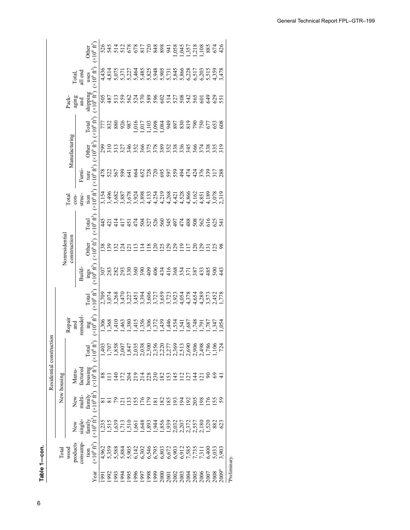**Table 1 —Total wood products consumption in the United States, by end use, 1950–2009 Table 1—con.**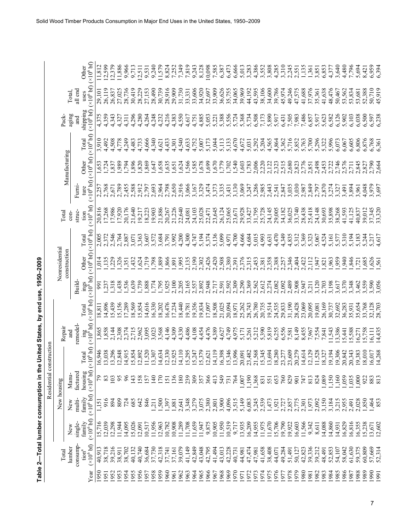|                                                                                       | $\mathbf{L}$             |
|---------------------------------------------------------------------------------------|--------------------------|
| $\frac{1}{\sqrt{2}}$                                                                  |                          |
| Nonresidentie                                                                         | a a se administrato a se |
|                                                                                       |                          |
| oer consumption in the United States, by end use, 1950-2009<br>esidential constructio |                          |
| Table 2-Total lum                                                                     | Total                    |

|                |               | Other                       | (x10 <sup>6</sup> bf)                          | 11,812        | 12,599                     | 12,379           | 11,886                  | 9,966    | 9,713          | 12,511 | 9,531             | 9,240            | 11,579    | 8,824  | 7,252                                    | 7,349     | 7,819               | 9,243  | 8,128     |        |            | $\begin{array}{c} 10,098 \\ 7,585 \\ 6,387 \end{array}$ | 6,473  | 6,666                                                           | 5,013                            | 3,283            | 4,386           | 3,552                                                 | 3,808  | 4,285                  | 3,310          | 2,245                   |                      | 1,135                  | 1,361           | 3,851             | 6,853          | 4,377                      | 3,640  | 4,480                      | 7,796             | 5,694                      | 8,421                | 6,959<br>6.394           |  |
|----------------|---------------|-----------------------------|------------------------------------------------|---------------|----------------------------|------------------|-------------------------|----------|----------------|--------|-------------------|------------------|-----------|--------|------------------------------------------|-----------|---------------------|--------|-----------|--------|------------|---------------------------------------------------------|--------|-----------------------------------------------------------------|----------------------------------|------------------|-----------------|-------------------------------------------------------|--------|------------------------|----------------|-------------------------|----------------------|------------------------|-----------------|-------------------|----------------|----------------------------|--------|----------------------------|-------------------|----------------------------|----------------------|--------------------------|--|
|                | Total,        | all end<br>uses             | (x10 <sup>6</sup> bf)                          | 29,101        | 26,119                     | 26,837<br>27,025 |                         | 28,736   | 30,419         | 28,229 | 27,153            | 28,490           | 30,739    | 28,916 | 29,909<br>31,730                         |           | 33,331<br>33,606    |        | 34,920    | 32,697 | 33,909     |                                                         |        | 36,626<br>35,755<br>34,065                                      | 39,969                           | 44,192<br>43,595 |                 | 38,106<br>34,600                                      |        | 39,786                 | 45,974         | 49,246<br>47,575        |                      | 41,688<br>37,976       |                 | 35,361            |                | 41,638<br>48,476           |        | 50,467<br>53,562           |                   | 53,834<br>53,681<br>52,388 |                      | 50,710<br>45.919         |  |
| Pack-          | aging         | and                         | shipping<br>$(x10^6 b f)$                      | 4,375         | 4,359                      | 4,343            | 4,327                   | 4,311    | 4,296          | 4,280  | 4,264             | 4,248            | 4,232     | 4,216  | 4,383                                    | 4,550     | 4,617               | 4,751  | 4,885     | 5,053  |            |                                                         |        | 5,221<br>5,388<br>5,5524                                        | 5,368                            |                  |                 | 5,734<br>6,508<br>7,173                               | 5,890  | 5,917                  | 6,431          | 7,505<br>7,983          |                      | 7,486                  | 6,857           | 5,917             | 5,623          | 6,582<br>6,126             |        | 5,902                      | 6,103             | 6,038                      | 6,500                | 6,597<br>6,238           |  |
|                |               | Total                       | $(\times 10^6\,\mathrm{b\mathrm{f}})$          | 3,910         | 4,492                      | 4,508            | 4,778                   | 4,249    | ,483           | 4,733  | 4,666             | 4,340            | 4,621     | 4,433  | 4,301                                    | 4,540     | 4,633               | 4,752  | 5,007     | 5,173  | 5,044      | 5,113                                                   | 5.133  | 4,670                                                           | 4,672                            | 5,031            | 5,292           | 5,204                                                 | 4,565  | 4,864                  | 5,362          | 5,716                   | 5,852<br>5,763       |                        | 5,700           | 5,296             | 5,322          | 5,996                      | 6,073  | 6,067                      | 6,605             | 5,806                      | 6,876                | 6,768<br>6,361           |  |
|                | Manufacturing | Other                       | (x10 <sup>6</sup> bf)                          | 1,653         | ,724                       | ,837             | ,989                    | 794      | ,896           | ,820   | ,869              | 5647             | ,658      | ,635   | ,651                                     | ,624      | 585.                |        | ,678      | ,699   |            | 6779                                                    |        | $\begin{array}{c} 28.00000 \\ -0.00000 \\ -0.00000 \end{array}$ |                                  | 1,783            | 2,006           | 2,220                                                 | 122    | 2,323                  | 2,515          | 2,680<br>2,823<br>2,776 |                      |                        | 2,851           | ,498              |                | 1,453                      |        | $.746$<br>$.576$           | 2,711             | 2,845                      | 2,827                | 06L <sup>5</sup><br>.664 |  |
|                |               | Furni.<br>ture              | (x10 <sup>6</sup> bf)                          | 2,257         | 2,768                      | 2,671            | 2,789                   | 2,455    | 2,588          | 2,912  | 2,797             | 2,693            | 2,964     | 2,798  | 2,650                                    | 2,916     | 3,066               | 3,167  | 3,329     | 3,474  |            | 3,373<br>3,335                                          | 3,431  | ,130                                                            | 3,069                            | 3,247            |                 | 3,286                                                 | 2,443  | 2,541                  | 2,847          | 3,035                   | 3,030<br>2,987       |                        | 2,849           | 2,797             | 2,870          | 3,274                      | 3,327  | 3,491                      | 3,894             | 3,961                      | 4,048                | 3,979<br>697             |  |
| <b>Total</b>   | $\cos$        | struc-<br>tion              | $(\times 10^6 b)$                              | 20,816        | 17,268<br>17,986<br>17,920 |                  |                         | 20,176   | 21,640         | 19,217 | 18,223            | 19,903           | 21,886    | 20,267 | 21,226                                   | 22,640    | 24,081              | 24,103 | 25,028    | 22,471 | 23,645     | 26,124                                                  | 25,065 | 23,671                                                          | 29,928                           | 13,427           | 31,795          | 25,728                                                | 24,145 | 29,005                 | 34,182         | 36,025                  | 3,740                | 28,438                 | 25,418          | 24,148            |                | 30,693<br>35,898<br>38,268 |        | 41,593                     | 41,125            | 40,837                     | 39,012               | 37,345<br>3.320          |  |
|                |               | Total                       | (x10 <sup>6</sup> bf)                          | 2,005         | 2,372                      | 2,546<br>2,764   |                         | 2,887    | 3,071          | 3,363  | 3,607             | 572              | .684      | 3,791  | 3,992                                    | 4,200     | 4,300               | 4,747  | 5,194     | 374    | 5,136      | 5,099                                                   | 4,971  | 4,700                                                           | 4,666                            | 4,684            | 5,015           | 4,993                                                 | 4,631  | 4,470                  | 4,349          | 4,835<br>5,312          |                      | 5,369                  | 5,323           | 5,067             | 4,524          | 5,161                      | 57     | 5,310                      | .194              | 183                        | 5,24                 | $\frac{1}{2}$            |  |
| Nonresidential | construction  | Other                       | (x10 <sup>6</sup> bf)                          | 1,014         | 135                        | 229<br>326       |                         | 551      | ,432           | ,624   | 612'              | 56L <sup>5</sup> | ,889      | ,866   | ,891                                     | .995      | 2,135               |        | 2,302     | ,426   | 2,420      | 2,508                                                   |        | $^{16}5.380$                                                    | 2,376                            | 315              | ,453            | 358                                                   |        | 2,388<br>2,257         |                | 23402<br>23422<br>23422 |                      |                        | $\frac{12}{11}$ | .947              | ,821           | ,963                       | 959    | 940                        |                   | $, 846$<br>$, 721$         | ,685                 | 0.56                     |  |
|                |               | Build                       | $\frac{\text{ings}}{(\times 10^6 \text{ bf})}$ | 991           | 237                        | 318              | ,438                    | 536      | 639            | ,739   | S6L'<br>PLL'      |                  |           | 925    | 2,100                                    | 2,205     | 2,165               | 2,557  | 2,892     | 2,948  | 2,717      | 2,591                                                   |        | 2,592<br>2,309                                                  | 2,290                            | , 369            | .562            | .,612                                                 | 2,274  | 2,082                  | 2,092          | 2,489                   | 2,908                | 2,947                  | $\frac{211}{2}$ | ,120              | 2,703          | 1.98                       |        | 3,517<br>3,370             | ,348              | 1,462                      | \$,559               | \$,590<br>056            |  |
|                |               | Total                       | (x10 <sup>6</sup> bf)                          | 18,811        | $14,896$<br>$15,439$       |                  | 5,156                   |          | 8,569<br>5,854 |        | 4,616             | 6,330            | 8,202     | 6,476  | 17, 234<br>18, 781<br>19, 781<br>19, 356 |           |                     |        |           |        |            | 19,834<br>17,097<br>18,508<br>21,025                    | 20,094 | 18,971                                                          |                                  |                  |                 | 25,262<br>28,743<br>26,780<br>20,735<br>19,514        |        | 24,535<br>29,833       |                | 31,190                  | 28,428               | 23,069                 | 20,095          | 19,081            |                | 26,169<br>30,737<br>32,692 |        | 36,283                     |                   | 35,931<br>35,654<br>33,768 |                      | 32,128                   |  |
| Repair         | and           | remodel-                    | $\lim_{\substack{x \to 0 \text{ odd}}}$        | 1,865         | ,858                       | 2,144            | 2,308                   | 2,374    | 2,715          | 2,962  | 095               | 3,023            | 568       | 4,146  | 4,309                                    | 4,330     | 4,486               | 4,108  | 4,454     | 4,476  | 4,389      | 4,627                                                   | 4,749  | 4,975                                                           | 5,171                            | 5,261            | 5,212           | 5,390                                                 | 5,819  | 6,255                  | 6,556          | 7,581                   | 8,149                | 8,455                  | 7,967           | 7,554             | 7,841          | 1,543                      | 3,386  | 5,441                      | 5,588             | 6,271                      | 5,758                | 4,435<br>5,111           |  |
|                |               |                             | $0^6$ bf)                                      | 16,946        | 0.38<br>≌                  | .848<br>نب       | $\overline{\mathbf{C}}$ | 915<br>Д | ,854<br>n      | $\sim$ | 201<br>201<br>201 | $\omega$         | ,634<br>ч | 330    | ,925<br>$\Xi$                            | ,110<br>Ξ | 295<br>247<br>$\Xi$ | ŋ      | ,379<br>n | :,621  | 1,119<br>Ξ |                                                         | ω      | 53346<br>$\Xi$                                                  | 160'<br>$\overline{\mathcal{S}}$ | $\mathfrak{L}$   | $\overline{2}1$ | $480, 700$<br>$40, 700$<br>$40, 700$<br>$\frac{5}{1}$ | $\Xi$  | 3280<br>$\frac{8}{10}$ | $\mathfrak{L}$ | 609<br>$\mathfrak{L}$   | 279<br>$\mathcal{S}$ | ,614<br>$\overline{4}$ | 12,129          | 527<br>5327<br>54 | $\frac{8}{10}$ | $\Xi$                      | $\Xi$  | $306$<br>$842$<br>$\Omega$ | , 343<br>$\Omega$ | ,383<br>$\Xi$              | 010<br>$\frac{8}{1}$ | ,017<br>268              |  |
|                | Manu-         | housing<br>factured         |                                                | $\mathcal{L}$ | 83                         | 103              | 95                      | $\delta$ | 143            | 158    | 157               | $\frac{140}{5}$  | 170       | 151    | 136                                      | 180       | 239                 | 309    | 357       | 366    | 413        | 549                                                     | 731    | 764                                                             | 1,007                            | 1,190            | 368             | 831                                                   | 551    | 653                    | 760            | 829                     | $\overline{5}$       | 747                    | 813             | 824               | 1,089          | .150                       | ,160   | 0.59                       | 0.035             | 000                        | 922                  | 883<br>813               |  |
| New housing    | New           | family<br>multi-            | $(x106 b f) (x106 b f) (x1$                    | 1,151         | 916                        | 894              | 809                     | 724      | 685            | 642    | 846               | 211              | 1,500     | 1,397  | 1,881                                    | 2,641     | 3,348               | 3,279  | 3,075     | 2,380  | 2,801      | 3,900                                                   | 4,096  | 3,515                                                           | 5,149                            | 6,083            | 5,245           | 2,539                                                 | 1,473  | $1,921$<br>$2,727$     |                | 2,857                   | 2,775                | 2,301                  | 1,973           | 2,092             | 3,150          | 3,184                      |        | 3,215                      | 2,491             | 2,028                      | 1,850                | 1,464<br>853             |  |
|                | New           | family<br>single-           | $(*106$ bf)                                    | 15,716        | 12,039                     | 12,298           | 11,944                  | 14,095   | 5,026          | 12,091 | 0,517             | 11,956           | 12,963    | 10,782 | 10,908                                   | 11,289    | 11,708              | 1,659  | 11,947    | 9,875  | 10,905     | 11,950                                                  | 10,519 | 9,717                                                           | 13,935                           | 16,209           | 14,955          | 11,975                                                | 11,670 | 15,706<br>19,790       |                | 19,922                  | 16,603               | 11,566                 | 9,342           | 8,611             | 14,088         | 14,860                     | 14,931 | 16,829                     | 16,816            | .6,355                     | 5,238                | 13,671<br>12,602         |  |
| Total          | lumber        | consump-<br>$\text{tion}^a$ | $(\times 10^6 b)$                              | 40,913        | 38,718<br>39,216<br>38,911 |                  |                         | 38,702   | 40,132         | 40,740 | 36,684            | 37,730           | 42,318    | 37,741 | 37,161<br>39,079                         |           | 41,149              | 42,849 |           |        |            | 43,048<br>42,795<br>41,494<br>43,013                    | 42,228 | 40,731                                                          | 44,981                           | 47,474<br>47,981 |                 | 41,658<br>38,408                                      |        | 44,071                 | 49,284         | 51,491                  | 50,127               | 42,823                 | 39,336          | 39,212            |                | 48,491<br>52,853           | 54,107 | 58,042                     |                   | 61,630<br>59,375           | 60,809               | 57,669<br>52,314         |  |
|                |               |                             | Year                                           | 1950          | 1951                       | 1952             | 1953                    | 1954     | 1955           | 956    | 957               | 1958             | 1959      | 1960   | 1961                                     | 1962      | 1963                | 1964   | 1965      | 1966   | 1967       | 1968                                                    | 1969   | 1970                                                            | 1971                             | 1972             | 1973            | 1974                                                  | 1975   | 1976                   | 1977           | 1978                    | 1979                 | 0861                   | 1981            | 1982              | 1983           | 1984                       | 1985   | 1986                       | 1987              | 1988                       | 1989                 | 0661<br>1991             |  |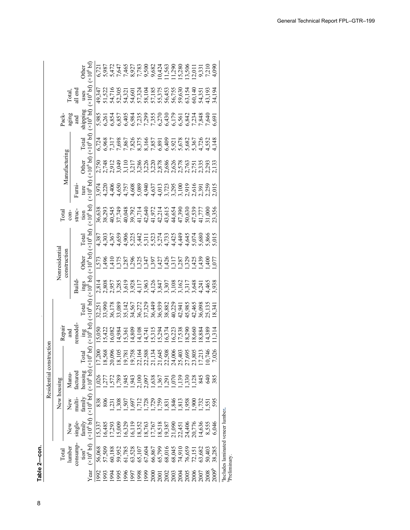| č<br>l<br>a<br>į | $\vdots$ |
|------------------|----------|

8

|                     |                                                |                                      |             | Residential const                                                                                                                                                                                      | truction          |                                |                                 |                 |                       |                   |              |                        |               |                   |                                |            |                                                                                                                                      |
|---------------------|------------------------------------------------|--------------------------------------|-------------|--------------------------------------------------------------------------------------------------------------------------------------------------------------------------------------------------------|-------------------|--------------------------------|---------------------------------|-----------------|-----------------------|-------------------|--------------|------------------------|---------------|-------------------|--------------------------------|------------|--------------------------------------------------------------------------------------------------------------------------------------|
|                     | Total                                          |                                      | New housing |                                                                                                                                                                                                        |                   | Repai                          |                                 |                 | Nonresidential        |                   | <b>Cotal</b> |                        |               |                   | Pack-                          |            |                                                                                                                                      |
|                     | lumber                                         | New                                  | New         | Manu-                                                                                                                                                                                                  |                   | and                            |                                 |                 | construction          |                   | $\cos$       |                        | Manufacturing |                   |                                | [otal]     |                                                                                                                                      |
|                     | consump-                                       | single-                              | multi-      | factured                                                                                                                                                                                               |                   | remodel                        |                                 | Build-          |                       |                   | struc-       | Fumi-                  |               |                   | aging<br>and                   | ill end    |                                                                                                                                      |
|                     | $t$ ion $\!a}$                                 | fannily                              | family      | housing                                                                                                                                                                                                | otal              | ing<br>an                      | Total                           |                 | Other                 | Total             | tion         | ture                   | <b>Other</b>  | Total             | shipping<br>$(\times 10^6$ bf) |            | Other                                                                                                                                |
| Year                | $(10^6 b)$                                     | $(x10^6 b)$                          |             | $(x106 b f)$ $(x106 b f)$ $(x1)$                                                                                                                                                                       | $16\,\mathrm{pb}$ |                                | $(\times 10^6 b f)$ $(\times 1$ | $\frac{10}{10}$ | (x10 <sup>6</sup> bf) | $(\times 10^6$ bf | $10^{6}$ bt  | (x10 <sup>6</sup> b f) | $(10^6 b)$    | $(\times 10^6 b)$ |                                | $(106$ bf) |                                                                                                                                      |
|                     | 56,068                                         | 15.337                               | 838         |                                                                                                                                                                                                        |                   | 15,050                         |                                 |                 |                       |                   |              |                        |               |                   |                                |            |                                                                                                                                      |
|                     | 57,509                                         | 16,485                               | 806         | 0.026                                                                                                                                                                                                  |                   | .5,422                         |                                 |                 |                       |                   |              |                        |               |                   |                                |            |                                                                                                                                      |
|                     |                                                |                                      | $\ddot{c}$  |                                                                                                                                                                                                        |                   | 6,082                          |                                 |                 |                       |                   |              |                        |               |                   |                                |            |                                                                                                                                      |
| 88888888            |                                                | 15,009                               |             | $1, 789\n1, 789\n1, 789\n1, 780\n1, 781\n1, 785\n1, 786\n1, 785\n1, 786\n1, 787\n1, 789\n1, 789\n1, 784\n1, 785\n1, 786\n1, 786\n1, 786\n1, 786\n1, 786\n1, 786\n1, 786\n1, 786\n1, 786\n1, 786\n1, 7$ |                   | 4,984                          |                                 |                 |                       |                   |              |                        |               |                   |                                |            | 5 7 7 5 9 7 8 9 8 7 7 8 9 8 9 5<br>9 7 9 7 9 7 9 9 9 7 9 9 9 0 1<br>0 7 7 9 7 8 9 8 9 7 9 9 9 9 5 1<br>5 7 7 9 7 8 9 8 7 8 9 8 9 5 1 |
|                     | 61,785                                         | 16,325                               | 505         |                                                                                                                                                                                                        |                   | 5,361                          |                                 |                 |                       |                   |              |                        |               |                   |                                |            |                                                                                                                                      |
|                     |                                                | 16,11                                |             |                                                                                                                                                                                                        |                   | 4,809                          |                                 |                 |                       |                   |              |                        |               |                   |                                |            |                                                                                                                                      |
|                     | 65,107                                         | 18,35                                |             |                                                                                                                                                                                                        |                   |                                |                                 |                 |                       |                   |              |                        |               |                   |                                |            |                                                                                                                                      |
|                     | 67,604                                         | 18,76                                |             |                                                                                                                                                                                                        |                   |                                |                                 |                 |                       |                   |              |                        |               |                   |                                |            |                                                                                                                                      |
| 2000                |                                                |                                      |             |                                                                                                                                                                                                        |                   |                                |                                 |                 |                       |                   |              |                        |               |                   |                                |            |                                                                                                                                      |
| $200^\circ$         |                                                |                                      |             |                                                                                                                                                                                                        |                   |                                |                                 |                 |                       |                   |              |                        |               |                   |                                |            |                                                                                                                                      |
| 2002                |                                                |                                      |             |                                                                                                                                                                                                        |                   |                                |                                 |                 |                       |                   |              |                        |               |                   |                                |            |                                                                                                                                      |
| $\frac{2002}{2006}$ | 66,867<br>65,799<br>68,045<br>68,045<br>74,910 | 17,767<br>18,518<br>19,387<br>21,090 |             |                                                                                                                                                                                                        |                   | 446666688888844666667466666666 |                                 |                 |                       |                   |              |                        |               |                   |                                |            |                                                                                                                                      |
|                     |                                                |                                      |             |                                                                                                                                                                                                        |                   |                                |                                 |                 |                       |                   |              |                        |               |                   |                                |            |                                                                                                                                      |
| 00.5                | 76,659                                         | 22,451<br>24,406                     |             |                                                                                                                                                                                                        |                   |                                |                                 |                 |                       |                   |              |                        |               |                   |                                |            |                                                                                                                                      |
| $\tilde{8}$         | 72,151                                         | 20,776                               | 66          |                                                                                                                                                                                                        |                   |                                |                                 |                 |                       |                   |              |                        |               |                   |                                |            |                                                                                                                                      |
|                     | 63,682                                         | 14,636                               | 73.         |                                                                                                                                                                                                        |                   |                                |                                 |                 |                       |                   |              |                        |               |                   |                                |            |                                                                                                                                      |
| 800                 | 50,402                                         | 8,555                                | 55          | $\widetilde{A}$                                                                                                                                                                                        |                   | 4,389                          |                                 |                 |                       |                   |              |                        |               |                   |                                |            |                                                                                                                                      |
| .009                | 88,285                                         |                                      | 595         | 385                                                                                                                                                                                                    |                   | 1,314                          |                                 | 938             |                       |                   |              | 015                    | ,133          |                   |                                |            | 0.00                                                                                                                                 |
|                     | Includes laminated veneer lumber.              |                                      |             |                                                                                                                                                                                                        |                   |                                |                                 |                 |                       |                   |              |                        |               |                   |                                |            |                                                                                                                                      |

1969 42,228 10,519 4,096 731 15,346 731 15,349 2,592 2,592 2,592 2,592 2,592 3,431 1,702 5,556 35,756 5,756 6,<br>1970 42,380 5,556 5,756 5,756 6,473 5,756 6,473 5,556 5,756 6,473 5,756 6,473 5,756 aIncludes laminated veneer lumber**.** III<br>E "includes laminated veneer<br><sup>b</sup>Preliminary. Preliminary.

1970 40,717 3,515 19,717 3,515 19,871 2,309 2,309 2,309 2,309 2,300 2,300 2,300 2,300 2,300 4,670 5,670 5,671<br>1970 40,724,071 3,130 1,540 1,540 1,540 1,540 5,670 5,671 34,065 6,6666 6,6666 6,670 5,666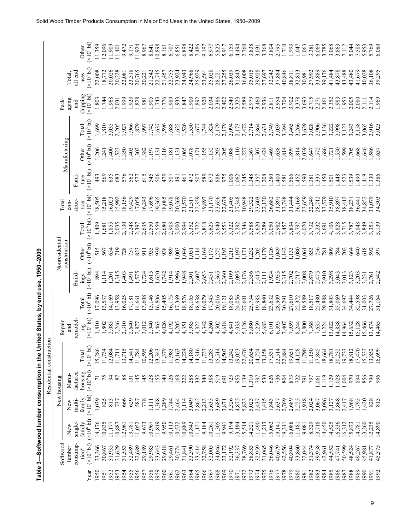| $1050 - 200$    |
|-----------------|
| by end use,     |
| $\ddot{\bm{s}}$ |
| ;<br>;<br>;     |
| י<br>-          |
| Ī               |
|                 |

|                          |                |               | Other                                                   | (x10 <sup>6</sup> bf) | 11,359         | .2,096           | .1,909         | 11,401 | 9,472  | 9,171          | 11,924         | 8,967                        | $8,641$<br>10,898 | 8,161           | 6,707     | 6,851  | 6,898  | 8,422  | 7,486            | 9,197            | 6,977  | 5,825                   | 5,917  | 6,15   | 4,494  | 2,760     | 3,838  | 3,368<br>3,031         | 3,804            | 2,795          | 1,710  | .993       | 647              | ,063           | 3,381  | 6,069                      | 3,785  | 3,068            | 3,863  | 7,112  | 5,044  | 588,    | 5,953  | 5,769<br>6.080   |
|--------------------------|----------------|---------------|---------------------------------------------------------|-----------------------|----------------|------------------|----------------|--------|--------|----------------|----------------|------------------------------|-------------------|-----------------|-----------|--------|--------|--------|------------------|------------------|--------|-------------------------|--------|--------|--------|-----------|--------|------------------------|------------------|----------------|--------|------------|------------------|----------------|--------|----------------------------|--------|------------------|--------|--------|--------|---------|--------|------------------|
|                          |                | Total,        | all end<br>uses                                         | (x10 <sup>6</sup> bf) | 22,008         | 18,772           | 20,026         | 20,228 | 22,081 | 23,318         | 20,765         | 20,221                       | 22,745<br>21,342  | 21,457          | 22,755    | 23,924 | 24,943 | 24,968 | 25,929           | 23,561<br>25,028 |        | 28,221                  | 27,255 | 26,039 | 31,843 | 36,008    | 35,015 | 29,928<br>27,697       | 32,242           | 37,884         | 40,846 | 38,811     | 32,813           | 30,981         | 27,992 | 33,889                     | 39,176 | 41,484<br>43,878 |        | 43,488 | 43,480 | 41,679  | 40,028 | 36,108<br>39.295 |
|                          | Pack-          | aging         | shipping<br>and                                         | $(x10^6 b)$           | 1,803          | .744             | 1,968          | 2,031  | 666'   | ,923           | ,828           | ,981                         | ,905<br>,743      | 776             | ,989      | 1,933  | .847   | 1,900  | ,892             | 1,920            | 2,034  | 2,386                   | 2,402  | 2,540  | 2,323  | 2,589     | 2,979  | 3,460<br>2,936         | 2,811            | 2,954          | 3,704  | 3,902      | 3,378            | 3,693          | 2,715  | 2,271                      | 2,461  | 2,352            | 1,983  | 1,953  | 2,005  | 2,080   | 2,111  | 1.969<br>2,114   |
|                          |                |               | Total                                                   | (x10 <sup>6</sup> bf) | 1,699          | 1,810            | 2,035          | ,205   | 1,927  | ,966           | 879            | ,997                         | ,742<br>,637      | 596             | ,688      | ,622   | ,526   | 550    | 577              | 1,744            | ,824   | 2,179                   | 2,179  | 2,094  | 2,173  | 472       | 2,714  | 2,864<br>2,631         | 2,749            | 3,039          | 3,394  | 3,465      | ,266             | \$,629         | 3,028  | 2,906                      | 3,136  | 3,222            | 866    | 3,123  | 3,243  | 3,158   | \$,065 | 2,916<br>023     |
|                          |                | Manufacturing | Other                                                   | (x10 <sup>6</sup> bf) | 206            | 241              | $rac{40}{\pi}$ | 523    | ,350   | 403            | ,302           | .382                         | 197<br>131        | ,116            | ,181      | , 131  | 065    | 078    | $\overline{171}$ | ,155             | ,152   | 293                     | ,205   | 088    | 110    | $\dot{z}$ | 367    | 424<br>50 <sub>7</sub> | ,469             | 638            | ,814   | ,899       | , 814            | ,039           | ,647   | 572                        | ,686   | ,721             | 550    | 599    | 705    | ,668    | 646    | 586<br>.637      |
|                          |                |               | Furni-<br>ture                                          | (x10 <sup>6</sup> bf) | 493            | 569              | 635            | 683    | 576    | 562            | 577            | 615                          | 506<br>545        | 479             | 507       | 491    | 461    | 472    | 507              | 589              | 672    | 886                     | 975    | ,006   | ,062   | .245      | ,348   | 208<br>357             | 280              | ,400           | 581    | ,566       | ,452             | 590            | ,381   | ,335                       | ,450   | 501              | ,448   | 523    | 539    | 06t'    | 419    | ,330<br>386      |
|                          | Total          | $\frac{1}{2}$ | struc-<br>tion                                          | $(\times 10^6$ bf)    | 18,505         | 5,218            | 16,023         | 15,992 | 18,156 | 19,429         | 17,058         | 16,243                       | 17,696<br>19,365  | 18,085          | 19,078    | 20,369 | 21,570 | 21,517 | 22,359           | 19,897           | 21,170 | 23,656                  | 22,674 | 21,405 | 27,348 | 30,948    | 29,322 | 23,603                 | 22,130<br>26,682 | 31,891         | 83,748 | 31,444     | 26,169           | 23,659         | 22,249 | 28,712                     | 33,579 | 35,910           | 38,897 | 38,412 | 38,231 | 36,441  | 34,852 | 31,079<br>34.303 |
|                          |                |               | Total                                                   | (x10 <sup>6</sup> bf) | ,409           | ,681             | ,855           | 2,035  | 2,130  | 2,248          | 2,397          | 2,635                        | 2,550<br>2,559    | 2,680           | 2,903     | 3,000  | 2,994  | 3,352  | 3,722            | 3,818            | 3,625  | 3,640                   | 3,553  | 3,322  | 3,292  | 3,346     | 3,588  | 3,620                  | 3,289<br>3,050   | 2,982          | 3,457  | 3,834      | 3,797            | 4,070          | 3,732  | 3,232                      | 3,691  | 4,106            | 3,828  | 3,715  | 3,787  | 3,843   | 3,849  | 3,353<br>,139    |
|                          | Nonresidential | construction  | Other                                                   | (x10 <sup>6</sup> bf) | 515            | 567              | 654            | 719    | 728    | 757            | 823            | 911                          | 939<br>935        | 938             | 989       | 003    | ,046   | 051    | 114              | ,164             | ,175   | ,275                    | 193    | 213    | 197    | ĽÍ,       | ,232   | .179<br>205            | ,126             | 649            | ,142   | ,133       | 080              | 1,061          | 853    |                            | 781    | 809              | 784    | 702    | 664    | 34<br>0 | 618    | 592<br>597       |
|                          |                |               | $\frac{\text{ings}}{(\times 10^6 \text{ bf})}$<br>Build |                       | 894            | 114              | 201            | 315    | ,403   | ,491           | 575            | 724                          | ,620<br>515       | ,742            | 914       | 996    | ,948   | 2,301  | 2,607            | 2,653            | 2,451  | 2,365                   | 2,360  | 2,109  | 2,095  | 2,176     | 2,356  | 2,415<br>2,111         | 1,924            | 1,933          | 2,315  | 2,702      | 2,717            | 3,008          | 2,879  | 2,475                      | 2,910  | 3,298            | 3,043  | 3,013  | 3,123  | 3,203   | 3,231  | 2,761<br>2.542   |
|                          |                |               | Total                                                   | (x10 <sup>6</sup> bf) | 17,096         | .3,537           | 4,169          | 3,958  | 6,025  | 7,181          | 4,661          | 3,608                        | 5,146<br>6,806    | 5,405           | 6,175     | 7,369  | 8,576  | 8,165  | 8,638            | 6,079            | 17,545 | 20,016                  | 19,121 | 18,083 | 24,056 | 27,601    | 25,734 | 19,983                 | 18,840<br>23,632 | 28,909         | 30,291 | 27,610     | 22,372           | 19,589         | 18,517 | 25,480<br>29,888<br>31,803 |        |                  | 35,069 | 34,697 | 34,444 | 32,598  | 31,003 | 27,726<br>31,164 |
|                          | Repair         | аnd           | $\frac{\text{mg}}{\text{gm}}$<br>remodel-               |                       | 1,810          | 1,802            | 2,085          | 2,246  | 2,310  | ,640           | ,877           | 012                          | 940<br>463        | 1,026           | .192      | 4,205  | 4,351  | ,985   | 4,322            | 4,342            | 4,260  | 4,502                   | 4,618  | 4,841  | 5,033  | 5,126     | 5,080  | 5,259<br>5,683         | 6,101            | 6,395          | 701,7  | ,959       | 8,244            | ,800           | ,368   | ,635                       | 1,224  | 3,022            | 4,838  | 4,964  | 5,632  | 5,128   | 5,466  | 3,874<br>14,465  |
| Residential construction |                |               | Total                                                   | (x10 <sup>6</sup> bf) | 15,286         | 11,734<br>12,084 |                | 11,711 | 13,715 | 14,541         | 11,784         | 10,595                       | 12,206<br>13,343  | 11,379          | 11,983    | 13,163 | 14,224 | 14,180 | 14,316           | 11,737           | 13,285 | 15,514                  | 14,503 | 13,242 | 19,023 | 22,476    | 20,654 | 14,724<br>13,158       | 17,531           | 22,514         | 22,884 | 19,651     | 14,128           | 11,790         | 11,150 | 17,845<br>18,664           |        | 18,781           | 20,232 | 19,733 | 18,812 | 17,470  | 15,537 | 16,699<br>13,852 |
|                          | New housing    | Manu-         | housing<br>factured                                     | $(*10^6 b_0$          | $\overline{z}$ | 75               | R              | 87     | 88     | $\overline{5}$ | $\frac{45}{5}$ | $\frac{45}{5}$<br><b>128</b> | 155               | $\overline{40}$ | <b>26</b> | 168    | 222    | 288    | 332              | 340              | 388    | 519                     | 691    | 723    | 953    | 1.139     | 1,310  | 797                    | 530<br>626       | 736            | 804    | 872<br>722 |                  | $\overline{5}$ | 797    | .061                       | 119    | 1.129            | 028    | 004    | 970    | 894     | 856    | 996<br>790       |
|                          |                | New           | family<br>multi-                                        | (x10 <sup>6</sup> bf) | 1,039          | 825              | 813            | 737    | 666    | 629            | 587            | 778                          | 1,368<br>$\Xi$    | 1,289           | 1,744     | 2,464  | 3,114  | 3,049  | 2,862            | 2,213            | 2,635  | 3,689<br>3,871<br>3,326 |        |        | 4,875  | 5,823     | 5,023  | 2,437                  | 1,415            | 1,843<br>2,637 | 2,769  | 2,689      | 2,225            | 1,918          | 2,024  | 3,067                      | 3,096  | 3,127            | 2,868  | 2,417  | 1,968  | 1,795   | ,420   | 828<br>813       |
|                          |                | New           | family<br>single-                                       | $(\times 10^6$ bf)    | 14,176         | 10,835           | 1,177          | 0,887  | 2,961  | 3,781          | 11,052         | 9,673                        | 11,819<br>10,967  | 9,950           | 10,113    | 10,532 | 10,889 | 10,843 | 11,121           | 9,184            | 10,261 | 11,305                  | 9,941  | 9,194  | 13,194 | 15,514    | 14,321 | 1,490<br>11,213        | 15,062           | 19,141         | 9,311  | 16,088     | 1,181            | 9,081          | 8,329  | 3,718                      | 14,450 | 14,525           | 6,336  | 6,312  | .5,873 | 14,781  | 13,260 | 12,235<br>14,890 |
|                          | Softwood       | lumber        | consump-<br>$\text{tion}^{\text{a}}$                    | (x10 <sup>6</sup> bf) | 33,366         | 30,867           | 31,935         | 31,629 | 31,553 | 32,489         | 32,689         | 29,189                       | 29,983<br>33,643  | 29,618          | 29,461    | 30,774 | 31,841 | 33,390 | 33,414           | 32,758<br>32,005 |        | 34,046                  | 33,172 | 32,192 | 36,337 | 38,769    | 38,853 | 32,959<br>31,065       | 36,046           | 40,679         | 42,556 | 40,804     | 33,860<br>32,044 |                | 31,374 | 39,958<br>42,961           |        | 44,552           | 47,741 | 50,599 | 48,524 | 49,267  | 45,981 | 45,375<br>41,877 |
|                          |                |               |                                                         | Year                  | 1950           | 1951             | 1952           | 1953   | 1954   | 1955           | 1956           | 1957<br>1958                 | 1959              | 1960            | 1961      | 1962   | 1963   | 1964   | 1965             | 1966             | 1967   | 1968                    | 1969   | 1970   | 1971   | 1972      | 1973   | 1974<br>1975           | 1976             | 1977           | 1978   | 1979       | 1980             | 1981           | 1982   | 1983                       | 1984   | 1985             | 986    | 1987   | 1988   | 1989    | 0661   | 1992<br>1991     |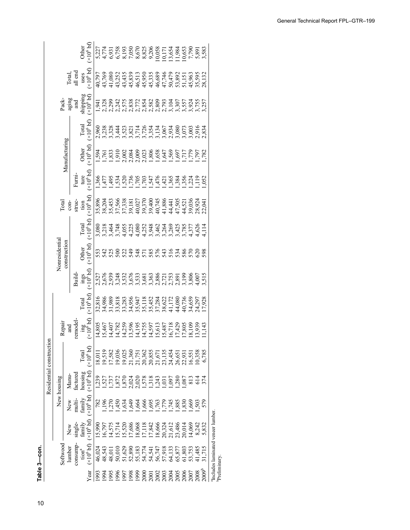10**Table 3—Softwood lumber consumption in the United States, by end use, 1950–2009** Table 3-con. **Table 3—con.**

|                      |                                                                    |                                                          |                                       |                                                                                                                                                                                     | Residential construction |                               |                                   |       |                     |                                    |                   |                          |                                                                                                                                                                                     |                                                                                                                                                                                                                                  |                                |                                        |                          |
|----------------------|--------------------------------------------------------------------|----------------------------------------------------------|---------------------------------------|-------------------------------------------------------------------------------------------------------------------------------------------------------------------------------------|--------------------------|-------------------------------|-----------------------------------|-------|---------------------|------------------------------------|-------------------|--------------------------|-------------------------------------------------------------------------------------------------------------------------------------------------------------------------------------|----------------------------------------------------------------------------------------------------------------------------------------------------------------------------------------------------------------------------------|--------------------------------|----------------------------------------|--------------------------|
|                      | Softwood                                                           |                                                          |                                       | New housing                                                                                                                                                                         |                          | Repair                        |                                   |       | Nonresidentia       |                                    | <b>Total</b>      |                          |                                                                                                                                                                                     |                                                                                                                                                                                                                                  | Pack-                          |                                        |                          |
|                      | lumber                                                             | New                                                      | New                                   | Manu-                                                                                                                                                                               |                          | and                           |                                   |       | construction        |                                    | $\frac{1}{2}$     |                          | Manufacturing                                                                                                                                                                       |                                                                                                                                                                                                                                  | aging                          |                                        |                          |
|                      | consump                                                            | single-                                                  | multi-                                | actured                                                                                                                                                                             |                          | emode                         |                                   | Build |                     |                                    | struc-            | Fumi-                    |                                                                                                                                                                                     |                                                                                                                                                                                                                                  | and                            | Total,<br>ill end                      |                          |
| Year                 | $(\times 10^{6}$ bf)<br>$\text{tion}^a$                            | (x10 <sup>6</sup> bf)<br>family                          | family                                | $(x10^6 b f)$ $(x10^6 b f)$ $(x10^6 b f)$<br>housing                                                                                                                                | Total                    | $\frac{\text{mg}}{\text{gm}}$ | $\times 10^6$ bf)<br><b>Total</b> | ings  | Other $(x10^6 b f)$ | $(\times 10^6$ bf)<br><b>Cotal</b> | $10^6$ bf<br>tion | $\times10^6$ bf)<br>ture | $\times10^6$ bf<br><b>Other</b>                                                                                                                                                     | (x10 <sup>6</sup> bf)<br>Total                                                                                                                                                                                                   | shipping<br>$(\times 10^6$ bf) | $\frac{\text{uses}}{10^{6} \text{bf}}$ | Other $(\times 10^6$ btf |
| 1993                 | 46,024                                                             | 15,990                                                   | 782                                   | ,239                                                                                                                                                                                | 18,01                    |                               |                                   |       |                     |                                    |                   |                          |                                                                                                                                                                                     |                                                                                                                                                                                                                                  |                                |                                        |                          |
| 1994                 | 18,543                                                             | 6,797                                                    | ,196                                  |                                                                                                                                                                                     | 0,519                    | 14,805<br>15,467              |                                   |       | 553<br>542<br>525   |                                    |                   | 477<br>966ء              | $1, 591$ $1, 763$ $1, 763$ $1, 763$ $1, 763$ $1, 763$ $1, 763$ $1, 763$ $1, 763$ $1, 763$ $1, 763$ $1, 763$ $1, 763$ $1, 763$ $1, 763$ $1, 763$ $1, 763$ $1, 763$ $1, 763$ $1, 763$ | 00 22 23 24 25 26 27 27 28 27 28 27 28 27 28 27 28 27 28 27 28 27 28 27 28 27 28 27 28 27 28 27 28 27 28 27 28<br>29 29 29 29 20 21 22 22 23 23 24 25 26 27 27 28 29 20 21 22 22 23 24 25 27 28 27 28 27 28 27 28 27 28 27 28 27 |                                |                                        |                          |
| 1995                 | 18,011                                                             | 4,575                                                    | 270                                   | $1, 527$ $1, 872$ $2, 872$ $5, 624$ $5, 624$ $5, 624$ $5, 624$ $5, 624$ $5, 624$ $5, 624$ $5, 624$ $5, 624$ $5, 624$ $5, 624$ $5, 624$ $5, 624$ $5, 624$ $5, 624$ $5, 624$ $5, 624$ | 7,582                    |                               |                                   |       |                     |                                    |                   | 495                      |                                                                                                                                                                                     |                                                                                                                                                                                                                                  |                                |                                        |                          |
|                      | 50,010                                                             | 5,714                                                    |                                       |                                                                                                                                                                                     |                          |                               |                                   |       | $\approx$           |                                    |                   |                          |                                                                                                                                                                                     |                                                                                                                                                                                                                                  |                                |                                        |                          |
| 8661<br>2661<br>2661 | 51,629                                                             | 5,520                                                    | 525<br>2346466665757<br>3495666667745 |                                                                                                                                                                                     |                          |                               |                                   |       |                     |                                    |                   |                          |                                                                                                                                                                                     |                                                                                                                                                                                                                                  |                                |                                        |                          |
|                      |                                                                    | .7,686                                                   |                                       |                                                                                                                                                                                     |                          |                               |                                   |       |                     |                                    |                   |                          |                                                                                                                                                                                     |                                                                                                                                                                                                                                  |                                |                                        |                          |
|                      | 52,890<br>55,183                                                   | 8,068                                                    |                                       |                                                                                                                                                                                     |                          |                               |                                   |       |                     |                                    |                   |                          |                                                                                                                                                                                     |                                                                                                                                                                                                                                  |                                |                                        |                          |
| 2001<br>2001         |                                                                    |                                                          |                                       |                                                                                                                                                                                     |                          |                               |                                   |       |                     |                                    |                   |                          |                                                                                                                                                                                     |                                                                                                                                                                                                                                  |                                |                                        |                          |
|                      |                                                                    |                                                          |                                       |                                                                                                                                                                                     |                          |                               |                                   |       |                     |                                    |                   |                          |                                                                                                                                                                                     |                                                                                                                                                                                                                                  |                                |                                        |                          |
| 2002                 | 54,774<br>54,547<br>56,747<br>56,877<br>65,877<br>65,753<br>53,753 | 17,118<br>17,842<br>18,666<br>19,324<br>20,324<br>23,486 |                                       |                                                                                                                                                                                     |                          |                               |                                   |       |                     |                                    |                   |                          |                                                                                                                                                                                     |                                                                                                                                                                                                                                  |                                |                                        |                          |
| 2003<br>2004         |                                                                    |                                                          |                                       |                                                                                                                                                                                     |                          |                               |                                   |       |                     |                                    |                   |                          |                                                                                                                                                                                     |                                                                                                                                                                                                                                  |                                |                                        |                          |
|                      |                                                                    |                                                          |                                       |                                                                                                                                                                                     |                          |                               |                                   |       |                     |                                    |                   |                          |                                                                                                                                                                                     |                                                                                                                                                                                                                                  |                                |                                        |                          |
| 2005                 |                                                                    |                                                          | .885                                  |                                                                                                                                                                                     |                          |                               |                                   |       |                     |                                    |                   |                          |                                                                                                                                                                                     |                                                                                                                                                                                                                                  |                                |                                        |                          |
| 2006                 |                                                                    | 20,014                                                   | ,830                                  |                                                                                                                                                                                     |                          |                               |                                   |       |                     |                                    |                   |                          |                                                                                                                                                                                     |                                                                                                                                                                                                                                  |                                |                                        |                          |
| 2007                 |                                                                    | 14,069                                                   | ,665                                  | $\frac{1}{8}$                                                                                                                                                                       |                          |                               |                                   |       |                     |                                    |                   |                          |                                                                                                                                                                                     |                                                                                                                                                                                                                                  |                                |                                        |                          |
| 2008                 | 1,485                                                              | 8,242                                                    | 503                                   | 614                                                                                                                                                                                 |                          |                               |                                   |       |                     |                                    |                   |                          |                                                                                                                                                                                     |                                                                                                                                                                                                                                  |                                |                                        |                          |
| $2009^b$             | 1,715                                                              | 5,832                                                    | 579                                   |                                                                                                                                                                                     |                          |                               |                                   |       |                     |                                    |                   |                          |                                                                                                                                                                                     |                                                                                                                                                                                                                                  |                                |                                        |                          |
|                      | "Includes laminated veneer lumber.                                 |                                                          |                                       |                                                                                                                                                                                     |                          |                               |                                   |       |                     |                                    |                   |                          |                                                                                                                                                                                     |                                                                                                                                                                                                                                  |                                |                                        |                          |

1968 34,046 11,305 3,689 519 519 15,305 1,393 2,366 1,393 2,386 1,393 2,386 1,393 2,386 1,393 2,386 28,221 5,3<br>Preliminary **Preliminary.**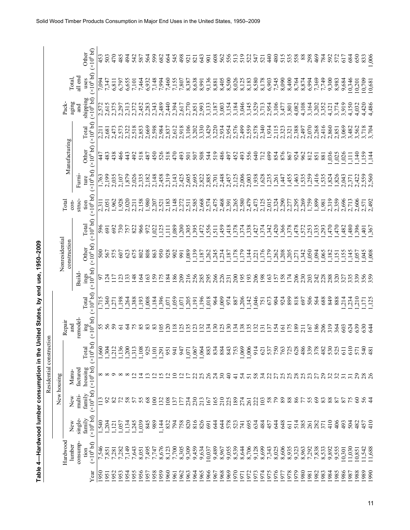| Table 4-Hardwood lumber consumption in the United States, by end use, 1950-2009 |  | Residential construction<br>New housing |  |  |                |  |  |  |  |
|---------------------------------------------------------------------------------|--|-----------------------------------------|--|--|----------------|--|--|--|--|
|                                                                                 |  |                                         |  |  | Nonresidential |  |  |  |  |
|                                                                                 |  |                                         |  |  |                |  |  |  |  |
|                                                                                 |  |                                         |  |  |                |  |  |  |  |
|                                                                                 |  |                                         |  |  |                |  |  |  |  |
|                                                                                 |  |                                         |  |  |                |  |  |  |  |
|                                                                                 |  |                                         |  |  |                |  |  |  |  |
|                                                                                 |  |                                         |  |  |                |  |  |  |  |
|                                                                                 |  |                                         |  |  |                |  |  |  |  |
|                                                                                 |  |                                         |  |  |                |  |  |  |  |

| č<br>)<br>)<br>                            |
|--------------------------------------------|
|                                            |
|                                            |
|                                            |
| 1QEO                                       |
|                                            |
|                                            |
|                                            |
|                                            |
|                                            |
|                                            |
| )<br>)<br>)<br>)<br>ים המחמות              |
|                                            |
|                                            |
|                                            |
|                                            |
|                                            |
|                                            |
|                                            |
|                                            |
|                                            |
| :                                          |
|                                            |
|                                            |
|                                            |
| ĺ                                          |
|                                            |
|                                            |
| $\frac{1}{2}$                              |
|                                            |
|                                            |
|                                            |
|                                            |
|                                            |
|                                            |
|                                            |
|                                            |
|                                            |
|                                            |
|                                            |
|                                            |
|                                            |
|                                            |
| ֧֧֛֧֚֚֚֚֚֚֚֚֚֚֚֚֚֚֚֚֚֚֚֚֚֚֚֚֚֚֚֚֚֚֚֚֚֝֝֜֝֜ |
|                                            |
|                                            |
| .<br>.<br>.<br>.                           |
|                                            |
|                                            |
|                                            |
|                                            |
|                                            |
|                                            |
| .<br>.<br>.                                |
|                                            |
|                                            |
|                                            |
|                                            |
|                                            |
|                                            |
|                                            |
|                                            |
|                                            |
|                                            |
| í                                          |

|                |                    | Other               |                                                | 453      | 503             | 470                           | 485            | 494<br>542             | 587   | 564   | 599             | 682   | 664             | 545                                       | 498            | $\overline{56}$ | 821            | 643   | 501    | 608                                       | 562<br>556               |                 | 513           | 519            | 522                 | 547                         | 521   | 440                     | 480            | 515               | 535<br>558         | 88    | 298                | 469   | 784   | 592   | 572                           | 617             | 684             | 650    | 006<br>833                                    |
|----------------|--------------------|---------------------|------------------------------------------------|----------|-----------------|-------------------------------|----------------|------------------------|-------|-------|-----------------|-------|-----------------|-------------------------------------------|----------------|-----------------|----------------|-------|--------|-------------------------------------------|--------------------------|-----------------|---------------|----------------|---------------------|-----------------------------|-------|-------------------------|----------------|-------------------|--------------------|-------|--------------------|-------|-------|-------|-------------------------------|-----------------|-----------------|--------|-----------------------------------------------|
|                | Total,             | all end<br>uses     | $(x106$ bf) $(x106$ bf)                        | 7,094    | 7,347           | 6,811                         | 6,797          | 6,655<br>7,101         | 7,464 | 6,932 | 7,148           | 7,994 | 7,460           | 7,155<br>7,807<br>8,587<br>8,638<br>8,991 |                |                 |                |       | 9,136  | 8,881<br>8,405<br>8,500<br>8,125<br>8,125 |                          |                 |               |                | 8,183               | 8,580                       | 8,178 | 6,903                   | 7,545<br>8,090 |                   | 8,400<br>8,764     | 8,874 | 6,994              | 7,369 |       |       | $7,749$<br>$9,300$<br>$8,983$ |                 |                 |        | 9,684<br>10,346<br>10,709<br>10,709<br>10,681 |
|                | aging<br>Pack-     | and                 | shipping<br>$(x10^6 b f)$                      | 2,572    | 2,615           | 2,375                         | 2,297          | 2,313<br>2,372         | 2,452 | 2,283 | 2,343           | 2,489 | 2,440           | 2,394                                     | 2,617          | 2,770           | 2,851          | 2,993 | 3,133  | 3,187                                     | 3,003                    | 3,154           | 3,184         | 3,046          | 3,145               | 3,529                       | 3,713 | 2,954                   | 3,106          | 3,477             | 4,082<br>3,801     | 4,108 | 3,164              | 3,202 | 3,352 | 4,121 | 3,774                         | 3,919           | 4,150           | 4,032  | 4,420<br>1,486                                |
|                |                    | Total               | (x10 <sup>6</sup> bf)                          | 2,211    | 2,681           | 2,473                         | 2,573          | 2,322<br>2,518         | 2,853 | 2,669 | 2,598           | 2,984 | 2,837           | 2,612                                     | 2,918          | 3,106           | 3,202          | 3,330 | 3,429  | 3,220                                     | 2,934                    | 2,954           | 2,576         | 2,499          | 2,559<br>2,578      |                             |       | 2,340<br>1,934<br>2,115 |                | 2,323             | 2,388<br>2,321     | 2,497 | 2,070              | 2,268 | 2,416 | 2,860 | 2,851                         | 3,069           | 3,482           | 3,562  | 3,718                                         |
|                | Manufacturing      | Other               | (x10 <sup>6</sup> bf)                          | 447      | 483<br>438      |                               | 466            | 492<br>443             | 518   | 487   | 450             | 526   | 518             | 470                                       | 493            | 501             | 507            | 508   | 544    | 519                                       | 486                      | 497             | 452           | 493            | 556                 | 640                         | 712   | 699                     | 854            | 876               | 867<br>924         | 962   | 812                | 851   | 881   | ,036  | ,025                          | ,026            | Ę               | ,140   | ,159<br>$\frac{44}{ }$                        |
|                |                    | Furni-<br>ture      | (x10 <sup>6</sup> bf)                          | 1,763    | 2,199           | 2,035                         | 2,107          | 1,879<br>2,026         | 2,335 | 2,182 | 2,148           | 2,458 | 2,319           | 2,143                                     | 2,425          | 2,605           | 2,695          | 2,822 | 2,885  | 2,701                                     | 2,448                    | 2,457           | 2,125         | 2,006          | 2,003               | 1,938                       | 1,628 | $\frac{1,235}{261}$     |                | ,447              | ,455<br>,463       | 535   | .259               | ,416  | 535   | ,824  | ,826                          | 2,043           | 2,371           | 2,422  | 2,559<br>2,560                                |
|                | Total<br>$con-$    | struc-<br>tion      | $(\times 10^6 b)$                              | 2,311    | 2,051           | 1,962                         | 1,928          | 2,020<br>2,211         | 2,158 | 1,980 | 2,207           | 2,521 | 2,183           | 2,148                                     | 2,272          | 2,511           | 2,585          | 2,668 | 2,574  | 2,475                                     | 2,468                    | 2,391           | 2,265         | 2,580          | 2,479               | 2,473                       | :125  | 2,015                   | 2,324          | 2,290             | 2,295<br>2,277     | 2,269 | .759               | 1,899 | 1,981 | 2,319 | 2,359                         | 2,696           | 2,713<br>2,606  |        | 2.492<br>2,571                                |
|                |                    | Total               | $(\times 10^6 b)$                              | 596      | 69              | 692                           | 730            | 757<br>822             | 966   | 972   | ,022            | ,125  | $\Xi$           | ,089                                      | 200            | ,305            | ,395           | ,472  | ,556   | 511                                       | 459                      | ,418            | ,378          | 374            | 338                 | ,427                        | .374  | .342                    |                | , 366             | 378<br>478         | 572   | .253               | 335   | ,293  | 470   | 470                           | ,482            | ,480            | ,396   | ,367                                          |
| Nonresidential | construction       | Other               | (x10 <sup>6</sup> bf)                          | 500      | 567<br>575      |                               | 607            | 675<br>623             | 802   | 808   | 863             | 950   | 928             | 902                                       | 991            | ,089            | ,139           | ,187  | .262   | .245                                      | ,234                     | $-187$          | 178           | 579            | $\frac{1}{1}$ , 221 |                             | .176  | $\frac{179}{1,262}$     |                |                   | 205<br>205<br>1771 |       | $1,342$<br>$1,050$ | 0.94  | 065   | ,182  | ,151                          | ,155            | ,145            | ,057   | $600^{0}$                                     |
|                |                    | Build-              | $\frac{\text{ings}}{(\times 10^6 \text{ bf})}$ | 56       | $\overline{24}$ | $\overline{\Box}$             | 123            | 148<br>$\overline{3}$  | 164   | 163   | <b>SQ</b>       | 175   | 184             | 186                                       | 209            | 216             | 256            | 285   | 295    | 266                                       | 226                      |                 | 200           | 195            | 193                 | 206                         | 198   |                         |                | 165<br>158<br>174 | 206                | 230   | 203                | 242   | 228   | 288   | 320                           | 327             | 335             | 339    | 356<br>359                                    |
|                |                    | Total               | $(\times 10^6$ bf)                             | 715<br>- | ,360            | ,271                          | 361,           | 388<br>,264            | ,193  | 008   | ,184            | , 396 | ,071            | 0.59                                      | ,071           | ,205            | 191            | ,196  | ,018   | 964                                       | 000                      | 974             | 887           | ,206           | 142                 | ,046                        | 751   | 673                     | 904            | 924               | 899<br>818         | 697   | 506                | 564   | 688   | 849   | 888                           | .234            |                 | ,210   | .125<br>,171                                  |
|                | Repair<br>and      | remodel-            | $\lim_{\delta \to 0}$<br>(×10 <sup>6</sup> bf) | 588      |                 |                               | $\overline{6}$ | $\mathcal{L}$<br>57    | 85    | 83    | 83              | 105   | $\overline{20}$ | 18                                        | <b>125</b>     | 135             | 123            | 132   | 134    | 130                                       | 125                      | 130             | 134           | 138            | 135                 |                             | 131   | 137                     | 154            | 161               | 189<br>175         | 211   | 167                |       | 186   | 319   | 364                           | 603             | 624             | 639    | 630<br>644                                    |
|                |                    | Total               | bf)<br>(×10 <sup>6</sup> ]                     |          |                 | $1,304$<br>$1,313$<br>$-1,36$ |                | .200<br>$\frac{31}{2}$ | 10    | 92    | 10 <sub>1</sub> | 1,29  | 95              | $\frac{5}{4}$                             | $\overline{6}$ | 0 <sub>1</sub>  | 0.1            | 1,06  | $88\,$ | 83                                        | 88                       | $\overline{84}$ | 75            | 1,069          | 1,00                | $\frac{1}{2}$ $\frac{2}{2}$ |       | 53                      |                | 76                | 62                 | 48    | 33                 | 57    | 48    |       | 53 <sub>0</sub>               | $\overline{61}$ | $\overline{6}$  | 57     | 54<br>$\frac{8}{4}$                           |
|                | Manu-              | housing<br>factured | $(\times 10^6 b)$                              |          |                 |                               |                |                        | 4     |       |                 |       |                 | ≘                                         |                |                 | 22             | 25    |        | $\overline{24}$                           | $\overline{\mathcal{E}}$ | $\Theta$        | $\frac{4}{5}$ | $\mathcal{L}$  | 51                  | 58                          | 34    | $\overline{c}$          | 27             |                   | 25825              |       | 23                 | 27    | 29    | 32    | 32                            | $\overline{31}$ | $\overline{31}$ | 29     |                                               |
| New housing    | New                | family<br>multi-    | (x10 <sup>6</sup> bf)                          |          | $\mathfrak{S}$  |                               |                | 58<br>57               | 55    | 68    | $\epsilon$      | 32    | $\approx$       | $\tilde{\omega}$                          | Ë              | 234             | 230            | 213   | 167    | 165                                       | $\frac{210}{2}$          | 225             | 189           | 274            | 261                 | 222                         | 103   | $\frac{8}{2}$           |                | 89                | 86<br>88           |       | 55                 | 69    | 83    |       | 8255                          |                 |                 | 60     | 56                                            |
|                | New                | single-<br>family   | $(x10^6 b)$                                    | 540      | .204            | 1,121                         | 057            | 1,245<br>1,134         | 1,039 | 845   | 989             | 1,144 | 832             | 794                                       | 758            | 820             | 816            | 826   | 691    | 644                                       | 644                      | 578             | 523           | 741            | 695                 | 634                         | 484   | 457                     | 644            | 648               | 514<br>61          | 385   | 261                | 282   | 371   | 410   | 406                           | 493             | 504             | 482    | 410<br>457                                    |
|                | Hardwood<br>lumber | consump-<br>tion    | (x10 <sup>6</sup> bf)                          | 7,546    | 7,851           | 7,281                         | 7,282          | 7,149<br>7,643         | 8,051 |       | 7,747<br>7,747  | 8,676 | 8,123           | 7,700                                     | 8,305          | 9,309           | 9,459<br>9,634 |       | 10,037 | 9,489                                     | 8,967                    | 9,055           |               | 8,539<br>8,644 | 8,706               | 9,128                       | 8,699 | 7,343                   | 8,025          | 8,606             | 8,935<br>9,323     | 8,963 | 7,292              | 7,838 | 8,533 |       | 9,892<br>9,555                | 0,301           | 11,030          | 10,851 | 11,542<br>11,688                              |
|                |                    |                     | Year                                           | 950      | 1951            | 1952                          | 953            | 1955<br>1954           | 1956  | 957   | 1958<br>1959    |       | 960             | 1961                                      | 1962           | 1963            | .964           | 1965  | 1966   | 1967                                      | 1968                     | 1969            | 1970          | 971            | 972                 | 1973                        | 1974  | 1975                    | 1976           | 1977              | 979<br>978         | 1980  | 1981               | 1982  | 1983  | 1984  | .985                          | 986             | 1987            | 1988   | 1989<br>1990                                  |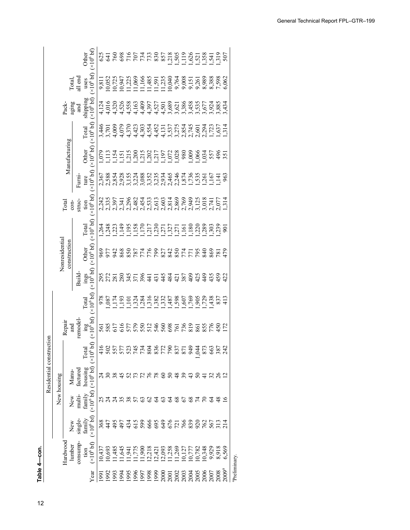**—Hardwood lumber consumption in the United States, by end use, 1950** Table 4-con. **Table 4—con.** 12**Table 4**

|                                                                                                                                                                                                          |  | Residential construction<br>New housing | $\overline{\mathbf{5}}$ |                        |                                                  |                                |                     |                       |                     |                                          |              |                                                                              |                                                                                      |
|----------------------------------------------------------------------------------------------------------------------------------------------------------------------------------------------------------|--|-----------------------------------------|-------------------------|------------------------|--------------------------------------------------|--------------------------------|---------------------|-----------------------|---------------------|------------------------------------------|--------------|------------------------------------------------------------------------------|--------------------------------------------------------------------------------------|
| Repair<br>Hardwood                                                                                                                                                                                       |  |                                         |                         |                        |                                                  | Nonresidential<br>construction |                     | <b>Total</b>          |                     | Manufacturing                            | Pack-        |                                                                              |                                                                                      |
| remodel<br>and<br>factured<br>Manu-<br>multi-<br>New<br>single-<br>New<br>consump-<br>lumber                                                                                                             |  |                                         |                         |                        | Build-                                           |                                |                     | struc-<br>$con-$      | Furni-              |                                          | aging<br>and | Total,<br>all end                                                            |                                                                                      |
|                                                                                                                                                                                                          |  |                                         |                         |                        |                                                  |                                |                     |                       |                     |                                          |              |                                                                              |                                                                                      |
| $\frac{\text{ing}}{10^6 \text{bh}}$<br>$(10^6 b)$<br>Total<br>housing<br>$(x10^6 b f)$<br>$(x106$ bf)<br>family<br>family<br>$(x10^6 bfb)$<br>(x10 <sup>6</sup> bf)<br>tion                              |  |                                         |                         | Total<br>$(x10^6 b f)$ | $\frac{\text{ings}}{(\times 10^6 \text{ b}f)}$ ( | Other $(x10^6$ bf)             | Total $(x10^6 b f)$ | tion<br>$(x10^6 b f)$ | $(x10^6 b)$<br>ture | Other Total<br>$(x10^6 b f) (x10^6 b f)$ | shipping     | uses Other<br>$\times 10^6$ bf) $\times 10^6$ bf)                            | <b>Other</b>                                                                         |
| 561<br>10,437                                                                                                                                                                                            |  |                                         |                         |                        |                                                  |                                |                     |                       |                     |                                          |              | 900011111109999988769<br>000010109881096601088888<br>10001010889109885108888 |                                                                                      |
| 585<br>224<br>224<br>36495<br>10,693                                                                                                                                                                     |  |                                         |                         |                        | 295<br>272<br>281                                | S<br>577<br>98                 |                     |                       |                     | 2 1 1 1 1                                |              |                                                                              |                                                                                      |
| 1,485                                                                                                                                                                                                    |  |                                         |                         |                        |                                                  |                                |                     |                       |                     |                                          |              |                                                                              |                                                                                      |
| 616<br>1,645                                                                                                                                                                                             |  |                                         |                         |                        | 280                                              | 868                            |                     |                       |                     |                                          |              |                                                                              |                                                                                      |
| 1,941                                                                                                                                                                                                    |  |                                         |                         |                        | $\frac{371}{271}$                                | 850                            |                     |                       |                     |                                          |              |                                                                              |                                                                                      |
| 577<br>579                                                                                                                                                                                               |  |                                         |                         |                        |                                                  |                                |                     |                       |                     |                                          |              |                                                                              |                                                                                      |
| 550<br>$1,775$<br>$000$                                                                                                                                                                                  |  |                                         |                         |                        | 396                                              |                                |                     |                       |                     |                                          |              |                                                                              |                                                                                      |
|                                                                                                                                                                                                          |  |                                         |                         |                        |                                                  |                                |                     |                       |                     |                                          |              |                                                                              |                                                                                      |
|                                                                                                                                                                                                          |  |                                         |                         |                        |                                                  |                                |                     |                       |                     |                                          |              |                                                                              |                                                                                      |
|                                                                                                                                                                                                          |  |                                         |                         |                        |                                                  |                                |                     |                       |                     |                                          |              |                                                                              |                                                                                      |
|                                                                                                                                                                                                          |  |                                         |                         |                        |                                                  |                                |                     |                       |                     |                                          |              |                                                                              |                                                                                      |
| $146887738887477$<br>A G & 4 S F F F F F G G \$ \$ 4 4 5 4 5 4 5 4<br>2256666666676687<br>945999996199900514<br>945999965199900514<br>12,218<br>12,421<br>12,093<br>12,269<br>10,777<br>10,782<br>10,348 |  |                                         |                         |                        |                                                  |                                |                     |                       |                     |                                          |              |                                                                              | 8 8 6 8 7 6 7 7 8 8 8 9 7 8 7 8 9 7 8 9 7<br>8 7 8 8 7 6 7 7 9 8 8 9 9 9 9 9 9 9 9 7 |
|                                                                                                                                                                                                          |  |                                         |                         |                        |                                                  |                                |                     |                       |                     |                                          |              |                                                                              |                                                                                      |
|                                                                                                                                                                                                          |  |                                         |                         |                        |                                                  |                                |                     |                       |                     |                                          |              |                                                                              |                                                                                      |
| ,044                                                                                                                                                                                                     |  |                                         |                         |                        |                                                  |                                |                     |                       |                     |                                          |              |                                                                              |                                                                                      |
|                                                                                                                                                                                                          |  |                                         |                         |                        |                                                  |                                |                     |                       |                     |                                          |              |                                                                              |                                                                                      |
|                                                                                                                                                                                                          |  |                                         |                         |                        |                                                  |                                |                     |                       |                     |                                          |              |                                                                              |                                                                                      |
| 53<br>587<br>587                                                                                                                                                                                         |  |                                         |                         |                        |                                                  |                                |                     |                       |                     |                                          |              |                                                                              | 507<br>919                                                                           |
| 9,929<br>8,918<br>6,569                                                                                                                                                                                  |  |                                         |                         |                        | 422                                              |                                |                     |                       |                     | 35                                       |              |                                                                              |                                                                                      |
| Preliminary.                                                                                                                                                                                             |  |                                         |                         |                        |                                                  |                                |                     |                       |                     |                                          |              |                                                                              |                                                                                      |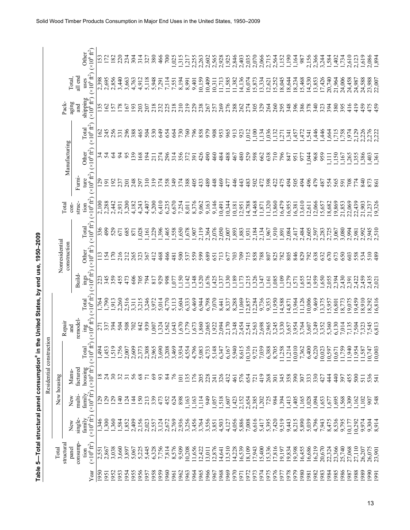|             |                                          |                                        |                                      | Residential construction                |                                                     |                                                  |                                       |                                                        |                                       |                                           |                                      |                                      |                                      |                                       |                                    |                                      |                                       |
|-------------|------------------------------------------|----------------------------------------|--------------------------------------|-----------------------------------------|-----------------------------------------------------|--------------------------------------------------|---------------------------------------|--------------------------------------------------------|---------------------------------------|-------------------------------------------|--------------------------------------|--------------------------------------|--------------------------------------|---------------------------------------|------------------------------------|--------------------------------------|---------------------------------------|
|             | Total                                    |                                        | New housing                          |                                         |                                                     |                                                  |                                       |                                                        | Nonresidential                        |                                           | Total                                |                                      |                                      |                                       |                                    |                                      |                                       |
|             | structural<br>panel                      | New                                    | New                                  | Manu-                                   |                                                     | Repair<br>and                                    |                                       |                                                        | construction                          |                                           | $con-$                               |                                      | Manufacturing                        |                                       | Pack-<br>aging                     | Total,                               |                                       |
|             | consump-                                 | single-                                | multi-                               | factured                                |                                                     | remodel-                                         |                                       | Build-                                                 |                                       |                                           | struc-                               | Fumi-                                |                                      |                                       | រ<br>ជ                             | all end                              |                                       |
| ēā          | $(\times 10^6$ ft <sup>2</sup> )<br>tion | $(\times 10^6 \text{ ft}^2)$<br>family | $(*10^{6} \text{ ft}^{2})$<br>family | housing<br>$(\times 10^6 \text{ ft}^2)$ | $\hat{f}$<br>Total<br>$(x10^6$                      | $\mathop{\rm img}_{(\times 10^6 {\rm \, ft}^2)}$ | $(\times 10^6 \text{ ft}^2)$<br>Total | $\mathop {\max }\limits_{(\times 10^6 {\rm \, ft}^2)}$ | $(\times 10^6 \text{ ft}^2)$<br>Other | $(\times 10^6$ ft <sup>2</sup> )<br>Total | $(\times 10^6 \text{ ft}^2)$<br>tion | $(\times 10^6 \text{ ft}^2)$<br>ture | $(\times 10^6~\text{ft}^2)$<br>Other | $(\times 10^6 \text{ ft}^2)$<br>Total | shipping<br>$(x10^6 \text{ ft}^2)$ | uses<br>$(\times 10^6 \text{ ft}^2)$ | $(\times 10^6 \text{ ft}^2)$<br>Other |
| 950         | 2,551                                    | 346                                    | 129                                  |                                         |                                                     | 271                                              | 1,764                                 | 223                                                    |                                       | 336                                       | 2,100                                | $^{29}$                              |                                      | 162                                   | 35                                 |                                      |                                       |
| 1951        | 2,867                                    | ,300                                   | <b>29</b>                            | $\frac{24}{30}$                         | $1,450$<br>$1,450$<br>$1,550$<br>$1,500$<br>$1,600$ | 337                                              | 1,790                                 | 345                                                    | 154                                   | 499                                       | 2,288                                | $\overline{9}$                       | 222<br>24                            | 245                                   | 62                                 | 2,398<br>2,695                       | 152<br>172                            |
| 1952        | 3,038                                    | , 360                                  | <b>29</b>                            |                                         |                                                     |                                                  | 1,913                                 | 359                                                    | 170                                   | 529                                       | 2,442                                | 192                                  |                                      | 256                                   | 57                                 | 2,856                                | 182                                   |
| 1953        | 3,660                                    | 1,584                                  | $\frac{140}{5}$                      | 32                                      |                                                     | 504                                              | 2,260                                 | 455                                                    | 216                                   | 671                                       | 2,931                                | 237                                  | 54                                   | 331                                   | 178                                | 3,440                                | 220                                   |
| 954         | 3,897                                    | 1,852                                  | 144<br>124                           | $\overline{31}$                         |                                                     | 508<br>702                                       | 2,516                                 | 473<br>606                                             | 212<br>265                            | 685<br>871                                | 3,200                                | $\overline{201}$                     | 95<br>139                            | 296                                   | $\overline{67}$                    | 3,663                                | 234                                   |
| 956<br>955  | 5,225<br>5,067                           | 2,409<br>2,156                         | 150                                  | 56<br>68                                | 2,60<br>2,37                                        |                                                  | 3,215<br>3,311                        | 705                                                    | 323                                   | ,028                                      | 4,243<br>4,182                       | 248<br>297                           | 168                                  | 388<br>465                            | 193<br>203                         | 4,763<br>4,912                       | ЗO<br>314                             |
| 957         | 5,445                                    | 2,023                                  | 213                                  | $\overline{7}$                          | 2,30                                                | 842                                              | 3,246                                 | 794                                                    | 367                                   | ,161                                      | 4,407                                | 310                                  | 194                                  | 504                                   | 207                                | 5,118                                | 327                                   |
| 958         | 6,328                                    | 2,557                                  | 339                                  | $69\,$                                  | 2,96                                                | 007                                              | 3,972                                 | 817                                                    | 412                                   | ,229                                      | 5,200                                | 319                                  | 211                                  | 530                                   | 218                                | 5,948                                | 380                                   |
| 959         | 7,756                                    | 3,124                                  | 473                                  | 93                                      | 3,69                                                | ,324                                             | 5,014                                 | 929                                                    | 468                                   | ,396                                      | 6,410                                | 374                                  | 274                                  | 649                                   | 232                                | 7,291                                | 466                                   |
| 0961        | 7,814                                    | 2,672                                  | 452                                  | 84                                      | 3,20                                                | 5643                                             | 4,770                                 | 998                                                    | 466                                   | 1,465                                     | 6,235                                | 358                                  | 296                                  | 654                                   | 225                                | 7,114                                | 700                                   |
| 961         | 8,576                                    | 2,769                                  | 624                                  | 76                                      | ᡋ<br>3,465                                          |                                                  | 5,113                                 | 1,077                                                  | 481                                   | \$58                                      | 6,670                                | 349                                  | 314                                  | 664                                   | 218                                | 7,551                                | 1,025                                 |
| .962        | 9,509                                    | 2,936                                  | 898                                  | $\overline{101}$                        | 3,93                                                | 670                                              | 5,604                                 | .150                                                   | 500                                   | ,650                                      | 7,254                                | 374                                  | 356                                  | 730                                   | 210                                | 8,194                                | 1,315                                 |
| .963<br>964 | 10,208                                   | 3,256                                  | 1,163                                | 135<br>176                              | 4,55<br>4,79                                        | 622'<br>,673                                     | 6,333                                 | ,348<br>,142                                           | 559<br>537                            | .678<br>1,907                             | 8,011                                | 388<br>405                           | 372<br>391                           | 760<br>796                            | 219<br>229                         | 8,991                                | 2,255<br>1,217                        |
| .965        | 1,656<br>12,422                          | 3,456<br>3,764                         | 114<br>,163                          | 205                                     | 5,08                                                | ,860                                             | 6,469<br>6,944                        | 520                                                    | 599                                   | 2,119                                     | 8,376<br>9,062                       | 433                                  | 426                                  | 858                                   | 238                                | 10,159<br>9,401                      | 2,263                                 |
| 966         | .3,011                                   | 3,556                                  | 949                                  | 228                                     | 4,73                                                | :,065                                            | 6,798                                 | ,676                                                   | 689                                   | 2,364                                     | 9,163                                | 489                                  | 490                                  | 979                                   | 267                                | 10,409                               | 2,602                                 |
| 1967        | 12,876                                   | 3,851                                  | 1,057                                | 241                                     | 5,14                                                | 1,922                                            | 7,070                                 | ,425                                                   | 651                                   | 2,076                                     | 9,146                                | 448                                  | 460                                  | 908                                   | 257                                | 10,311                               | 2,565                                 |
| 968         | 14,641                                   | 4,503                                  | 518                                  | 326                                     | 6,34                                                | 2,094                                            | 8,441                                 | ,337                                                   | 713                                   | 2,050                                     | 10,491                               | 469                                  | 484                                  | 953                                   | 269                                | 1,713                                | 2,928                                 |
| 1969        | 13,510                                   | 4,127                                  | 1,607                                | 432                                     | 6,16                                                | 2,170                                            | 8,337                                 | 330                                                    | 677                                   | 2,007                                     | 10,344                               | 477                                  | 488                                  | 965                                   | 276                                | 1,585                                | 1,925                                 |
| 970         | 14,228                                   | 4,056                                  | 1,423                                | 461                                     | 5,94                                                | 2,348                                            | 8,288                                 | ,189                                                   | 703                                   | 1,893                                     | 0,181                                | 446                                  | 467                                  | 913                                   | 288                                | 11,382                               | 2,846                                 |
| 971         | 16,539                                   | 5,886                                  | 2,152                                | 576                                     | 8,61:                                               | 2,454                                            | 1,069                                 | ,173                                                   | 709                                   | 1,883<br>1,931                            | 12,951                               | 443                                  | 480                                  | 923                                   | 262                                | 14,136                               | 2,403                                 |
| 972<br>973  | 18,109<br>7,943                          | 7,008<br>6,616                         | 2,385<br>2,654                       | 654<br>721                              | $\frac{10,310}{9,72}$                               | 2,563<br>2,541                                   | $12,857$<br>$12,284$                  | 326<br>215                                             | 858<br>715                            | 2,184                                     | 14,788<br>14,468                     | 502<br>483                           | 529<br>598                           | 100<br>1,012                          | 305<br>274                         | 16,074<br>15,873                     | 2,070<br>2,035                        |
| .974        | 15,400                                   | 5,417                                  | 1,202                                | 419                                     | 7,03                                                | 2,698                                            | 9,736                                 | 347                                                    | 788                                   | 2,134                                     | 11,871                               | 472                                  | 662                                  | ,134                                  | 329                                | 3,334                                | 2,066                                 |
| 975         | 5,336                                    | 5,395                                  | 725                                  | 268                                     |                                                     | 2,965                                            | 9,353                                 | ,161                                                   | 807                                   | 1,967                                     | 1,320                                | 398                                  | 638                                  | ,036                                  | 264                                | 12,621                               | 2,715                                 |
| 1976        | 17,816                                   | 7,420                                  | 984                                  | 301                                     | $6,388$<br>$8,70$                                   | 3,245                                            | 1,950                                 | ,085                                                   | 825                                   | 1,910                                     | 13,860                               | 422                                  | 710                                  | ,132                                  | 260                                | 15,252                               | 2,564                                 |
| 977         | 19,197                                   | 9,519                                  | 1,394                                | 345                                     | 11,25                                               | 3,330                                            | 4,588                                 | ,109                                                   | 782                                   | 1,891                                     | 16,479                               | 475                                  | 796                                  | 271                                   | 295                                | 18,045                               | 1,152                                 |
| 979<br>978  | 19,834<br>19,398                         | 8,215<br>9,443                         | 1,413<br>,405                        | 390<br>358                              | 11,21<br>10,01                                      | 3,657                                            | 3,964<br>4,871                        | 279<br>571                                             | 805<br>846                            | 2,084<br>2,417                            | 16,955<br>16,381                     | 494<br>505                           | 847<br>951                           | ,457<br>341                           | 396<br>348                         | 18,644<br>18,234                     | 1,190<br>1,164                        |
| 980         | 16,455                                   | 5,890                                  | ,165                                 | 307                                     | 7,36                                                | 3,954<br>3,764                                   | 1,126                                 | ,655                                                   | 829                                   | 2,484                                     | 13,610                               | 494                                  | 977                                  | ,472                                  | 386                                | 15,468                               | 987                                   |
| 981         | 16,686                                   | 5,039                                  | 1,028                                | 333                                     | 6,400                                               | 3,607                                            | 0.006                                 | ,812                                                   | 792                                   | 2,605                                     | 12,611                               | 496                                  | .044                                 | ,541                                  | 378                                | 14,530                               | 2,156                                 |
| 982         | 16,219                                   | 4,796                                  | 1,094                                | 330                                     | 6,22                                                | 3,249                                            | 9,469                                 | ,959                                                   | 638                                   | 2,597                                     | 12,066                               | 479                                  | 968                                  | 446                                   | 340                                | 13,853                               | 2,366                                 |
| 983         | 20,670                                   | 7,943                                  | 1,653                                | 427                                     | 10,02                                               | 3,352                                            | 3,375                                 | ,650                                                   | 632                                   | 2,283                                     | 15,657                               | 487                                  | 959                                  | 46                                    | 323                                | 17,426                               | 3,244                                 |
| 1984        | 22,324                                   | 8,475                                  | .677                                 | 44                                      | 10,59                                               | 5,360                                            | 5,957                                 | 2,055                                                  | 670                                   | 2,725                                     | 18,682                               | 554                                  | $\Xi$                                | ,664                                  | 394                                | 20,740                               | 1,584                                 |
| 985         | 23,366                                   | 8,536                                  | 1,695                                | 440                                     | 10,67                                               | 6,130                                            | 6,801                                 | 2,394                                                  | 673                                   | 3,067                                     | 19,869                               | 565                                  | ,150                                 | 1,715                                 | 380                                | 21,964                               | 1,402                                 |
| 986         | 25,740                                   | 9,795                                  | 568                                  | 397                                     | 1,75                                                | 7,014                                            | 8,773                                 | $0.65$ .                                               | 650                                   | 3,080                                     | 21,853                               | 591                                  | ,167                                 | 1,758                                 | 395                                | 24,006                               | 1,734                                 |
| 988<br>987  | 27,068<br>27,110                         | 10,292<br>10,177                       | ,309<br>,162                         | 455<br>500                              | 1,94                                                | 7,135<br>7,504                                   | 9,075<br>9,459                        | ,422<br>165'                                           | 603<br>558                            | 2,994<br>2,981                            | 22,069<br>22,439                     | 708<br>774                           | 265<br>,355                          | .974<br><sup>2</sup> ,129             | 416<br>419                         | 24,458<br>24,987                     | 2,610<br>2,123                        |
| 989         | 26,207                                   | 9,974                                  | 102                                  | 511                                     | 11,95<br>11,58                                      | 7,323                                            | 8,910                                 | ,459                                                   | 534                                   | 2,992                                     | 21,903                               | 840                                  | ,386                                 | 2,226                                 | 459                                | 24,588                               | 1,619                                 |
| 990         | 26,075                                   |                                        | 907                                  |                                         | 10,74                                               |                                                  | 8,292                                 | ,435                                                   | 510                                   | 2,945                                     | 21,237                               |                                      |                                      |                                       | 475                                |                                      |                                       |
| 1991        | 23,901                                   | 9,304<br>8,914                         | 548                                  | 536<br>541                              | 10,000                                              | 7,545<br>6,813                                   | 16,816                                | 2,021                                                  | 489                                   | 510                                       | 19,326                               | 873<br>861                           | $403$<br>$501$                       | 2,276<br>2,222                        | 459                                | 23,988<br>22,007                     | 2,086<br>1,894                        |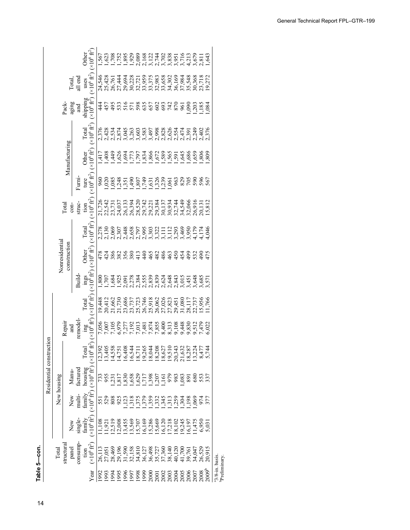| $-$ con. |  |
|----------|--|
| able 5   |  |
|          |  |

|                                            | Table 5-con.                   |                                 |                     |                                                                                              |                                                                                                                                                         |                                                              |                                         |                                                                                   |                |                                       |                                      |                                                                  |                                                                                                          |                                       |                                |                                                                                                                                                                                                                                                                                |
|--------------------------------------------|--------------------------------|---------------------------------|---------------------|----------------------------------------------------------------------------------------------|---------------------------------------------------------------------------------------------------------------------------------------------------------|--------------------------------------------------------------|-----------------------------------------|-----------------------------------------------------------------------------------|----------------|---------------------------------------|--------------------------------------|------------------------------------------------------------------|----------------------------------------------------------------------------------------------------------|---------------------------------------|--------------------------------|--------------------------------------------------------------------------------------------------------------------------------------------------------------------------------------------------------------------------------------------------------------------------------|
|                                            |                                |                                 |                     | Residential construct                                                                        | $\overline{5}$                                                                                                                                          |                                                              |                                         |                                                                                   |                |                                       |                                      |                                                                  |                                                                                                          |                                       |                                |                                                                                                                                                                                                                                                                                |
|                                            | Total                          |                                 |                     | New housing                                                                                  |                                                                                                                                                         |                                                              |                                         |                                                                                   | Nonresidential |                                       |                                      |                                                                  |                                                                                                          |                                       |                                |                                                                                                                                                                                                                                                                                |
|                                            | structura                      | New                             | New                 | Manu-                                                                                        |                                                                                                                                                         | Repair                                                       |                                         |                                                                                   | construction   |                                       | <b>Total</b>                         |                                                                  | Manufacturing                                                                                            | Pack-                                 | Total.                         |                                                                                                                                                                                                                                                                                |
|                                            | consump-<br>panel              | single-                         | multi-              | factured                                                                                     |                                                                                                                                                         | remodel<br>and                                               |                                         | Build-                                                                            |                |                                       | struc-<br>$con-$                     | Fumi-                                                            |                                                                                                          | aging<br>and                          | all end                        |                                                                                                                                                                                                                                                                                |
| Yea                                        | $(x10^6 \text{ ft}^2)$<br>tion | $\times 10^6$ fr $^2$<br>family | $(1.0^6)$<br>family | housing<br>$(x10^6 \text{ ft}^2)$                                                            | $(10^6)$ fr<br>Total                                                                                                                                    | $\frac{\text{ing}}{(\times 10^6 \text{ ft}^2)}$              | Total<br>$(\times 10^6 \text{ ft}^2)$ ( | ings Other<br>( $\times 10^6$ ft <sup>2</sup> ) ( $\times 10^6$ ft <sup>2</sup> ) |                | Total<br>$(\times 10^6 \text{ ft}^2)$ | tion<br>$(\times 10^6 \text{ ft}^2)$ | ture<br>$(\times 10^6 \text{ ft}^2)$                             | Other Total<br>( $\times$ 10 <sup>6</sup> ft <sup>2</sup> ) ( $\times$ 10 <sup>6</sup> ft <sup>2</sup> ) | anipping<br>$(1.0^6)$ fr <sup>2</sup> | uses<br>$(x10^6 \text{ ft}^2)$ | $( \times 10^6 \text{ ft}^2$<br>Other                                                                                                                                                                                                                                          |
| 992                                        | 26,113                         |                                 |                     |                                                                                              |                                                                                                                                                         | 7,056                                                        |                                         |                                                                                   |                |                                       |                                      |                                                                  |                                                                                                          | 44<br>4                               |                                | 567                                                                                                                                                                                                                                                                            |
| 993                                        | 27,051                         | 1,921                           | 538                 | 733<br>955                                                                                   | 12,392<br>13,405                                                                                                                                        |                                                              |                                         |                                                                                   |                |                                       |                                      | بن 108 مئونية 1292.<br>1295 مئونية بن 1292.<br>1396 مئونية 1294. |                                                                                                          |                                       |                                |                                                                                                                                                                                                                                                                                |
| 1994                                       | 28,469                         | 2,519                           |                     |                                                                                              |                                                                                                                                                         |                                                              |                                         |                                                                                   |                |                                       |                                      |                                                                  |                                                                                                          |                                       |                                |                                                                                                                                                                                                                                                                                |
| 1995                                       | 29,196                         | 12,008                          | 92 <sup>2</sup>     | $33.888$<br>$25.888$<br>$11.288$<br>$11.288$<br>$11.288$<br>$11.282$<br>$11.282$<br>$11.282$ | $1,538$ $1,634$ $1,648$ $1,648$ $1,648$ $1,648$ $1,648$ $1,648$ $1,648$ $1,648$ $1,648$ $1,648$ $1,648$ $1,648$ $1,648$ $1,648$ $1,648$ $1,648$ $1,648$ | 7,007<br>7,105<br>6,977<br>7,192<br>7,192                    |                                         |                                                                                   |                |                                       |                                      |                                                                  |                                                                                                          |                                       |                                | $\begin{smallmatrix} 1.783 & 0.80 & 0.80 & 0.80 & 0.80 & 0.80 & 0.80 & 0.80 & 0.80 & 0.80 & 0.80 & 0.80 & 0.80 & 0.80 & 0.80 & 0.80 & 0.80 & 0.80 & 0.80 & 0.80 & 0.80 & 0.80 & 0.80 & 0.80 & 0.80 & 0.80 & 0.80 & 0.80 & 0.80 & 0.80 & 0.80 & 0.80 & 0.80 & 0.80 & 0.80 & 0.$ |
|                                            |                                |                                 |                     |                                                                                              |                                                                                                                                                         |                                                              |                                         |                                                                                   |                |                                       |                                      |                                                                  |                                                                                                          |                                       |                                |                                                                                                                                                                                                                                                                                |
|                                            |                                |                                 |                     |                                                                                              |                                                                                                                                                         |                                                              |                                         |                                                                                   |                |                                       |                                      |                                                                  |                                                                                                          |                                       |                                |                                                                                                                                                                                                                                                                                |
|                                            |                                |                                 |                     |                                                                                              |                                                                                                                                                         | rrrrxxx 9.999912021<br>0348845148954602<br>03489091889012021 |                                         |                                                                                   |                |                                       |                                      |                                                                  |                                                                                                          |                                       |                                |                                                                                                                                                                                                                                                                                |
|                                            |                                |                                 |                     |                                                                                              |                                                                                                                                                         |                                                              |                                         |                                                                                   |                |                                       |                                      |                                                                  |                                                                                                          |                                       |                                |                                                                                                                                                                                                                                                                                |
|                                            |                                |                                 |                     |                                                                                              |                                                                                                                                                         |                                                              |                                         |                                                                                   |                |                                       |                                      |                                                                  |                                                                                                          |                                       |                                |                                                                                                                                                                                                                                                                                |
|                                            |                                |                                 |                     |                                                                                              |                                                                                                                                                         |                                                              |                                         |                                                                                   |                |                                       |                                      |                                                                  |                                                                                                          |                                       |                                |                                                                                                                                                                                                                                                                                |
|                                            |                                |                                 |                     |                                                                                              |                                                                                                                                                         |                                                              |                                         |                                                                                   |                |                                       |                                      |                                                                  |                                                                                                          |                                       |                                |                                                                                                                                                                                                                                                                                |
|                                            |                                |                                 |                     |                                                                                              |                                                                                                                                                         |                                                              |                                         |                                                                                   |                |                                       |                                      |                                                                  |                                                                                                          |                                       |                                |                                                                                                                                                                                                                                                                                |
|                                            |                                |                                 |                     |                                                                                              |                                                                                                                                                         |                                                              |                                         |                                                                                   |                |                                       |                                      |                                                                  |                                                                                                          |                                       |                                |                                                                                                                                                                                                                                                                                |
|                                            |                                |                                 |                     | .083                                                                                         |                                                                                                                                                         |                                                              |                                         |                                                                                   |                |                                       |                                      |                                                                  |                                                                                                          |                                       |                                |                                                                                                                                                                                                                                                                                |
|                                            |                                |                                 |                     | 891                                                                                          |                                                                                                                                                         |                                                              |                                         |                                                                                   |                |                                       |                                      | civio e e e e e e e e                                            |                                                                                                          | <u>s grăș</u>                         |                                |                                                                                                                                                                                                                                                                                |
|                                            |                                |                                 |                     | 80                                                                                           | 13,224                                                                                                                                                  |                                                              |                                         |                                                                                   |                |                                       |                                      |                                                                  |                                                                                                          |                                       | 30,368<br>23,718               |                                                                                                                                                                                                                                                                                |
| 2008<br>2009b                              |                                |                                 |                     | 553                                                                                          |                                                                                                                                                         |                                                              |                                         |                                                                                   |                |                                       |                                      |                                                                  |                                                                                                          |                                       |                                |                                                                                                                                                                                                                                                                                |
|                                            |                                |                                 | 377                 | 337                                                                                          |                                                                                                                                                         |                                                              | 1,766                                   | 57                                                                                |                | 046                                   | 15,812                               | 567                                                              |                                                                                                          |                                       | 19,272                         | \$43                                                                                                                                                                                                                                                                           |
| <sup>a</sup> 3/8-in. basis.<br>Preliminary |                                |                                 |                     |                                                                                              |                                                                                                                                                         |                                                              |                                         |                                                                                   |                |                                       |                                      |                                                                  |                                                                                                          |                                       |                                |                                                                                                                                                                                                                                                                                |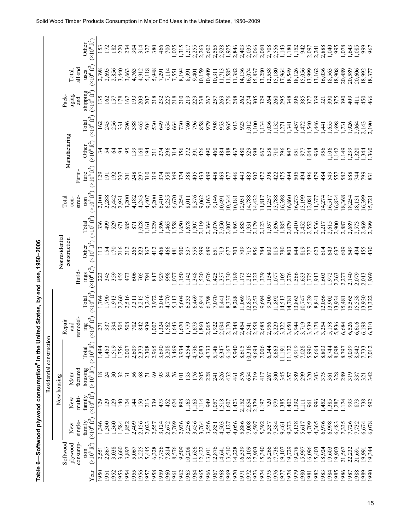|                         |                |                        | $(\times 10^6 \text{ ft}^2)$<br>Other                                                            |                 | 152<br>172     | 182              | 220            | 234             | 304                     | 314   | 327             | 380              | 466   | $\overline{700}$ | 1,025 | , 315            | .217             | 2,255         | 2,263      | 2,602  | 2,565                  | 2,928  | 1,925   |                            |                  | 2,846<br>2,956<br>2,056                                                                                             |                | 2,060<br>2,708<br>2,556<br>1,152<br>1,152<br>1,152<br>1,152 |       |                |        |                   |       |                  | 2,097          | 2,241  | 2,888  | 0.040  | 995              | 1,078                | .643  | 0.085                                                              | 999            | 967      |
|-------------------------|----------------|------------------------|--------------------------------------------------------------------------------------------------|-----------------|----------------|------------------|----------------|-----------------|-------------------------|-------|-----------------|------------------|-------|------------------|-------|------------------|------------------|---------------|------------|--------|------------------------|--------|---------|----------------------------|------------------|---------------------------------------------------------------------------------------------------------------------|----------------|-------------------------------------------------------------|-------|----------------|--------|-------------------|-------|------------------|----------------|--------|--------|--------|------------------|----------------------|-------|--------------------------------------------------------------------|----------------|----------|
|                         |                | Total,                 | $(\times 10^6~\text{ft}^2)$<br>all end<br>uses                                                   | 2,398           | 2,695          | 2,856            |                |                 | 3,440<br>3,663<br>4,763 | 4,912 | 5,118           | 5,948            | 7,291 | 7,114            | 7,551 | 8,194            | 8,991            | 9,401         | 0,159      |        | $\frac{10,409}{0,311}$ |        |         | 11,713<br>11,585<br>11,382 | 14,136           | 16,074<br>15,837<br>11,5380<br>11,5360<br>11,549<br>11,056<br>11,056<br>11,056                                      |                |                                                             |       |                |        |                   |       |                  | 13,999         | 13,162 | 16,036 |        |                  |                      |       | 18,563<br>18,908<br>18,908<br>20,589<br>20,606<br>18.377<br>18.377 |                |          |
|                         |                | aging<br>Pack-         | shipping<br>$(\times 10^6 \text{ ft}^2)$<br>and                                                  | $\overline{.5}$ | 62             | $\overline{.57}$ | 178            | 167             | $\overline{93}$         | 203   | 207             | 218              | 232   | 225              | 218   | $\frac{10}{2}$   | 219              | 229           | 238        | 267    | 257                    | 269    | 276     | 288                        | 262              | 274                                                                                                                 | 305            | 329                                                         | 264   | 260            | 295    | 348               | 396   | 385              |                | 339    | 321    | 390    | 375              | 390                  | 409   | $\frac{1}{4}$                                                      | 450            | 466      |
|                         |                |                        | $(\times 10^6 \text{ ft}^2)$<br><b>Total</b>                                                     | 162             | 245            | 256              | 331            | 296             | 388                     | 465   | 504             | 530              | 649   | 654              | 664   | 730              | 760              | 796           | 858<br>979 |        | 908                    | 953    | 965     | 913                        | 923              | ,012                                                                                                                | ,100           | ,134                                                        | ,036  | ,132           | ,271   | , 341             | ,457  | $-472$           | ,540           | ,446   | .441   | 1,655  |                  | $\frac{1,698}{,731}$ | 1,926 | 2,064                                                              | 2,143          | 2.190    |
|                         |                | Manufacturing          | $(\times 10^6~\text{ft}^2)$<br>Other                                                             |                 | 22<br>24       |                  | $\overline{5}$ | 95              | $\overline{39}$         | 168   | $\overline{5}$  | $\overline{211}$ | 274   | 296              | 314   | 356              | 372              | 391           | 426        | 490    | 460                    | 484    | 488     | 467                        | 480              | 529                                                                                                                 | 598            | 662                                                         | 638   | $\frac{10}{2}$ | 796    | 847               | 951   | 977              | ,044           | 968    | 956    | 106    | ,142             | ,149                 | 239   | 320                                                                | 340            |          |
|                         |                |                        | ( $\times 10^6~{\rm ft}^2$<br>Fumi-<br>ture                                                      | $\mathcal{S}$   | $\overline{5}$ | $\mathcal{S}$    | 237            | 201             | 248                     | 297   | $\frac{310}{5}$ | 319              | 374   | 358              | 349   | 374              | 388              | $rac{405}{5}$ | 433        | 489    | 448                    | 469    | 477     | 446                        | 443              | 483                                                                                                                 | 502            | 472                                                         | 398   | 422            | 475    | $\frac{4}{9}$     | 505   |                  | $\frac{96}{5}$ | 479    | 484    | 549    | 557              |                      | 2884  |                                                                    | $\frac{8}{8}$  |          |
|                         |                | <b>Total</b><br>$\cos$ | $(\times 10^6 \text{ ft}^2)$<br>struc-<br>tion                                                   | 2,100           | 2,288          | 2,442            | 2,931          | 3,200           | 4,182                   | 4,243 | 4,407           | 5,200            | 6,410 | 6,235            | 6,670 | 7,254            | 8,011            | 8,376         | 9,062      | 9,163  | 9,146                  | 0,491  | 0,344   | 0,181                      | 2,951            | 14,788                                                                                                              | 4,432          | $1,817$<br>$1,257$                                          |       | 3,788<br>6,398 |        | 6,860             | 6,273 | 3,199            | 2,081          | 1,377  | 14,274 | 16,517 | 16,834           | 8,368                | 8,254 | 8,131                                                              | 6,399          | 5.721    |
|                         |                |                        | $(\times 10^6 \text{ ft}^2)$<br>Total                                                            |                 | 336<br>499     | 529              | 671            | 685             | 871                     | 028   | 161             | 229              | , 396 | ,465             | 558   | ,650             | .678             | $-907$        | 2,119      | 2,364  | 2,076                  | 2,050  | 2,007   | 1,893                      |                  | $\frac{1,883}{1,931}$                                                                                               |                | 2,123                                                       | .957  | ,896           | .,885  | 2,079             | 2,410 | 2,452            | 2,552          | 2,536  | 2,217  | 2,615  | 2,900            | 2,887                | 2,689 | 2,573                                                              | 2,469          | 399      |
|                         | Nonresidential | construction           | Other $(\times 10^6 \text{ ft}^2)$                                                               |                 |                | 34.70            | 216            | 212             | 265                     | 323   | 367             | $\frac{2}{4}$    | 468   | 466              | 481   | 500              | 537              | 559           | 599        | 689    | 651                    | 713    | 677     | 703                        | 709              | 715                                                                                                                 | 856            | 784                                                         | 803   | 819            | 780    | 803               | 844   | 819              | 7T,            | 623    | 614    | 643    | 637              | 609                  | 549   | 494                                                                | 455            | $^{430}$ |
|                         |                |                        | ings<br>( $\times 10^6$ ft <sup>2</sup> )<br>Build-                                              | 223             | 345            | 359              | 455            | 473             | 606                     | 705   | 794             | 817              | 929   | 998              | 77    | ,150             | 142              | 348           | 520        | ,676   | ,425                   | 337    | ,330    | ,189                       | 173              | 215                                                                                                                 | 323            | , 339                                                       | ,154  | 770,           |        | ,276              |       | 633              | ,775           | 913    | 1,603  | .972   | 2,263            | 2,277                | 2,140 | 2,079                                                              | 2,013          | 1,969    |
|                         |                |                        | $(\times 10^6 \text{ ft}^2)$<br>Total                                                            | .764            | 662            | ,913             | 2,260          | 2,516           | 3,311                   | 3,215 | 3,246           | 3,972            | 5,014 | 4,770            | 5,113 | 5,604            | 6,333            | 6,469         | 6,944      | 6,798  | 7,070                  | 8,441  | 8,337   | 8,288                      | 1,069            |                                                                                                                     | 2,857<br>2,253 | 9,694                                                       | 9,300 | 1,892          | 4,513  | 4,781             | 3,863 | 0,747            | 9,529          | 8,841  | 2,056  | 3,902  | 3,934            | 5,481                | 5,565 | 5,558                                                              | 3,930          | 3,322    |
|                         |                | Repair<br>and          | $\frac{\text{mg}}{(\times 10^6 \text{ ft}^2)}$<br>remodel-                                       | $\overline{27}$ | 337            | 394              | 504            | 508             | 702                     | 842   | 939             | 007              | ,324  | 562              | ,643  | 670              | ,779             | ,673          | ,860       |        | 2,065<br>1,922         | 2,094  | 0(1, 1) | 348                        | 2,454            | 541                                                                                                                 | 2,558          | 2,688                                                       | ,956  | 3,229          | 322    | ,944              |       | 3,719            | 539            | 3,178  | 3,254  | 5,158  | 5,836            | 6,684                | 6,526 | 6,616                                                              | 6,198          | 6.310    |
|                         |                |                        |                                                                                                  | 1,494           | 1,453          | 1,519            | 1,756          | 2,007           | 2,609                   | 2,373 | 2,308           | 2,965            | 3,690 | 3,208            | 3,469 | 3,934            | 4,554            | 4,796         | 5,083      | 4,733  | 5,148                  | 6,347  | 6,167   | 5,940                      | 8,615            | 10,316<br>9,694                                                                                                     |                | 7,006                                                       | 6,344 | 8,663          | 11,191 | 11,132<br>9,919   |       | 7,028            | 5,990          | 5,664  | 8,803  | 8,744  | 8,098            | 8,797                | 9,039 | 8,942                                                              | 7,733          | 7,012    |
| Residential constructio |                | Manu-                  | housing Total<br>(×10 <sup>6</sup> $\text{ft}^2$ ) (×10 <sup>6</sup> $\text{ft}^2$ )<br>factured |                 | $\frac{8}{24}$ | $\mathfrak{S}$   | $\mathfrak{L}$ | $\overline{5}$  | 56                      | 68    | $\overline{r}$  | $\mathcal{S}$    | 93    | $\frac{8}{4}$    | 76    | $\overline{101}$ | $\overline{.35}$ | 176           | 205        | 228    | 241                    | 326    | 432     | 461                        | 576              | 654                                                                                                                 |                | 417                                                         |       | 300            | 345    | 357<br>388<br>299 |       |                  | 320            | 303    | 375    | 361    | 328              | 289                  | 319   | 337                                                                | $\frac{21}{3}$ |          |
|                         | New housing    | New                    | $(x10^6 \text{ ft}^2)$<br>family<br>multi-                                                       | 129             | <b>29</b>      | <b>29</b>        | $\frac{1}{4}$  | $\overline{24}$ | 14<br>1                 | 150   | 213             | 339              | 473   | 452              | 624   | 898              | 163              | 1163          | 114        | 949    | 1,057                  | 518    | 1,607   | 1,423                      | 2,152            | 2,654                                                                                                               | 2,379          | 1,197                                                       | 720   | 979            | 1,385  | 1,402             | .392  | $\overline{111}$ | 961            | 996    | ,452   | ,385   | .287             | ,174                 | 993   | 873                                                                | 738<br>592     |          |
|                         |                | New                    | $(\times 10^6 \text{ ft}^2)$<br>single-<br>family                                                | 346             | ,300           | ,360             | 1,584          | 1,852           | 2,409                   | 2,156 | 2,023           | 2,557            | 3,124 | 2,672            | 2,769 | 2,936            | 3,256            | 3,456         | 3,764      |        | 3,556<br>3,851         | 4,503  | 4,127   |                            |                  | $4,056$<br>$6,88$<br>$6,907$<br>$7,908$<br>$6,907$<br>$7,908$<br>$6,907$<br>$7,904$<br>$7,70$<br>$9,9,7$<br>$9,9,7$ |                |                                                             |       |                |        |                   | 8,138 | 5,617            | 4,709          | 4,365  | 6,976  | 6,998  | 6,483            |                      | 7,335 | 7,732                                                              | 6,674          | 6,078    |
|                         |                | Softwood<br>plywood    | consump-<br>$(\times 10^6$ $\mbox{ft}^2)$<br>tion                                                | 2,551           | 2,867          | 3,038            | 3,660          | 3,897           | 5,067                   | 5,225 | 5,445           | 6,328            | 7,756 | 7,814            | 8,576 | 9,509            | 10,208           | 1,656         | 12,422     | 13,011 | 12,876                 | 14,641 | 13,510  |                            | 14,228<br>16,539 | 18,109                                                                                                              | 17,903         | 5,340                                                       | 5,266 | 7,736          | 9,107  | 9,729             | 9,278 | 15,997           | 16,096         | 15,403 | 18,924 |        | 19,603<br>19,903 |                      |       | 21,567<br>22,232<br>21,691                                         | 19,991         | 19,344   |
|                         |                |                        | ුඔ                                                                                               | 950             | 1951           | 1952             | 1953           | 1954            | 1955                    | 1956  | 1957            | 1958             | 1959  | 1960             | 1961  | 962              | 1963             | 964           | 965        | 966    | .967                   | 1968   | 1969    | 1970                       | 1971             | 1972                                                                                                                | 1973           | 1974                                                        | 1975  | 1976           | 1977   | 1978              | 979   | 0861             | 1981           | 1982   | 1983   | .984   | 1985             | 1986                 | 1987  | 1988                                                               | 1989           | 1990     |

**Table 6—Softwood plywood consumptiona in the United States, by end use, 1950–2006**

Table 6-Softwood plywood consumption<sup>a</sup> in the United States, by end use, 1950-2006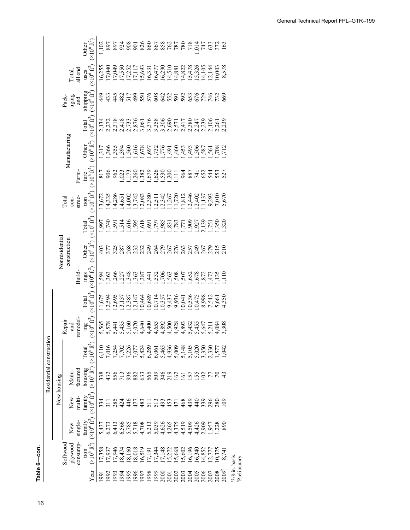**—Softwood plywood consumptiona in the United States, by end use, 1950** Table 6-con. **Table 6—con.** 16**Table 6**

|                          |                |                     |                   |                                                        | $\frac{102}{1}$ | 897                        |        |                |     |     |                                                |        |      |  |                                                |               |        | 899988888755556516915688888875566888888888                                                                                                                                 |      |                   |                                            |
|--------------------------|----------------|---------------------|-------------------|--------------------------------------------------------|-----------------|----------------------------|--------|----------------|-----|-----|------------------------------------------------|--------|------|--|------------------------------------------------|---------------|--------|----------------------------------------------------------------------------------------------------------------------------------------------------------------------------|------|-------------------|--------------------------------------------|
|                          |                |                     |                   | $(10^6 \text{ ft}^2)$<br>Other                         |                 |                            |        |                |     |     |                                                |        |      |  |                                                |               |        |                                                                                                                                                                            |      |                   |                                            |
|                          |                |                     | Total,<br>all end | uses<br>$(x10^6 \text{ ft}^2)$                         |                 | 16,255<br>17,040<br>17,049 |        |                |     |     |                                                |        |      |  |                                                |               |        |                                                                                                                                                                            |      | 8,578             |                                            |
|                          |                | Pack-               | aging<br>and      | shipping<br>$(\times 10^6 \text{ ft}^2)$               |                 | $\frac{432}{42}$           |        |                |     |     |                                                |        |      |  |                                                |               |        | 35398634858665458                                                                                                                                                          |      |                   |                                            |
|                          |                |                     |                   | $(\times 10^6 \text{ ft}^2)$<br>Total                  |                 |                            |        |                |     |     |                                                |        |      |  |                                                |               |        |                                                                                                                                                                            |      |                   |                                            |
|                          |                | Manufacturing       |                   | $(\times 10^6~\text{ft}^2)$<br><b>Other</b>            |                 |                            |        |                |     |     |                                                |        |      |  |                                                |               |        |                                                                                                                                                                            |      |                   |                                            |
|                          |                |                     | Fumi-             | ture<br>$(\times 10^6 \text{ ft}^2)$                   |                 | 29<br>206<br>213           |        |                |     |     |                                                |        |      |  |                                                |               |        | 111111111111<br>0110210210111021101101<br>0110210101110211011011                                                                                                           |      |                   |                                            |
|                          |                | Total               | $con-$            | struc-<br>tion<br>$(\times 10^6 \text{ ft}^2)$         |                 |                            |        |                |     |     |                                                |        |      |  |                                                |               |        |                                                                                                                                                                            |      |                   |                                            |
|                          |                |                     |                   | $(\times 10^6 \text{ ft}^2)$<br><b>Total</b>           |                 |                            |        |                |     |     |                                                |        |      |  |                                                |               |        |                                                                                                                                                                            |      |                   |                                            |
|                          | Nonresidential | construction        |                   | $(\times 10^6$ $\rm{ft}^2)$<br><b>Other</b>            |                 |                            |        |                |     |     |                                                |        |      |  |                                                |               |        | A L N L X N N Q A Q L Q M L Q L Q N Q<br>O L N X Q M N A Q L Q L Q N A Q N A Q L<br>A M N N N N N N N N N N N N N N N N                                                    |      |                   |                                            |
|                          |                |                     | Build-            | $\frac{\text{ings}}{(\times 10^6 \text{ ft}^2)}$       |                 |                            |        |                |     |     |                                                |        |      |  |                                                |               |        |                                                                                                                                                                            |      | Ĕ                 |                                            |
|                          |                |                     |                   | $(\times 10^6~\text{ft}^2)$<br>Total                   |                 |                            |        |                |     |     |                                                |        |      |  |                                                |               |        |                                                                                                                                                                            |      |                   |                                            |
|                          |                | Repair<br>and       | remodel           | $\mathop {\arg }\limits_{(\times 10^6 {\rm \, ft^2})}$ |                 |                            |        |                |     |     |                                                |        |      |  |                                                |               |        | v v v v v v 4 4 4 4 4 4 4 4 v v v v v 4<br>x v 4 4 - 0 6 4 6 8 6 9 9 8 4 4 6 4 6 9<br>x x 4 4 - 0 6 4 6 8 9 9 9 8 4 4 6 9 9 9<br>x x 5 5 6 6 6 9 9 9 8 9 9 9 7 8 7 8 7     |      | 3,308             |                                            |
|                          |                |                     |                   | $(x10^{6} \text{ ft}^2)$<br>Total                      |                 |                            |        |                |     |     |                                                |        |      |  |                                                |               |        |                                                                                                                                                                            |      |                   |                                            |
| Residential construction | New housing    | Manu-               | factured          | housing<br>$(\times 10^6 \text{ ft}^2)$                |                 |                            |        |                |     |     |                                                |        |      |  |                                                |               |        |                                                                                                                                                                            |      |                   |                                            |
|                          |                | New                 | multi-            | $( \times 10^6 \text{ ft}^2$<br>family                 |                 | 3718                       |        | $\frac{44}{4}$ | 477 | 483 |                                                |        |      |  | $173377889$<br>$173977789$                     | $\frac{4}{4}$ | 339    | 296<br>280                                                                                                                                                                 |      | $\mathbf{S}$      |                                            |
|                          |                | New                 | single-           | $(\times 10^6 \text{ ft}^2)$<br>family                 |                 |                            |        |                |     |     |                                                |        |      |  |                                                |               |        | 5 7 8 9 9 9 9 9 9 9 9 9 9 9 9 0 5 7 8 9<br>4 0 4 9 0 5 5 0 9 9 9 9 9 9 9 9 9 9 0 1 8<br>5 9 9 9 9 9 9 9 9 9 9 9 0 9 9 0 5 7 8 9<br>5 0 9 9 9 9 9 9 9 9 9 0 0 9 9 0 5 7 8 9 |      |                   |                                            |
|                          |                | plywood<br>Softwood | consump-          | $(\times 10^6~\text{ft}^2)$<br>tion                    | 17,358          | 17,937                     | 17,946 |                |     |     | 18,474<br>18,160<br>18,018<br>17,191<br>17,191 | 17,344 |      |  | 17,148<br>15,272<br>15,668<br>16,196<br>16,196 | 16,340        | 14,852 | $\frac{12,777}{0,375}$                                                                                                                                                     |      |                   |                                            |
|                          |                |                     |                   | Year                                                   | 199             | 1992                       | 1993   | 1992           |     |     | 1996<br>1997<br>1998<br>1999                   |        | 2000 |  | 2001<br>2003<br>2004                           | 2005          | 2006   | 2007                                                                                                                                                                       | 2008 | 2009 <sup>b</sup> | <sup>a</sup> 3/8-in. basis.<br>Preliminary |

1971 16,539 5,886 2,152 5,886 2,152 576 8,615 1,173 7,173 7,173 7,173 7,173 7,173 7,173 7,173 7,173 7,173 7,1<br>1971 1972 1973 1974 1975 1975 1976 1977 1,136 262 14,136 262 14,136 14,136 14,136 14,136 14,136 14,136 14,136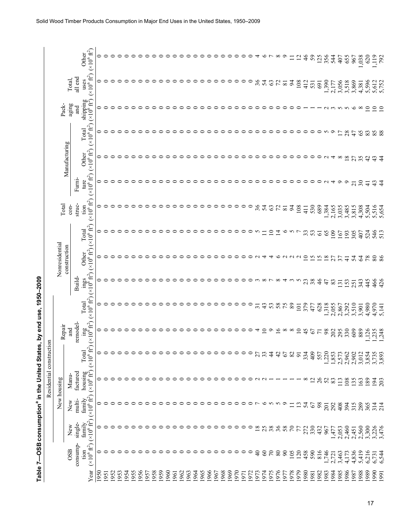|                         |                |               | $(\times 10^6 \text{ ft}^2)$<br>Other                               | 0       |           |         |         |         |         |         |                                 |      |         |         |         |         |         |         |         |         |         |         |         |         |         |         |                  |          |                 |                | c                  |                | $\overline{\mathbf{C}}$ | $\frac{6}{4}$   | 59             | 125             | 356                     | 544         | 407            | 655             | 967                | ,038     | 620            | ,119   | 792            |
|-------------------------|----------------|---------------|---------------------------------------------------------------------|---------|-----------|---------|---------|---------|---------|---------|---------------------------------|------|---------|---------|---------|---------|---------|---------|---------|---------|---------|---------|---------|---------|---------|---------|------------------|----------|-----------------|----------------|--------------------|----------------|-------------------------|-----------------|----------------|-----------------|-------------------------|-------------|----------------|-----------------|--------------------|----------|----------------|--------|----------------|
|                         |                | Total,        | $(\times 10^6$ ft <sup>2</sup> )<br>all end<br>uses                 | 0       |           |         |         |         |         |         |                                 |      |         | ⊂       |         | ⊂       | ⊂       | ⊂       | ⊂       | ⊂       | ⊂       | ⊂       | ⊂       |         | ⊂       | ⊂       | 36               | 54       | 63              | 72             | $\overline{81}$    | $\frac{4}{5}$  | 108                     | 412             | 531            | 691             | 1,390                   | 2,177       | 3,056          | 3,518           | 3,869              | 4,381    | 5,596          | 5,612  | 5.752          |
|                         | Pack-          | aging         | shipping<br>$(x10^6 \text{ ft}^2)$<br>and                           | 0       | ⊂         |         |         |         |         |         |                                 |      |         | ⊂       |         | ⊂       | ⊂       | ⊂       | ○       | ⊂       | っ       | ○       | $\circ$ | ○       | $\circ$ | ○       | $\circ$          | $\circ$  | っ               | っ              | っ                  | っ              | っ                       |                 |                |                 |                         |             | $\sim$         | $\sim$          | ৩                  | $\infty$ | ∘              | ≘      | ⊆              |
|                         |                |               | ( $\times 10^6$ $\rm{ft}^2$<br>Total                                | 0       | $\subset$ |         |         | ⊂       |         | っ       |                                 | ⊂    |         | ⊂       | ⊂       | ⊂       | ⊂       | ○       | ○       | ⊂       | $\circ$ | $\circ$ | $\circ$ | $\circ$ | $\circ$ | $\circ$ | $\circ$          | $\circ$  | $\circ$         | ○              | ○                  | ᅌ              | $\circ$                 | ᅌ               | ○              | $\circ$         | S                       | $\circ$     | $\overline{1}$ | 28              | 47                 | 65       | 83             | 85     | 88             |
|                         |                | Manufacturing | $(*10^{6} \text{ ft}^2)$<br>Other                                   | 0       | ⊂         | ⊂       | ⊂       | ⊂       | ⊂       |         |                                 | ⊂    | ⊂       | ⊂       | っ       | っ       | ○       | ○       | ○       | $\circ$ | $\circ$ | $\circ$ | $\circ$ | $\circ$ | $\circ$ | $\circ$ | $\circ$          | $\circ$  | ○               | $\circ$        | $\circ$            | ○              | ○                       | ⊂               | $\circ$        | $\circ$         | $\sim$                  | 4           | $\infty$       | $\overline{18}$ | 27                 | 35       | $\overline{4}$ | 43     | $\overline{4}$ |
|                         |                |               | $(\times 10^6 \text{ ft}^2)$<br>Fumi-<br>ture                       | 0       | ⊂         |         |         |         |         |         |                                 |      |         |         |         |         | ⊂       | ⊂       | ⊂       | ⊂       | ᅌ       | $\circ$ | $\circ$ | ○       | ⊂       | ⊂       | ᅌ                | ○        | ○               | ᅌ              | ○                  | ᅌ              | $\circ$                 | $\circ$         | $\circ$        | $\circ$         | $\sim$                  | ෑ           | $\circ$        | $\circ$         | $\overline{21}$    | $30\,$   | $\overline{4}$ | 43     | $\frac{4}{4}$  |
|                         | Total          | $con-$        | $(\times 10^6$ $\rm{ft}^2)$<br>struc-<br>tion                       | 0       |           |         |         |         |         |         |                                 |      |         |         |         |         |         |         |         |         |         |         |         |         | $\circ$ | $\circ$ | $36 \frac{1}{4}$ |          | 63              | 72             | $\overline{\bf 8}$ | $\overline{5}$ | 108                     | $\frac{11}{4}$  | 530            | 689             | 1,384                   | 2,165       | 3,035          | 3,485           | 3,815              | 4,308    | 5,504          | 5,516  | 5.654          |
|                         |                |               | $(\times 10^6 \text{ ft}^2)$<br>Total                               | 0       | ⊂         |         |         |         |         |         |                                 |      |         |         |         |         |         |         |         | ○       |         |         |         |         | 0       | 0       | 5                |          | $\overline{10}$ | 크              | ७                  | いい             |                         | 33              | 53             | $\overline{6}$  | 65                      | 109         | 167            | 193             | 305                | 407      | 524            | 546    | 513            |
|                         | Nonresidential | construction  | $(\times 10^6 \text{ ft}^2)$<br>Other                               | 0       | ⊂         |         |         |         |         |         |                                 |      |         |         |         |         |         |         |         | ⊂       | ⊂       | ⊂       | $\circ$ | $\circ$ | $\circ$ | $\circ$ | $\sim$           | ↴        | ₹               | ◡              | $\sim$             | $\sim$         | $\sim$                  | $\overline{10}$ | $\overline{5}$ | $\overline{15}$ | $\overline{8}$          | r<br>$\sim$ | 37             | ₹               | 54                 | 2        | 78             | $80\,$ | 86             |
|                         |                |               | Ê<br>Build-<br>$\lim_{s \to 0} \frac{\sin x}{s}$                    | 0       | $\subset$ |         |         |         |         |         |                                 |      |         |         |         |         |         |         |         | ⊂       | ○       | っ       | $\circ$ | $\circ$ | $\circ$ | $\circ$ | ന                | $\infty$ | -r              |                |                    |                | $\sim$                  | 23              | 38             | 46              | 47                      | 83          | 131            | 153             | 251                | 343      | 445            | 466    | 426            |
|                         |                |               | $(\times 10^6 \text{ ft}^2)$<br>Total                               |         | $\circ$   |         |         |         |         |         |                                 |      |         | ⊂       | っ       | ○       | ○       | ○       | ○       | ⊂       | ○       | ⊂       |         |         | ⊂       | $\circ$ | $\overline{31}$  | 43       | 53              |                | 58<br>75           |                | 101                     | 379             | 477            | 628             | 318                     | 2,055       | 2,867          | 3,292           | 3,510              | 3,901    | 4,980          | 4,970  | 5.141          |
| $\overline{\mathrm{m}}$ | Repair         | and           | $\mathop{\rm img}_{( \times 10^6 \, {\rm ft}^2)}$<br>remodel-       | 0       |           |         |         |         |         |         |                                 |      | ○       | っ       |         |         |         |         | っ       | $\circ$ | $\circ$ | $\circ$ | $\circ$ | っ       | ○       | ⊂       | ᅿ                | $\circ$  | $\circ$         | ७              | $\infty$           | $\infty$       | $\Xi$                   | 45              | 67             | $\overline{r}$  | 98                      | 202         | 295            | 330             | 609                | 889      | 1.126          | 235    | 248            |
|                         |                |               | $(x10^6 \text{ ft}^2)$<br>Total                                     | $\circ$ | $\circ$   | $\circ$ | $\circ$ |         |         |         | $\circ \circ \circ \circ \circ$ |      | $\circ$ | $\circ$ | $\circ$ | $\circ$ | $\circ$ | $\circ$ | $\circ$ | $\circ$ | $\circ$ | $\circ$ | $\circ$ | $\circ$ | $\circ$ | $\circ$ | 27               | 33       | $\overline{4}$  | $\overline{4}$ | 67                 | 82             | $\overline{9}$          | 334             | 409            | 557             | 1,220                   | 1,853       | 2,573          | 2,962           | 2,902              | 3,012    | 3,854          | 3,735  | 3,893          |
| Residential constructi  |                | Manu-         | housing<br>$(\times 10^6 \text{ ft}^2)$<br>factured                 |         |           |         |         |         |         | 0       |                                 | ⊂    |         | $\circ$ | $\circ$ | $\circ$ | $\circ$ | $\circ$ | $\circ$ | $\circ$ | $\circ$ | $\circ$ | $\circ$ | $\circ$ | $\circ$ | $\circ$ | $\sim$           | $\sim$   |                 |                |                    |                |                         | $^{\circ}$      | $\overline{c}$ | 26              | 52                      | 83          | 113            | 108             | 135                | 163      | 189            | 194    | 203            |
|                         | New housing    | New           | $(\times 10^6 \text{ }\mathrm{f} \mathrm{t}^2)$<br>family<br>multi- | 0       |           |         | ⊂       | ○       | $\circ$ | $\circ$ | $\circ$                         | ○    | ᅌ       | $\circ$ | ○       | ○       | ○       | ⊂       | ○       | $\circ$ | $\circ$ | $\circ$ | $\circ$ | $\circ$ | $\circ$ | $\circ$ | $\overline{ }$   | ७        | 559             |                |                    | Ξ              | $\mathbf{13}$           | 54              | 67             | 98              | 201                     | 292         | 408            | 394             | 315                | 289      | 365            | 314    | 214            |
|                         |                | New           | $(\times 10^6 \, \hat{\rm{f}} t^2)$<br>family<br>single-            | 0       |           |         |         |         |         | 0       |                                 | ○    |         | ᅌ       |         | ○       | ○       | $\circ$ | $\circ$ | $\circ$ | $\circ$ | $\circ$ | 0       | $\circ$ | $\circ$ | $\circ$ | $18^{25}$        |          | 38              | 36             |                    | $\mathcal{L}$  | 77                      | 272             | 330            | 432             | 967                     | 1,477       | 2,053          |                 | $2,460$<br>$2,451$ | 2,560    | 3,300          | 3,226  |                |
|                         |                | <b>OSB</b>    | $(\times 10^6 \text{ ft}^2)$<br>consump-<br>tion                    | 0       | $\circ$   |         | ○       | $\circ$ | ○       | $\circ$ | ᅌ                               | ○    | ᅌ       | ○       | ᅌ       | $\circ$ | $\circ$ | $\circ$ | $\circ$ | $\circ$ | $\circ$ | $\circ$ | $\circ$ | $\circ$ | $\circ$ | $\circ$ | $\sqrt{4}$       | 60       | $\mathcal{L}$   | $80\,$         | 90                 | 105            | 120                     | 458             | 590            | 816             | 1,746<br>2,721<br>3,463 |             |                | 4,173           | 4,836              | 5,419    | 6,216          | 6,731  | 6,544          |
|                         |                |               | Year                                                                | 1950    | 1951      | 1952    | 1953    | 1954    | 1955    | 1956    | 1957                            | 1958 | 1959    | 1960    | 1961    | 1962    | 1963    | 1964    | 1965    | 1966    | 1967    | 1968    | 1969    | 1970    | 1971    | 1972    | 1973             | 1974     | 1975            | 976            | 1977               | 1978           | 1979                    | 1980            | 1981           | 1982            | 1983                    | 1984        | 1985           | 1986            | 1987               | 1988     | 1989           | 1990   | 1991           |

Table 7-OSB consumption<sup>a</sup> in the United States, by end use, 1950-2009

Table 7-OSB consumption<sup>a</sup> in the United States, by end use, 1950-2009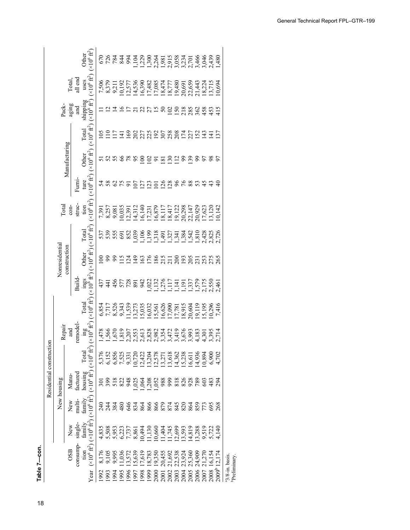| Table 7-con. |
|--------------|
| Í            |

|                          |                |                |                         | $(x10^6 \text{ ft}^2)$<br>Other                                                                                                                                                     |                 |                                                                                                                                                                                                                                |               |                |                |                |                 |                  |         |        |                                                     |                            |        |        |        |             |        |                   |                                                          |
|--------------------------|----------------|----------------|-------------------------|-------------------------------------------------------------------------------------------------------------------------------------------------------------------------------------|-----------------|--------------------------------------------------------------------------------------------------------------------------------------------------------------------------------------------------------------------------------|---------------|----------------|----------------|----------------|-----------------|------------------|---------|--------|-----------------------------------------------------|----------------------------|--------|--------|--------|-------------|--------|-------------------|----------------------------------------------------------|
|                          |                |                | Total,<br>all end       | $(\times 10^6$ ft <sup>2</sup> )<br>uses                                                                                                                                            |                 |                                                                                                                                                                                                                                |               |                |                |                |                 |                  |         |        |                                                     |                            |        |        |        |             |        |                   |                                                          |
|                          |                | Pack-<br>aging | and                     | shipping<br>$(x10^6 \text{ ft}^2)$                                                                                                                                                  |                 |                                                                                                                                                                                                                                |               |                |                | ដងដងន          |                 |                  |         |        |                                                     |                            |        |        |        | 22888883    |        | 415               |                                                          |
|                          |                |                |                         | $(\times 10^6$ $\mbox{ft}^2)$<br>Total                                                                                                                                              | 105             | $\frac{10}{17}$                                                                                                                                                                                                                |               | $\overline{4}$ |                |                |                 |                  |         |        |                                                     |                            |        |        |        |             |        |                   |                                                          |
|                          |                | Manufacturing  |                         | $(10^6 \text{ ft}^2)$<br>Other                                                                                                                                                      |                 | 5888889258                                                                                                                                                                                                                     |               |                |                |                |                 |                  |         |        | $\overline{50}$                                     |                            |        |        |        | 289858      |        | 5                 |                                                          |
|                          |                |                | Furni-                  | $(\times 10^6 \text{ ft}^2)$<br>ture                                                                                                                                                |                 | 58                                                                                                                                                                                                                             | $\mathcal{O}$ | 75             |                | $\overline{0}$ | $\overline{27}$ | $\tilde{\omega}$ | $\circ$ |        | $\frac{126}{128}$                                   | $\frac{96}{6}$             |        | 88     |        | 545         |        |                   |                                                          |
|                          | <b>Total</b>   | $con-$         | $\frac{1}{\sin \theta}$ | $(10^6 \text{ ft}^2)$                                                                                                                                                               |                 | 7,391<br>8,257<br>9,081                                                                                                                                                                                                        |               |                |                |                |                 |                  |         |        |                                                     |                            |        |        |        |             |        | 0,142             |                                                          |
|                          |                |                |                         | Total                                                                                                                                                                               |                 | 53561                                                                                                                                                                                                                          |               |                | 852            |                |                 |                  |         |        |                                                     |                            |        |        |        |             |        |                   |                                                          |
|                          | Nonresidential | construction   |                         | Dther                                                                                                                                                                               | $\approx$       | 222                                                                                                                                                                                                                            |               |                | $\frac{24}{3}$ |                |                 |                  |         |        |                                                     |                            |        |        |        |             |        |                   |                                                          |
|                          |                |                | Build                   |                                                                                                                                                                                     |                 | 34422823                                                                                                                                                                                                                       |               |                |                |                |                 |                  |         |        |                                                     |                            |        |        |        |             |        |                   |                                                          |
|                          |                |                |                         | Total ings Other Total<br>(×10 <sup>6</sup> ft <sup>2</sup> )(×10 <sup>6</sup> ft <sup>2</sup> )(×10 <sup>6</sup> ft <sup>2</sup> )<br>Total                                        |                 | $6.585, 7.397, 7.397, 7.397, 7.397, 7.397, 7.397, 7.397, 7.397, 7.397, 7.397, 7.397, 7.397, 7.397, 7.397, 7.397, 7.397, 7.397, 7.397, 7.397, 7.397, 7.397, 7.397, 7.397, 7.397, 7.397, 7.397, 7.397, 7.397, 7.397, 7.397, 7.3$ |               |                |                |                |                 |                  |         |        |                                                     |                            |        |        |        |             |        | 7,416             |                                                          |
|                          | Repair         | and            | remodel                 | $\frac{\text{ing}}{(\times 10^6 \text{ ft}^2)}$                                                                                                                                     |                 |                                                                                                                                                                                                                                |               |                |                |                |                 |                  |         |        |                                                     |                            |        |        |        |             |        |                   |                                                          |
|                          |                |                |                         |                                                                                                                                                                                     |                 | 5,376<br>6,152<br>6,855<br>6,523,1720<br>6,1722<br>12,422                                                                                                                                                                      |               |                |                |                |                 |                  |         |        | $13,204$<br>$12,578$<br>$13,271$<br>$13,618$        | 14,362<br>15,238<br>16,611 |        |        | 14,936 | 10,894      | 6,900  | .702              |                                                          |
| Residential construction | New housing    | Manu-          | factured                |                                                                                                                                                                                     | $\overline{50}$ | $\frac{399}{518}$                                                                                                                                                                                                              |               | $\frac{22}{3}$ |                |                |                 |                  | 1038888 |        | 999                                                 | 828828                     |        |        |        | $60\degree$ | 483    | 294               |                                                          |
|                          |                | New            | multi-                  |                                                                                                                                                                                     | 240<br>2        | $^{24}$                                                                                                                                                                                                                        | 384           | 480            |                |                |                 |                  |         |        |                                                     |                            |        |        |        |             |        |                   |                                                          |
|                          |                | New            | single-                 |                                                                                                                                                                                     |                 | 4 5 5 6 7 7 8 9<br>4 5 6 7 7 7 7 8<br>4 5 6 7 7 7 8<br>4 5 6 7 7 8                                                                                                                                                             |               |                |                |                | 10,494          |                  |         |        | $1,300$<br>$1,300$<br>$1,404$<br>$1,745$<br>$1,745$ | (2,699)                    | 13,593 | 14,819 | 13,288 | 9,519       | 5,722  | 140               |                                                          |
|                          |                | <b>OSB</b>     | consump-                | tion family family housing Total<br>(×10 <sup>6</sup> ft <sup>2</sup> ) (×10 <sup>6</sup> ft <sup>2</sup> ) (×10 <sup>6</sup> ft <sup>2</sup> ) (×10 <sup>6</sup> ft <sup>2</sup> ) | 8,176           | 9,105                                                                                                                                                                                                                          | 9,995         | 1,036          | 13,57          | 15,639         | 7,619           | 18,783           | 19,350  | 20,455 | 21,692                                              | 22,538                     | 23,924 | 25,360 | 24,909 | 270         | 16,154 |                   |                                                          |
|                          |                |                |                         | Year                                                                                                                                                                                | 1992            | 1993                                                                                                                                                                                                                           | 1994          | 1995           | 1996           | 1997           | 1998            | 1999             | 2000    | 2001   | 2002                                                | 2003                       | 2004   | 2005   | 2006   | 2007        | 2008   | 2009 <sup>b</sup> | <sup>a</sup> 3/8-in. basis.<br><sup>b</sup> Preliminary. |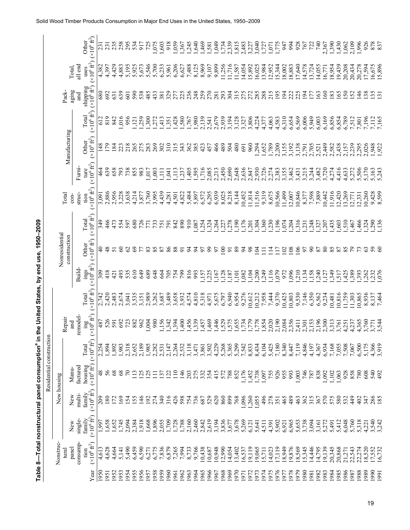| $(\times 10^6$ $\rm{ft}^2)$<br>Other<br>,059<br>235<br>258<br>1,075<br>918<br>1,469<br>670'<br>2,339<br>3,040<br>994<br>928<br>740<br>1,390<br>295<br>534<br>725<br>,640<br>1,734<br>1,815<br>2,483<br>1,775<br>917<br>,603<br>2,367<br>367<br>.245<br>1,581<br>3,227<br>947<br>231<br>1,727<br>1,071<br>$(x10^6 \text{ ft}^2)$<br>all end<br>4,429<br>8,125<br>8,969<br>9,899<br>1,256<br>11,716<br>14,054<br>16,025<br>13,984<br>15,344<br>17,640<br>14,578<br>14,055<br>4,397<br>4,883<br>5,195<br>5,925<br>7,488<br>9,107<br>15,892<br>12,952<br>18,002<br>18,883<br>13,724<br>5,673<br>5,700<br>6,233<br>6,206<br>4,382<br>5,546<br>5,961<br>Total,<br>6,627<br>11,587<br>16,771<br>uses<br>shipping<br>$(\times 10^6 \text{ ft}^2)$<br>Pack-<br>aging<br>639<br>329<br>236<br>259<br>315<br>285<br>680<br>692<br>590<br>538<br>485<br>225<br>248<br>270<br>293<br>304<br>275<br>272<br>288<br>215<br>195<br>194<br>222<br>225<br>160<br>433<br>194<br>163<br>531<br>$\overline{60}$<br>381<br>177<br>and<br>277<br>281<br>$(\times 10^6 \text{ ft}^2)$<br>Total<br>819<br>,980<br>2,139<br>2,679<br>2,939<br>3,806<br>6,310<br>6,569<br>$6,006$<br>5,949<br>6,169<br>612<br>842<br>,016<br>956<br>,259<br>,300<br>,351<br>580<br>3,194<br>3,128<br>4,224<br>4,583<br>6,654<br>6,003<br>413<br>767<br>3,327<br>4,063<br>272<br>4,377<br>2,541<br>$\overline{5}$<br>Manufacturing<br>$(\times 10^6 \text{ ft}^2)$<br>Other<br>179<br>269<br>385<br>466<br>489<br>1,789<br>3,138<br>$\frac{48}{5}$<br>184<br>223<br>265<br>275<br>310<br>504<br>960<br>1,294<br>1,652<br>2,200<br>3,155<br>3,192<br>2,791<br>2,705<br>2,521<br>2,449<br>283<br>302<br>315<br>362<br>457<br>480<br>343<br>691<br>$(\times 10^6$ $\rm{ft}^2)$<br>Fumi-<br>1,716<br>2,450<br>2,690<br>ture<br>639<br>658<br>793<br>738<br>855<br>,405<br>,595<br>2,085<br>2,213<br>2,648<br>2,636<br>2,930<br>2,726<br>3,155<br>983<br>$7^{0}$<br>2,274<br>2,383<br>$3777$<br>$4777$<br>$0.77$<br>$0.00$<br>464<br>4<br>,003<br>,113<br>237<br>2,847<br>LR.<br>Ę<br>$(x10^6 \text{ ft}^2)$<br>2,886<br>2,956<br>6,939<br>3,228<br>4,439<br>8,025<br>10,566<br>10,846<br>struc-<br>3,638<br>3,760<br>5,484<br>6,572<br>6,295<br>8,218<br>8,144<br>11,814<br>11,516<br>9,319<br>11,499<br>7,598<br>7,889<br>4,214<br>3,995<br>10,452<br>8,675<br>12,007<br>8,377<br>10,442<br>Total<br>4,501<br>4,822<br>5,897<br>3,877<br>4,281<br>3,091<br>$con-$<br>tion<br>$(\times 10^6 \text{ ft}^2)$<br>Total<br>910<br>,176<br>349<br>466<br>173<br>680<br>890<br>190<br>,304<br>$360$<br>$230$<br>196<br>, 316<br>,248<br>554<br>597<br>726<br>733<br>842<br>,254<br>,324<br>$.264$<br>$.227$<br>278<br>,074<br>,204<br>,207<br>791<br>.087<br>201<br>231<br>751<br>327<br>771<br>Nonresidential<br>construction<br>$(\times 10^6 \text{ ft}^2)$<br>Other<br>ទ្<br>$\infty$<br>69<br>86<br>100<br>89<br>106<br>$\infty$<br>80<br>$\mathcal{O}$<br>88<br>99<br>$\mathfrak{g}$<br>98<br>104<br>$\Xi$<br>102<br>108<br>50<br>87<br>87<br>57<br>$\overline{17}$<br>$\overline{5}$<br>Ξ<br>능<br>$\frac{\text{ings}}{(\times 10^6 \text{ ft}^2)}$<br><b>Build</b><br>418<br>610<br>649<br>689<br><b>P6L</b><br>816<br>.249<br>116<br>620,<br>096<br>210<br>309<br>493<br>535<br>648<br>705<br>,128<br>,082<br>104<br>,200<br>972<br>,134<br>,158<br>240<br>664<br>754<br>993<br>$,157$<br>225<br>167<br>187<br>101<br>$\overline{121}$<br>127<br>$(\times 10^6\,\mathrm{ft}^2)$<br>2,420<br>3,489<br>$\begin{array}{c} 10,425 \\ 10,803 \\ 9,530 \\ 7,146 \\ 6,350 \end{array}$<br>2,742<br>2,989<br>4,574<br>6,940<br>6,954<br>9,276<br>7,958<br>7,444<br>9,370<br>9,234<br>2,483<br>2,674<br>3,658<br>4,810<br>5,675<br>0,212<br>6,562<br>3,535<br>3,262<br>3,687<br>3,932<br>5,318<br>6,797<br>0,612<br>Total<br>3,041<br>3,151<br>4,971<br>$\frac{\text{ing}}{\times 10^6 \text{ft}^2}$<br>remodel-<br>Repair<br>.156<br>$1,456$<br>$1,339$<br>,469<br>,529<br>1,779<br>526<br>980<br>,400<br>,446<br>575<br>1,778<br>1,854<br>2,020<br>2,190<br>2,084<br>2,356<br>2,153<br>2,196<br>2,300<br>487<br>692<br>723<br>882<br>962<br>,004<br>394<br>,457<br>.655<br>.734<br>$2,411$<br>$2,301$<br>and<br>Residential construction<br>$(\times 10^6$ $\mbox{ft}^2)$<br>4,846<br>4,229<br>5,268<br>5,365<br>5,393<br>7,542<br>8,833<br>7,180<br>8,340<br>8,447<br>7,119<br>1,983<br>2,318<br>2,652<br>2,189<br>1,985<br>2,282<br>2,531<br>2,532<br>3,118<br>3,502<br>8,434<br>6,104<br>5,425<br>4,367<br>6,934<br>1,894<br>.892<br>2,147<br>2,264<br>4,197<br>Total<br>2,254<br>3,471<br>housing<br>$(\times 10^6$ ft <sup>2</sup> )<br>factured<br>Manu-<br>48<br>56<br>68<br>,176<br>1,738<br>926<br>125<br>$\frac{1}{10}$<br>788<br>852<br>,452<br>755<br>746<br>838<br>125<br>$\frac{46}{5}$<br>275<br>332<br>354<br>415<br>572<br>1,097<br>955<br>993<br>1,003<br>092<br>137<br>122<br>203<br>787<br>$\Xi$<br>New housing<br>$(\times 10^6 \text{ ft}^2)$<br>family<br>multi-<br>New<br>1,055<br>496<br>209<br>180<br>69<br>55<br>$\frac{46}{5}$<br>340<br>316<br>426<br>736<br>529<br>620<br>860<br>899<br>768<br>1,096<br>1,260<br>278<br>465<br>489<br>315<br>570<br>274<br>598<br>754<br>463<br>362<br>$\overline{72}$<br>$\frac{24}{5}$<br>$\overline{192}$<br>687<br>367<br>351<br>$(\times 10^6 \text{ ft}^2)$<br>family<br>single-<br>,658<br>1,745<br>3,836<br>3,677<br>5,269<br>3,738<br>1,896<br>2,055<br>1,709<br>1,728<br>1,788<br>2,619<br>3,678<br>6,965<br>3,094<br>1,652<br>818<br>899'1<br>2,160<br>2,460<br>2,842<br>3,194<br>5,902<br>5,653<br>5,272<br>,997<br>2,094<br>2,384<br>3,161<br>New<br>5,641<br>4,511<br>6,921<br>4,391<br>6,121<br>Nonstruc-<br>consump-<br>$(\times 10^6 \text{ ft}^2)$<br>9,766<br>2,990<br>9,119<br>17,119<br>8,949<br>14,446<br>19,139<br>4,628<br>6,459<br>7,836<br>6,879<br>7,265<br>7,994<br>8,733<br>0,438<br>0,687<br>0,948<br>9,065<br>9,876<br>8,569<br>14,795<br>panel<br>4,613<br>4,664<br>5,490<br>6,590<br>6,775<br>4,054<br>3,402<br>(4,023)<br>tural<br>5,711<br>5,141<br>16,537<br>tion<br>6,271<br>959<br>1969<br>1976<br>950<br>953<br>954<br>955<br>956<br>958<br>960<br>.965<br>.966<br>1968<br>1970<br>1974<br>1975<br>1978<br>979<br>980<br>1982<br>983<br>952<br>957<br>962<br>.963<br>.964<br>1967<br>1972<br>1973<br>${\it Year}$<br>977<br>1971<br>981<br>$-951$<br>96 |
|--------------------------------------------------------------------------------------------------------------------------------------------------------------------------------------------------------------------------------------------------------------------------------------------------------------------------------------------------------------------------------------------------------------------------------------------------------------------------------------------------------------------------------------------------------------------------------------------------------------------------------------------------------------------------------------------------------------------------------------------------------------------------------------------------------------------------------------------------------------------------------------------------------------------------------------------------------------------------------------------------------------------------------------------------------------------------------------------------------------------------------------------------------------------------------------------------------------------------------------------------------------------------------------------------------------------------------------------------------------------------------------------------------------------------------------------------------------------------------------------------------------------------------------------------------------------------------------------------------------------------------------------------------------------------------------------------------------------------------------------------------------------------------------------------------------------------------------------------------------------------------------------------------------------------------------------------------------------------------------------------------------------------------------------------------------------------------------------------------------------------------------------------------------------------------------------------------------------------------------------------------------------------------------------------------------------------------------------------------------------------------------------------------------------------------------------------------------------------------------------------------------------------------------------------------------------------------------------------------------------------------------------------------------------------------------------------------------------------------------------------------------------------------------------------------------------------------------------------------------------------------------------------------------------------------------------------------------------------------------------------------------------------------------------------------------------------------------------------------------------------------------------------------------------------------------------------------------------------------------------------------------------------------------------------------------------------------------------------------------------------------------------------------------------------------------------------------------------------------------------------------------------------------------------------------------------------------------------------------------------------------------------------------------------------------------------------------------------------------------------------------------------------------------------------------------------------------------------------------------------------------------------------------------------------------------------------------------------------------------------------------------------------------------------------------------------------------------------------------------------------------------------------------------------------------------------------------------------------------------------------------------------------------------------------------------------------------------------------------------------------------------------------------------------------------------------------------------------------------------------------------------------------------------------------------------------------------------------------------------------------------------------------------------------------------------------------------------------------------------------------------------------------------------------------------------------------------------------------------------------------------------------------------------------------------------------------------------------------------------------------------------------------------------------------------------------------------------------------------------------------------------------------------------------------------------------------------------------------------------------------------------------------------------------------------------------------------------------------------------------------------------------------------------------------------------------------------------------------------------------------------------------------------------------------------------------------------------------------------------------------------------------------------------------------------------------------------------------------------------------------------------------------------------------------------------------------------------------------------------------------------------------------------------------------------------------------------------------------------------------------------------------------------------------------------------------------------------------------------------------------------------------------------------------------------------------------------------------------------------------------------------------------------------------------------|
| 18,954<br>183<br>6,856<br>6,854<br>2,582<br>2,438<br>$3,720$<br>$3,720$<br>$4,274$<br>11,916<br>12,420<br>,435<br>85<br>349<br>10,481<br>10,816<br>11,759<br>3,313<br>3,761<br>7,168<br>1,102<br>575<br>$5,491$<br>$5,412$<br>20,345<br>1984                                                                                                                                                                                                                                                                                                                                                                                                                                                                                                                                                                                                                                                                                                                                                                                                                                                                                                                                                                                                                                                                                                                                                                                                                                                                                                                                                                                                                                                                                                                                                                                                                                                                                                                                                                                                                                                                                                                                                                                                                                                                                                                                                                                                                                                                                                                                                                                                                                                                                                                                                                                                                                                                                                                                                                                                                                                                                                                                                                                                                                                                                                                                                                                                                                                                                                                                                                                                                                                                                                                                                                                                                                                                                                                                                                                                                                                                                                                                                                                                                                                                                                                                                                                                                                                                                                                                                                                                                                                                                                                                                                                                                                                                                                                                                                                                                                                                                                                                                                                                                                                                                                                                                                                                                                                                                                                                                                                                                                                                                                                                                                                                                                                                                                                                                                                                                                                                                                                                                                                                                                                           |
|                                                                                                                                                                                                                                                                                                                                                                                                                                                                                                                                                                                                                                                                                                                                                                                                                                                                                                                                                                                                                                                                                                                                                                                                                                                                                                                                                                                                                                                                                                                                                                                                                                                                                                                                                                                                                                                                                                                                                                                                                                                                                                                                                                                                                                                                                                                                                                                                                                                                                                                                                                                                                                                                                                                                                                                                                                                                                                                                                                                                                                                                                                                                                                                                                                                                                                                                                                                                                                                                                                                                                                                                                                                                                                                                                                                                                                                                                                                                                                                                                                                                                                                                                                                                                                                                                                                                                                                                                                                                                                                                                                                                                                                                                                                                                                                                                                                                                                                                                                                                                                                                                                                                                                                                                                                                                                                                                                                                                                                                                                                                                                                                                                                                                                                                                                                                                                                                                                                                                                                                                                                                                                                                                                                                                                                                                                        |
|                                                                                                                                                                                                                                                                                                                                                                                                                                                                                                                                                                                                                                                                                                                                                                                                                                                                                                                                                                                                                                                                                                                                                                                                                                                                                                                                                                                                                                                                                                                                                                                                                                                                                                                                                                                                                                                                                                                                                                                                                                                                                                                                                                                                                                                                                                                                                                                                                                                                                                                                                                                                                                                                                                                                                                                                                                                                                                                                                                                                                                                                                                                                                                                                                                                                                                                                                                                                                                                                                                                                                                                                                                                                                                                                                                                                                                                                                                                                                                                                                                                                                                                                                                                                                                                                                                                                                                                                                                                                                                                                                                                                                                                                                                                                                                                                                                                                                                                                                                                                                                                                                                                                                                                                                                                                                                                                                                                                                                                                                                                                                                                                                                                                                                                                                                                                                                                                                                                                                                                                                                                                                                                                                                                                                                                                                                        |
|                                                                                                                                                                                                                                                                                                                                                                                                                                                                                                                                                                                                                                                                                                                                                                                                                                                                                                                                                                                                                                                                                                                                                                                                                                                                                                                                                                                                                                                                                                                                                                                                                                                                                                                                                                                                                                                                                                                                                                                                                                                                                                                                                                                                                                                                                                                                                                                                                                                                                                                                                                                                                                                                                                                                                                                                                                                                                                                                                                                                                                                                                                                                                                                                                                                                                                                                                                                                                                                                                                                                                                                                                                                                                                                                                                                                                                                                                                                                                                                                                                                                                                                                                                                                                                                                                                                                                                                                                                                                                                                                                                                                                                                                                                                                                                                                                                                                                                                                                                                                                                                                                                                                                                                                                                                                                                                                                                                                                                                                                                                                                                                                                                                                                                                                                                                                                                                                                                                                                                                                                                                                                                                                                                                                                                                                                                        |
|                                                                                                                                                                                                                                                                                                                                                                                                                                                                                                                                                                                                                                                                                                                                                                                                                                                                                                                                                                                                                                                                                                                                                                                                                                                                                                                                                                                                                                                                                                                                                                                                                                                                                                                                                                                                                                                                                                                                                                                                                                                                                                                                                                                                                                                                                                                                                                                                                                                                                                                                                                                                                                                                                                                                                                                                                                                                                                                                                                                                                                                                                                                                                                                                                                                                                                                                                                                                                                                                                                                                                                                                                                                                                                                                                                                                                                                                                                                                                                                                                                                                                                                                                                                                                                                                                                                                                                                                                                                                                                                                                                                                                                                                                                                                                                                                                                                                                                                                                                                                                                                                                                                                                                                                                                                                                                                                                                                                                                                                                                                                                                                                                                                                                                                                                                                                                                                                                                                                                                                                                                                                                                                                                                                                                                                                                                        |
|                                                                                                                                                                                                                                                                                                                                                                                                                                                                                                                                                                                                                                                                                                                                                                                                                                                                                                                                                                                                                                                                                                                                                                                                                                                                                                                                                                                                                                                                                                                                                                                                                                                                                                                                                                                                                                                                                                                                                                                                                                                                                                                                                                                                                                                                                                                                                                                                                                                                                                                                                                                                                                                                                                                                                                                                                                                                                                                                                                                                                                                                                                                                                                                                                                                                                                                                                                                                                                                                                                                                                                                                                                                                                                                                                                                                                                                                                                                                                                                                                                                                                                                                                                                                                                                                                                                                                                                                                                                                                                                                                                                                                                                                                                                                                                                                                                                                                                                                                                                                                                                                                                                                                                                                                                                                                                                                                                                                                                                                                                                                                                                                                                                                                                                                                                                                                                                                                                                                                                                                                                                                                                                                                                                                                                                                                                        |
|                                                                                                                                                                                                                                                                                                                                                                                                                                                                                                                                                                                                                                                                                                                                                                                                                                                                                                                                                                                                                                                                                                                                                                                                                                                                                                                                                                                                                                                                                                                                                                                                                                                                                                                                                                                                                                                                                                                                                                                                                                                                                                                                                                                                                                                                                                                                                                                                                                                                                                                                                                                                                                                                                                                                                                                                                                                                                                                                                                                                                                                                                                                                                                                                                                                                                                                                                                                                                                                                                                                                                                                                                                                                                                                                                                                                                                                                                                                                                                                                                                                                                                                                                                                                                                                                                                                                                                                                                                                                                                                                                                                                                                                                                                                                                                                                                                                                                                                                                                                                                                                                                                                                                                                                                                                                                                                                                                                                                                                                                                                                                                                                                                                                                                                                                                                                                                                                                                                                                                                                                                                                                                                                                                                                                                                                                                        |
|                                                                                                                                                                                                                                                                                                                                                                                                                                                                                                                                                                                                                                                                                                                                                                                                                                                                                                                                                                                                                                                                                                                                                                                                                                                                                                                                                                                                                                                                                                                                                                                                                                                                                                                                                                                                                                                                                                                                                                                                                                                                                                                                                                                                                                                                                                                                                                                                                                                                                                                                                                                                                                                                                                                                                                                                                                                                                                                                                                                                                                                                                                                                                                                                                                                                                                                                                                                                                                                                                                                                                                                                                                                                                                                                                                                                                                                                                                                                                                                                                                                                                                                                                                                                                                                                                                                                                                                                                                                                                                                                                                                                                                                                                                                                                                                                                                                                                                                                                                                                                                                                                                                                                                                                                                                                                                                                                                                                                                                                                                                                                                                                                                                                                                                                                                                                                                                                                                                                                                                                                                                                                                                                                                                                                                                                                                        |
|                                                                                                                                                                                                                                                                                                                                                                                                                                                                                                                                                                                                                                                                                                                                                                                                                                                                                                                                                                                                                                                                                                                                                                                                                                                                                                                                                                                                                                                                                                                                                                                                                                                                                                                                                                                                                                                                                                                                                                                                                                                                                                                                                                                                                                                                                                                                                                                                                                                                                                                                                                                                                                                                                                                                                                                                                                                                                                                                                                                                                                                                                                                                                                                                                                                                                                                                                                                                                                                                                                                                                                                                                                                                                                                                                                                                                                                                                                                                                                                                                                                                                                                                                                                                                                                                                                                                                                                                                                                                                                                                                                                                                                                                                                                                                                                                                                                                                                                                                                                                                                                                                                                                                                                                                                                                                                                                                                                                                                                                                                                                                                                                                                                                                                                                                                                                                                                                                                                                                                                                                                                                                                                                                                                                                                                                                                        |
|                                                                                                                                                                                                                                                                                                                                                                                                                                                                                                                                                                                                                                                                                                                                                                                                                                                                                                                                                                                                                                                                                                                                                                                                                                                                                                                                                                                                                                                                                                                                                                                                                                                                                                                                                                                                                                                                                                                                                                                                                                                                                                                                                                                                                                                                                                                                                                                                                                                                                                                                                                                                                                                                                                                                                                                                                                                                                                                                                                                                                                                                                                                                                                                                                                                                                                                                                                                                                                                                                                                                                                                                                                                                                                                                                                                                                                                                                                                                                                                                                                                                                                                                                                                                                                                                                                                                                                                                                                                                                                                                                                                                                                                                                                                                                                                                                                                                                                                                                                                                                                                                                                                                                                                                                                                                                                                                                                                                                                                                                                                                                                                                                                                                                                                                                                                                                                                                                                                                                                                                                                                                                                                                                                                                                                                                                                        |
|                                                                                                                                                                                                                                                                                                                                                                                                                                                                                                                                                                                                                                                                                                                                                                                                                                                                                                                                                                                                                                                                                                                                                                                                                                                                                                                                                                                                                                                                                                                                                                                                                                                                                                                                                                                                                                                                                                                                                                                                                                                                                                                                                                                                                                                                                                                                                                                                                                                                                                                                                                                                                                                                                                                                                                                                                                                                                                                                                                                                                                                                                                                                                                                                                                                                                                                                                                                                                                                                                                                                                                                                                                                                                                                                                                                                                                                                                                                                                                                                                                                                                                                                                                                                                                                                                                                                                                                                                                                                                                                                                                                                                                                                                                                                                                                                                                                                                                                                                                                                                                                                                                                                                                                                                                                                                                                                                                                                                                                                                                                                                                                                                                                                                                                                                                                                                                                                                                                                                                                                                                                                                                                                                                                                                                                                                                        |
|                                                                                                                                                                                                                                                                                                                                                                                                                                                                                                                                                                                                                                                                                                                                                                                                                                                                                                                                                                                                                                                                                                                                                                                                                                                                                                                                                                                                                                                                                                                                                                                                                                                                                                                                                                                                                                                                                                                                                                                                                                                                                                                                                                                                                                                                                                                                                                                                                                                                                                                                                                                                                                                                                                                                                                                                                                                                                                                                                                                                                                                                                                                                                                                                                                                                                                                                                                                                                                                                                                                                                                                                                                                                                                                                                                                                                                                                                                                                                                                                                                                                                                                                                                                                                                                                                                                                                                                                                                                                                                                                                                                                                                                                                                                                                                                                                                                                                                                                                                                                                                                                                                                                                                                                                                                                                                                                                                                                                                                                                                                                                                                                                                                                                                                                                                                                                                                                                                                                                                                                                                                                                                                                                                                                                                                                                                        |
|                                                                                                                                                                                                                                                                                                                                                                                                                                                                                                                                                                                                                                                                                                                                                                                                                                                                                                                                                                                                                                                                                                                                                                                                                                                                                                                                                                                                                                                                                                                                                                                                                                                                                                                                                                                                                                                                                                                                                                                                                                                                                                                                                                                                                                                                                                                                                                                                                                                                                                                                                                                                                                                                                                                                                                                                                                                                                                                                                                                                                                                                                                                                                                                                                                                                                                                                                                                                                                                                                                                                                                                                                                                                                                                                                                                                                                                                                                                                                                                                                                                                                                                                                                                                                                                                                                                                                                                                                                                                                                                                                                                                                                                                                                                                                                                                                                                                                                                                                                                                                                                                                                                                                                                                                                                                                                                                                                                                                                                                                                                                                                                                                                                                                                                                                                                                                                                                                                                                                                                                                                                                                                                                                                                                                                                                                                        |
|                                                                                                                                                                                                                                                                                                                                                                                                                                                                                                                                                                                                                                                                                                                                                                                                                                                                                                                                                                                                                                                                                                                                                                                                                                                                                                                                                                                                                                                                                                                                                                                                                                                                                                                                                                                                                                                                                                                                                                                                                                                                                                                                                                                                                                                                                                                                                                                                                                                                                                                                                                                                                                                                                                                                                                                                                                                                                                                                                                                                                                                                                                                                                                                                                                                                                                                                                                                                                                                                                                                                                                                                                                                                                                                                                                                                                                                                                                                                                                                                                                                                                                                                                                                                                                                                                                                                                                                                                                                                                                                                                                                                                                                                                                                                                                                                                                                                                                                                                                                                                                                                                                                                                                                                                                                                                                                                                                                                                                                                                                                                                                                                                                                                                                                                                                                                                                                                                                                                                                                                                                                                                                                                                                                                                                                                                                        |
|                                                                                                                                                                                                                                                                                                                                                                                                                                                                                                                                                                                                                                                                                                                                                                                                                                                                                                                                                                                                                                                                                                                                                                                                                                                                                                                                                                                                                                                                                                                                                                                                                                                                                                                                                                                                                                                                                                                                                                                                                                                                                                                                                                                                                                                                                                                                                                                                                                                                                                                                                                                                                                                                                                                                                                                                                                                                                                                                                                                                                                                                                                                                                                                                                                                                                                                                                                                                                                                                                                                                                                                                                                                                                                                                                                                                                                                                                                                                                                                                                                                                                                                                                                                                                                                                                                                                                                                                                                                                                                                                                                                                                                                                                                                                                                                                                                                                                                                                                                                                                                                                                                                                                                                                                                                                                                                                                                                                                                                                                                                                                                                                                                                                                                                                                                                                                                                                                                                                                                                                                                                                                                                                                                                                                                                                                                        |
|                                                                                                                                                                                                                                                                                                                                                                                                                                                                                                                                                                                                                                                                                                                                                                                                                                                                                                                                                                                                                                                                                                                                                                                                                                                                                                                                                                                                                                                                                                                                                                                                                                                                                                                                                                                                                                                                                                                                                                                                                                                                                                                                                                                                                                                                                                                                                                                                                                                                                                                                                                                                                                                                                                                                                                                                                                                                                                                                                                                                                                                                                                                                                                                                                                                                                                                                                                                                                                                                                                                                                                                                                                                                                                                                                                                                                                                                                                                                                                                                                                                                                                                                                                                                                                                                                                                                                                                                                                                                                                                                                                                                                                                                                                                                                                                                                                                                                                                                                                                                                                                                                                                                                                                                                                                                                                                                                                                                                                                                                                                                                                                                                                                                                                                                                                                                                                                                                                                                                                                                                                                                                                                                                                                                                                                                                                        |
|                                                                                                                                                                                                                                                                                                                                                                                                                                                                                                                                                                                                                                                                                                                                                                                                                                                                                                                                                                                                                                                                                                                                                                                                                                                                                                                                                                                                                                                                                                                                                                                                                                                                                                                                                                                                                                                                                                                                                                                                                                                                                                                                                                                                                                                                                                                                                                                                                                                                                                                                                                                                                                                                                                                                                                                                                                                                                                                                                                                                                                                                                                                                                                                                                                                                                                                                                                                                                                                                                                                                                                                                                                                                                                                                                                                                                                                                                                                                                                                                                                                                                                                                                                                                                                                                                                                                                                                                                                                                                                                                                                                                                                                                                                                                                                                                                                                                                                                                                                                                                                                                                                                                                                                                                                                                                                                                                                                                                                                                                                                                                                                                                                                                                                                                                                                                                                                                                                                                                                                                                                                                                                                                                                                                                                                                                                        |
|                                                                                                                                                                                                                                                                                                                                                                                                                                                                                                                                                                                                                                                                                                                                                                                                                                                                                                                                                                                                                                                                                                                                                                                                                                                                                                                                                                                                                                                                                                                                                                                                                                                                                                                                                                                                                                                                                                                                                                                                                                                                                                                                                                                                                                                                                                                                                                                                                                                                                                                                                                                                                                                                                                                                                                                                                                                                                                                                                                                                                                                                                                                                                                                                                                                                                                                                                                                                                                                                                                                                                                                                                                                                                                                                                                                                                                                                                                                                                                                                                                                                                                                                                                                                                                                                                                                                                                                                                                                                                                                                                                                                                                                                                                                                                                                                                                                                                                                                                                                                                                                                                                                                                                                                                                                                                                                                                                                                                                                                                                                                                                                                                                                                                                                                                                                                                                                                                                                                                                                                                                                                                                                                                                                                                                                                                                        |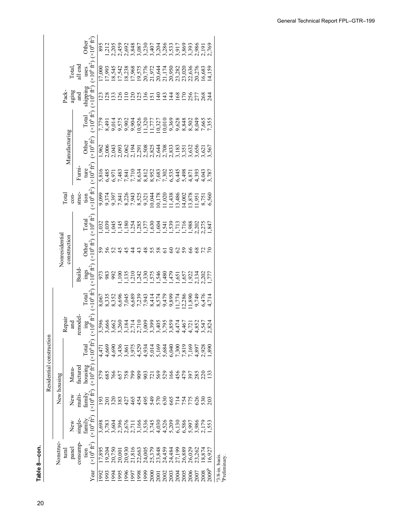| con.                     |   |
|--------------------------|---|
| 3<br>$\overline{1}$<br>I | l |

|                               |                                                                                                                                                |                                                                                                                                     |                                  | Residential construction                            |                              |                                         |                                                                                                                                     |                                                             |                             |                                                                                                                                                                                                                                                                                                                                                                                                                                                                                                               |                                             |                                      |                              |                                                                                                                                                                      |                                           |                              |                                                                                                                                                                                      |
|-------------------------------|------------------------------------------------------------------------------------------------------------------------------------------------|-------------------------------------------------------------------------------------------------------------------------------------|----------------------------------|-----------------------------------------------------|------------------------------|-----------------------------------------|-------------------------------------------------------------------------------------------------------------------------------------|-------------------------------------------------------------|-----------------------------|---------------------------------------------------------------------------------------------------------------------------------------------------------------------------------------------------------------------------------------------------------------------------------------------------------------------------------------------------------------------------------------------------------------------------------------------------------------------------------------------------------------|---------------------------------------------|--------------------------------------|------------------------------|----------------------------------------------------------------------------------------------------------------------------------------------------------------------|-------------------------------------------|------------------------------|--------------------------------------------------------------------------------------------------------------------------------------------------------------------------------------|
|                               | Nonstruc                                                                                                                                       |                                                                                                                                     | New housing                      |                                                     |                              |                                         |                                                                                                                                     |                                                             | Nonresidential              |                                                                                                                                                                                                                                                                                                                                                                                                                                                                                                               |                                             |                                      |                              |                                                                                                                                                                      |                                           |                              |                                                                                                                                                                                      |
|                               | tural                                                                                                                                          |                                                                                                                                     |                                  |                                                     |                              | Repair                                  |                                                                                                                                     |                                                             | construction                |                                                                                                                                                                                                                                                                                                                                                                                                                                                                                                               | <b>Total</b>                                |                                      | Manufacturing                |                                                                                                                                                                      | Pack-                                     |                              |                                                                                                                                                                                      |
|                               | panel                                                                                                                                          | New                                                                                                                                 | New                              | Manu-                                               |                              | and                                     |                                                                                                                                     |                                                             |                             |                                                                                                                                                                                                                                                                                                                                                                                                                                                                                                               | $con-$                                      |                                      |                              |                                                                                                                                                                      | aging                                     | Total,<br>all end            |                                                                                                                                                                                      |
|                               | consump-                                                                                                                                       | single-                                                                                                                             | multi-                           | factured                                            |                              | emodel                                  |                                                                                                                                     | Build-                                                      |                             |                                                                                                                                                                                                                                                                                                                                                                                                                                                                                                               | struc-                                      | Furni-                               |                              |                                                                                                                                                                      |                                           |                              |                                                                                                                                                                                      |
|                               |                                                                                                                                                | fannily                                                                                                                             |                                  |                                                     | $\Gamma$ otal                |                                         | Total                                                                                                                               |                                                             | Other                       | Total                                                                                                                                                                                                                                                                                                                                                                                                                                                                                                         |                                             |                                      | Other                        | Total                                                                                                                                                                |                                           | uses                         | Other                                                                                                                                                                                |
| Year                          | tion<br>( $\times 10^6$ ft <sup>2</sup> )                                                                                                      |                                                                                                                                     | family<br>$(x10^6 \text{ ft}^2)$ | $\frac{\text{housing}}{(\times 10^6 \text{ ft}^2)}$ | $(\times 10^6 \text{ ft}^2)$ | $\frac{\text{ing}}{8410^6 \text{ft}^2}$ | $\times 10^6\,\text{ft}^2$                                                                                                          | $\mathop {\max }\limits_{( \times 10^{6} \text{ ft}^{2} )}$ | $(\times 10^6 \text{ ft}^2$ | $(10^6 \text{ ft}^2)$                                                                                                                                                                                                                                                                                                                                                                                                                                                                                         | tion<br>(×10 <sup>6</sup> ft <sup>2</sup> ) | ture<br>$(\times 10^6 \text{ ft}^2)$ | $(\times 10^6 \text{ ft}^2)$ | $(\times 10^6$ $\rm{ft}^2)$                                                                                                                                          | and<br>shipping<br>$(x10^6 \text{ ft}^2)$ | $\times 10^6\,\mathrm{ft}^2$ |                                                                                                                                                                                      |
|                               |                                                                                                                                                |                                                                                                                                     |                                  |                                                     |                              |                                         |                                                                                                                                     | 588<br>982                                                  | 56<br>56                    |                                                                                                                                                                                                                                                                                                                                                                                                                                                                                                               |                                             |                                      |                              | 7 8 9 9 9 9 0 1 1 0 0 9 8 8 8 9 7 7<br>7 4 0 7 9 9 9 9 7 7 7 9 9 9 8 9 9 9 9 9 7<br>7 4 0 7 9 9 9 9 7 7 7 0 9 8 8 9 9 9 9 9<br>7 4 7 8 9 9 0 1 7 7 0 9 8 8 9 9 9 9 9 |                                           |                              |                                                                                                                                                                                      |
|                               |                                                                                                                                                |                                                                                                                                     |                                  |                                                     | 4,471<br>4,669               |                                         |                                                                                                                                     |                                                             |                             |                                                                                                                                                                                                                                                                                                                                                                                                                                                                                                               |                                             |                                      |                              |                                                                                                                                                                      |                                           |                              |                                                                                                                                                                                      |
|                               |                                                                                                                                                |                                                                                                                                     |                                  |                                                     |                              |                                         |                                                                                                                                     |                                                             |                             |                                                                                                                                                                                                                                                                                                                                                                                                                                                                                                               |                                             |                                      |                              |                                                                                                                                                                      |                                           |                              |                                                                                                                                                                                      |
|                               |                                                                                                                                                |                                                                                                                                     |                                  |                                                     |                              |                                         |                                                                                                                                     |                                                             |                             |                                                                                                                                                                                                                                                                                                                                                                                                                                                                                                               |                                             |                                      |                              |                                                                                                                                                                      |                                           |                              |                                                                                                                                                                                      |
|                               |                                                                                                                                                |                                                                                                                                     |                                  |                                                     |                              |                                         |                                                                                                                                     |                                                             |                             |                                                                                                                                                                                                                                                                                                                                                                                                                                                                                                               |                                             |                                      |                              |                                                                                                                                                                      |                                           |                              |                                                                                                                                                                                      |
|                               |                                                                                                                                                |                                                                                                                                     |                                  |                                                     |                              |                                         |                                                                                                                                     |                                                             |                             |                                                                                                                                                                                                                                                                                                                                                                                                                                                                                                               |                                             |                                      |                              |                                                                                                                                                                      |                                           |                              |                                                                                                                                                                                      |
|                               |                                                                                                                                                |                                                                                                                                     |                                  |                                                     |                              |                                         |                                                                                                                                     |                                                             |                             |                                                                                                                                                                                                                                                                                                                                                                                                                                                                                                               |                                             |                                      |                              |                                                                                                                                                                      |                                           |                              |                                                                                                                                                                                      |
|                               |                                                                                                                                                |                                                                                                                                     |                                  |                                                     |                              |                                         |                                                                                                                                     |                                                             |                             |                                                                                                                                                                                                                                                                                                                                                                                                                                                                                                               |                                             |                                      |                              |                                                                                                                                                                      |                                           |                              |                                                                                                                                                                                      |
|                               |                                                                                                                                                |                                                                                                                                     |                                  |                                                     |                              |                                         |                                                                                                                                     |                                                             |                             |                                                                                                                                                                                                                                                                                                                                                                                                                                                                                                               |                                             |                                      |                              |                                                                                                                                                                      |                                           |                              |                                                                                                                                                                                      |
|                               |                                                                                                                                                |                                                                                                                                     |                                  |                                                     |                              |                                         |                                                                                                                                     |                                                             |                             |                                                                                                                                                                                                                                                                                                                                                                                                                                                                                                               |                                             |                                      |                              |                                                                                                                                                                      |                                           |                              |                                                                                                                                                                                      |
|                               |                                                                                                                                                |                                                                                                                                     |                                  |                                                     |                              |                                         |                                                                                                                                     |                                                             |                             |                                                                                                                                                                                                                                                                                                                                                                                                                                                                                                               |                                             |                                      |                              |                                                                                                                                                                      |                                           |                              |                                                                                                                                                                                      |
|                               |                                                                                                                                                |                                                                                                                                     |                                  |                                                     |                              |                                         |                                                                                                                                     |                                                             |                             |                                                                                                                                                                                                                                                                                                                                                                                                                                                                                                               |                                             |                                      |                              |                                                                                                                                                                      |                                           |                              |                                                                                                                                                                                      |
|                               |                                                                                                                                                |                                                                                                                                     |                                  |                                                     |                              |                                         |                                                                                                                                     |                                                             |                             |                                                                                                                                                                                                                                                                                                                                                                                                                                                                                                               |                                             |                                      |                              |                                                                                                                                                                      |                                           |                              |                                                                                                                                                                                      |
|                               |                                                                                                                                                |                                                                                                                                     |                                  |                                                     |                              |                                         |                                                                                                                                     |                                                             |                             |                                                                                                                                                                                                                                                                                                                                                                                                                                                                                                               |                                             |                                      |                              |                                                                                                                                                                      |                                           |                              |                                                                                                                                                                                      |
|                               |                                                                                                                                                |                                                                                                                                     |                                  |                                                     |                              |                                         |                                                                                                                                     |                                                             |                             |                                                                                                                                                                                                                                                                                                                                                                                                                                                                                                               |                                             |                                      |                              |                                                                                                                                                                      |                                           |                              |                                                                                                                                                                                      |
|                               | 95 3 5 6 5 9 5 6 9 6 7 8 9 9 9 9 9 0 1 7 7<br>0 7 7 6 9 9 9 9 9 9 9 9 9 9 9 9 9 0 1 8 9 9 0<br>1 2 9 6 6 7 8 9 9 0 9 9 9 9 9 9 9 0 1 8 9 9 7 1 | 8 8 8 9 9 0 1 9 9 9 9 9 9 9 9 9 0 9 8 9<br>6 8 9 9 0 5 1 9 9 9 9 9 9 0 1 9 9 9 9 1 9<br>6 8 9 9 0 1 9 9 9 9 9 0 9 0 9 0 9 0 9 9 0 1 |                                  |                                                     |                              |                                         | 8 8 8 9 6 6 6 6 7 8 9 9 9 9 1 9 1 9 0 7 8<br>0 6 9 9 9 9 9 9 9 9 9 9 9 9 9 9 9 9 9 7 9 0<br>0 8 9 9 9 9 9 9 9 9 9 9 9 9 9 9 9 9 0 1 |                                                             | <b>22222222222</b>          | $\overset{\circ}{\mathfrak{g}}\overset{\circ}{\mathfrak{g}}\overset{\circ}{\mathfrak{g}}\overset{\circ}{\mathfrak{g}}\overset{\circ}{\mathfrak{g}}\overset{\circ}{\mathfrak{g}}\overset{\circ}{\mathfrak{g}}\overset{\circ}{\mathfrak{g}}\overset{\circ}{\mathfrak{g}}\overset{\circ}{\mathfrak{g}}\overset{\circ}{\mathfrak{g}}\overset{\circ}{\mathfrak{g}}\overset{\circ}{\mathfrak{g}}\overset{\circ}{\mathfrak{g}}\overset{\circ}{\mathfrak{g}}\overset{\circ}{\mathfrak{g}}\overset{\circ}{\mathfrak{g$ |                                             |                                      |                              |                                                                                                                                                                      | 2121212221212121222222                    |                              | $895$<br>$1205$<br>$0.205$<br>$0.305$<br>$0.305$<br>$0.305$<br>$0.305$<br>$0.305$<br>$0.305$<br>$0.305$<br>$0.305$<br>$0.305$<br>$0.305$<br>$0.305$<br>$0.305$<br>$0.305$<br>$0.305$ |
|                               |                                                                                                                                                |                                                                                                                                     |                                  |                                                     |                              |                                         |                                                                                                                                     |                                                             |                             |                                                                                                                                                                                                                                                                                                                                                                                                                                                                                                               |                                             |                                      |                              |                                                                                                                                                                      |                                           |                              |                                                                                                                                                                                      |
|                               |                                                                                                                                                |                                                                                                                                     |                                  |                                                     |                              |                                         |                                                                                                                                     |                                                             |                             |                                                                                                                                                                                                                                                                                                                                                                                                                                                                                                               |                                             |                                      |                              |                                                                                                                                                                      |                                           |                              | 2,769                                                                                                                                                                                |
| 3/8-in. basis.<br>Preliminary |                                                                                                                                                |                                                                                                                                     |                                  |                                                     |                              |                                         |                                                                                                                                     |                                                             |                             |                                                                                                                                                                                                                                                                                                                                                                                                                                                                                                               |                                             |                                      |                              |                                                                                                                                                                      |                                           |                              |                                                                                                                                                                                      |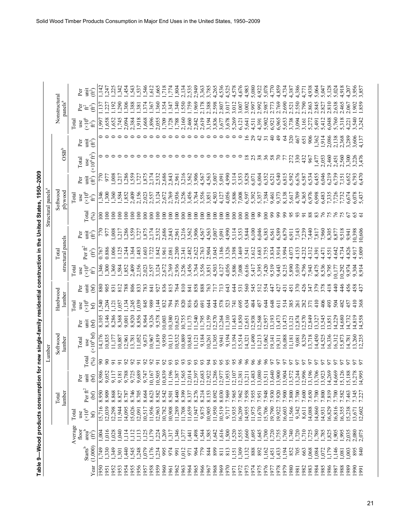|              |                         |                                       | Table 9-Wood products consumptio                                                                |                                          |                                                                     |                | in for new single-family residential construction in the United States, |                            |                                    |                   |                                                               |                                                       |                                  |                                  |                                             | 1950-2009               |                                  |                       |                                                                           |                                      |                    |
|--------------|-------------------------|---------------------------------------|-------------------------------------------------------------------------------------------------|------------------------------------------|---------------------------------------------------------------------|----------------|-------------------------------------------------------------------------|----------------------------|------------------------------------|-------------------|---------------------------------------------------------------|-------------------------------------------------------|----------------------------------|----------------------------------|---------------------------------------------|-------------------------|----------------------------------|-----------------------|---------------------------------------------------------------------------|--------------------------------------|--------------------|
|              |                         |                                       |                                                                                                 |                                          |                                                                     |                | Lumber                                                                  |                            |                                    |                   |                                                               |                                                       |                                  |                                  | Structural panels <sup>a</sup>              |                         |                                  |                       |                                                                           |                                      |                    |
|              |                         |                                       |                                                                                                 | lumber<br>Total                          |                                                                     |                | Softwood<br>lumber                                                      |                            | Hardwood<br>lumber                 |                   |                                                               | structural panels<br>Total                            |                                  |                                  | Softwood<br>plywood                         |                         | $\rm{OSB}^b$                     |                       |                                                                           | Nonstructural<br>panels <sup>a</sup> |                    |
|              |                         | Average                               | Total                                                                                           |                                          |                                                                     |                |                                                                         |                            | <b>Total</b>                       |                   | Tota                                                          |                                                       |                                  |                                  | <b>Total</b>                                |                         |                                  |                       | Tota                                                                      |                                      |                    |
|              | $\rm \mathbf{S}tarts^b$ | $\mathrm{area}^{\mathrm{b}}$<br>floor | $(x10^6$<br>use                                                                                 | Per ${\rm ft}^2$                         | $_{\rm Per}$                                                        | <b>Cotal</b>   | Total<br>use                                                            | unit<br>Per                | $\frac{\text{use}}{(\times 10^6)}$ | Per<br>$\ddot{H}$ | use                                                           | $\frac{\partial \mathbf{r}}{d\mathbf{t}}\mathbf{f}^2$ | Per                              | <b>Cotal</b>                     | $\frac{\text{use}}{(\times 10^6)}$          | İ<br>Per                | Total<br>use                     | i<br>往<br>(ff)<br>Per | $\mathop{\tt use}\limits_{\left(\times\right)}\limits_{\left(\pi\right)}$ | Per <sub>4</sub>                     | Per<br>Ξ           |
| Year         | (1,000)                 | Ê                                     | bЭ                                                                                              | (bf)                                     | $\inf_{\mathbf{b}}$                                                 | (%)            | $(\times 10^6$ bf)                                                      | E                          | bf)                                | $\mathfrak{b}$    | $(\times 10^6$                                                |                                                       | 直毛                               | $\mathcal{S}$                    | ft)                                         | $\hat{H}$               | $(\times 10^6 \,\text{ft}^2)$    |                       |                                                                           | Ê                                    | $\hat{\mathbf{H}}$ |
| 1950         | 65/10                   | 004                                   |                                                                                                 | 8.950                                    |                                                                     | ೫ ೫            | 14,176                                                                  | 8,105                      | $\frac{1}{254}$                    | $\frac{588}{288}$ |                                                               | 0.767                                                 | 770                              | $\overline{5}$                   | $346$<br>$300$                              |                         |                                  |                       | 99                                                                        | Ë                                    | $\frac{4}{3}$      |
| 1951         | $1,330$<br>$-3,301$     | 016                                   | 15,716<br>12,039<br>12,298<br>11,944                                                            | 8.909                                    | 887<br>1117<br>986<br>986                                           |                | 0,835                                                                   | 8,146                      |                                    |                   | $\frac{1346}{1300}$<br>$\frac{360}{360}$<br>$\frac{342}{360}$ |                                                       | 97                               | $\overline{5}$                   |                                             | 977                     |                                  |                       | 55 <sub>o</sub>                                                           | $\tilde{\mathcal{L}}$                | 247                |
| 953<br>952   |                         | ,028<br>040                           |                                                                                                 | 8.868<br>8.827                           |                                                                     |                | 11,177<br>10,887<br>12,961                                              | 8,286<br>8,368             | 057<br>12                          | 812<br>831        |                                                               | .006<br>.125                                          | $\frac{80}{2}$<br>217            | $\overline{8}$<br>$\overline{5}$ | 3823                                        | 008<br>217              |                                  |                       | 745<br>,652                                                               | 290<br>.192                          | 342                |
| 954          | $\frac{40}{5}$          | ,114                                  | 14,095                                                                                          | 8.787                                    |                                                                     | S              |                                                                         | 9,001                      | ,134                               | 788               |                                                               |                                                       |                                  | $\geq$                           |                                             | ,286                    |                                  |                       | 2,094                                                                     | .306                                 | 454                |
| 955          | ,545                    | 112                                   |                                                                                                 | 8.746                                    |                                                                     | 52             | 13,781                                                                  | 8,920                      | $\frac{1,245}{0.039}$              |                   | 2,409                                                         | $\frac{136}{36}$                                      |                                  | $\overline{8}$                   | 2,409                                       | 559                     |                                  |                       | 2,384                                                                     | .388                                 | 543                |
| 956          | 650,000                 | 113                                   | 15,026<br>12,091                                                                                | 8.705                                    | 7897167839<br><i>∞</i> ်တ်တ်တ်တ်တ်တ်                                | 5              |                                                                         | 8,856                      |                                    | 80S               | 2,156<br>2,023                                                | $\frac{1.483}{0.603}$                                 | 286<br>1957<br>1952<br>1951      | $\overline{8}$                   | 2,156<br>2,023                              | ,727<br>S75             |                                  |                       | 1,918                                                                     | .381                                 | .537               |
| 957          |                         | 125                                   | 10,517<br>11,956                                                                                | 8.664                                    | 10,                                                                 | 52             | 11,052<br>9,673<br>10,967                                               | 8,964<br>9,326             | 989<br>845                         | 783<br>841        |                                                               | .722                                                  |                                  | $\approx$<br>$\overline{8}$      |                                             |                         |                                  |                       | 1,668<br>1,896                                                            | .374                                 | 546                |
| 958<br>959   | $1,176$<br>1,234        | ,179<br>.224                          |                                                                                                 | 8.623<br>8.582                           | 10,                                                                 |                | 11,819                                                                  | 9,578                      |                                    | 927               | 3,124<br>2,557                                                |                                                       |                                  | $\overline{8}$                   | 3,124<br>2,557                              | 2,174<br>.532           |                                  |                       | 2,055                                                                     | .360<br>.367                         | ,612<br>\$99.      |
| 960          | 995                     | 1,269                                 | 12,963<br>10,782                                                                                |                                          | $\overline{10}$                                                     |                | 9,950                                                                   | 0,003                      | $-334$                             | 836               |                                                               | 1.842                                                 | 2,532<br>2,685<br>2,961<br>2,961 | $\overline{5}$                   | 2,672                                       | 2,686                   |                                  |                       | 1,709                                                                     | .354                                 | 718                |
| 961          | 974                     | 317                                   | 10,908                                                                                          | 8.542<br>8.501                           | 11,                                                                 |                | 10,113                                                                  | 0,380                      |                                    | 815               | 2,672<br>2,769                                                | 2.081                                                 |                                  | $\overline{8}$                   | 2,769                                       | , 843                   |                                  |                       | 1,728                                                                     | 347                                  |                    |
| 962          | 991                     | , 346                                 |                                                                                                 | 8.460                                    |                                                                     |                | 10,532                                                                  | 0,623                      | 758                                | 764               | 2,936                                                         | 2.200                                                 |                                  | $\overline{5}$                   | 2,936                                       | .961                    |                                  |                       | 1,788                                                                     | .340                                 | ,804               |
| 1963         | 1,012                   | 377                                   |                                                                                                 | 8.399                                    | $\begin{array}{c} 11,387 \\ 11,565 \\ 12,014 \\ 12,397 \end{array}$ | 93             | 10,889<br>10,843                                                        | 0,755                      | 820                                | 810               | 3,256                                                         | 2.341                                                 | 3,216                            | $\geq$                           | 3,256                                       | 3,216                   |                                  |                       | 2,160<br>2,460                                                            | .550                                 | 2.13 <sup>2</sup>  |
| 1964         | 971                     | $\frac{44}{3}$                        |                                                                                                 | 8.337                                    |                                                                     |                |                                                                         |                            | 816                                | 841               | 3,456<br>3,764                                                | 2.482                                                 | 3,562<br>3,906                   | $\approx$                        | 3,456<br>3,764                              | 1,562                   |                                  |                       |                                                                           | .759                                 | 535                |
| 1965<br>1966 | 964<br>779              | ,498                                  | $\begin{array}{c} 11,289 \\ 11,708 \\ 11,659 \\ 11,947 \\ 9,875 \\ 9,875 \\ 10,905 \end{array}$ | 8.276<br>8.214                           | $\overline{a}$                                                      | 93             | 1,121                                                                   | 11,173<br>11,540<br>11,795 | 826<br>69                          | 858<br>888        | 3,556                                                         | 2.622                                                 | 4,567                            | $\geq$<br>$\overline{6}$         | 556                                         | 4,567                   |                                  |                       | 2,842                                                                     | 1.969<br>.178                        | 949                |
| 1967         |                         | ,544<br>1,585                         |                                                                                                 | 8.153                                    |                                                                     | $\overline{5}$ | 9,184<br>10,261                                                         | 2,159                      | $\ddot{4}$                         | 763               | 3,851                                                         | 2.904<br>2.763                                        | 4,563                            | $\overline{8}$                   | 3,851                                       | 4,563                   |                                  |                       | 2,619<br>3,194                                                            | 2.388                                | 563                |
| 1968         | 839                     | .642                                  |                                                                                                 | 8.092                                    | 83385525711<br>$\overline{5}$ $\overline{5}$ $\overline{2}$         |                | 1,305                                                                   |                            | <b>44</b>                          | 717               |                                                               | 3.045                                                 |                                  | $\overline{8}$                   | 4,503                                       | 5,007                   |                                  |                       | 3,836                                                                     |                                      | $785$<br>265       |
| 969          | $\overline{8}$          | ,616                                  | 11,950<br>10,519<br>9,717<br>13,935                                                             | 8.030                                    |                                                                     | 56             | 9,941                                                                   | 2,570<br>2,264             | 578                                | 713               | 4,503<br>4,127                                                | 3.186                                                 | 5,007                            | $\approx$                        | 4,127                                       | 5,091                   |                                  |                       | 3,677                                                                     | 2.598                                | 536                |
| 970          | 813                     | 500                                   |                                                                                                 | 7.969                                    | Ξ                                                                   | 95             | 9,194                                                                   | 1,310                      | 523                                | 643               | 4,056                                                         | 3.326                                                 | 4,990                            | $\approx$                        |                                             | 4,990                   |                                  |                       | 3,678                                                                     | 3.017                                | 525                |
| 971          | ,151                    | 520                                   |                                                                                                 | 7.965                                    | $\overline{a}$                                                      | 95             | 3,194                                                                   | 1,463                      | $\overline{741}$                   | 644               | 5,886<br>7,008                                                |                                                       |                                  | $\approx$                        |                                             | 5,114                   |                                  |                       | 5,269                                                                     | 3.012                                | 578                |
| 1972         | 1,309                   | 1,555                                 | 16,209                                                                                          | 7.962                                    | $\overline{c}$                                                      | $\frac{6}{5}$  | 5,514                                                                   | 1,850                      | 695                                | 531               |                                                               | 3.469                                                 | $5,353$<br>$5,353$<br>$5,844$    | $\approx$                        |                                             | 5,353                   |                                  |                       | 6,121                                                                     | 3.007                                | ,676               |
| 973<br>974   | ,132<br>888             | 1,695<br>,660                         | 14,955                                                                                          | 7.955<br>856.7                           | ,483<br>$\overline{13}$                                             | 96             | 1,490<br>14,321                                                         | 2,938<br>2,651             | 634<br>484                         | 560<br>545        | 6,616<br>5,417                                                | 3.612                                                 | 6,100                            | 100<br>100                       | $4,056$<br>5,886<br>7,008<br>5,392<br>5,392 | 5,828<br>6,071          | $\frac{8}{18}$                   | 29                    | 5,641<br>4,511                                                            | 3.002<br>2.997                       | 5,080<br>,983      |
| 975          | 892                     | ,645                                  | 11,975<br>11,670<br>15,790<br>19,922<br>19,922                                                  | 7.951                                    | $\bar{a}$                                                           | 96             | 11,213                                                                  | 2,568                      | 457                                | 512               | 5,395                                                         | 3.683                                                 | 6,046                            | 66                               | 5,357                                       | 6,004                   |                                  | 42                    | 4,391                                                                     | 2.992                                | 922                |
| 976          | ,162                    | 00                                    |                                                                                                 | 7.948                                    |                                                                     |                | 15,062                                                                  | 2,957                      | $\ddot{4}$                         | 554               | 7,420<br>9,519                                                | 3.755<br>3.834                                        | 6,383                            | $\approx$                        | 7,384                                       | 6,352                   | 36                               |                       | 5,902                                                                     | .98 <sub>1</sub>                     | 5,078              |
| 977          | 451                     | ,720                                  |                                                                                                 | 7.930<br>026.7                           | 13.20                                                               |                | 19,141                                                                  | 3,193                      | 648                                | 47                |                                                               |                                                       | 6,561                            | 99                               | 9,461                                       | 6,521<br>6,540          |                                  | $\theta$              | 6,921                                                                     |                                      | 770                |
| 978<br>979   | 433<br>$\vec{5}$        | 555<br>,760                           | 16,603                                                                                          | 7.900                                    | $\overline{\omega}$                                                 |                | 16,088<br>19,311                                                        | 3,473<br>3,473             | 514<br>$\overline{5}$              | 427<br>431        | 9,443<br>8,215                                                | 3.914<br>3.994                                        | 6,589<br>6,879                   | 99<br>3                          | 8,138<br>9,373                              | 6,815                   |                                  | $\frac{4}{9}$<br>2    | 6,965<br>5,653                                                            | .769<br>2.690                        | ,859<br>734        |
| 980          | 852                     | 1,740                                 |                                                                                                 | 7.800                                    | 25428<br>25428<br>$\overline{\omega}$                               |                |                                                                         | 3,121                      | 385                                | 451               | 5,890                                                         | 4.073                                                 | 6,911                            | S,                               | 5,617                                       | 5,592                   | 272                              | 320                   | 3,738                                                                     | 521                                  | 387                |
| 1861         | 705                     | ,720                                  | 11,566<br>9,342                                                                                 |                                          | $\overline{13}$                                                     |                | $\begin{array}{c} 11,181 \\ 9,081 \\ 8,329 \end{array}$                 | 2,874                      | 261                                | 370               |                                                               | 4.153                                                 | 7,143                            | 93                               | 4,709                                       |                         |                                  | 467                   | 3,094                                                                     | 550                                  | ,386               |
| 982          | 663                     | (710)                                 | 8,611<br>14,088                                                                                 | $7.700$<br>$7.500$<br>$7.700$<br>$7.700$ |                                                                     |                |                                                                         | 2,570                      | 282                                | 426               | 5,039<br>4,796                                                | 4.232                                                 | 7,239                            | 5                                | 4,365                                       | 6,676<br>6,587<br>6,534 | 332                              | 651                   | 3,161                                                                     | 2.790                                | .771               |
| 1983         | ,068                    | 1,725                                 |                                                                                                 |                                          | $\overline{13}$                                                     |                | 13,718                                                                  | 2,849                      | 371                                | 347               | 7,943                                                         | 4.312                                                 | 7,440                            | 88                               | 6,976                                       |                         | 967                              | 906                   | 5,272                                                                     | 2.863                                | 938                |
| 984          | 084                     | (780                                  | 14,860<br>14,931                                                                                |                                          | $\overline{3}\,\overline{3}$                                        |                | 4,450                                                                   | 3,327                      | $rac{1}{4}$                        | 379               | 8,475                                                         | 1.391                                                 | 7,817                            |                                  | 6,998                                       | 6,455                   | 47                               | ,362                  | (6t)                                                                      | .845                                 | 5,064              |
| 986<br>1985  | 0.179                   | 1,785<br>,825                         | 16,829                                                                                          | 7.800                                    | 호                                                                   |                | 16,336<br>4,525                                                         | 3,545<br>3,851             | $rac{6}{4}$<br>493                 | 378<br>418        | 8,536<br>9,795                                                | .551<br>(47)                                          | 7,960<br>8,305                   |                                  | 6,483                                       | 6,046<br>6,219          |                                  | 1,914<br>2,086        | 6,048<br>$\frac{1}{4}$                                                    | 810<br>$82^{\degree}$                | $\overline{A}$     |
| 987          | 146                     | 1,905                                 | 16,816                                                                                          | 7.819<br>7.700                           | $\overline{4}$                                                      |                | 6,312                                                                   | 4,229                      | 504                                | 40                | 0,177                                                         | <b>642</b>                                            | 8,877                            |                                  | 7,335                                       | 6,739                   |                                  | 2,138                 | 760                                                                       | .638                                 | 02 <sup>2</sup>    |
| 988          | .081                    | 1,995                                 | 16,355                                                                                          | 7.582                                    |                                                                     |                | 5,873                                                                   | 4,680                      | 482                                | $rac{4}{6}$       | 0,292                                                         |                                                       | 9,518                            |                                  |                                             | $\overline{5}$          | 2,053<br>2,460<br>2,560<br>2,560 | 2,368                 | 318                                                                       |                                      | $\frac{318}{2}$    |
| 1989         | 1,003                   | 2,035                                 | 15,238                                                                                          | 7.463                                    | $\overline{\omega}$ $\overline{\omega}$                             |                | 4,781                                                                   | 4,732                      | 457                                | 456               | 9,974                                                         | .82                                                   | 9,941                            |                                  | 6,674                                       | ,652                    | ,300                             | 3,289                 | 221                                                                       | $\overline{5}$                       | $20^{\circ}$       |
| 0661<br>1991 | 840                     | 2,080<br>2,075                        | 13,671<br>12,602                                                                                | 7345                                     | 2623892388<br>$\frac{15}{4}$                                        |                | $\frac{13,260}{12.235}$                                                 | 4,819<br> 4,558            | $rac{10}{368}$                     | 458<br>437        | 9,304<br>8.914                                                | 5.009<br>4.917                                        | 0,398                            |                                  | 6,078<br>5,437                              | 6,793<br>5.470          | 3,47                             | 3,606<br>4.13         | $342$<br>$242$                                                            | 902<br>.859                          | 955                |
|              |                         |                                       |                                                                                                 |                                          |                                                                     |                |                                                                         |                            |                                    |                   |                                                               |                                                       | 10,606                           |                                  |                                             |                         |                                  |                       |                                                                           |                                      |                    |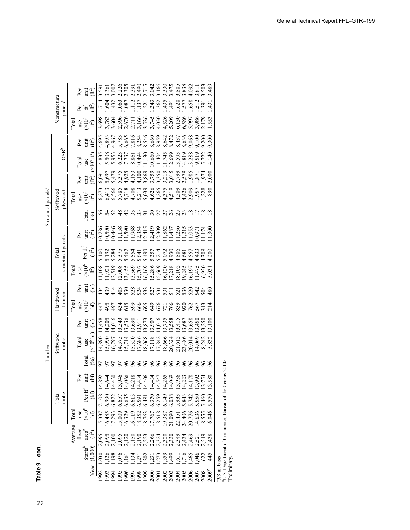| 489<br>503<br>.092<br>.591<br>$\overline{81}$<br>Per<br>init<br>Ê<br>Nonstructural<br>panels <sup>a</sup><br>.714<br>432<br>$\frac{112}{2}$<br>.362<br>.435<br>.620<br>.658<br>.512<br>.604<br>.063<br>.087<br>.137<br>.343<br>.577<br>$\overline{16}$<br>.391<br>.221<br>$\ddot{4}$<br>Ê<br>et<br>42<br>$783,800$<br>$3,600$<br>$7,700$<br>$7,700$<br>$7,700$<br>$7,700$<br>$7,700$<br>$7,700$<br>$7,700$<br>$7,700$<br>$7,700$<br>$7,700$<br>$7,700$<br>$7,700$<br>$7,700$<br>$7,700$<br>3,986<br>2,179<br>,698<br>,553<br>$\mathop{\rm use}_{{\rm (x10^6)}}$<br><b>Tota</b><br>9,068<br>9,300<br>0.200<br>,100<br>İ<br>Ê)<br>Ρēτ<br>$OSB^b$<br>$1,130$<br>$0,660$<br>$1,745$<br>$1,745$<br>$1,745$<br>$1,745$<br>3,288<br>4835<br>55083<br>550337<br>450337<br>5881<br>3,593<br>4,819<br>9,519<br>4,140<br>0,494<br>5,722<br>$(10^6 \text{ft}^2)$<br>Total<br>use<br>$1,871$<br>$1,974$<br>2,000<br>$(\hat{\mathfrak{m}}^2)$<br>init<br>Per<br>$\begin{array}{l} 0.66888880 \\ 7.5688800 \\ 8.67777770 \\ 9.6777770 \\ 9.677770 \\ 9.677770 \\ 9.677770 \\ 9.677770 \\ 9.677770 \\ 9.677770 \\ 9.677770 \\ 9.677770 \\ 9.677770 \\ 9.677770 \\ 9.677770 \\ 9.677770 \\ 9.677770 \\ 9.677770 \\ 9.677770 \\ 9.677770 \\ 9.6777$<br>Softwood<br>6,273<br>plywood<br>use<br>$(x10^6)$<br><b>Total</b><br>$\hat{H}$<br>5253<br>42<br>55<br>ភកនន<br>$\approx$<br>$\frac{8}{18}$<br>33<br>$\mathcal{S}^0$<br>$\overline{\infty}$<br><b>Total</b><br>$\mathcal{S}$<br>10,786<br>1,158<br>1,590<br>10,590<br>0,446<br>0,971<br>300<br>1,174<br>unit<br>Ê<br>Per<br>structural panels<br>Per fr $^2$<br>Total<br>$\mathfrak{F}$<br>4.200<br>$4.557$<br>$4.4308$<br>4.68<br>use<br>$(x10^6$<br>ft <sup>2</sup> )<br><b>Total</b><br>0<br>08 8 50 50 8 8 0 0 0 2 3 5 6<br>0 3 9 50 6 9 8 9 0 2 3 5 6 7 8 9 9 9 0 1 2 4 5 6 7 8 9 9 0 1 2 5 6 9 9 0 1 2 4 5 6 9 0 1 2 5 6 9 0 1 2 5 6 9 1<br>1,475<br>6,197<br>6,950<br>1,108<br>1,921<br>5,03<br>Per<br>unit<br>$\mathfrak{g}$<br>434<br>439<br>528<br>3327728<br>$\frac{4}{11}$<br>$\frac{2}{3}$<br>530<br>232<br>232<br>$\overline{30}$<br>Hardwood<br>lumber<br>$\frac{\text{use}}{810^6}$<br><b>Total</b><br>Ъf<br>\$325782<br>495<br>415<br>508<br>50<br>214<br>$-64$<br>$\overline{\alpha}$<br>762<br>$\frac{567}{313}$<br>47<br>14,016<br>13,735<br>13,558<br>13,658<br>14,458<br>14,205<br>14,016<br>13,543<br>13,536<br>3,415<br>13,450<br>13,250<br>13,100<br> 3,690<br>13,687<br>13,873<br>13,907<br>13,911<br>E<br>imi<br>Ρēτ | Total                                                                |
|-----------------------------------------------------------------------------------------------------------------------------------------------------------------------------------------------------------------------------------------------------------------------------------------------------------------------------------------------------------------------------------------------------------------------------------------------------------------------------------------------------------------------------------------------------------------------------------------------------------------------------------------------------------------------------------------------------------------------------------------------------------------------------------------------------------------------------------------------------------------------------------------------------------------------------------------------------------------------------------------------------------------------------------------------------------------------------------------------------------------------------------------------------------------------------------------------------------------------------------------------------------------------------------------------------------------------------------------------------------------------------------------------------------------------------------------------------------------------------------------------------------------------------------------------------------------------------------------------------------------------------------------------------------------------------------------------------------------------------------------------------------------------------------------------------------------------------------------------------------------------------------------------------------------------------------------------------------------------------------------------------------------------------------------------------------------------------------------------------------------------------------------------------------------------------------------------------------------------------------------------------------------------------------------------------------------------------------------------------------------------------------------------------------------------------------------------------------------------------------|----------------------------------------------------------------------|
|                                                                                                                                                                                                                                                                                                                                                                                                                                                                                                                                                                                                                                                                                                                                                                                                                                                                                                                                                                                                                                                                                                                                                                                                                                                                                                                                                                                                                                                                                                                                                                                                                                                                                                                                                                                                                                                                                                                                                                                                                                                                                                                                                                                                                                                                                                                                                                                                                                                                                   | Softwood<br>lumber                                                   |
|                                                                                                                                                                                                                                                                                                                                                                                                                                                                                                                                                                                                                                                                                                                                                                                                                                                                                                                                                                                                                                                                                                                                                                                                                                                                                                                                                                                                                                                                                                                                                                                                                                                                                                                                                                                                                                                                                                                                                                                                                                                                                                                                                                                                                                                                                                                                                                                                                                                                                   |                                                                      |
|                                                                                                                                                                                                                                                                                                                                                                                                                                                                                                                                                                                                                                                                                                                                                                                                                                                                                                                                                                                                                                                                                                                                                                                                                                                                                                                                                                                                                                                                                                                                                                                                                                                                                                                                                                                                                                                                                                                                                                                                                                                                                                                                                                                                                                                                                                                                                                                                                                                                                   | Total                                                                |
|                                                                                                                                                                                                                                                                                                                                                                                                                                                                                                                                                                                                                                                                                                                                                                                                                                                                                                                                                                                                                                                                                                                                                                                                                                                                                                                                                                                                                                                                                                                                                                                                                                                                                                                                                                                                                                                                                                                                                                                                                                                                                                                                                                                                                                                                                                                                                                                                                                                                                   | use<br><b>Total</b>                                                  |
|                                                                                                                                                                                                                                                                                                                                                                                                                                                                                                                                                                                                                                                                                                                                                                                                                                                                                                                                                                                                                                                                                                                                                                                                                                                                                                                                                                                                                                                                                                                                                                                                                                                                                                                                                                                                                                                                                                                                                                                                                                                                                                                                                                                                                                                                                                                                                                                                                                                                                   | $(\times 10^6$ bf)<br>$\mathcal{E}$                                  |
|                                                                                                                                                                                                                                                                                                                                                                                                                                                                                                                                                                                                                                                                                                                                                                                                                                                                                                                                                                                                                                                                                                                                                                                                                                                                                                                                                                                                                                                                                                                                                                                                                                                                                                                                                                                                                                                                                                                                                                                                                                                                                                                                                                                                                                                                                                                                                                                                                                                                                   | 14,890<br>57                                                         |
|                                                                                                                                                                                                                                                                                                                                                                                                                                                                                                                                                                                                                                                                                                                                                                                                                                                                                                                                                                                                                                                                                                                                                                                                                                                                                                                                                                                                                                                                                                                                                                                                                                                                                                                                                                                                                                                                                                                                                                                                                                                                                                                                                                                                                                                                                                                                                                                                                                                                                   | 5,990                                                                |
|                                                                                                                                                                                                                                                                                                                                                                                                                                                                                                                                                                                                                                                                                                                                                                                                                                                                                                                                                                                                                                                                                                                                                                                                                                                                                                                                                                                                                                                                                                                                                                                                                                                                                                                                                                                                                                                                                                                                                                                                                                                                                                                                                                                                                                                                                                                                                                                                                                                                                   | .6,797                                                               |
|                                                                                                                                                                                                                                                                                                                                                                                                                                                                                                                                                                                                                                                                                                                                                                                                                                                                                                                                                                                                                                                                                                                                                                                                                                                                                                                                                                                                                                                                                                                                                                                                                                                                                                                                                                                                                                                                                                                                                                                                                                                                                                                                                                                                                                                                                                                                                                                                                                                                                   | 14,575                                                               |
|                                                                                                                                                                                                                                                                                                                                                                                                                                                                                                                                                                                                                                                                                                                                                                                                                                                                                                                                                                                                                                                                                                                                                                                                                                                                                                                                                                                                                                                                                                                                                                                                                                                                                                                                                                                                                                                                                                                                                                                                                                                                                                                                                                                                                                                                                                                                                                                                                                                                                   | 5,714                                                                |
|                                                                                                                                                                                                                                                                                                                                                                                                                                                                                                                                                                                                                                                                                                                                                                                                                                                                                                                                                                                                                                                                                                                                                                                                                                                                                                                                                                                                                                                                                                                                                                                                                                                                                                                                                                                                                                                                                                                                                                                                                                                                                                                                                                                                                                                                                                                                                                                                                                                                                   | 5,520                                                                |
|                                                                                                                                                                                                                                                                                                                                                                                                                                                                                                                                                                                                                                                                                                                                                                                                                                                                                                                                                                                                                                                                                                                                                                                                                                                                                                                                                                                                                                                                                                                                                                                                                                                                                                                                                                                                                                                                                                                                                                                                                                                                                                                                                                                                                                                                                                                                                                                                                                                                                   | 7,686                                                                |
|                                                                                                                                                                                                                                                                                                                                                                                                                                                                                                                                                                                                                                                                                                                                                                                                                                                                                                                                                                                                                                                                                                                                                                                                                                                                                                                                                                                                                                                                                                                                                                                                                                                                                                                                                                                                                                                                                                                                                                                                                                                                                                                                                                                                                                                                                                                                                                                                                                                                                   | 8,068                                                                |
|                                                                                                                                                                                                                                                                                                                                                                                                                                                                                                                                                                                                                                                                                                                                                                                                                                                                                                                                                                                                                                                                                                                                                                                                                                                                                                                                                                                                                                                                                                                                                                                                                                                                                                                                                                                                                                                                                                                                                                                                                                                                                                                                                                                                                                                                                                                                                                                                                                                                                   | 7,118                                                                |
|                                                                                                                                                                                                                                                                                                                                                                                                                                                                                                                                                                                                                                                                                                                                                                                                                                                                                                                                                                                                                                                                                                                                                                                                                                                                                                                                                                                                                                                                                                                                                                                                                                                                                                                                                                                                                                                                                                                                                                                                                                                                                                                                                                                                                                                                                                                                                                                                                                                                                   | 7,842                                                                |
|                                                                                                                                                                                                                                                                                                                                                                                                                                                                                                                                                                                                                                                                                                                                                                                                                                                                                                                                                                                                                                                                                                                                                                                                                                                                                                                                                                                                                                                                                                                                                                                                                                                                                                                                                                                                                                                                                                                                                                                                                                                                                                                                                                                                                                                                                                                                                                                                                                                                                   | 18,666<br>66                                                         |
|                                                                                                                                                                                                                                                                                                                                                                                                                                                                                                                                                                                                                                                                                                                                                                                                                                                                                                                                                                                                                                                                                                                                                                                                                                                                                                                                                                                                                                                                                                                                                                                                                                                                                                                                                                                                                                                                                                                                                                                                                                                                                                                                                                                                                                                                                                                                                                                                                                                                                   | 20,324<br>86                                                         |
|                                                                                                                                                                                                                                                                                                                                                                                                                                                                                                                                                                                                                                                                                                                                                                                                                                                                                                                                                                                                                                                                                                                                                                                                                                                                                                                                                                                                                                                                                                                                                                                                                                                                                                                                                                                                                                                                                                                                                                                                                                                                                                                                                                                                                                                                                                                                                                                                                                                                                   | 21,612                                                               |
|                                                                                                                                                                                                                                                                                                                                                                                                                                                                                                                                                                                                                                                                                                                                                                                                                                                                                                                                                                                                                                                                                                                                                                                                                                                                                                                                                                                                                                                                                                                                                                                                                                                                                                                                                                                                                                                                                                                                                                                                                                                                                                                                                                                                                                                                                                                                                                                                                                                                                   | 13,486                                                               |
|                                                                                                                                                                                                                                                                                                                                                                                                                                                                                                                                                                                                                                                                                                                                                                                                                                                                                                                                                                                                                                                                                                                                                                                                                                                                                                                                                                                                                                                                                                                                                                                                                                                                                                                                                                                                                                                                                                                                                                                                                                                                                                                                                                                                                                                                                                                                                                                                                                                                                   | 20,014                                                               |
|                                                                                                                                                                                                                                                                                                                                                                                                                                                                                                                                                                                                                                                                                                                                                                                                                                                                                                                                                                                                                                                                                                                                                                                                                                                                                                                                                                                                                                                                                                                                                                                                                                                                                                                                                                                                                                                                                                                                                                                                                                                                                                                                                                                                                                                                                                                                                                                                                                                                                   | 14,069                                                               |
|                                                                                                                                                                                                                                                                                                                                                                                                                                                                                                                                                                                                                                                                                                                                                                                                                                                                                                                                                                                                                                                                                                                                                                                                                                                                                                                                                                                                                                                                                                                                                                                                                                                                                                                                                                                                                                                                                                                                                                                                                                                                                                                                                                                                                                                                                                                                                                                                                                                                                   | 8,242                                                                |
|                                                                                                                                                                                                                                                                                                                                                                                                                                                                                                                                                                                                                                                                                                                                                                                                                                                                                                                                                                                                                                                                                                                                                                                                                                                                                                                                                                                                                                                                                                                                                                                                                                                                                                                                                                                                                                                                                                                                                                                                                                                                                                                                                                                                                                                                                                                                                                                                                                                                                   | 5,832<br>96                                                          |
|                                                                                                                                                                                                                                                                                                                                                                                                                                                                                                                                                                                                                                                                                                                                                                                                                                                                                                                                                                                                                                                                                                                                                                                                                                                                                                                                                                                                                                                                                                                                                                                                                                                                                                                                                                                                                                                                                                                                                                                                                                                                                                                                                                                                                                                                                                                                                                                                                                                                                   | <sup>b</sup> U.S. Department of Commerce, Bureau of the Census 2010a |

1970 813 1,500 9,717 7.969 11,953 95 9,194 11,310 523 643 4,056 3.326 4,990 100 4,056 4,990 0 0 3,678 3.017 4,525 1,1520 1,1520 1,1520 1,1520 1,1520 1,1520 1,1520 1,1463 7.463 5,114 100 5,114 100 5,114 100 5,114 10 5,114 11,<br>1,146 General Technical Report FPL–GTR–199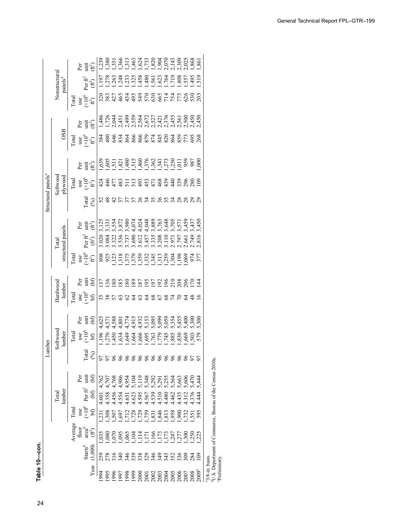|                                |                                      |               |       |                                                                                     |                        | 23 <sub>5</sub> |                |           |               |                 |                |               |               |                  | 1380<br>1351 8624 8204 8205<br>1351 824 8204 8205<br>1361 824 8204 8205                                                                                                                            |                   |                  |                        |                  |                  | .86             |                             |                                                          |             |
|--------------------------------|--------------------------------------|---------------|-------|-------------------------------------------------------------------------------------|------------------------|-----------------|----------------|-----------|---------------|-----------------|----------------|---------------|---------------|------------------|----------------------------------------------------------------------------------------------------------------------------------------------------------------------------------------------------|-------------------|------------------|------------------------|------------------|------------------|-----------------|-----------------------------|----------------------------------------------------------|-------------|
|                                |                                      |               |       | Per<br>(代)                                                                          |                        | $\frac{5}{2}$   | 278            | 263       | .248          |                 | 233<br>325     | .458          |               | $rac{480}{561}$  | .623                                                                                                                                                                                               | $\frac{764}{719}$ |                  | 808.                   | .557             | 495              | 519             |                             |                                                          |             |
|                                | Nonstructural<br>panels <sup>a</sup> |               |       | Per $ft^2$                                                                          | $(\hat{\mathfrak{m}})$ |                 |                |           |               |                 |                |               |               |                  |                                                                                                                                                                                                    |                   |                  |                        |                  |                  |                 |                             |                                                          |             |
|                                |                                      | Tota          |       | $\begin{array}{c} \text{use} \\ (\times 10^6 \\ \text{ft}^2) \end{array}$           |                        | 320             | 383            | $\dot{2}$ | 465           |                 | 454            |               |               |                  | 275<br>275<br>2862775                                                                                                                                                                              |                   |                  |                        | 626              | $\frac{53}{203}$ |                 |                             |                                                          |             |
|                                |                                      |               | Per   | Ē                                                                                   | Ê                      |                 |                |           |               |                 |                |               |               |                  | 4 1 1 2 2 3 4 5 6 7 7 1 2 8 9 0 0 0<br>4 7 7 4 4 5 9 9 4 6 7 7 7 7 7 7 8 9 0 1<br>4 1 1 2 3 4 5 6 7 7 7 1 8 9 0 0 0 0 0                                                                            |                   |                  |                        |                  |                  |                 |                             |                                                          |             |
|                                | <b>OSB</b>                           | $\Gamma$ otal |       | $\frac{1}{2}$<br>$\frac{1}{2}$<br>$\frac{1}{2}$                                     |                        | 384             | 480            | 646       |               |                 |                |               |               |                  |                                                                                                                                                                                                    |                   |                  |                        |                  |                  |                 |                             |                                                          |             |
|                                |                                      |               |       | Per<br>Litt                                                                         | Ê                      |                 |                |           |               |                 |                |               |               |                  |                                                                                                                                                                                                    |                   |                  |                        | 959<br>987       |                  | $\widetilde{6}$ |                             |                                                          |             |
|                                | Softwood<br>plywood                  | <b>Total</b>  |       | $\frac{1}{2}$ $\frac{1}{2}$ $\frac{1}{2}$ $\frac{1}{2}$ $\frac{1}{2}$ $\frac{1}{2}$ |                        | $\frac{4}{3}$   | $\frac{46}{5}$ | 477       |               |                 | <b>ន្</b> ដង   |               |               |                  | $3.377890$<br>$3.42890$                                                                                                                                                                            |                   |                  | 339                    | 880              |                  |                 |                             |                                                          |             |
| Structural panels <sup>a</sup> |                                      |               |       | $\Gamma$ otal                                                                       | $\mathcal{S}$          |                 |                |           |               |                 |                |               |               |                  | $\mathfrak{L}$                                                                                                                                                                                     |                   |                  |                        |                  |                  |                 |                             |                                                          |             |
|                                |                                      |               |       | Per<br>unit                                                                         | $\hat{H}$              |                 |                |           |               |                 |                |               |               |                  | 1311 1222 1232 1245<br>1311 1222 1234 1246 1256<br>1311 1222 1234 1235 1245                                                                                                                        |                   |                  |                        |                  | 3,43             | 45(             |                             |                                                          |             |
|                                | structural panels<br>Total           |               |       | Per $\hat{\pi}^2$                                                                   | $(ft^2)$               | 0.020           | 3.084          | 322       |               | 3.536<br>3.737  | 3.690          | 3.612         | 3.457         |                  | 3.335<br>3.208<br>3.110                                                                                                                                                                            |                   | 2.971<br>2.797   |                        | 2.561<br>2.749   |                  | 816             |                             |                                                          |             |
|                                |                                      | Tota          |       | $\sup_{x\in\mathcal{X}}\mathcal{L}_y$                                               |                        |                 | 808<br>925     | ,123      |               |                 |                |               |               |                  | 001<br>1970 1982 1983 1984<br>1982 1983 1984<br>1982 1984 1984                                                                                                                                     |                   |                  |                        |                  | 974              | 377             |                             |                                                          |             |
|                                |                                      |               | Pēr   | imi                                                                                 | $\mathfrak{g}$         | $\overline{37}$ | $\frac{36}{5}$ | $\infty$  | 85            | $\overline{80}$ | 189            | 187           | $\frac{5}{6}$ | $\overline{197}$ | $\overline{5}$                                                                                                                                                                                     | $\overline{5}$    | $\overline{210}$ | 208                    | $\frac{8}{3}$    | 5 4<br>2         |                 |                             |                                                          |             |
|                                | Hardwood<br>lumber                   | Total         |       | $\begin{array}{c} \text{use} \\ (\times 10^6 \\ \text{bf)} \end{array}$             |                        |                 |                |           |               | $\mathcal{S}$   | 2              | $\mathcal{C}$ | Z             | $\frac{8}{3}$    | 67                                                                                                                                                                                                 | $\sqrt{8}$        |                  |                        | 2                | $\frac{8}{3}$    | ≌               |                             |                                                          |             |
|                                |                                      |               | Ρā    | i                                                                                   | $\mathfrak{g}$         |                 |                |           |               |                 |                |               |               |                  |                                                                                                                                                                                                    |                   |                  |                        |                  |                  |                 |                             |                                                          |             |
|                                | Softwood<br>lumber                   | <b>Total</b>  | use   | $\frac{6}{2}$                                                                       |                        | .196            | 270            | ,450      | ,634          | 649             |                |               |               |                  | 1,664<br>1,666<br>1,779<br>1,885<br>1,669<br>1,681<br>1,682                                                                                                                                        |                   |                  |                        |                  | 579              |                 |                             |                                                          |             |
| mber<br>ョ                      |                                      |               |       | <b>Tota</b>                                                                         | જી                     |                 |                |           |               |                 |                |               |               |                  | 58888888888885                                                                                                                                                                                     |                   |                  |                        |                  |                  |                 |                             |                                                          |             |
|                                |                                      |               | Per   | imi                                                                                 | EG                     | 4,762           | 4,707          |           |               |                 |                |               |               |                  | $7,788$<br>$7,893$<br>$7,793$<br>$7,793$<br>$7,793$<br>$7,793$<br>$7,793$<br>$7,793$<br>$7,793$<br>$7,793$<br>$7,793$<br>$7,793$<br>$7,793$<br>$7,793$<br>$7,793$<br>$7,793$<br>$7,793$<br>$7,793$ |                   |                  |                        |                  |                  |                 |                             |                                                          |             |
|                                | lumber<br>Total                      |               |       | Per fr $^2$                                                                         | $\mathfrak{g}$         | $-601$          | .358           | 456       | 1.554         | $-651$          |                |               |               |                  | 1.595<br>1.595<br>1.599<br>1.480                                                                                                                                                                   |                   | .462             | $435$<br>$712$<br>$75$ |                  |                  | $\frac{44}{3}$  |                             |                                                          |             |
|                                |                                      | Tota          | use   | $($ $\times$ $106$                                                                  | bЭ                     | 23              | 508            | 507       |               |                 | 2728<br>2528   |               |               |                  | 52336288                                                                                                                                                                                           |                   |                  |                        | 732              | 595              |                 |                             |                                                          |             |
|                                |                                      | Average       | floor | area <sup>r</sup>                                                                   | Ê                      | 035             | 080            |           | .095          |                 | 0.104          |               |               |                  | ת המקורה<br>המקורה בתחות<br>המקורה בין                                                                                                                                                             |                   |                  |                        | <u>ង័</u> ដូអូ   |                  |                 |                             | U.S. Department of Commerce, Bureau of the Census 2010a. |             |
|                                |                                      |               |       | Starts <sup>b</sup>                                                                 | 1,000                  |                 |                |           | $\frac{1}{4}$ | 946             | $\frac{39}{2}$ | 38            |               |                  | 294942                                                                                                                                                                                             |                   |                  | 336                    | $\frac{28}{284}$ |                  | $\overline{5}$  |                             |                                                          |             |
|                                |                                      |               |       |                                                                                     | Year                   | 994             | 995            | 996       |               |                 |                |               |               |                  |                                                                                                                                                                                                    |                   |                  |                        |                  |                  |                 | <sup>a</sup> 3/8-in. basis. |                                                          | Preliminary |

1969 1,095 1,095 5.701 5,095 1,000 1,000 1,000 1,000 1,000 1,000 1,000 1,000 1,007 2,450 1.252 1,407 1.252 1,4<br>1961 1,007 1,007 1.252 1.252 1.252 1.252 1.252 1.252 1.252 1.252 1.252 1.252 1.252 1.252 1.252 1.252 1.252 1.2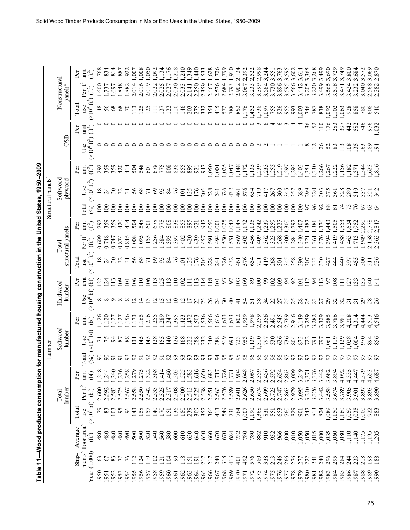|                                |               |                        | Per             | Ē<br>Ê                                                             | 768   | 834           | 814            | 887            | 922             | 00,1             | 008              | 0.50                  | .092<br>,134               | ,176                             | 218         | ,240           | ,349            | $\frac{4}{4}$   | 53 <sup>2</sup> | ,628                             | 726             | $66L^{5}$                | 910             | 2,124                                       | 2,392          | 2,522          | 2,998                  | 3,244          | 551           | 3,763           | \$,595                       | \$,602        | , 614          | \$,365         | 3,268         | 3,499 | .690                    |                   | ,749               | ,800            | .68 <sup>2</sup>        |                 | 87                 |
|--------------------------------|---------------|------------------------|-----------------|--------------------------------------------------------------------|-------|---------------|----------------|----------------|-----------------|------------------|------------------|-----------------------|----------------------------|----------------------------------|-------------|----------------|-----------------|-----------------|-----------------|----------------------------------|-----------------|--------------------------|-----------------|---------------------------------------------|----------------|----------------|------------------------|----------------|---------------|-----------------|------------------------------|---------------|----------------|----------------|---------------|-------|-------------------------|-------------------|--------------------|-----------------|-------------------------|-----------------|--------------------|
|                                | Nonstructural | $p$ anels <sup>a</sup> |                 | Per $ft^2$<br>$(\hat{\mathbb{H}})$                                 | 600   | .737          | .697           | .848           | 1.882           | 2.014            | 2.016            | 2.019                 | 2.022                      | 2.025<br>2.027                   | 2.030       | 2.033          | 2.141           | 2.250           |                 | 2.359<br>2.467<br>2.576<br>2.793 |                 |                          |                 | 2.902                                       | 3.067          | 3.233          | 3.399                  | 3.564<br>3.730 |               | 3.896           | 3.595                        | 3.566         | 3.442          | 3.205          | 3.220         | 3.499 | 3.565                   | 3.518             | $3.471$<br>$3.424$ |                 | 3.232                   | 3.040           | 2.568              |
|                                |               |                        | Total           | $(\times 10^6 \text{ ft}^2$<br>use                                 |       | 56            | 68             | $^{68}$        |                 | Ξ                | $\tilde{\Omega}$ | $\tilde{\mathcal{Q}}$ | Ξ                          | $\overline{2}$<br>$\overline{5}$ | $\Xi$       | $\frac{46}{5}$ |                 | 203<br>275      |                 | 3345                             |                 |                          | 572             | 852                                         |                |                | F450558883             |                |               |                 |                              |               | .003           | 746<br>787     |               | 838   | 092                     | $\frac{102}{063}$ |                    |                 | 888                     |                 | $rac{60}{540}$     |
|                                |               |                        | Per             | jittu<br>Ê                                                         |       |               |                |                |                 |                  |                  |                       |                            |                                  |             |                |                 |                 |                 |                                  |                 |                          |                 |                                             |                |                |                        |                |               |                 |                              |               |                |                |               | $\Xi$ | 176                     | 283<br>397        |                    | $\frac{4}{3}$   | 582                     |                 | 956                |
|                                |               | OSB                    |                 | $(x10^6 \text{ ft}^2)$<br>Use                                      |       |               |                |                |                 |                  |                  |                       |                            |                                  |             |                |                 |                 |                 |                                  |                 |                          |                 |                                             |                |                |                        |                |               |                 |                              |               |                |                | $\Xi$         | 26    | 52                      | 83                | $\frac{2}{1}$      |                 | $\frac{88}{10}$         |                 | $\frac{189}{194}$  |
|                                |               |                        |                 | 盲<br>Ê                                                             | 292   | 359           | 359            | 420            | $\frac{41}{4}$  | 504              | 548              | 601                   | 678                        | 808<br>775                       | 838         | 855            | 895             | 921             | 947             | 0.50                             | 00 <sub>i</sub> | ,025                     | 047             | ,148                                        | 172            | $135$<br>$239$ |                        |                | 355257        |                 |                              | 293           | ,403           | $351$<br>$330$ |               | ,266  | 267                     | 222               |                    |                 | $782$<br>$787$<br>$787$ | 54 <sup>2</sup> | 623                |
| Structural panels <sup>a</sup> | Softwood      | plywood                |                 | $\times 10^6\,\text{ft}^2$<br>Use                                  |       |               |                |                |                 | 56               | $\frac{8}{3}$    |                       | 69<br>93                   | $\frac{84}{5}$                   |             | $\Xi$          | $\overline{35}$ | $\frac{9}{16}$  | 205             | 228                              | $\overline{5}$  |                          | 326<br>432      | $\overline{6}$                              | 576            | 654<br>719     |                        | 417            | 267           | 345             |                              | 357<br>389    |                | 299            | 320           | 303   | 375                     | 361               | 328                | 289             | 319                     | 37              | 342<br>$\tilde{S}$ |
|                                |               |                        |                 | <b>Cotal</b><br>(96)                                               | $\Xi$ | $\Xi$         | $\overline{5}$ | $\overline{5}$ | $\overline{5}$  | $\Xi$            | $\overline{5}$   | $\overline{5}$        | $\overline{5}$<br>$\Xi$    | $\overline{5}$                   | $\Xi$       | $\Xi$          | $\overline{5}$  | $\overline{5}$  | $\Xi$           | $\Xi$                            | $\epsilon$      | $\geq$                   | $\Xi$           | $\geq$                                      | $\approx$      | $\epsilon$     | $\approx$              | $\geq$         | $\geq$        | $\Xi$           | $\overline{5}$               | $\Xi$         | $\overline{8}$ | 5              | $\frac{8}{5}$ |       |                         |                   |                    |                 |                         |                 |                    |
|                                |               |                        | Þer             | i<br>Ê                                                             | 292   | 359           | 359            | 420            | $rac{41}{4}$    | 504              | 548              | $\overline{6}$        | 678                        | 808<br>775                       | 838         | 855            | 895             | 921             | 947             | 0.50                             | .00             | 0.025                    | 64              | ,148                                        | 172            | ,135           | .242                   | .239           | .259          | ,225            | .300                         | 29.           | ,407           | 38.            | 381           | ,376  | .443                    | 505               | 1,553              | 1,624           | ,952                    | .290            | 2,847<br>2.847     |
|                                | Total         | structural panels      |                 | Per fr $^2$<br>E)                                                  | 0.609 | 0.748         | 0.747          | 0.874          | 0.845           | 1.008            | 1.095            | .155                  | .256                       | .384<br>.393                     | .397        | .402           | 420             | 439             | .457            | .591                             |                 | 1.530                    | .531            | .569                                        | .503           | .456           | 409                    | .362           | .323          | .268            | .300                         | 1.284         | 1.340          | .321           | .361          | .376  | .394                    | .419              | .438               | $-463$          | $\overline{71}$         | 945             | 2.158<br>2.363     |
|                                |               |                        | $\Gamma$ otal   | $(\times 10^6 \text{ ft}^2$<br>use                                 |       | 238           |                | 32             | $\overline{31}$ | 56               | 68               |                       | 69<br>93                   | $\mathbf{g}$                     |             | $\overline{c}$ | 35              | $\overline{76}$ |                 | $\frac{28}{241}$                 |                 |                          | 326             | $\overline{461}$                            | 576            | 654            | $\overline{21}$        | $\frac{9}{4}$  | 268           | 301             | 358                          |               |                | 307            | 333           | 330   |                         | $\frac{4}{4}$     | $\frac{4}{3}$      | 597             | 455                     | 500             | $\frac{51}{536}$   |
|                                |               |                        | P <sub>CT</sub> | init<br>$\mathcal{L}$                                              |       | $\frac{5}{4}$ | $\Xi$          | $\overline{5}$ | $\overline{5}$  | $\approx$        | $\Xi$            | $\geq$                | 25<br>$\Xi$                | $\Xi$                            | $\Xi$       | $\mathbf{S}$   | Ξ               | $\Xi$           | $\Xi$           |                                  | $\frac{8}{101}$ | 92                       |                 | $\overline{0}$                              | $\overline{6}$ | 89             | $\overline{5}$         | $\mathcal{S}$  | 102           | $\tilde{e}$     | $\approx$                    | $\mathcal{S}$ | $\overline{5}$ | $\Xi$          | $\mathcal{L}$ | $\Xi$ | 92                      | $\overline{08}$   | Ξ                  | $\overline{27}$ | $\frac{33}{25}$         |                 | $\frac{1}{4}$<br>굴 |
|                                | Hardwood      | lumber                 |                 | (x10 <sup>6</sup> bf)<br>Use                                       |       |               |                |                |                 |                  |                  |                       |                            |                                  |             |                |                 |                 |                 |                                  |                 | $\overline{\mathcal{E}}$ | $\overline{6}$  | $\frac{1}{4}$                               | 54             | 51             | 58                     | $\mathfrak{Z}$ | $\mathcal{Z}$ | $\overline{27}$ | 25                           | 25            | 28             | 25             | 23            |       | 29                      | 32                | 32                 |                 |                         | 29              |                    |
|                                |               |                        | Per             | 盲<br>$\mathcal{F}$                                                 |       | ,120          | 127            | 127            | ,156            | ,173             |                  |                       | 165<br>165<br>1693<br>1794 |                                  | 565         | 423            |                 | 7,503           |                 | 5366<br>565<br>5633<br>573       |                 |                          |                 | $\begin{array}{c} 1,802 \\ 939 \end{array}$ |                | 1,978<br>2,259 |                        | 2,356          | 2,491         | 2,545<br>2,769  |                              | 2,916         | 3,149          | 3,259          | 3,282         | 3,329 | 3,585                   | 3,786             | 3,981              | 4,208           | 4,314                   | 4,444           | 1.546<br>4,513     |
|                                | Softwood      | lumber                 |                 | $(x106$ bf<br>Use                                                  |       | 575           |                | 87             | 88              | $\overline{131}$ | 145              | 145                   | 128                        | 155<br>$\frac{140}{1}$           | $\tilde{c}$ | 168            | 222             | 288             |                 | 37480                            |                 |                          | $\overline{69}$ | $\tilde{z}$                                 | 953            |                | 29<br>1920<br>1950     |                |               | 626             | 736                          | 804           | 873            | 722            | <b>I6</b>     | 56    | .061                    | $\frac{1}{2}$     | ,129               |                 | 385<br>000              |                 | $rac{83}{856}$     |
| Lumber                         |               |                        |                 | $\Gamma$ otal<br>(9/6)                                             | g     | $8^{\circ}$   |                |                |                 |                  |                  | $\mathcal{S}$         | 92<br>ದ                    | $\mathcal{S}$                    | 93          | 93             | 93              | 93              | 93              | 93                               | $\mathfrak{z}$  | 56                       | 95              | 95                                          | 95             | 66             | $\delta$               | 66             | 96            | 66              | 57                           | 5             | 57             | 57             | 57            |       |                         |                   |                    |                 |                         |                 |                    |
|                                |               |                        | Per             | imi<br>(bf)                                                        | 1,248 | .244          | 240            | ,236           | 258             | ,279             | ,275             | 322                   | ,368                       | ,414                             | ,460<br>505 | 525            | ,583            | ,616            | .650            | 1,683                            | 1717            | 1,726                    | 1,771           | 1,904                                       | 2,048          |                | 2,959<br>2,954<br>2,92 |                |               |                 | 054<br>063<br>0.869<br>0.934 |               |                | 3,371          | 3,376         |       | 3,682<br>3,682<br>3,894 |                   | 4,092              | 4,335           | 4,447                   | 4,579           | 4,653<br>4,687     |
|                                | Total         | lumber                 |                 | Per $ft^2$<br>$\mathfrak{b}$                                       | 2.600 | 2.592         | 2.583          | 2.575          | 2.567           | 2.558            |                  | 2.542                 | 2.533                      | 2.525<br>2.517                   | 2.508       | 2.500          | 2.513           | 2.525           |                 | 2.538<br>2.551<br>2.563          |                 | 2.576                    | 2.589           | 2.601                                       | 2.626          | 2.650          | 2.674                  | 2.699<br>2.723 |               | 2.747           | 2.863                        | 2.979         | 3.095          | 3.210          | 3.326         | 3.442 | 3.558                   | 3.574             |                    | 3.905           | 3.901                   | 3.897           | 3.890<br>3.893     |
|                                |               |                        | Total           | (x10 <sup>6</sup> bf)<br>use                                       | 56    | $83\,$        | 103            | 95             | $\delta$        | 143              | 158              | 157                   | $\frac{140}{2}$<br>170     | 151                              | 136         | 180            | 239             | 309             | 357             | 366                              | 413             | 549                      | 731             | 764                                         | ,007           | 190            | 368                    | 831            | 551           | 653             | 760                          | 829           | 901            | 747            | 813           | 824   | ,089                    | ,150              | ,160               | ,059            | 0.035                   | 1,000           | 922<br>883         |
|                                |               |                        |                 |                                                                    |       |               |                |                |                 |                  |                  |                       |                            |                                  |             |                |                 |                 |                 |                                  |                 |                          |                 |                                             |                |                |                        |                |               |                 |                              |               |                |                |               |       |                         |                   |                    |                 |                         |                 |                    |
|                                |               |                        | Average         | ments <sup>b</sup> floor area <sup>b</sup><br>$(\hat{\mathbb{H}})$ | 480   | 480           | 480            | 480            | 66p             | 500              | 500              | 520                   | 540                        | 560<br>580                       | 600         | 610            | 630             | 640             | 650             | 660                              | 670             | 670                      | 684             | 732                                         | 780            | 780            | 882                    | 910            | 952           | 966             | 000 <sub>5</sub>             | 0.050         |                | 0.50           | 015           | 000   | 0.35                    | ,060              | 080,               | 110             | ,140                    | 511,            | $195$<br>$205$     |
|                                |               |                        | Ship-           | Year $(1,000)$                                                     | 63    | 67            | 83             |                |                 |                  | $\overline{24}$  | $\frac{1}{2}$         | 102<br>$\overline{2}$      | 104                              | g           | $\frac{8}{2}$  | $\overline{2}$  | ā               | 217             | 217                              | 240             | 318                      | 413             | 401                                         | 492            | 576            | 580                    | 338            | 213           | 246             | 266                          | 276           | 277            | 222            | 241           | 240   | 296                     | 295               | 284                | 24              | 233                     | 218             | 198<br>188         |
|                                |               |                        |                 |                                                                    | 1950  | 1951          | 1952           | 1953           | 1954            | 1955             | 1956             | 1957                  | 1958<br>1959               | 1960                             | 1961        | 1962           | 1963            | 1964            | 1965            | 1966                             | 1967            | 1968                     | 1969            | 1970                                        | 1971           | 1972           | 1973                   | 1974           | 1975          | 1976            | 1977                         | 1978          | 1979           | 1980           | 1981          | 1982  | 1983                    | 1984              | 1985               | 1986            | 1987                    | 1988            | 1989<br>1990       |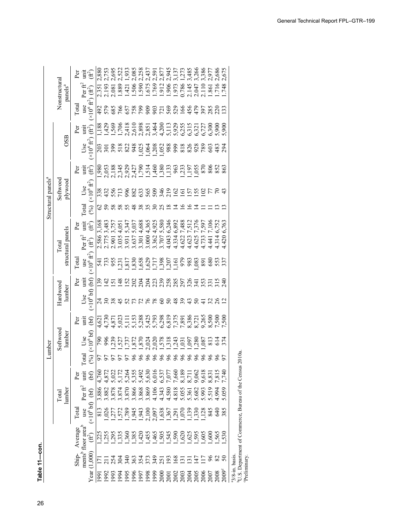|                                |               |                     | Per           | Ĕ                                          | Ê                                                                 |                 |                                                                                                                                                                                                                                                    |                         |                |                  |               |               | $1.506$ $1.590$ $1.505$ $1.505$ $1.505$ $1.505$ $1.505$ $1.505$ $1.507$ $1.507$ $1.507$ $1.507$ $1.507$ $1.507$ $1.507$ $1.507$                                                                                                                                                                     |                |          |                |   |                                  |                |       |                         |                | ,686              | 675                   |                   |
|--------------------------------|---------------|---------------------|---------------|--------------------------------------------|-------------------------------------------------------------------|-----------------|----------------------------------------------------------------------------------------------------------------------------------------------------------------------------------------------------------------------------------------------------|-------------------------|----------------|------------------|---------------|---------------|-----------------------------------------------------------------------------------------------------------------------------------------------------------------------------------------------------------------------------------------------------------------------------------------------------|----------------|----------|----------------|---|----------------------------------|----------------|-------|-------------------------|----------------|-------------------|-----------------------|-------------------|
|                                | Nonstructural | panels <sup>a</sup> | $\Gamma$ otal | Per fr $^2$                                | $\cdot$ (ft <sup>2</sup> )<br>use<br>$(\times 10^6 \text{ ft}^2)$ | $\frac{5}{4}$   | 2.351<br>2.193<br>2.081<br>579                                                                                                                                                                                                                     | 585                     | .889<br>766    | $\overline{421}$ |               |               | 622882788244                                                                                                                                                                                                                                                                                        |                |          |                |   |                                  |                |       | 383<br>285              |                | 716               | 748<br>$\overline{3}$ |                   |
|                                |               |                     |               |                                            |                                                                   |                 |                                                                                                                                                                                                                                                    |                         |                |                  |               |               |                                                                                                                                                                                                                                                                                                     |                |          |                |   |                                  |                |       |                         |                |                   |                       |                   |
|                                |               | OSB                 | Per           | 请<br>全                                     |                                                                   |                 |                                                                                                                                                                                                                                                    |                         |                |                  |               |               |                                                                                                                                                                                                                                                                                                     |                |          |                |   |                                  |                |       |                         |                |                   |                       |                   |
|                                |               |                     |               | Use<br>$(x10^6 \text{ ft}^2)$              |                                                                   |                 |                                                                                                                                                                                                                                                    |                         |                |                  |               |               |                                                                                                                                                                                                                                                                                                     |                |          |                |   |                                  |                |       | 3883<br>889             |                |                   | 294                   |                   |
|                                |               |                     | Þer           | i<br>if)                                   |                                                                   |                 |                                                                                                                                                                                                                                                    |                         |                |                  |               |               |                                                                                                                                                                                                                                                                                                     |                |          |                |   |                                  |                |       |                         |                |                   |                       |                   |
| Structural panels <sup>a</sup> | Softwood      | plywood             |               | Use<br>$(x10^6 \text{ ft}^2)$              |                                                                   |                 | 3355<br>33558                                                                                                                                                                                                                                      |                         |                |                  |               |               | 88888385552                                                                                                                                                                                                                                                                                         |                |          |                |   |                                  |                |       |                         |                |                   |                       |                   |
|                                |               |                     |               | <b>Total</b>                               | $(\%)$                                                            | 2               |                                                                                                                                                                                                                                                    | 58                      | 58             | 55               | $\frac{8}{3}$ | 38            | 55                                                                                                                                                                                                                                                                                                  | $rac{25}{25}$  |          | $\overline{8}$ | 4 |                                  |                |       |                         |                |                   |                       |                   |
|                                |               |                     | Per           | init                                       | Ê                                                                 | 3,168           |                                                                                                                                                                                                                                                    | 3,483<br>3,757<br>4,051 |                |                  |               |               | 5,347<br>5,037<br>5,088<br>5,925<br>4,925                                                                                                                                                                                                                                                           |                |          | 5,580<br>6,246 |   | 6,892<br>7,488<br>7,512<br>7,376 |                |       | 7,597<br>7,106<br>6,752 |                |                   | 6,763                 |                   |
|                                | Total         | structural panels   |               | Per $\hat{\mathfrak{f}}^2$                 |                                                                   |                 | 2.586<br>2.775                                                                                                                                                                                                                                     | 2.901                   | .035           | 3.931            |               |               | $3.637$<br>$3.301$<br>$3.300$<br>$3.362$<br>$3.707$<br>$4.334$<br>$4.622$                                                                                                                                                                                                                           |                |          |                |   |                                  | 1.623          | 4.625 | 1.733                   | $\frac{44}{3}$ | $1.314$<br>$420$  |                       |                   |
|                                |               |                     | Total         | use<br>$(x10^6 \text{ ft}^2)$              |                                                                   |                 |                                                                                                                                                                                                                                                    |                         |                |                  |               |               |                                                                                                                                                                                                                                                                                                     |                |          |                |   |                                  |                |       | <b>828822</b>           |                |                   |                       |                   |
|                                |               |                     | Per           |                                            |                                                                   | $\frac{6}{2}$   | $\overline{42}$                                                                                                                                                                                                                                    | $\overline{5}$          | $\frac{48}{5}$ | I52              |               | $\frac{2}{2}$ |                                                                                                                                                                                                                                                                                                     |                |          |                |   |                                  |                |       |                         |                |                   |                       |                   |
|                                | Hardwood      | lumber              |               |                                            | Use $\frac{1}{(10^6 \text{ b}f)(\text{b}f)}$                      | $\overline{24}$ |                                                                                                                                                                                                                                                    |                         | 45             | 52               |               | 778           |                                                                                                                                                                                                                                                                                                     | $\overline{8}$ |          | 8848           |   |                                  | $\ddot{4}$     | 50    |                         | 28             |                   |                       |                   |
|                                |               |                     | Per           | iriu                                       | $\Theta$                                                          |                 |                                                                                                                                                                                                                                                    |                         |                |                  |               |               |                                                                                                                                                                                                                                                                                                     |                |          |                |   |                                  |                |       |                         |                |                   |                       |                   |
|                                | Softwood      | lumber              |               | $\frac{Use}{(×10^6 \text{ bf})}$           |                                                                   | 790             | $883'_{11}$ $82'_{12}$ $82'_{13}$ $82'_{15}$ $82'_{15}$ $82'_{15}$ $82'_{15}$ $82'_{15}$ $82'_{15}$ $82'_{15}$ $82'_{15}$ $82'_{15}$ $82'_{15}$ $82'_{15}$ $82'_{15}$ $82'_{15}$ $82'_{15}$ $82'_{15}$ $82'_{15}$ $82'_{15}$ $82'_{15}$ $82'_{15}$ |                         |                |                  |               |               |                                                                                                                                                                                                                                                                                                     |                |          |                |   |                                  |                |       |                         |                | 614               |                       |                   |
| Lumber                         |               |                     |               | otal                                       | (6/6)                                                             | 57              | 57                                                                                                                                                                                                                                                 |                         |                | 50               | 96            | 96            | 66                                                                                                                                                                                                                                                                                                  |                | $\delta$ | 8888           |   |                                  |                | 96    | 888                     |                |                   | 57                    |                   |
|                                |               |                     | Per           | inu                                        | $\Theta$                                                          | 4,760           |                                                                                                                                                                                                                                                    |                         |                |                  |               |               |                                                                                                                                                                                                                                                                                                     |                |          |                |   |                                  |                |       |                         |                |                   |                       |                   |
|                                | Total         | lumber              |               |                                            | $Per\overset{\leftarrow}{\mathbf{H}}$                             |                 |                                                                                                                                                                                                                                                    |                         |                |                  |               |               |                                                                                                                                                                                                                                                                                                     |                |          |                |   |                                  |                |       |                         |                |                   |                       |                   |
|                                |               |                     |               |                                            |                                                                   |                 |                                                                                                                                                                                                                                                    |                         |                |                  |               |               |                                                                                                                                                                                                                                                                                                     |                |          |                |   |                                  |                |       |                         |                |                   |                       |                   |
|                                |               |                     | Total         |                                            | $(10^6)$<br>$(10^6)$                                              |                 | 257<br>2008<br>217                                                                                                                                                                                                                                 |                         |                |                  |               |               | $\begin{array}{l} 1.578 \\ 1.789 \\ 1.943 \\ 1.943 \\ 1.951 \\ 0.005 \\ 0.005 \\ 0.005 \\ 0.005 \\ 0.005 \\ 0.005 \\ 0.005 \\ 0.005 \\ 0.005 \\ 0.005 \\ 0.005 \\ 0.005 \\ 0.005 \\ 0.005 \\ 0.005 \\ 0.005 \\ 0.005 \\ 0.005 \\ 0.005 \\ 0.005 \\ 0.005 \\ 0.005 \\ 0.005 \\ 0.005 \\ 0.005 \\ 0.$ |                |          |                |   |                                  |                |       |                         |                | $\frac{640}{385}$ |                       |                   |
|                                |               |                     | Average       | nents <sup>b</sup> floor area <sup>b</sup> | Ê                                                                 |                 |                                                                                                                                                                                                                                                    |                         |                |                  |               |               |                                                                                                                                                                                                                                                                                                     |                |          |                |   |                                  |                |       |                         |                |                   |                       |                   |
|                                |               |                     | Ship-         |                                            | $1{,}000$                                                         | Ξ               |                                                                                                                                                                                                                                                    | 254                     |                | $\frac{340}{5}$  |               | 354<br>354    |                                                                                                                                                                                                                                                                                                     |                |          | 7379227        |   |                                  | $\overline{5}$ | 47    |                         |                |                   |                       |                   |
|                                |               |                     |               |                                            | Year                                                              |                 |                                                                                                                                                                                                                                                    |                         |                |                  |               |               |                                                                                                                                                                                                                                                                                                     |                |          |                |   |                                  |                |       |                         |                |                   |                       | $3/8$ -in. basis. |

 $21\%$  Department of Commerce Rureau of the Census  $2010a$ 1972 Preliminary.<br>Preliminary <sup>b</sup>U.S. Department of Commerce, Bureau of the Census 2010a.<br>
<sup>9</sup>Preliminary. bU.S. Department of Commerce, Bureau of the Census 2010a. cPreliminary.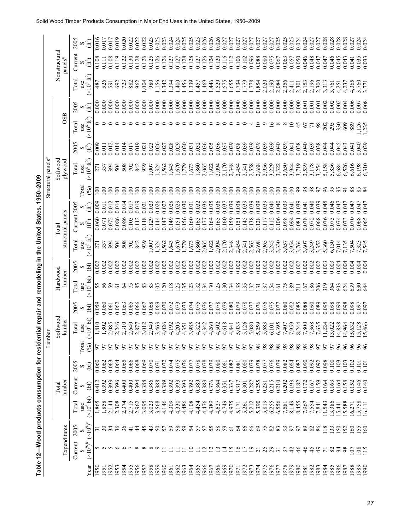|              |                                    |                         | Table 12-Wood products consumption for residential repair and remodeling in the United States, |                 |                | Lumber       |                                      |                |                                |                |                                     |                            |                | 1950-2009               | Structural panels <sup>a</sup> |                |                               |                |                                     |                                 |                          |
|--------------|------------------------------------|-------------------------|------------------------------------------------------------------------------------------------|-----------------|----------------|--------------|--------------------------------------|----------------|--------------------------------|----------------|-------------------------------------|----------------------------|----------------|-------------------------|--------------------------------|----------------|-------------------------------|----------------|-------------------------------------|---------------------------------|--------------------------|
|              | Expenditures                       |                         |                                                                                                | lumber<br>Total |                |              | twood<br>lumber<br>Sof               |                | Hardwood<br>lumber             |                |                                     | structural panels<br>Total |                |                         | Softwood<br>plywood            |                | OSB                           |                |                                     | Nonstructural<br>$\rm panels^a$ |                          |
|              | Current                            | 2005                    | Total                                                                                          | Current         | 2005           |              | Total                                | 2005           | Total                          | 2005           | Total                               | Current 2005               |                |                         | Total                          | 2005           | Total                         | 2005           | Total                               | Current                         | 2005                     |
| Year         | $(\times 10^9)^b$                  | $(\times 10^9)^{\rm c}$ | $(\times 10^6$ bf)                                                                             | $\Theta$        | (bf)           | Total<br>(%) | $(\times 10^6 b)$<br>use             | (bf)           | (x10 <sup>6</sup> bf)<br>use   | (bf)           | $(\times 10^6 \text{ ft}^2)$<br>use | $\hat{H}$                  | ∞∉ີ            | Total<br>$($ % $)$      | $(\times 10^6 \text{ ft}^2)$   | $(\hat{f}^2)$  | use<br>$(x10^6 \text{ ft}^2)$ | $\hat{f}$      | $(\times 10^6 \text{ ft}^2)$<br>use | ∙€                              | $(\hat{H}^2)$            |
| 0561         |                                    | ಸ                       | 1,865                                                                                          | 0.412           | 0.060          | 5            | 810                                  | 0.059          | 55                             | 0.002          | 271                                 | 0.060                      | 0.009          | $\overline{\mathsf{S}}$ | 271                            | 0.009          |                               | 0.000          | 487                                 | 0.108                           | 0.016                    |
| 1951         | n n                                | 50                      | 1,858                                                                                          | 0.392           | 0.062          | 57           | 802                                  | 0.060          | 56                             | 0.002          | 337                                 | 0.071                      | 0.011          | $\epsilon$              | 337                            | 0.011          |                               | 0.000          | 526                                 | 0.111                           | 0.017                    |
| 1952         |                                    |                         | 2,144                                                                                          | 0.393           | 0.063          | 57           | 085<br>$\sim$                        | 0.061          |                                | 0.002          | 394                                 | 0.072                      | 0.012          | $\infty$                |                                | 0.012          |                               | 0.000          | 591                                 | 0.108                           | 0.017                    |
| 1953         | ৩                                  | 36                      | 2,308                                                                                          | 0.396           | 0.064          | 5            | $246$<br>310                         | 0.062          | 5                              | 0.002          | ŠЯ                                  | 0.086                      | 0.014          | 8                       | 504                            | 0.014          |                               | 0.000          | 692                                 | 0.119                           | 0.019                    |
| 954          | ∾                                  | 36                      | 2,374                                                                                          | 0.400           | 0.065          | 5            |                                      | 0.063          | 2                              | 0.002          | 508                                 | 0.086                      | 0.014          | $\infty$                | 508                            | 0.014          |                               | 0.000          | 723                                 | 0.122                           | 0.020                    |
| 955          | $\sim \infty$                      |                         | 2,715                                                                                          | 0.400           | 0.066          | 57           | 640<br>addanan                       | 0.065          |                                | 0.002          | 702                                 | 0.103                      | 0.017          | 8                       | 842<br>702                     | 0.017          |                               | 0.000          | 882                                 | 0.130                           | 0.022                    |
| 956<br>957   |                                    | 4<br>45                 | 2,962<br>3,095                                                                                 | 0.394<br>0.388  | 0.069<br>0.068 | 57<br>57     | 012<br>877                           | 0.066<br>0.067 |                                | 0.002<br>0.002 | 939<br>842                          | 0.118<br>0.112             | 0.019<br>0.021 | 8<br>$\infty$           | 939                            | 0.019<br>0.021 |                               | 0.000<br>0.000 | 962<br>1,004                        | 0.126<br>0.128                  | 0.022<br>0.022           |
| 958          |                                    | 43                      | 3,023                                                                                          | 0.386           | 0.070          | 57           | 940                                  | 0.068          |                                | 0.002          | $\overline{0}$                      | 0.129                      | 0.023          | $\infty$                | 007                            | 0.023          |                               | 0.000          | 980                                 | 0.125                           | 0.023                    |
| 959          |                                    | $50\,$                  | 3,568                                                                                          | 0.388           | 0.071          |              | 463                                  | 0.069          | $\mathfrak{S}$                 | 0.002          | 324                                 | 0.144                      | 0.026          | 8                       | , 324                          | 0.026          |                               | 0.000          | ,156                                | 0.126                           | 0.02                     |
| 960          |                                    | 57                      | 4,146                                                                                          | 0.389           | 0.072          | 57           | 026<br>$\overline{4}$                | 0.070          | $\mathcal{S}$                  | 0.002          | ,562                                | 0.147                      | 0.027          | $\epsilon$              | 562                            | 0.027          |                               | 0.000          | 342                                 | 0.126                           | 0.023                    |
| 1961         |                                    | 59                      | 4,309                                                                                          | 0.392           | 0.074          | 57           | 192<br>ෑ                             | 0.072          | $\approx$                      | 0.002          | ,643                                | 0.149                      | 0.028          | $\epsilon$              | ,643                           | 0.028          |                               | 0.000          | 394                                 | $0.12^{\circ}$                  | 0.024                    |
| 962          |                                    | 58                      | 4,330                                                                                          | 0.393           | 0.075          | 57           | 205<br>₹                             | 0.073          | $\mathcal{S}$                  | 0.002          | ,670                                | 0.151                      | 0.029          | $\epsilon$              | ,670                           | 0.029          |                               | 0.000          | 400                                 | $0.12^{1}$                      | 0.024                    |
| 1963         |                                    | 59                      | 4,486                                                                                          | 0.393           | 0.076          | 57           | 351<br>4 ω                           | 0.073          | 55                             | 0.002          | ,779                                | 0.156                      | 0.030          | $\epsilon$              | 55.779                         | 0.030          |                               | 0.000          | 456                                 | 0.128                           | 0.02                     |
| 1964         |                                    | $\mathcal{L}$           | 4,108                                                                                          | 0.392           | 0.077          | 57           | 985                                  | 0.074          | Z                              | 0.002          | ,673                                | 0.160                      | 0.031          | $\geq$                  | .673                           | 0.031          |                               | 0.000          | ,339                                | 0.128                           | 0.02                     |
| 1965         |                                    |                         | 4,454                                                                                          | 0.389           | 0.078          |              | 322<br>4                             | 0.075          | $\mathcal{S}$                  | 0.002          | ,860                                | 0.163                      | 0.032          | $\overline{8}$          | .860                           | 0.032          |                               | 0.000          | ,457                                | $0.12^{2}$                      | $0.02^{t}$               |
| 1966         | 222                                | 57588                   | 4,476<br>4,389                                                                                 | 0.383           | 0.078          | 5            | 342<br>4                             | 0.076          | $\mathcal{L}$                  | 0.002          | :,065                               | 0.177                      | 0.036          | $\geq$                  | 2,065                          | 0.036          |                               | 0.000          | 469                                 | 0.126                           | 0.02                     |
| 1967         |                                    |                         |                                                                                                | 0.376           | 0.079          |              | 4                                    | 0.077          | $\mathcal{S}$                  | 0.002          | 1,922                               | 0.164                      | 0.035          | $\geq$                  | (922)                          | 0.035          |                               | 0.000          | ,446                                | 0.124                           | 0.02                     |
| 1968         |                                    |                         | 4,627<br>4,749                                                                                 | 0.364           | 0.080          | 57           | 4                                    | 0.078          | $\mathcal{L}$                  | 0.002          | 2,094                               | 0.165                      | 0.036          | $\geq$                  | 2,094                          | 0.036          |                               | 0.000          | ,529                                | 0.120                           | 0.02                     |
| 1969<br>0761 | $\vec{a}$                          | 59<br>5                 | 4,975                                                                                          | 0.337<br>0.351  | 0.082<br>0.081 | 5<br>5       | 88381<br>$\overline{4}$              | 0.079<br>0.080 | $\mathcal{S}$<br>$\mathcal{L}$ | 0.002<br>0.002 | 0(1, 1)<br>2,348                    | 0.159<br>0.160             | 0.039<br>0.037 | $\geq$<br>$\epsilon$    | 2,170<br>.348                  | 0.039<br>0.037 |                               | 0.000<br>0.000 | 575<br>,655                         | 0.116                           | $0.02^{\circ}$           |
| 1971         | $\overline{16}$<br>$\overline{15}$ | 2                       | 5,171                                                                                          | 0.317           | 0.081          |              | 033                                  | 0.079          | 38                             | 0.002          | 2,454                               | 0.151                      | 0.038          | $\epsilon$              | 2,454                          | 0.038          |                               | 0.000          | ,734                                | 0.106<br>0.112                  | $0.02^{r}$<br>$0.02^{r}$ |
| 1972         |                                    | 66                      |                                                                                                | 0.301           | 0.080          | 5            | 126<br>4000000                       | 0.078          | 55                             | 0.002          | 2,541                               | 0.145                      | 0.039          | $\epsilon$              | 2,541                          | 0.039          |                               | 0.000          | 5779                                | 0.102                           | $0.02^{r}$               |
| 1973         | $\overline{19}$                    | 66                      |                                                                                                | 0.282           | 0.079          |              | ,080                                 | 0.077          | $\overline{32}$                | 0.002          | 2,563                               | 0.138                      | 0.039          | g                       | 2,558                          | 0.039          |                               | 0.000          | ,778                                | 0.096                           | $0.02^{r}$               |
| 974          | $\overline{c}$                     | 69                      | 5,261<br>5,212<br>5,390<br>5,255<br>6,255                                                      | 0.255           | 0.078          |              | 259                                  | 0.076          | $\overline{5}$                 | 0.002          | 2,698                               | 0.128                      | 0.039          | $\epsilon$              | ,688                           | 0.039          |                               | 0.000          | 1,854                               | 0.088                           | 0.02                     |
| 1975         | 25                                 | 75                      |                                                                                                | 0.231           | 0.077          |              | 683                                  | 0.076          | $\ddot{s}$                     | 0.002          | 2,965                               | 0.117                      | 0.039          | S                       | 2,956                          | 0.039          |                               | 0.000          | 0.020                               | 0.080                           | $0.02^{r}$               |
| 1976         | 29                                 |                         |                                                                                                | 0.215           | 0.076          | $8^{\circ}$  |                                      | 0.075          | $\mathcal{L}$                  | 0.002          | ,245                                | 0.112                      | 0.040          | $\epsilon$              | 3,229                          | 0.039          |                               | 0.000          | 2,190                               | 0.075                           | 0.027                    |
| 1977         | $\overline{31}$                    | 83<br>93                | 6,556<br>7,581                                                                                 | 0.202           | 0.079          |              | 395<br>$-407$                        | 0.077          | ত                              | 0.002          | ,330                                | 0.106                      | 0.040          | $\geq$                  | 3,322                          | 0.040          |                               | 0.000          | 2,084                               | 0.067                           | 0.02                     |
| 978<br>1979  | 57<br>42                           | 57                      | 8,149                                                                                          | 0.193           | 0.084<br>0.082 |              | 959<br>$\sim$ $\sim$ $\sim$          | 0.080<br>0.082 | 75<br>$\frac{8}{9}$            | 0.002<br>0.002 | 1,657<br>8,954                      | 0.098<br>0.094             | 0.039<br>0.041 | $\geq$<br>$\geq$        | 3,944                          | 0.039<br>0.041 | $\mathop{=}$                  | 0.000<br>0.000 | 2,356<br>2,411                      | 0.063<br>0.057                  | 0.025<br>0.02            |
| 980          | 46                                 | 97                      | 8,455                                                                                          | 0.182           | 0.087          |              |                                      | 0.085          |                                | 0.002          | 1764                                | 0.081                      | 0.039          | 99                      | ,719                           | 0.038          | 45                            | 0.000          | 2,301                               | 0.050                           | 0.024                    |
| 1981         | $\frac{4}{6}$                      | 89                      |                                                                                                | 0.172           | 0.090          |              | 240<br>400<br>400<br>$\infty$ $\sim$ | 0.088          | $\overline{6}$                 | 0.002          | ,607                                | 0.078                      | 0.041          | 8 <sup>o</sup>          | 539                            | 0.040          | 67                            | 0.001          | 2,153                               | 0.046                           | 0.024                    |
| 1982         | 45                                 | 82                      | 7,5541<br>7,554<br>7,841                                                                       | 0.167           | 0.092          |              | $\overline{ }$                       | 0.090          | $\frac{86}{5}$                 | 0.002          | ,249                                | 0.072                      | 0.040          |                         | 5178                           | 0.039          |                               | 0.001          | 2,196                               | 0.048                           | 0.02                     |
| 1983         | $\frac{9}{4}$                      | 86                      |                                                                                                | 0.159           | 0.092          |              | 635<br>L                             | 0.089          | $\approx$                      | 0.002          | ,352                                | 0.068                      | 0.039          |                         | .254                           | 0.038          | 98                            | 0.001          | 2,300                               | 0.047                           | 0.02                     |
| 1984         | $\overline{7}$                     | 118                     |                                                                                                | 0.164           | 0.098          |              | 224                                  | 0.095          | $\frac{9}{2}$                  | 0.003          | 360                                 | 0.076                      | 0.045          | S                       | 58                             | 0.044          | 202                           | 0.002          | 3,313                               | 0.047                           | 0.028                    |
| 1985         | 82                                 | 133                     |                                                                                                | 0.163           | 0.100          |              | 0238<br>ഇ                            | 0.098          | 364                            | 0.003          | 6,130                               | 0.075                      | 0.046          |                         | 5,836                          | 0.044          | 295                           | 0.002          | 3,761                               | 0.046                           | 0.028                    |
| 1986         | $\mathcal{L}$                      | 50                      |                                                                                                | 0.164           | 0.103          |              | 4                                    | 0.099          | $\Im$                          | 0.004          | 7,014                               | 0.074                      | 0.047          |                         | 6,684                          | 0.045          | 330                           | 0.002          | 4,251                               | 0.045                           | 0.028                    |
| 1987         | 98                                 | $\overline{52}$         | $11,543$<br>$13,386$<br>$15,588$<br>$15,588$<br>$16,271$                                       | 0.158           | 0.103          |              | 964<br>4                             | 0.098          | 624                            | 0.004          | 135                                 | 0.073                      | 0.047          |                         | 6,526                          | 0.043          | 609                           | 0.004          | 4,237                               | 0.043                           | 0.028                    |
| 1988         | 107                                | 60                      |                                                                                                | 0.152           | 0.102          |              | S                                    | 0.098          | 539                            | 0.004          | ,504                                | 0.070                      | 0.047          |                         | 6,616                          | 0.041          | 889                           | 0.006          | 4,365                               | 0.041                           | 0.02                     |
| 1989<br>1990 | $\frac{215}{115}$                  | $\frac{155}{160}$       | 5,758<br>6,111                                                                                 | 0.146<br>0.140  | 0.101<br>0.101 |              | 466<br>128<br>n w                    | 0.097<br>0.097 | 630<br>644                     | 0.004<br>0.004 | 545<br>7,323                        | 0.068<br>0.065             | 0.047<br>0.047 |                         | 6,198<br>310                   | 0.040<br>0.035 | $1,126$<br>$1,235$            | 0.008<br>0.007 | ,760<br>771                         | 0.033<br>0.03                   | 0.024<br>0.024           |
|              |                                    |                         |                                                                                                |                 |                |              |                                      |                |                                |                |                                     |                            |                |                         |                                |                |                               |                |                                     |                                 |                          |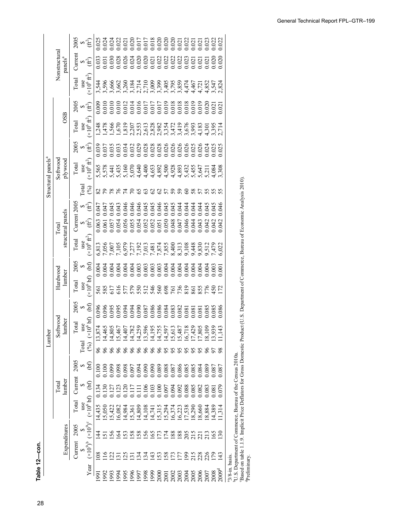28**Table 12—con. Table 12—Wood products consumption for residential repair and remodeling in the United States, 1950–2009**  Table 12-con.

| $\approx 5$<br>क्≙ें<br>$\times 10^6$ ft $^2$<br>use<br>$x^2$ $x^2$ $x^2$ $x^2$ $x^2$ $x^2$ $x^2$ $x^2$ $x^2$ $x^2$ $x^2$ $x^2$ $x^2$ $x^2$ $x^2$ $x^2$ $x^2$ $x^2$ $x^2$ $x^2$ $x^2$ $x^2$ $x^2$ $x^2$ $x^2$ $x^2$ $x^2$ $x^2$ $x^2$ $x^2$ $x^2$ $x^2$ $x^2$ $x^2$ $x^2$ $x^2$ $x^2$<br>$\approx 1$<br>use<br>$(x10^6 \text{ ft}^2)$<br>$\approx 5$<br>$_{(×10^{6}$ ft <sup>2</sup> )<br><b>Total</b><br>$($ % $)$<br>828<br>325<br>97<br>$\overline{z}$<br>$\mathcal{S}^{\circ}$<br>$\mathcal{S}$<br>S<br>046<br>$\approx 1$<br>0.046<br>0.045<br>0.045<br>0.045<br>0.0444<br>0.0444<br>0.044<br>0.045<br>0.047<br>0.043<br>0.043<br>0.046<br>0.043<br>क्⊈<br>0.063<br>0.061<br>0.057<br>0.054<br>0.056<br>0.052<br>0.052<br>0.052<br>0.052<br>0.052<br>0.044<br>0.042<br>0.043<br>0.042<br>0.042<br>$(\times 10^6$ $\mbox{ft}^2)$<br>use<br>$\mathfrak{b}$<br>$\leftrightarrow$<br>(x10 <sup>6</sup> bf)<br>use<br>5 8 5 5 6 5 6 6 7 6 6 6 6 7 8 9 8 7 8 9 7<br>5 8 6 6 6 6 6 6 6 6 6 6 6 7 8 9 8 6 7 7 1<br>$\Theta$<br>$\blacklozenge$<br>0.085 | Expenditures                                                                                                 |  | lumber<br>Total |  | Softwood<br>lumber<br>Lumber |      | Hardwood<br>lumber |      |       | structural panels<br><b>Total</b> |         | Structural panels <sup>a</sup><br>Softwood<br>plywood |      | OSB   |      |       | Nonstructural<br>$p$ anels <sup>a</sup> |      |
|------------------------------------------------------------------------------------------------------------------------------------------------------------------------------------------------------------------------------------------------------------------------------------------------------------------------------------------------------------------------------------------------------------------------------------------------------------------------------------------------------------------------------------------------------------------------------------------------------------------------------------------------------------------------------------------------------------------------------------------------------------------------------------------------------------------------------------------------------------------------------------------------------------------------------------------------------------------------------------------------------------------------------------------------------|--------------------------------------------------------------------------------------------------------------|--|-----------------|--|------------------------------|------|--------------------|------|-------|-----------------------------------|---------|-------------------------------------------------------|------|-------|------|-------|-----------------------------------------|------|
|                                                                                                                                                                                                                                                                                                                                                                                                                                                                                                                                                                                                                                                                                                                                                                                                                                                                                                                                                                                                                                                      | 2005<br>Current<br>Total<br>2005<br>Current                                                                  |  |                 |  | <b>Cotal</b>                 | 2005 | Total              | 2005 | Total | Current                           | $-2005$ | Total                                                 | 2005 | Total | 2005 | Total | Current                                 | 2005 |
|                                                                                                                                                                                                                                                                                                                                                                                                                                                                                                                                                                                                                                                                                                                                                                                                                                                                                                                                                                                                                                                      | use<br><b>Total</b><br>$\Theta$<br>G<br>use<br>S<br>S                                                        |  |                 |  |                              |      |                    |      |       |                                   |         |                                                       |      |       |      |       |                                         |      |
|                                                                                                                                                                                                                                                                                                                                                                                                                                                                                                                                                                                                                                                                                                                                                                                                                                                                                                                                                                                                                                                      | $106$ bf)<br>$\overline{\times}$<br>$(\%)$<br>(bf)<br>E<br>$(x10^6 b f)$<br>$(x10^9)^c$<br>$(\times 10^9)^b$ |  |                 |  |                              |      |                    |      |       |                                   |         |                                                       |      |       |      |       |                                         |      |
|                                                                                                                                                                                                                                                                                                                                                                                                                                                                                                                                                                                                                                                                                                                                                                                                                                                                                                                                                                                                                                                      | 13,8<br>96<br>0.100<br>14,435<br>4<br>$\frac{8}{3}$                                                          |  |                 |  |                              |      |                    |      |       |                                   |         |                                                       |      |       |      |       |                                         |      |
|                                                                                                                                                                                                                                                                                                                                                                                                                                                                                                                                                                                                                                                                                                                                                                                                                                                                                                                                                                                                                                                      | प.<br>प<br>$\delta$<br>0.100<br>1.130<br>5,050<br>5                                                          |  |                 |  |                              |      |                    |      |       |                                   |         |                                                       |      |       |      |       |                                         |      |
|                                                                                                                                                                                                                                                                                                                                                                                                                                                                                                                                                                                                                                                                                                                                                                                                                                                                                                                                                                                                                                                      | 14,8<br>66<br>0.099<br>5,422<br>$\frac{56}{5}$<br>$\tilde{\mathcal{L}}$                                      |  |                 |  |                              |      |                    |      |       |                                   |         |                                                       |      |       |      |       |                                         |      |
|                                                                                                                                                                                                                                                                                                                                                                                                                                                                                                                                                                                                                                                                                                                                                                                                                                                                                                                                                                                                                                                      | .5,4<br>0.098<br>6,082<br>Z<br>$\tilde{\omega}$                                                              |  |                 |  |                              |      |                    |      |       |                                   |         |                                                       |      |       |      |       |                                         |      |
|                                                                                                                                                                                                                                                                                                                                                                                                                                                                                                                                                                                                                                                                                                                                                                                                                                                                                                                                                                                                                                                      | $\vec{4}$<br>$\delta$<br>14,984<br>53<br>$\tilde{\mathcal{L}}$                                               |  |                 |  |                              |      |                    |      |       |                                   |         |                                                       |      |       |      |       |                                         |      |
|                                                                                                                                                                                                                                                                                                                                                                                                                                                                                                                                                                                                                                                                                                                                                                                                                                                                                                                                                                                                                                                      | 14,7<br>66<br>5,361<br>58<br>$\overline{5}$                                                                  |  |                 |  |                              |      |                    |      |       |                                   |         |                                                       |      |       |      |       |                                         |      |
|                                                                                                                                                                                                                                                                                                                                                                                                                                                                                                                                                                                                                                                                                                                                                                                                                                                                                                                                                                                                                                                      | $\frac{1}{4}$<br>66<br>14,809<br>$\overline{58}$<br>$\overline{34}$                                          |  |                 |  |                              |      |                    |      |       |                                   |         |                                                       |      |       |      |       |                                         |      |
|                                                                                                                                                                                                                                                                                                                                                                                                                                                                                                                                                                                                                                                                                                                                                                                                                                                                                                                                                                                                                                                      | 13,5<br>66<br>0.123<br>0.120<br>0.117<br>0.106<br>0.107<br>0.107<br>0.094<br>14,108<br>56<br>$\frac{34}{3}$  |  |                 |  |                              |      |                    |      |       |                                   |         |                                                       |      |       |      |       |                                         |      |
|                                                                                                                                                                                                                                                                                                                                                                                                                                                                                                                                                                                                                                                                                                                                                                                                                                                                                                                                                                                                                                                      | 14.1'<br>66<br>14,741<br>15,315<br><u>591</u><br>$\ddot{4}$                                                  |  |                 |  |                              |      |                    |      |       |                                   |         |                                                       |      |       |      |       |                                         |      |
|                                                                                                                                                                                                                                                                                                                                                                                                                                                                                                                                                                                                                                                                                                                                                                                                                                                                                                                                                                                                                                                      | 14,7<br>66<br>$\overline{5}$<br>$\overline{53}$                                                              |  |                 |  |                              |      |                    |      |       |                                   |         |                                                       |      |       |      |       |                                         |      |
|                                                                                                                                                                                                                                                                                                                                                                                                                                                                                                                                                                                                                                                                                                                                                                                                                                                                                                                                                                                                                                                      | $\vec{a}$<br>95<br>5,294<br>$\overline{5}$<br>58                                                             |  |                 |  |                              |      |                    |      |       |                                   |         |                                                       |      |       |      |       |                                         |      |
|                                                                                                                                                                                                                                                                                                                                                                                                                                                                                                                                                                                                                                                                                                                                                                                                                                                                                                                                                                                                                                                      | 15,6<br>95<br>16,374<br>188<br>$\mathcal{L}_{\mathcal{L}}$                                                   |  |                 |  |                              |      |                    |      |       |                                   |         |                                                       |      |       |      |       |                                         |      |
|                                                                                                                                                                                                                                                                                                                                                                                                                                                                                                                                                                                                                                                                                                                                                                                                                                                                                                                                                                                                                                                      | 15,4'<br>95<br>0.092<br>16,223<br>188<br>LLI                                                                 |  |                 |  |                              |      |                    |      |       |                                   |         |                                                       |      |       |      |       |                                         |      |
|                                                                                                                                                                                                                                                                                                                                                                                                                                                                                                                                                                                                                                                                                                                                                                                                                                                                                                                                                                                                                                                      | 16,7<br>0.088<br>17,538<br>205<br>215<br>$\overline{5}$                                                      |  |                 |  |                              |      |                    |      |       |                                   |         |                                                       |      |       |      |       |                                         |      |
|                                                                                                                                                                                                                                                                                                                                                                                                                                                                                                                                                                                                                                                                                                                                                                                                                                                                                                                                                                                                                                                      | $\frac{17.8}{7.8}$<br>95<br>18,290<br>215                                                                    |  |                 |  |                              |      |                    |      |       |                                   |         |                                                       |      |       |      |       |                                         |      |
|                                                                                                                                                                                                                                                                                                                                                                                                                                                                                                                                                                                                                                                                                                                                                                                                                                                                                                                                                                                                                                                      | 0.82<br>18,660<br>$\overline{21}$<br>226<br>226                                                              |  |                 |  |                              |      |                    |      |       |                                   |         |                                                       |      |       |      |       |                                         |      |
|                                                                                                                                                                                                                                                                                                                                                                                                                                                                                                                                                                                                                                                                                                                                                                                                                                                                                                                                                                                                                                                      | $\overline{8}$<br>0.083<br>18,884<br>213                                                                     |  |                 |  |                              |      |                    |      |       |                                   |         |                                                       |      |       |      |       |                                         |      |
|                                                                                                                                                                                                                                                                                                                                                                                                                                                                                                                                                                                                                                                                                                                                                                                                                                                                                                                                                                                                                                                      | 3,9<br>57<br>0.087<br>0.081<br>14,389<br>$rac{65}{20}$<br>$\overline{5}$                                     |  |                 |  |                              |      |                    |      |       |                                   |         |                                                       |      |       |      |       |                                         |      |
|                                                                                                                                                                                                                                                                                                                                                                                                                                                                                                                                                                                                                                                                                                                                                                                                                                                                                                                                                                                                                                                      | 43<br>98<br>.087<br>620<br>1,314<br>$\Xi$                                                                    |  |                 |  |                              |      |                    |      |       |                                   |         |                                                       |      |       |      |       |                                         |      |
|                                                                                                                                                                                                                                                                                                                                                                                                                                                                                                                                                                                                                                                                                                                                                                                                                                                                                                                                                                                                                                                      | <sup>b</sup> U.S. Department of Commerce, Bureau of the Census 2010a.                                        |  |                 |  |                              |      |                    |      |       |                                   |         |                                                       |      |       |      |       |                                         |      |

1972 17 66 5,261 0.301 0.301 0.301 0.080 97 5,261 0.000 97 5,261 0.000 0.000 0.000 0.000 0.000 0.000 0.000 0.0<br>1972 17 66 5,341 0.039 100 2,541 0.039 0.039 1000 1,779 0.027 0.027 0.027 0.039 10.039 10.039 10.039 10.039 10<br> VLS. Department of Commerce, Bureau of the Census 2010a.<br>'Based on table 1.1.9. Implicit Price Deflators for Gross Domestic Product (U.S. Department of Commerce, Bureau of Economic Analysis 2010). Corresponding to Commerce, Burnary and Corresponding Connectic Product (U.S. Department of Commerce, Bureau of Economic Analysis 2010).<br>"Preliminary.<br>"Preliminary.

 $\mathcal{L}_{\mathcal{A}}$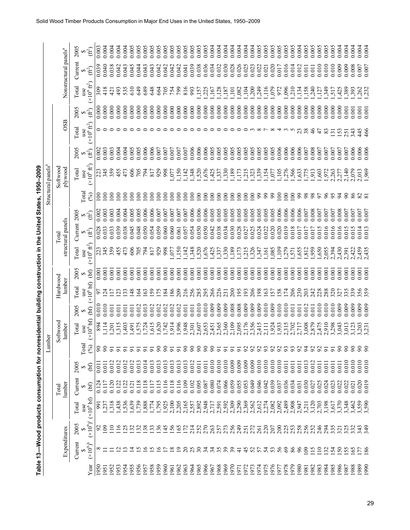|                                                                                                             | Nonstructural panels <sup>a</sup> | 2005<br>$\hat{f}$<br>Current<br>∞∉ີ          |
|-------------------------------------------------------------------------------------------------------------|-----------------------------------|----------------------------------------------|
|                                                                                                             |                                   | $(\times 10^6 \text{ ft}^2)$<br>Total        |
|                                                                                                             |                                   | 2005<br>(ff)                                 |
|                                                                                                             | OSB                               | $(\times 10^6 \text{ ft}^2)$<br>Total<br>use |
|                                                                                                             |                                   | 2005<br>$(\hat{\mathfrak{f}}_t)$             |
| Structural panels <sup>a</sup>                                                                              | Softwood<br>plywood               | ( $\times 10^6$ ft <sup>2</sup> )<br>Total   |
| Table 13—Wood products consumption for nonresidential building construction in the United States, 1950–2009 |                                   | <b>Cotal</b><br>$($ % $)$                    |
|                                                                                                             |                                   | 2005<br>∞∉ີ                                  |
|                                                                                                             | structural panels<br>Total        | Current<br>∞⊕े                               |
|                                                                                                             |                                   | $(\times 10^6$ fr $^2)$<br>Total             |
|                                                                                                             |                                   | 2005<br>(bf)                                 |
|                                                                                                             | Hardwood<br>lumber                | (x10 <sup>6</sup> bf)<br>Total<br>use        |
|                                                                                                             |                                   | 2005<br>(bf)                                 |
|                                                                                                             | Softwood<br>lumber                | (x10 <sup>6</sup> bf)<br>Total               |
| nber<br>且                                                                                                   |                                   | $\Gamma$ otal<br>$($ % $)$                   |
|                                                                                                             |                                   | 2005<br>$\mathcal{L}$                        |
|                                                                                                             | lumber<br>Total                   | Current<br>(bf)                              |
|                                                                                                             |                                   | (x10 <sup>6</sup> bf)<br>Total               |
|                                                                                                             |                                   | $(x10^9)^c$<br>2005                          |
|                                                                                                             | Expenditures                      | Current<br>$(x10^9)^b$                       |
|                                                                                                             |                                   | Year                                         |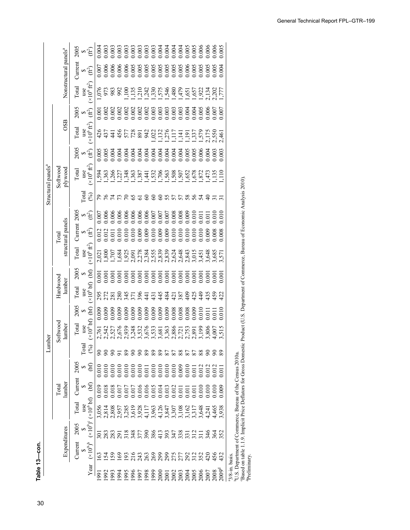30**Table 13—Wood products consumption for nonresidential building construction in the United States, 1950–2009**  Table 13-con. **Table 13—con.**

|                                |                                   | 2005         |                   | $\bullet \widehat{\pm}$             | 0.004           |                     |                                    |                   |                    |                  |          |                         |          |                                       |                |                |                                                                          |              |       |                 |          |                | 0.005             |                             |                                                                       |                                                                          |
|--------------------------------|-----------------------------------|--------------|-------------------|-------------------------------------|-----------------|---------------------|------------------------------------|-------------------|--------------------|------------------|----------|-------------------------|----------|---------------------------------------|----------------|----------------|--------------------------------------------------------------------------|--------------|-------|-----------------|----------|----------------|-------------------|-----------------------------|-----------------------------------------------------------------------|--------------------------------------------------------------------------|
|                                | Nonstructural panels <sup>a</sup> | $C$ urrent   |                   | ∞∉ີ                                 | 0.007           |                     |                                    |                   |                    |                  |          |                         |          |                                       |                |                |                                                                          |              |       |                 |          | 0.005          | 0.00 <sub>4</sub> |                             |                                                                       |                                                                          |
|                                |                                   | Total        |                   | use<br>$(\times 10^6 \text{ ft}^2)$ |                 | 075<br>973<br>983   |                                    | 992               |                    |                  |          |                         |          |                                       |                |                |                                                                          |              |       |                 |          |                |                   |                             |                                                                       |                                                                          |
|                                |                                   | 2005         |                   | $\approx 1$                         | 0.001           |                     |                                    |                   |                    |                  |          |                         |          |                                       |                |                |                                                                          |              |       |                 |          |                |                   |                             |                                                                       |                                                                          |
|                                | OSB                               | Total        |                   | use<br>$(x10^6 \text{ ft}^2)$       | 426             | 437<br>441          |                                    |                   | $\frac{5578}{578}$ |                  |          | 942                     |          | $1,32$<br>$1,376$<br>$1,17$<br>$1,17$ |                |                |                                                                          |              |       |                 |          |                |                   |                             |                                                                       |                                                                          |
|                                |                                   | 2005         |                   | $\approx 2$                         | 0.005           |                     |                                    |                   |                    |                  |          |                         |          |                                       |                |                |                                                                          |              |       |                 |          |                | $-00$             |                             |                                                                       |                                                                          |
| Structural panels <sup>a</sup> | Softwood<br>plywood               | <b>Total</b> | $_{\text{use}}$   | $(\times 10^6$ ft <sup>2</sup> )    | ,594            | , 363               | ,266                               | ,348              |                    |                  | 387      | $\dot{A}$               |          | $\frac{1,532}{706}$                   |                |                | 5635652                                                                  |              |       |                 | 47       |                | $\frac{135}{110}$ |                             |                                                                       |                                                                          |
|                                |                                   |              | <b>Lotal</b>      | $(\%)$                              |                 | P 24<br>24          |                                    | $\mathcal{L}$     | $\mathcal{E}$      | 65               | 5        | 8                       | $\delta$ | 8                                     |                |                |                                                                          | 58           |       |                 |          |                |                   |                             |                                                                       | Product (U.S. Department of Commerce, Bureau of Economic Analysis 2010). |
|                                |                                   | 2005         |                   | ৵∉                                  | 0.007           |                     | $0.006$<br>0.006<br>0.006<br>0.006 |                   |                    |                  | 0.006    | 0.006                   | 0.007    | 0.007                                 |                |                | $\begin{array}{c} 0.007 \\ 0.008 \\ 0.008 \\ 0.009 \\ 0.009 \end{array}$ |              |       | 0.011           | 0.01     | 0.010          | $\frac{0}{2}$     |                             |                                                                       |                                                                          |
|                                | structural panels<br>Total        | Current      |                   | $\approx 5$                         | 0.012           | 0.012               |                                    |                   |                    |                  | 0.009    | 0.009<br>0.010<br>0.009 |          |                                       |                |                |                                                                          |              |       |                 |          | 0.008          | .008              |                             |                                                                       |                                                                          |
|                                |                                   | Total        |                   | use<br>$(x10^6 \text{ ft}^2)$       | 2,021           | $\frac{1,800}{008}$ |                                    |                   |                    |                  |          |                         |          |                                       |                |                |                                                                          |              |       |                 | 3,648    |                | 3,57              |                             |                                                                       |                                                                          |
|                                |                                   | 2005         | $\leftrightarrow$ | (bf)                                | 0.001           |                     | 0.001                              | 0.001             | 0.00               | 0.00             |          | 0.001<br>0.001<br>0.001 |          |                                       | 0.001          |                | 0.001                                                                    |              | 0.00  | 0.00            | 0.00     | 0.00           | 00 <sub>i</sub>   |                             |                                                                       |                                                                          |
|                                | Hardwood<br>lumber                | Total        | use               | (x10 <sup>6</sup> bf)               | 295             | 272                 | $\overline{281}$                   | $\frac{283}{345}$ |                    | $\overline{571}$ | 396      | $\frac{1}{4}$           | 431      | 445                                   | 484            | $\overline{5}$ | 387                                                                      | $rac{40}{5}$ | 425   | 449             | 435      | 459            | 422               |                             |                                                                       |                                                                          |
|                                |                                   | 2005         | $\leftrightarrow$ | $(x106 bf)$ (bf)                    | 0.009           | 0.009               | 0.009                              | 0.009             | 0.009              | 0.009            | 0.009    | 0.009                   | 0.009    | 0.009                                 | 0.009          | 0.008          | 0.008                                                                    | 0.008        | 0.009 | 0.010           | 0.01     | 0.011          | 010               |                             |                                                                       |                                                                          |
| ber                            | Softwood<br>lumber                | Total        | use               |                                     | 2,761           |                     | 2,542<br>2,527<br>2,676            |                   | 2,939              | 3,248            | 3,532    | 3,676                   |          | 3,533<br>3,681                        | 3,363<br>2,886 |                | 2,721<br>2,753                                                           |              |       | 2,891<br>3,199  | 3,806    | 4,007          | 3,515             |                             |                                                                       |                                                                          |
| E<br>Luml                      |                                   |              | <b>Total</b>      | $\mathcal{S}$                       |                 | $\infty$            |                                    |                   | 89                 | $\infty$         | $\infty$ | 89                      | 89       | 89                                    | 87             | 87             | 88                                                                       | 87           |       | 88              | $\infty$ | $\infty$       | $\infty$          |                             |                                                                       |                                                                          |
|                                |                                   | 2005         | $\leftrightarrow$ | $\Theta$                            | 0.010           | 0.010               | 0.010                              |                   |                    |                  |          |                         |          |                                       |                |                |                                                                          |              |       |                 | 0.012    | 0.012          |                   |                             |                                                                       |                                                                          |
|                                | lumber<br>Total                   | Current      | S                 | $\mathfrak{b}$                      | 0.019           | 0.018               | 0.018                              | 0.017             | 0.017              |                  |          |                         |          |                                       |                |                |                                                                          |              |       |                 |          | $\overline{0}$ | 0.009             |                             |                                                                       |                                                                          |
|                                |                                   | Total        | use               | $(x10^9)^c (x10^6 b f)$             | 3,056           | 2,814               | 2,808                              | 2,957             | 3,285              | 3,619            | 3,928    | 4,117                   |          | 3,847<br>3,847<br>3,907<br>3,907      |                |                | 3,108                                                                    |              | 3,317 | 3,648           | 4,241    | 4,465          | 938               |                             |                                                                       |                                                                          |
|                                |                                   | 2005         | $\bullet$         |                                     | $\overline{50}$ | 283                 | 283                                | 29                | 318                | 348              | 377      | λò                      | 386      | $\frac{13}{2}$                        | 393            | 347            | $\frac{33}{331}$                                                         |              | 312   | $\overline{11}$ | 346      | 364            | 352               |                             |                                                                       | Based on table 1.1.9. Implicit Price Deflators for Gross Domestic        |
|                                | Expenditures                      | Current      | S                 | $(\times 10^9)^b$                   | ය               | $\dot{2}$           | $\mathcal{S}$                      | $\mathcal{E}$     | $\tilde{5}$        | 216              | $^{24}$  | 263                     | 269      | 299                                   |                |                |                                                                          |              |       |                 |          | 456            | 432               |                             | <sup>b</sup> U.S. Department of Commerce, Bureau of the Census 2010a. |                                                                          |
|                                |                                   |              |                   | Year                                | <u>[66]</u>     | 1992                | 1993                               | 1994              | 1995               | 996              | 1997     | 1998                    | 1999     | 2000                                  |                |                | 2003<br>2003<br>2003<br>2005                                             |              |       | 2006            | 2007     | 2008           | $2009^{\rm d}$    | <sup>a</sup> 3/8-in. basis. |                                                                       |                                                                          |

1973 52 272 2,562 0.049 0.009 92 2,356 0.009 206 0.001 1,326 0.025 0.005 100 1,323 0.005 3 0.000 1,200 0.023 0.004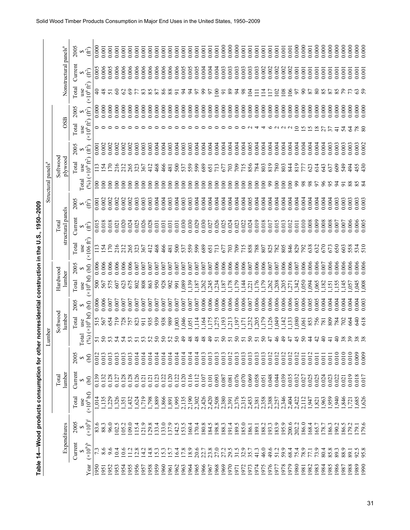|                 |                     | 14–Wood products consumption                                                                                                                                         |                 |                        |        |                    |            |                    | for other nonresidential construction in the U.S., 1950-2009                                            |                            |                                                                                          |                                |                              |            |            |            |                                                                                                                                                |                  |
|-----------------|---------------------|----------------------------------------------------------------------------------------------------------------------------------------------------------------------|-----------------|------------------------|--------|--------------------|------------|--------------------|---------------------------------------------------------------------------------------------------------|----------------------------|------------------------------------------------------------------------------------------|--------------------------------|------------------------------|------------|------------|------------|------------------------------------------------------------------------------------------------------------------------------------------------|------------------|
|                 |                     |                                                                                                                                                                      |                 |                        | Lumber |                    |            |                    |                                                                                                         |                            |                                                                                          | Structural panels <sup>a</sup> |                              |            |            |            |                                                                                                                                                |                  |
|                 | <b>Expenditures</b> |                                                                                                                                                                      | lumber<br>Total |                        |        | Softwood<br>lumber |            | Hardwood<br>lumber |                                                                                                         | structural panels<br>Total |                                                                                          |                                | $_{\rm Softwood}$<br>poox/ic |            | <b>OSB</b> |            | Nonstructura                                                                                                                                   |                  |
|                 |                     | Current 2005 Total Current                                                                                                                                           |                 |                        |        | Total use          | Total 2005 | Total 2005<br>use  | use                                                                                                     | Total Current 2005         |                                                                                          | Total use                      |                              | Total 2005 | use        | Total 2005 | Total Currer<br>use                                                                                                                            |                  |
| $\overline{73}$ |                     | $\begin{array}{ccc} 5 & \text{use} \\ ( \times 10^9 )^6 & (\times 10^9 )^6 & (\times 10^6 \text{ b}f) & \text{(b)} \\ \hline 7.3 & 83.6 & 1,014 & 0.139 \end{array}$ |                 | 0.012<br>$\mathcal{E}$ |        |                    |            |                    | $(96)$ (×10 <sup>6</sup> bf) (bf) (×10 <sup>6</sup> bf) (bf) (×106 ft <sup>2</sup> ) (ft <sup>2</sup> ) | 0.015                      | $(\hat{\mathfrak{f}}^2)$                                                                 |                                |                              |            |            |            | $(96)(\times10^6 \text{ ft}^2)$ ( $\pi^2$ ) ( $\times10^6 \text{ ft}^2$ ) ( $\pi^2$ ) ( $\times10^6 \text{ ft}^2$ ) ( $\pi^2$ )<br>$-0.000$ 40 |                  |
|                 | 8.6 88.3            | 1,135 0.132                                                                                                                                                          |                 | 0.013                  |        |                    |            |                    | 51 515 0.006 500 0.006 113<br>50 567 0.006 567 0.006 154                                                | 0.018                      | $\begin{array}{cccc} 0.001 & 100 & 113 & 0.001 \\ 0.002 & 100 & 154 & 0.002 \end{array}$ |                                |                              |            |            | 0.000      | 48                                                                                                                                             | $0.006$<br>0.006 |

| $\frac{1}{2}$                                            |
|----------------------------------------------------------|
|                                                          |
| ֚֚֚֚֬                                                    |
| ACCO CHAIRS CHAIRS<br>ishan in ainsin                    |
|                                                          |
|                                                          |
| ֧֚֚֚֚֚֚֚֚֚֚֚֚֞֝֝֝֝֝֝֝֝֝֝֝֝֝֬֝֝֬֝֬֝֝֬֝֬֝֓֝<br>S<br>3<br>5 |
| :<br>;<br>;                                              |
|                                                          |
| i                                                        |
|                                                          |
|                                                          |
|                                                          |
| )<br>5<br>5<br>1)                                        |
|                                                          |
|                                                          |
|                                                          |
|                                                          |
|                                                          |
|                                                          |
|                                                          |
|                                                          |
| ֚֞                                                       |
| t<br>DDD<br>DDD<br>Ĩ                                     |
| I                                                        |

|                                                                                                 |                                |                                   | 2005         | $\hat{H}$                                     | 0.000            | 0.001         | 0.001    | 0.001                 | 0.001<br>0.001  | 0.001                 | 0.001          | 0.00                                      | 0.001                   | 0.001      | 0.001      | 0.001          | 0.001          | 0.001          | 0.001          | 0.001          | 0.001<br>0.001  | 0.000          | 0.000                                                                                                 | 0.000                 | 0.001          | 0.001                    | 0.001      | 0.001    | 0.001                  | 0.001<br>0.001                   | 0.001    | 0.000            | 0.000          | 0.001                        | 0.000            | 0.000 | 0.000   | 0.000          | 0.000<br>0.000       | 0.000 | 0.000          |
|-------------------------------------------------------------------------------------------------|--------------------------------|-----------------------------------|--------------|-----------------------------------------------|------------------|---------------|----------|-----------------------|-----------------|-----------------------|----------------|-------------------------------------------|-------------------------|------------|------------|----------------|----------------|----------------|----------------|----------------|-----------------|----------------|-------------------------------------------------------------------------------------------------------|-----------------------|----------------|--------------------------|------------|----------|------------------------|----------------------------------|----------|------------------|----------------|------------------------------|------------------|-------|---------|----------------|----------------------|-------|----------------|
|                                                                                                 |                                | Nonstructural panels <sup>a</sup> | Current      | $\sum_{\alpha}$                               | 0.005            | 0.006         | 0.005    | 0.006                 | 0.006<br>0.006  | 0.006                 | 0.006          | 0.006                                     | 0.006                   | 0.006      | 0.006      | 0.006          | 0.005          | 0.005          | 0.005          | 0.004          | 0.004<br>0.004  | 0.003          | 0.003                                                                                                 | 0.003                 | 0.003          | 0.003                    | 0.003      | 0.002    | 0.002                  | 0.002<br>0.002                   | 0.002    | 0.001            | 0.001          | 0.001                        | 0.001            | 0.001 | 0.001   | 0.001          | 0.001<br>0.001       | 0.001 | 0.001          |
|                                                                                                 |                                |                                   | Total        | $(\times 10^6$ $\rm{ft}^2)$                   | $\Theta$         | $\frac{8}{5}$ | 5        | $\mathcal{S}$         | $\mathcal{S}$   | 35                    | $\infty$       |                                           | 87                      | 86         | 88         |                |                | ड              | 5              | 3              | $\epsilon$<br>5 | $\overline{5}$ | 89                                                                                                    | $\mathbb{Z}$          | 8 <sup>o</sup> | Z                        |            |          |                        | $\frac{80}{2}$<br>$\mathfrak{S}$ | $\geq$   | 67               | $\infty$       | 87                           | 80               |       | 87      |                |                      |       |                |
|                                                                                                 |                                |                                   | 2005         | $(\hat{\mathbb{f}}_t)$                        | 0.000            | 0.000         | 0.000    | 0.000                 | 0.000<br>0.000  | 0.000                 | 0.000          | 0.000                                     | 0.000                   | 0.000      | 0.000      | 0.000          | 0.000          | 0.000          | 0.000          | 0.000          | 0.000<br>0.000  | 0.000          | 0.000                                                                                                 | 0.000                 | 0.000          | 0.000                    | 0.000      | 0.000    | 0.000                  | 0.000<br>0.000                   | 0.000    | 0.000            | 0.000          | 0.000                        | 0.000            | 0.000 | 0.000   | 0.000          | 0.000<br>0.000       | 0.000 | 0.000          |
|                                                                                                 |                                | <b>OSB</b>                        | Total        | use<br>$(x10^6 \text{ ft}^2)$                 |                  |               |          |                       |                 |                       |                |                                           |                         |            |            |                |                |                |                |                |                 |                |                                                                                                       |                       |                |                          |            |          |                        |                                  |          |                  | s              | S                            | $\infty$         |       |         |                |                      |       | $80^{8}$       |
|                                                                                                 |                                |                                   | 2005         | $(\hat{f}^2)$                                 | 0.001            | 0.002         | 0.002    | 0.002                 | 0.002<br>0.002  | 0.003                 | 0.003          | 0.003                                     | 0.004                   | 0.004      | 0.003      | 0.004          | 0.003          | 0.003          | 0.004          | 0.004          | 0.004<br>0.004  | 0.004          | 0.004                                                                                                 | 0.004                 | 0.004          | 0.005                    | 0.004      | 0.004    | 0.004                  | 0.004<br>0.004                   | 0.004    | 0.004            | 0.004          | 0.004                        | 0.004            | 0.004 | 0.003   | 0.003          | 0.003<br>0.003       | 0.003 | 0.002          |
|                                                                                                 |                                | Softwood<br>plywood               | Total        | $(x10^6 \text{ ft}^2)$<br>use                 |                  | 24            |          | 216<br>212            | 265             | 323                   | 367            | $\frac{2}{4}$                             | 468                     | 466        | 481        | 500            | 537<br>559     |                |                |                | 8575            |                | 703                                                                                                   | 709                   |                | 715<br>856<br>784<br>803 |            |          | $\overline{819}$       | 780<br>803                       | 844      | $\overline{819}$ | 77             | 623                          | $\overline{514}$ | 343   | 637     | 609            | 549<br>$\ddot{5}$    |       | 455            |
|                                                                                                 | Structural panels <sup>a</sup> |                                   | Total        | (96)                                          | $\overline{\Xi}$ | $\epsilon$    | $\infty$ | $\epsilon$            | $\epsilon$<br>8 | $\infty$              | 8              | $\epsilon$                                | $\infty$                | $\epsilon$ | $\epsilon$ | $\overline{8}$ | $\overline{5}$ | $\overline{8}$ | $\overline{5}$ | $\overline{8}$ | $\geq$<br>S     | $\epsilon$     | $\epsilon$                                                                                            | $\epsilon$            | $\epsilon$     | $\epsilon$               | $\epsilon$ | $\infty$ | $\mathcal{S}^{\Theta}$ | $\infty$<br>$\infty$             | $\infty$ | 99               | 98             | 98                           | 97               | 66    | 95      | $\overline{5}$ | 88<br>$\overline{5}$ |       | 834            |
|                                                                                                 |                                |                                   | 2005         | E)                                            | 0.001            | 0.002         | 0.002    | 0.002                 | 0.002<br>0.002  | 0.003                 | 0.003          | 0.003                                     | 0.004                   | 0.004      | 0.003      | 0.004          | 0.003          | 0.003          | 0.004          | 0.004          | 0.004<br>0.004  | 0.004          | 0.004                                                                                                 | 0.004                 | 0.004          | 0.005                    | 0.004      | 0.004    | 0.004                  | 0.004<br>0.004                   | 0.004    | 0.004            | 0.004          | 0.004                        | 0.004            | 0.004 | 0.004   | 0.003          | 0.003<br>0.003       | 0.003 | 0.003          |
|                                                                                                 |                                | structural panels<br>Total        | Current      | $\bigoplus_{\alpha\in\mathbb{C}}\mathfrak{e}$ | 0.015            | 0.018         | 0.018    | 0.021                 | 0.020<br>0.024  | 0.025                 | 0.026          | 0.028                                     | 0.031                   | 0.031      | 0.031      | 0.031          | 0.030          | 0.030          | 0.029          | 0.030          | 0.026<br>0.027  | 0.025          | 0.024                                                                                                 | 0.023                 | 0.022          | 0.024                    | 0.019      | 0.018    | 0.017                  | 0.015<br>0.013                   | 0.012    | 0.011            | 0.010          | 0.008                        | 0.009            | 0.008 | 0.008   | 0.007          | 0.007<br>0.006       | 0.006 | 0.005          |
|                                                                                                 |                                |                                   | Total<br>use | $(\times 106 \text{ ft}^2)$                   |                  | $\frac{1}{2}$ |          | 216<br>212            | 265             | 323                   | 367            | $\frac{2}{41}$                            | 468                     | 466        | 481        | 500            | 537            | 559            |                | 689            | 713<br>651      | 677            |                                                                                                       | 703                   |                | 715<br>888<br>807        |            |          | 825                    | 805                              | 846      | 829              | 792            | 632                          |                  | 670   | 673     | 650            | 558<br>603           |       | 534            |
|                                                                                                 |                                |                                   | 2005         | (bf)                                          | 0.006            | 0.006         | 0.006    | 0.006                 | 0.006<br>0.006  | 0.007                 | 0.007          | 0.007                                     | 0.007                   | 0.007      | 0.007      | 0.007          | 0.007          | 0.007          | 0.007          | 0.007          | 0.006<br>0.007  | 0.006          | 0.006                                                                                                 | 0.006                 | 0.006          | 0.007                    | 0.006      | 0.006    | 0.007                  | 0.006<br>0.007                   | 0.006    | 0.007            | 0.006          | 0.006                        | 0.006            | 0.007 | 0.006   | 0.006          | 0.006<br>0.006       | 0.006 | 0.006          |
|                                                                                                 |                                | Hardwood<br>lumber                | Total        | $\frac{\text{use}}{(×10^6 \text{bf})}$        | 500              | 567<br>575    |          | 607                   |                 | 35233528              |                |                                           |                         |            | 902        | 991            | ,089           | ,139           | ,187           | 262            | .234            | ,187           | ,178                                                                                                  | ,179                  | ,144           | 221                      | 176        | 179      | ,262                   | ,208<br>,205                     | ,271     | 342              | 050,           | ,094                         | ,065             | ,182  | ,151    | ,155           | ,145<br>057          | 045   | 008            |
|                                                                                                 |                                |                                   | 2005         | $\mathfrak{b}$                                | 0.006            | 0.006         | 0.007    | 0.007                 | 0.007<br>0.007  | 0.007                 | 0.007          | 0.007                                     | 0.007                   | 0.007      | 0.007      | 0.007          | 0.007          | 0.007          | 0.007          | 0.006          | 0.006<br>0.006  | 0.006          | 0.006                                                                                                 | 0.006                 | 0.006          | 0.007                    | 0.006      | 0.006    | 0.006                  | 0.006<br>0.006                   | 0.006    | 0.005            | 0.006          | 0.005                        | 0.005            | 0.004 | 0.004   | 0.004          | 0.004<br>0.004       | 0.004 | 0.003          |
|                                                                                                 |                                | Softwood<br>lumber                | Total        | $\frac{\text{use}}{\times 10^6 \text{ bf}}$   | 515              | 567           | 654      | 719                   | 728<br>757      | 823                   | $\overline{5}$ |                                           | 939<br>938              |            | 989        | ,003           | 046            | .051           | 114            | .164           | 275             | 193            | 213                                                                                                   | 197                   |                | ,232                     | 205        | 179      | ,126                   | 649<br>,142                      | ,133     |                  |                | 86282618                     |                  |       | 809     | 784            | 702<br>664           |       | 640<br>618     |
|                                                                                                 | Lumber                         |                                   | Total        | (9)                                           |                  |               |          | 5003350500000         |                 |                       |                |                                           |                         |            |            | 50             | $\frac{9}{4}$  | 48             | 48             | 48             | $\frac{6}{4}$   | 50             | 51                                                                                                    | $50\,$                |                | 50                       |            | 50       | $\ddot{t}$             | 46<br>$\frac{6}{7}$              |          | 45               | 50             | $\sharp$                     |                  |       |         |                |                      |       |                |
|                                                                                                 |                                |                                   | 2005         | (bf)                                          | 0.012            | 0.013         | 0.013    | 0.013                 | 0.013<br>0.013  | 0.014                 | 0.014          | 0.014                                     | 0.014                   | 0.014      | 0.014      | 0.014          | 0.014          | 0.014          | 0.014          | 0.013          |                 | 0.013          |                                                                                                       | $\frac{0.012}{0.013}$ | 0.013          | 0.013                    | 0.013      | 0.013    | 0.012                  | 0.012<br>0.012                   | 0.012    | 0.012            | 0.011          | 0.012                        | 0.011            | 0.011 | 0.011   | 0.010          | 0.010<br>0.010       | 0.009 | 0.009          |
|                                                                                                 |                                | lumber<br>Total                   | Current      | (bf)                                          | 0.139            | 0.132         | 0.128    | 0.127                 | 0.128<br>0.128  | 0.126                 | 0.121          | 0.121                                     | 0.123                   | 0.122      | 0.120      | 0.122          | 0.120          | 0.116          | 0.112          | 0.107          | 0.093<br>0.101  |                | $\begin{array}{c} 0.087 \\ 180.0 \\ 0.031 \end{array}$                                                |                       | 0.070          | 0.069                    | 0.058      |          | 0.048                  | 0.039<br>0.044                   | 0.035    | 0.032            | 0.027          | 0.025                        | 0.025            | 0.024 | 0.023   | 0.022          | 0.019<br>0.021       | 0.018 | 0.017          |
| Table 14—Wood products consumption for other nonresidential construction in the U.S., 1950–2009 |                                |                                   | Total        | (x10 <sup>6</sup> bf)                         | 1,014            | ,135          | 229      | 326                   | ,432            | 624                   |                | 1,719<br>1,798<br>1,889<br>1,995<br>1,995 |                         |            |            |                |                |                |                |                |                 |                |                                                                                                       |                       |                |                          |            |          |                        |                                  |          |                  | 2,112          | $1,92,95,95$<br>$1,96,95,95$ |                  |       |         |                | 3821                 |       | ,685           |
|                                                                                                 |                                |                                   | 2005         | $(x10^9)^c$                                   | 83.5<br>88.3     |               | 96.0     | $\frac{102.5}{105.2}$ | 109.0           |                       | 115.4          | 129.8                                     | 133.4<br>133.0<br>137.9 |            |            | 142.5          |                | 160.4          |                |                |                 |                | 17033333450011333999112033334501120333450112033345011203334501120339911203991120399112039911203991120 |                       |                |                          |            |          |                        |                                  | 200.6    | 202.2            | 186.0<br>168.4 |                              | 165.7            | 178.7 | 186.3   | 90.2           | 86.5<br>179.2        |       | 179.1<br>179.6 |
|                                                                                                 |                                | Expenditures                      | Current      | $(x10^9)^b$                                   | 7.3              | 8.6           | 9.6      | 0.4                   |                 | 02282833<br>012445557 |                |                                           |                         |            |            | 16.4           | 17.8           |                |                |                |                 |                |                                                                                                       |                       |                |                          |            |          |                        |                                  |          |                  |                | 77.1                         |                  |       | 8833888 |                | 89.1                 |       | 92.5<br>95.8   |
|                                                                                                 |                                |                                   |              | Year                                          | 1950             | 1951          | 1952     | 1953                  | 1954<br>1955    | 1956                  | 1957           | 1958                                      | 1959                    | 1960       | 1961       | 1962           | 1963           | 1964           | 1965           | 1966           | 1968<br>1967    | 1969           | 1970                                                                                                  | 1971                  | 1972           | 1973                     | 1974       | 1975     | 1976                   | 1978<br>1977                     | 1979     | 1980             | 1981           | 1982                         | 1983             | 1984  | 985     | 1986           | 988<br>987           | 989   | 1990           |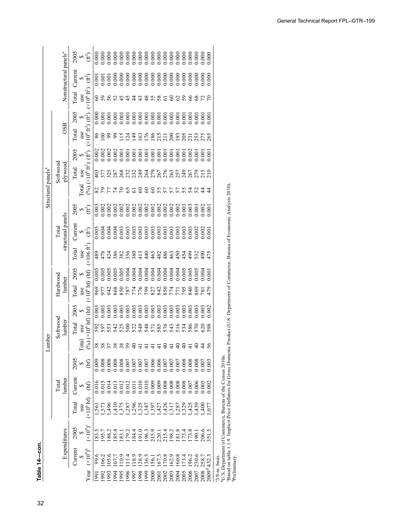|                                |          |                                   | 2005         |                   | $\approx 5$                                 |                                  |       |                 |                                                                                                         |               |                |               |                     |          |                         |      |                                                                      |                      |                |     |       |                    |                |                   |                                                                       |
|--------------------------------|----------|-----------------------------------|--------------|-------------------|---------------------------------------------|----------------------------------|-------|-----------------|---------------------------------------------------------------------------------------------------------|---------------|----------------|---------------|---------------------|----------|-------------------------|------|----------------------------------------------------------------------|----------------------|----------------|-----|-------|--------------------|----------------|-------------------|-----------------------------------------------------------------------|
|                                |          | Nonstructural panels <sup>a</sup> | Current      |                   | ∞∉                                          |                                  |       |                 |                                                                                                         |               |                |               |                     |          |                         |      |                                                                      |                      |                |     |       |                    |                |                   |                                                                       |
|                                |          |                                   | Total        |                   | use<br>$(x10^6 \text{ ft}^2)$               | 8                                | 59    | 56              | 52                                                                                                      | $\frac{5}{4}$ |                |               |                     | ≆        | 55                      | 58   | 5                                                                    |                      |                | 59  |       | $\frac{8}{3}$      |                |                   |                                                                       |
|                                |          |                                   | 2005         |                   | $rac{5}{\sqrt{10^6}} \frac{1}{\sqrt{10^6}}$ | 0.000                            |       | 0.001           | 888888888888888<br>888888888888888                                                                      |               |                |               |                     |          |                         |      |                                                                      |                      |                |     |       |                    |                | 00(               |                                                                       |
|                                |          | <b>OSB</b>                        | Total        |                   |                                             |                                  | 888   |                 | $rac{20}{10}$                                                                                           |               | $\overline{5}$ | $\frac{1}{2}$ |                     |          |                         |      | <b>3283528</b>                                                       |                      | $\frac{3}{2}$  |     |       | 335<br>2358        |                |                   |                                                                       |
|                                |          |                                   | 2005         | $\approx 1$       |                                             | 0.002                            | 0.002 | 0.002           | 0.002                                                                                                   |               | 0.001          |               |                     |          |                         |      |                                                                      |                      |                |     |       | 0.002              | 0.001          | 0.00              |                                                                       |
|                                | Softwood | plywood                           | Total        | use               | $(96)(\times 10^6 \text{ ft}^2)$            | 403                              |       | 377             | 287                                                                                                     | 268           |                |               |                     |          |                         |      | anggobeopopo<br>anggobeopagob                                        |                      |                |     |       |                    | 215            | $\frac{1}{2}$     |                                                                       |
| Structural panels <sup>a</sup> |          |                                   |              | <b>Total</b>      |                                             | 82                               |       | 557             |                                                                                                         | R             | 99             | 5             | 3                   | $\infty$ | $\infty$                | 55   |                                                                      |                      |                |     | 24    |                    |                |                   |                                                                       |
|                                |          |                                   | 2005         |                   | ∞⊕                                          | 0.003<br>0.002<br>0.002          |       |                 | 0.002                                                                                                   |               |                |               |                     |          |                         |      |                                                                      |                      |                |     |       |                    |                | 00.0              |                                                                       |
|                                | Total    | structural panels                 | Current      |                   | બ્£                                         | 0.004<br>0.004                   |       |                 | 0.004                                                                                                   | 0.003         |                |               |                     |          |                         |      |                                                                      |                      |                |     |       |                    |                |                   |                                                                       |
|                                |          |                                   | Total        | use               | $(x106 \text{ ft}^2)$                       |                                  |       |                 | 8 8 4 9 8 9 9 9 9 9 9 8 9 9 9 7<br>8 9 9 9 8 9 9 9 9 9 9 9 9 9 9 9<br>9 8 4 9 8 9 9 8 9 9 9 8 9 9 9 9 7 |               |                |               |                     |          |                         |      |                                                                      |                      |                |     |       | ទី 3<br>ទី 3<br>មី |                | 475               |                                                                       |
|                                |          |                                   | 2005         | $\leftrightarrow$ |                                             | 0.005                            | 0.005 |                 | 0.005                                                                                                   | 0.005         | 0.004          |               |                     |          |                         |      |                                                                      |                      |                |     | 0.005 | 0.005              |                | 0.00              |                                                                       |
|                                | Hardwood | lumber                            | Total        |                   | use $\frac{S}{(x10^6 \text{ bf})}$          | 969                              | 977   | 942             | 868                                                                                                     | 850           |                |               | 8778<br>1778<br>187 |          |                         |      |                                                                      |                      |                | 795 | 840   | 869                | $\overline{8}$ | 479               |                                                                       |
|                                |          |                                   | 2005         |                   |                                             | 0.003<br>0.003<br>0.003<br>0.003 |       |                 |                                                                                                         |               |                |               |                     |          |                         |      |                                                                      |                      |                |     |       |                    |                | 0.002             |                                                                       |
| imber                          | Softwood | lumber                            | <b>Total</b> | use               | (96)(×10 <sup>6</sup> b f) (b f)            | 592                              |       | 597             |                                                                                                         | 538<br>588    |                |               |                     |          |                         |      | 238128641282                                                         |                      |                |     | 586   | 570                | 620            | 598               |                                                                       |
| 깈                              |          |                                   |              | $\Gamma$ otal     |                                             |                                  |       |                 |                                                                                                         |               |                |               |                     |          |                         |      | 2 = 2 2                                                              |                      |                |     |       | ₽                  | $7\%$          |                   |                                                                       |
|                                |          |                                   | 2005         | $\leftrightarrow$ | $\mathfrak{b}$                              |                                  |       |                 |                                                                                                         |               |                |               |                     |          |                         |      |                                                                      |                      |                |     |       |                    |                |                   |                                                                       |
|                                | Total    | lumber                            | Jurren       | ↮                 | $\Theta$                                    |                                  |       |                 |                                                                                                         |               |                |               |                     |          |                         |      |                                                                      |                      |                |     |       |                    |                |                   |                                                                       |
|                                |          |                                   | Total        | use               | $(\times 10^6 b)$                           |                                  |       | 262.4°<br>262.4 |                                                                                                         |               |                |               |                     |          |                         |      | 1111111111111111111111<br>1528 1940 1941<br>1528 1941 1952 1953 1960 |                      |                |     |       |                    |                |                   |                                                                       |
|                                |          | Expenditures                      | 2005         |                   | $(\times 10^9)^{\rm c}$                     |                                  |       |                 |                                                                                                         |               |                |               |                     |          |                         |      |                                                                      |                      |                |     |       |                    |                |                   | <sup>b</sup> U.S. Department of Commerce, Bureau of the Census 2010a. |
|                                |          |                                   | $C$ urrent   |                   | $(\times 10^9)^b$                           | 99.6                             | 06.2  | 05.6            | $\overline{5}$                                                                                          |               |                | 118.9         | 128.9               | 136.5    | 156.1<br>167.5<br>170.8 |      |                                                                      | 162.9                | 160.8<br>173.4 |     | 196.2 | 230.6              |                | 432.              |                                                                       |
|                                |          |                                   |              |                   | Year                                        | 1991                             | 1992  | 1993            | 1994                                                                                                    | 1995          | 1996<br>1997   |               | 1998<br>1990        |          |                         | 2001 | 2002                                                                 | 2003<br>2005<br>2005 |                |     | 2006  |                    | 2008           | 2009 <sup>d</sup> | <sup>a</sup> 3/8-in. basis.                                           |

bU.S. Department of Commerce, Bureau of the Census 2010a.

1970 29.5 191.4 2,391 0.081 0.012 51 1,213 0.006 1,178 0.006 703 0.024 0.004 100 703 0.004 0 0.000 89 0.003 0.000 "U.S. Department of Commerce, Bureau of the Census 2010a.<br>"Based on table 1.1.9. Implicit Price Deflators for Gross Domestic Product (U.S. Department of Commerce, Bureau of Economic Analysis 2010).<br>"Preliminary. 'Based on table 1.1.9. Implicit Price Deflators for Gross Domestic Product (U.S. Department of Commerce, Bureau of Economic Analysis 2010).<br>'Preliminary.

11.5 189.5 189.5 2,376 0.013 0.013 0.013 0.013 0.014 0.01<br>|-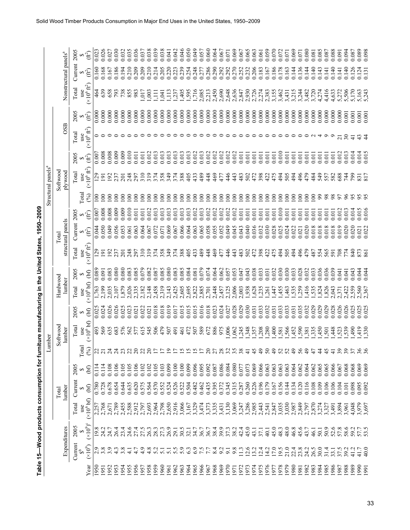|              |                      |                      | Table 15-Wood products consumption for furni |                                           |                    |                      |                       |                |                       |                | iture manufacturing in the United States, 1950-2009 |                            |                          |                             |                                |                    |                            |                |                                   |                   |                |
|--------------|----------------------|----------------------|----------------------------------------------|-------------------------------------------|--------------------|----------------------|-----------------------|----------------|-----------------------|----------------|-----------------------------------------------------|----------------------------|--------------------------|-----------------------------|--------------------------------|--------------------|----------------------------|----------------|-----------------------------------|-------------------|----------------|
|              |                      |                      |                                              |                                           |                    | 크                    | mber                  |                |                       |                |                                                     |                            |                          |                             | Structural panels <sup>a</sup> |                    |                            |                |                                   |                   |                |
|              |                      | Expenditures         |                                              | lumber<br>Total                           |                    |                      | Softwood<br>lumber    |                | Hardwood<br>lumber    |                |                                                     | structural panels<br>Total |                          |                             | Softwood<br>plywood            |                    | OSB                        |                | Nonstructural panels <sup>a</sup> |                   |                |
|              | Current              | 2005                 | Total<br>use                                 | Current                                   | 2005               | Total                | Total<br>use          | 2005           | Total<br>use          | 2005           | Total                                               | Current                    | 2005                     | <b>Cotal</b>                | Total                          | 2005               | Total<br>use               | 2005           | Total                             | Current 2005      |                |
| Year         | $(\times 10^9)$      | $(x10^9)^c$          | (x10 <sup>6</sup> bf)                        | (bf)                                      | $\Theta$           | (96)                 | (x10 <sup>6</sup> bf) | (bf)           | (x10 <sup>6</sup> bf) | (bf)           | $\frac{\text{use}}{(\times 10^6 \text{ ft}^2)}$     | $\epsilon^{\ast}$          | $(\hat{\mathfrak{f}}^2)$ | $\mathcal{S}$               | use<br>$(x10^6 \text{ ft}^2)$  | (ff)               | $(\times 10^6~\text{ft}^2$ | Ê              | $(\times 10^6 \text{ ft}^2)$      | $\epsilon^{\ast}$ | (₩ે            |
| 1950<br>1951 | $\frac{2}{3}$ .8     | 19.8<br>24.2         | 2,257<br>2,768<br>2,671                      | 0.728<br>0.780                            | 0.114              | 22<br>$\overline{c}$ | 569<br>493            | 0.025<br>0.024 | 2,199<br>1,763        | 0.089<br>0.091 | $\overline{29}$<br>$\overline{5}$                   | 0.050<br>0.044             | 0.008<br>0.007           | $\approx$<br>$\epsilon$     | $^{29}$<br>$\overline{9}$      | 0.008<br>0.007     | 00                         | 0.000          | 639<br>464                        | 0.168<br>0.160    | 0.026<br>0.023 |
| 1952         | $\circ$              | 24.7                 |                                              | 0.678                                     | 0.108              | $\mathbb{Z}^4$       | 635                   | 0.026          | 2,035                 | 0.083          | $\overline{5}$                                      | 0.049                      | 0.008                    | $\epsilon$                  | $\overline{5}$                 | 0.008              |                            | 0.000<br>0.000 | 658                               | 0.167             | 0.027          |
| 953          | $\mathfrak{g}$<br>4. | 26.4                 | 2,789                                        | 0.654                                     | 0.106              | $\mathbb{Z}^4$       | 683                   | 0.026          | 2,107                 | 0.080          | 237                                                 | 0.056                      | 0.009                    | $\epsilon$                  | 237                            | 0.009              |                            | 0.000          | 793                               | 0.186             | 0.030          |
| 954          | 3.8                  |                      | 2,455                                        | 0.644                                     | 0.105              |                      | 576                   | 0.025          | 1,879                 | 0.080          | $\overline{201}$                                    | 0.053                      | 0.009                    | $\epsilon$                  | 201                            | 0.009              |                            | 0.000          | 738                               | 0.194             | 0.032          |
| 955          |                      | 24.6                 | 2,588                                        | 0.635                                     | 0.105              |                      | 562                   | 0.023          | 2,026                 | 0.083          | 248                                                 | 0.061                      | 0.010                    | $\epsilon$                  | 248                            | 0.010              |                            | 0.000          | 855<br>983                        | 0.210             | 0.035          |
| 1956<br>.957 | $\circ$<br>4.        | 27.5                 | 2,912<br>2,797                               | 0.620<br>0.575                            | 0.106<br>0.102     | <b>3383</b>          | 615<br>577            | 0.022<br>0.021 | 2,335<br>,182         | 0.079<br>0.085 | $\overline{310}$<br>797                             | 0.063<br>0.064             | 0.011<br>0.011           | $\epsilon$<br>$\epsilon$    | 310<br>797                     | $0.011\,$<br>0.011 |                            | 0.000<br>0.000 | ,017                              | 0.209<br>0.209    | 0.036<br>0.037 |
| 958          | 4.8                  | 26.3                 |                                              |                                           | 0.102              | $\mathcal{S}$        | 545                   | 0.021          | 2,148                 | 0.082          | 319                                                 | 0.067                      | 0.012                    | $\epsilon$                  | 319                            | 0.012              |                            | 0.000          | ,003                              | 0.210             | 0.038          |
| 959          | 5.2                  | 28.3                 | 2,693<br>2,964                               | 0.564<br>0.570<br>0.552                   | 0.105              |                      | 506                   | 0.018          | 2,458                 | 0.087          | 374                                                 | 0.072                      | 0.013                    | $\epsilon$                  | 374                            | 0.013              |                            | 0.000          | Ę                                 | 0.214             | 0.039          |
| 960          | 5.1                  | 27.3                 | 2,798<br>2,650                               |                                           | 0.103              |                      | 479                   | 0.018          | 2,319                 | 0.085          | 358                                                 | 0.071                      | 0.013                    | $\epsilon$                  | 358                            | 0.013              |                            | 0.000          | .641                              | 0.205             | 0.038          |
| 961          | 5.1                  | 26.9                 |                                              | 0.524                                     | 0.099              | ഉ                    | 507                   | 0.019          | 2,143                 | 0.080          | 349                                                 | 0.069                      | 0.013                    | $\epsilon$                  | 349                            | 0.013              |                            | 0.000          | $\frac{113}{2}$                   | 0.220             | 0.041          |
| 962          | 5.5                  | 29.1                 | 2,916<br>3,066                               | 0.526                                     | 0.100              |                      | 491                   | 0.017          | 2,425                 | 0.083          | 374                                                 | 0.067                      | 0.013                    | $\geq$                      | 374                            | 0.013              |                            | 0.000          | , 237                             | 0.223             | 0.042          |
| 963          | 5.9                  | 30.5                 |                                              | 0.522                                     | 0.100              |                      | 461                   | 0.015          | 2,605                 | 0.085          | 388                                                 | 0.066                      | 0.013                    | $\geq$                      | 388                            | 0.013              |                            | 0.000          | ,405                              | 0.239             | 0.046          |
| 965<br>964   | 6.9<br>6.3           | 34.7<br>32.1         |                                              | 0.504<br>0.482                            | 0.099<br>0.096     |                      | 472<br>507            | 0.015<br>0.015 | 2,695<br>2,822        | 0.084<br>0.081 | 405<br>433                                          | 0.064<br>0.063             | 0.013<br>0.012           | $\geq$<br>$\approx$         | 405                            | 0.013<br>0.012     |                            | 0.000<br>0.000 | 1,716<br>,595                     | 0.248<br>0.254    | 0.050<br>0.049 |
| 966          |                      | 36.7                 | 16723175<br>167475557<br>167275555           | 0.462                                     |                    |                      | 589                   | 0.016          | 2,885                 | 0.079          | 489                                                 | 0.065                      | 0.013                    | $\approx$                   | 433                            | 0.013              |                            | 0.000          |                                   | 0.277             | 0.057          |
| 967          | 7.7                  |                      |                                              |                                           | 0.095              | $\Omega$             | 672                   | 0.018          | 2,701                 | 0.074          |                                                     | 0.058                      | 0.012                    | $\approx$                   | 448                            | 0.012              |                            | 0.000          |                                   |                   | 0.060          |
| 968          | 8.4                  | 36.7<br>38.4<br>39.9 |                                              |                                           | 0.087              |                      | 886                   | 0.023          | 448                   | 0.064          | 469                                                 | 0.055                      | 0.012                    | $\geq$                      | 469                            | 0.012              |                            | 0.000          | 2,085<br>2,213<br>2,450           | 0.286             | 0.064          |
| 969          | 9.2                  |                      |                                              |                                           | 0.086              |                      | 975                   | 0.024          | ,457                  | 0.062          | 477                                                 | 0.052                      | 0.012                    | $\approx$                   | 477                            | 0.012              |                            | 0.000          | 2,690                             | 0.292             | 0.067          |
| 970          | 9.1                  | 37.3                 |                                              |                                           | 0.084              |                      | 006                   | 0.027          | 2,125                 | 0.057          | 446                                                 | 0.049                      | 0.012                    | $\geq$                      | 446                            | 0.012              |                            | 0.000          | 2,648                             | 0.292             | 0.071          |
| 971          | 9.8                  | 38.2                 |                                              | 0.435<br>0.395<br>0.372<br>0.345<br>0.287 | 0.080              |                      | ,062                  | 0.028          | 2,006                 | 0.053          | 443                                                 | 0.045                      | 0.012                    | $\geq$                      | 443                            | 0.012              |                            | 0.000          | 2,636                             | 0.270             | 0.069          |
| 972<br>973   | 12.6<br>11.3         | 45.0<br>42.4         | 3,130<br>3,069<br>3,247<br>2,985             |                                           | 0.073<br>0.077     | 825877879            | ,245                  | 0.029<br>0.030 | ,938<br>2,003         | 0.047<br>0.043 | 483<br>502                                          | 0.040<br>0.043             | 0.011<br>0.011           | $\geq$<br>$\approx$         | 483<br>502                     | 0.011<br>0.011     |                            | 0.000<br>0.000 | 2,930<br>2,847                    | 0.252<br>0.232    | 0.065<br>0.067 |
| .974         | 13.2                 | 43.1                 |                                              | 0.260<br>0.226                            | 0.069              |                      |                       | 0.031          | ,628                  | 0.038          | 472                                                 | 0.036                      | 0.011                    | $\geq$                      | 472                            | 0.011              |                            | 0.000          | .726                              | 0.206             | 0.063          |
| 1975         | 12.4                 | 37.1                 |                                              | 0.196                                     | 0.066              |                      | 357880                | 0.033          | ,235                  | 0.033          | 398                                                 | 0.032                      | 0.011                    | $\geq$                      | 398                            | 0.011              |                            | 0.000          | 2,274                             | 0.183             | 0.061          |
| 976          | 14.2                 | 40.1                 |                                              | 0.179                                     | 0.063              | 50                   |                       | 0.032          |                       | 0.031          | 422                                                 | 0.030                      | 0.011                    | $\geq$                      | 422                            | 0.011              |                            | 0.000          |                                   | 0.167             | 0.059          |
| 978<br>977   | 17.0<br>19.5         | 45.0<br>48.3         | 1441<br>1441<br>14400000<br>144110000        | 0.156<br>0.167                            | 0.063<br>0.063     | $\theta$             | ,400<br>581           | 0.033          | ,455<br>47            | 0.030<br>0.032 | 494<br>475                                          | 0.028<br>0.025             | 0.010<br>0.011           | $\geq$<br>$\epsilon$        | 475<br>494                     | 0.010<br>0.011     |                            | 0.000<br>0.000 | ,155<br>,462                      | 0.186<br>0.178    | 0.070<br>0.072 |
| 979          | 21.0                 | 48.0                 |                                              | 0.144                                     | 0.063              |                      |                       | 0.033          | ,463                  | 0.030          | 505                                                 | 0.024                      | 0.011                    | $\geq$                      | 505                            | 0.011              |                            | 0.000          | 3,431                             | 0.163             | 0.071          |
| 980          | 22.4                 | 46.8                 |                                              | 0.134                                     | 0.064              | 589                  | 566,                  | 0.031          | 535                   | 0.033          | 494                                                 | 0.022                      | 0.011                    | $\geq$                      | 494                            | 0.01               |                            | 0.000          | 3,215                             | 0.144             | 0.069          |
| 981          | 23.8                 | 45.6                 | 2,849                                        | 0.120                                     | 0.062              |                      | ,590                  | 0.035          | ,259                  | 0.028          | 496                                                 | 0.021                      | 0.011                    | $\geq$                      | 496                            | 0.01               |                            | 0.000          | 3,244                             | 0.136             | 0.071          |
| 982          | 24.2                 | 43.7                 | 2,797                                        | 0.116                                     | 0.064              | $\Theta$             | 381<br>335            | 0.032          | ,416                  | 0.032          | 479                                                 | 0.020                      | 0.011                    | $\geq$                      | 479                            | 0.01               |                            | 0.000          | ,482                              | 0.144             | 0.080          |
| 983          | 26.5                 | 46.1                 | 2,870                                        | 0.108                                     | 0.062              |                      |                       | 0.029          | 535                   |                |                                                     | 0.018                      | 0.011                    | $\geq$                      | 484                            | 0.01               |                            | 0.000          | 3,720<br>4,274                    | 0.140             | 0.081          |
| 984          | 30.0<br>31.4         | 50.1                 | 3,274                                        | 0.109<br>0.106                            | 0.065              |                      | ,450                  | 0.029          | ,824                  | 0.036<br>0.036 | 487<br>554<br>565                                   | 0.018<br>0.018             | 0.011<br>0.01            | $\mathcal{S}^{\mathcal{O}}$ | 549                            | 0.011<br>0.01      |                            | 0.000          |                                   | 0.143             | 0.085          |
| 986<br>985   | 33.1                 | 50.9<br>52.6         | 3,327                                        | 0.106                                     | 0.066<br>0.065     |                      | ,448<br>501           | 0.028          | ,826<br>2,043         | 0.039          | 591                                                 | 0.018                      | 0.011                    |                             | 582<br>557                     | 0.011              |                            | 0.000<br>0.000 | 4,416<br>4,633                    | 0.140<br>0.141    | 0.088<br>0.087 |
| 987          | 37.5                 | 57.8                 | 5385<br>3885<br>3961                         | 0.104                                     | 0.067              | 39                   | 523                   | 0.026          | 371                   | 0.041          | 708                                                 | 0.019                      | 0.012                    |                             | 688                            | 0.012              |                            | 0.000          | 5,272                             | 0.141             | 0.091          |
| 988          | 39.2                 | 58.6                 |                                              | 0.101                                     | 0.068              | $\overline{3}9$      | ,539                  | 0.026          | ,422                  | 0.041          | 774                                                 | 0.020                      | 0.013                    |                             | 74                             | 0.013              | 30                         | 0.001          | 5,506                             | 0.140             | 0.094          |
| 989          | 41.2                 | 59.2                 | 4,048                                        | 0.098                                     | 0.068              |                      | 66 <sup>2</sup>       | 0.025          | ,559                  | 0.043          | 840                                                 | 0.020                      | 0.014                    |                             | <b>P6</b>                      | 0.014              |                            | 0.001          | 170                               | 0.126             | 0.087          |
| 991          | 41.7<br>40.0         | 57.7                 | 3,979<br>3,697                               | 0.095                                     | $0.069$<br>$0.069$ | 36                   | 419                   | 0.025          | 560                   | 0.044          | 873<br>861                                          | 0.022<br>0.021             | 0.015<br>0.016           |                             | 831<br>817                     | 0.014              | 43<br>$\frac{4}{4}$        | 0.001          | 5.243<br>5,163                    | 0.124             | 0.089<br>0.098 |
|              |                      |                      |                                              | 0.092                                     |                    |                      | 330                   | 0.025          | 2.367                 | 0.044          |                                                     |                            |                          |                             |                                | 0.015              |                            | 0.001          |                                   | 0.131             |                |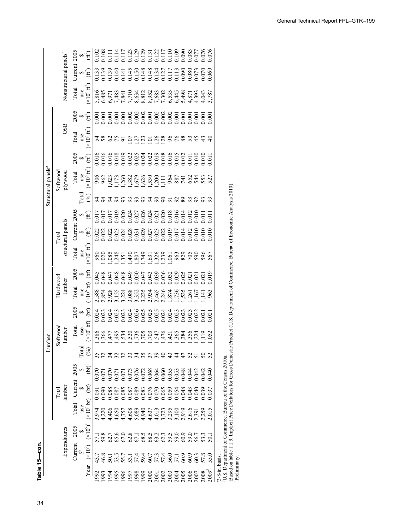| J |  |
|---|--|
|   |  |
|   |  |

|                                |          |                                   | 2005         |                   | क स                                                                                       |       |                             |    |                   |                |                |    |        |                             |                                |      |   |    |      |                      |               |      |                           |
|--------------------------------|----------|-----------------------------------|--------------|-------------------|-------------------------------------------------------------------------------------------|-------|-----------------------------|----|-------------------|----------------|----------------|----|--------|-----------------------------|--------------------------------|------|---|----|------|----------------------|---------------|------|---------------------------|
|                                |          | Nonstructural panels <sup>a</sup> | Current      |                   | জ⊕                                                                                        |       |                             |    |                   |                |                |    |        |                             |                                |      |   |    |      |                      |               |      |                           |
|                                |          |                                   | Total        |                   | use<br>$(x10^6 \text{ ft}^2)$                                                             |       |                             |    |                   |                |                |    |        |                             |                                |      |   |    |      |                      |               |      |                           |
|                                |          |                                   | 2005         |                   | બ£ે                                                                                       |       |                             |    |                   |                |                |    |        |                             |                                |      |   |    |      |                      |               |      |                           |
|                                |          | OSB                               | <b>Total</b> |                   | use<br>$(\times 10^6 \text{ ft}^2)$                                                       | 54    |                             |    |                   | S              |                |    | $\sum$ | $\mathcal{L}_{\mathcal{S}}$ | $\overline{28}$                | $\%$ |   | 88 |      | $\frac{5}{2}$        | $\frac{4}{3}$ |      |                           |
|                                |          |                                   | 2005         | $\approx 1$       |                                                                                           |       |                             |    |                   |                |                |    |        |                             |                                |      |   |    |      |                      |               |      |                           |
| Structural panels <sup>a</sup> | Softwood | plywood                           | <b>Total</b> |                   | $\frac{\text{use}}{(\times 10^6 \text{ ft}^2)}$                                           |       | $8883752888887773887887837$ |    |                   |                |                |    |        |                             |                                |      |   |    |      |                      |               |      |                           |
|                                |          |                                   |              | $_{\rm [ota]}$    | (%)                                                                                       | 54    |                             | 74 | 93                | $\mathfrak{L}$ | $\mathfrak{L}$ | S. |        | 388                         |                                | 588  |   |    |      | 383                  |               |      |                           |
|                                |          |                                   |              |                   | $2005$<br>$\textcircled{\scriptsize{2}}$                                                  |       |                             |    |                   |                |                |    |        |                             |                                |      |   |    |      |                      |               | 0.01 |                           |
|                                | Total    | structural panels                 | $C$ urrent   |                   | બ⊕                                                                                        |       |                             |    |                   |                |                |    |        |                             |                                |      |   |    |      |                      |               |      |                           |
|                                |          |                                   | Total        |                   | $\frac{\text{use}}{(\times 10^6 \text{ ft}^2)}$                                           |       |                             |    |                   |                |                |    |        |                             |                                |      |   |    |      |                      |               |      |                           |
|                                |          |                                   | 2005         | $\bullet$         |                                                                                           |       |                             |    |                   |                |                |    |        |                             |                                |      |   |    |      |                      |               |      |                           |
|                                | Hardwood | lumber                            | Total        |                   | use $\frac{1}{2}$<br>(×10 <sup>6</sup> bf) (bf)                                           |       |                             |    |                   |                |                |    |        |                             |                                |      |   |    |      |                      |               |      |                           |
|                                |          |                                   | 2005         | $\leftrightarrow$ |                                                                                           | 0.024 |                             |    |                   |                |                |    |        |                             |                                |      |   |    |      |                      |               |      |                           |
| unber                          | Softwood | lumber                            | Total        |                   | use $\begin{array}{c} \text{S} \\ (\times 10^6 \text{ bf}) \quad \text{(bf)} \end{array}$ |       |                             |    |                   |                |                |    |        |                             |                                |      |   |    |      |                      |               |      |                           |
| ᆿ                              |          |                                   |              | Fotal             | $(\%)$                                                                                    |       |                             |    | 5537              |                |                |    |        |                             | 35999                          |      | 2 |    |      | 727222               |               |      |                           |
|                                |          |                                   | 2005         | $\bullet$         | (bf)                                                                                      |       |                             |    |                   |                |                |    |        |                             |                                |      |   |    |      |                      |               |      | 222                       |
|                                | Total    | lumber                            | $C$ urrent   | Ð                 | 66                                                                                        | 0.09  |                             |    |                   |                |                |    |        |                             |                                |      |   |    |      |                      |               |      |                           |
|                                |          |                                   | Total        | use               | (×10 <sup>6</sup> bf)                                                                     |       |                             |    |                   |                |                |    |        |                             |                                |      |   |    |      |                      |               |      |                           |
|                                |          | Expenditures                      | 2005         | Ø                 | $(\times 10^9)^\mathrm{c}$                                                                |       |                             |    |                   |                |                |    |        |                             |                                |      |   |    |      |                      |               |      |                           |
|                                |          |                                   | $C$ urrent   | ఈ                 | $(\times 10^9)$                                                                           |       | 6.8                         |    | $\frac{3.5}{5.7}$ |                |                |    |        |                             | 5222562268888<br>1144564656868 |      |   |    |      |                      |               |      |                           |
|                                |          |                                   |              |                   | Year                                                                                      | 992   |                             |    |                   |                |                |    |        |                             |                                |      |   |    | 2006 | 2007<br>2008<br>2009 |               |      | $\frac{3}{8}$ -in. basis. |

U.S. Department of

 $\overline{19}$ .3 3,130 0.345 0.084 32 1,006 0.084 32 1,006 0.049 0.049 0.049 0.049 0.049 0.000 2,648 0.000 2,648 0.049 0.012 0.012 0.012 0.012 0.012 0.012 0.012 0.012 0.012 0.012 0.012 0.012 0.012 0.012 0.012 0.012 0.071 0.012 1970 9.8 38.2 3,069 0.081 0.080 35 1,062 0.031 0.028 2,000 0.004 0.004 0.004 0.004 0.000 0.000 0.000 0.000 0.0<br>1970 9.028 2,000 0.000 0.0012 0.000 0.000 0.000 0.000 0.000 0.000 0.000 0.000 0.000 0.000 0.000 0.000 0.000 0.<br> <sup>43</sup>/8-in. basis.<br><sup>b</sup>U.S. Departr<br>Based on tab<br><sup>4</sup>Preliminary. VLS. Department of Commerce, Bureau of the Census 2010a.<br>'Based on table 1.1.9. Implicit Price Deflators for Gross Domestic Product (U.S. Department of Commerce, Bureau of Economic Analysis 2010).

 $1972$  11.3  $297$  0.287  $297$  0.077  $297$  0.047  $297$  0.047  $298$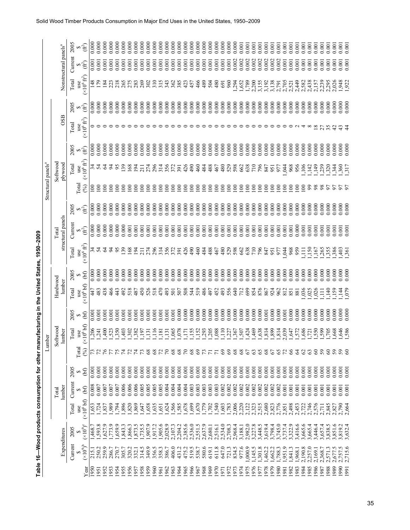|              |                                                                      |                    |                                            |                 |                |              | Lumber                                 |                  |                                                |                | Table 16-Wood products consumption for other manufacturing in the United States, 1950-2009 |                            |                | Structural panels <sup>a</sup> |                                                 |                  |                                                 |                |                                 |                                   |                |
|--------------|----------------------------------------------------------------------|--------------------|--------------------------------------------|-----------------|----------------|--------------|----------------------------------------|------------------|------------------------------------------------|----------------|--------------------------------------------------------------------------------------------|----------------------------|----------------|--------------------------------|-------------------------------------------------|------------------|-------------------------------------------------|----------------|---------------------------------|-----------------------------------|----------------|
|              |                                                                      | Expenditures       |                                            | lumber<br>Total |                |              | Softwood<br>lumber                     |                  | Hardwood<br>lumber                             |                |                                                                                            | structural panels<br>Total |                |                                | Softwood<br>plywood                             |                  | OSB                                             |                |                                 | Nonstructural panels <sup>a</sup> |                |
|              | Current                                                              | 2005               | Total                                      | Current         | 2005           |              | Total                                  | 2005             | Total                                          | 2005           | Total                                                                                      | Current                    | 2005           |                                | Total                                           | 2005             | Total                                           | 2005           | Total                           | Current                           | 2005           |
| Year         | (601)                                                                | $(\times 10^9)^c$  | (x10 <sup>6</sup> bf)<br>use               | (bf)            | (bf)           | Total<br>(6) | $\frac{\text{use}}{(×10^6 \text{bf})}$ | (bf)<br>$\Theta$ | $\frac{\text{use}}{(\times 10^6 \text{ bft})}$ | (bf)           | $\frac{\text{use}}{(\times 10^6 \text{ ft}^2)}$                                            | °€                         | ∞€             | otal<br>(%)                    | $\frac{\text{use}}{(\times 10^6 \text{ ft}^2)}$ | (ft <sup>2</sup> | $\frac{\text{use}}{(\times 10^6 \text{ ft}^2)}$ | े<br>सि        | ( $\times 10^6$ ft <sup>2</sup> | າ€ີ                               | $(ft^2)$       |
| 1950         | 215.1                                                                | ,468.7             | 1,653                                      | 0.008           | 0.001          |              | .206                                   | 0.001            | 447                                            | 0.000          |                                                                                            | 0.000                      | 0.000          | $\approx$                      |                                                 | 0.000            |                                                 | 0.000          | 148                             | 0.001                             | 0.000          |
| 1951         | 250.2                                                                | 593.8              | ,724                                       | 0.007           | 0.001          |              | 241                                    | 0.001            | 483                                            | 0.000          | र्न द                                                                                      | 0.000                      | 0.000          | $\overline{5}$                 | ಸ ಭ                                             | 0.000            |                                                 | 0.000          | $\mathbb{E}$                    | 0.001                             | 0.000          |
| 1952         | 259.9                                                                | ,627.9             | ,837                                       | 0.007           | 0.001          |              | ,400                                   | 0.001            | 438                                            | 0.000          | Z                                                                                          | 0.000                      | 0.000          | $\overline{5}$                 | Z                                               | 0.000            |                                                 | 0.000          |                                 | 0.001                             | 0.000          |
| 1953         | 286.7                                                                | ,773.9             | ,989                                       | 0.007           | 0.001          |              | ,523                                   | 0.001            | 466                                            | 0.000          | Z                                                                                          | 0.000                      | 0.000          | $\approx$                      | इ                                               | 0.000            |                                                 | 0.000          | 223                             | 0.001                             | 0.000          |
| 1954         | 270.7                                                                | ,659.9             | .794                                       | 0.007           | 0.001          |              | ,350                                   | 0.001            | 443                                            | 0.000          | SS                                                                                         | 0.000                      | 0.000          | $\approx$                      | 56                                              | 0.000            |                                                 | 0.000          | 218                             | 0.001                             | 0.000          |
| 1955         | 305.7                                                                | ,843.3             | 896                                        | 0.006           | 0.001          |              | ,403                                   | 0.001            | 492                                            | 0.000          | $\overline{39}$                                                                            | 0.000                      | 0.000          | $\epsilon$                     | $\overline{39}$                                 | 0.000            |                                                 | 0.000          | 265                             | 0.001                             | 0.000          |
| 1956         | 320.2                                                                | 1,866.3            | ,820                                       | 0.006           | 0.001          |              |                                        | 0.001            | 518                                            | 0.000          | 168                                                                                        | 0.001                      | 0.000          | $\overline{5}$                 | 168                                             | 0.000            |                                                 | 0.000          | 27S                             | 0.001                             | 0.000          |
| 1957         | 332.1                                                                |                    | ,869                                       | 0.006           | 0.001          |              | 282<br>285                             | 0.001            | 487                                            | 0.000          | $\overline{5}$                                                                             | 0.001                      | 0.000          | $\overline{5}$                 | $\overline{5}$                                  | 0.000            |                                                 | 0.000          |                                 | 0.001                             | 0.000          |
| 1958         | 314.5                                                                | 1,735.5            | ,647                                       | 0.005           | 0.001          | 73           |                                        | 0.001            | 450                                            | 0.000          | $\overline{2}$                                                                             | 0.001                      | 0.000          | $\overline{5}$                 | $\overline{2}$                                  | 0.000            |                                                 | 0.000          | 269                             | 0.001                             | 0.000          |
| 1959         | 349.9                                                                | 0.907.9            | ,658                                       | 0.005           | 0.001          |              | $\overline{131}$                       | 0.001            | 526                                            | 0.000          | 274                                                                                        | 0.001                      | 0.000          | $\overline{5}$                 | 274                                             | 0.000            |                                                 | 0.000          | 302                             | 0.001                             | 0.000          |
| 1960         |                                                                      | 1,917.2            | ,635                                       | 0.005           | 0.001          | 68           | 116                                    | 0.001            | 518                                            | 0.000          | 296                                                                                        | 0.001                      | 0.000          | $\overline{5}$                 | 296                                             | 0.000            |                                                 | 0.000          | 310                             | 0.001                             | 0.000          |
| 1961         | 356.5<br>358.7<br>386.7                                              | 1,905.6            | ,651                                       | 0.005           | 0.001          |              | $\overline{181}$                       | 0.001            | 470                                            | 0.000          | 314                                                                                        | 0.001                      | 0.000          | $\overline{5}$                 | 314                                             | 0.000            |                                                 | 0.000          | 315                             | 0.001                             | 0.000          |
| 1962         |                                                                      | 2,028.9            | ,624                                       | 0.004           | 0.001          |              | $\overline{131}$                       | 0.001            | 493                                            | 0.000          | 356                                                                                        | 0.001                      | 0.000          | $\approx$                      | 356                                             | 0.000            |                                                 | 0.000          | 343                             | 0.001                             | 0.000          |
| 1963         | 406.0                                                                | 2,107.3            | $\frac{1,566}{0,585}$                      | 0.004           | 0.001          | 68           | 065                                    | 0.001            | 501                                            | 0.000          | 372                                                                                        | 0.001                      | 0.000          | $\approx$                      | 372                                             | 0.000            |                                                 | 0.000          | 362                             | 0.001                             | 0.000          |
| 1964         | 431.2                                                                | 2,204.2            |                                            | 0.004           | 0.001          | 68           |                                        | 0.000            | 507                                            | 0.000          | 391                                                                                        | 0.001                      | 0.000          | $\approx$                      | 39 <sub>1</sub>                                 | 0.000            |                                                 | 0.000          | 385                             | 0.001                             | 0.000          |
| 1965         | 475.2                                                                | 2,385.6            | ,678                                       | 0.004           | 0.001          |              |                                        | 0.000            | 508                                            | 0.000          | 426                                                                                        | 0.001                      | 0.000          | $\overline{0}$                 | 426                                             | 0.000            |                                                 | 0.000          | 423                             | 0.001                             | 0.000          |
| 1966         | 519.5<br>538.7                                                       | 2,536.0<br>2,551.5 | 1,699                                      | 0.003           | 0.001          |              | 1,078<br>1,155<br>1,152<br>1,293       | 0.000            | 544                                            | 0.000          | 490                                                                                        | 0.001                      | 0.000          | $\approx$                      | $\frac{6}{4}$                                   | 0.000            |                                                 | 0.000          | 457                             | 0.001                             | 0.000          |
| 1967         |                                                                      |                    | ,670                                       | 0.003           | 0.001          | $\Im$        |                                        | 0.000            | 519                                            | 0.000          | 460                                                                                        | 0.001                      | 0.000          | $\approx$                      | 460                                             | 0.000            |                                                 | 0.000          | 466                             | 0.001                             | 0.000          |
| 1968         | 580.6                                                                | 2,637.9<br>2,680.1 | 1,779                                      | 0.003           | 0.001          |              |                                        | 0.000            | 486                                            | 0.000          | 484                                                                                        | 0.001                      | 0.000          | $\approx$                      | 484                                             | 0.000            |                                                 | 0.000          | 489                             | 0.001                             | 0.000          |
| 1969         |                                                                      |                    | .702                                       | 0.003           | 0.001          |              | 205                                    | 0.000            | 497                                            | 0.000          | 488                                                                                        | 0.001                      | 0.000          | $\overline{0}$                 | 488                                             | 0.000            |                                                 | 0.000          | 504                             | 0.001                             | 0.000          |
| 0.61         | $\begin{array}{c} 619.1 \\ 611.8 \\ 647.0 \end{array}$               | 2,516.1            | 540                                        | 0.003           | 0.001          |              | 0.88                                   | 0.000            | 452                                            | 0.000          | 467                                                                                        | 0.001                      | 0.000          | $\overline{0}$                 | 467                                             | 0.000            |                                                 | 0.000          | 480                             | 0.001                             | 0.000          |
| 1971         |                                                                      | 2,534.0            | 1,603                                      | 0.002           | 0.001          | 69           | 110                                    | 0.000            | 493                                            | 0.000          | 480                                                                                        | 0.001                      | 0.000          | $\overline{0}$                 | 480                                             | 0.000            |                                                 | 0.000          | 691                             | 0.001                             | 0.000          |
| 1972         | 721.3                                                                | 2,708.3            | 1,783                                      | 0.002           | 0.001          | $\Im$        | ,227                                   | 0.000            | 556                                            | 0.000          | 529                                                                                        | 0.001                      | 0.000          | $\overline{0}$                 | 529                                             | 0.000            |                                                 | 0.000          | 960                             | 0.001                             | 0.000          |
| 1973         |                                                                      | 2,968.4<br>3,188.1 | 2,006                                      | 0.002           | 0.001          | $^{68}$      | ,367                                   | 0.000            | 640                                            | 0.000          | 598                                                                                        | 0.001                      | 0.000          | $\approx$                      | 598                                             | 0.000            |                                                 | 0.000          | .294                            | 0.002                             | 0.000          |
| 1974         |                                                                      |                    | 2,220                                      | 0.002           | 0.001          | 68           | 507                                    | 0.000            | 712                                            | 0.000          | 662                                                                                        | 0.001                      | 0.000          | $\approx$                      | 662                                             | 0.000            |                                                 | 0.000          | ,652                            | 0.002                             | 0.001          |
| 1975         | 834.5<br>977.6<br>977.6<br>977.60.9<br>1,462.2<br>1,788.3<br>1,788.3 | 2,982.0<br>3,227.8 | 2,122<br>2,323                             | 0.002           | 0.001          | 67           | 7408                                   | 0.000            | 699                                            | 0.000          | 638                                                                                        | 0.001                      | 0.000          | $\approx$                      | 638                                             | 0.000            |                                                 | 0.000          | 1,789<br>2,200                  | 0.002                             | 0.001          |
| 1976         |                                                                      |                    |                                            | 0.002           | 0.001          | 63           |                                        | 0.000            | 854                                            | 0.000          | 710                                                                                        | 0.001                      | 0.000          | $\geq$                         | 710                                             | 0.000            |                                                 | 0.000          |                                 | 0.002                             | 0.001          |
| 1978<br>1977 |                                                                      | 3,448.5<br>3,619.4 |                                            | 0.002<br>0.002  | 0.001<br>0.001 | 65<br>68     | 814                                    | 0.000<br>0.001   | 876<br>867                                     | 0.000<br>0.000 | 796<br>847                                                                                 | 0.001<br>0.001             | 0.000<br>0.000 | $\approx$<br>$\approx$         | 796<br>847                                      | 0.000<br>0.000   |                                                 | 0.000<br>0.000 | 3,155<br>3,192                  | 0.002<br>0.002                    | 0.001<br>0.001 |
| 1979         |                                                                      |                    |                                            | 0.002           | 0.001          | $67\,$       | 899                                    | 0.000            | 924                                            | 0.000          | 951                                                                                        | 0.001                      | 0.000          | $\overline{8}$                 | 951                                             | 0.000            |                                                 | 0.000          | 3,138                           | 0.002                             | 0.001          |
| 1980         |                                                                      | 3,798.4<br>3,745.0 | 2,515<br>2,680<br>2,776<br>2,851<br>2,498  | 0.002           | 0.001          |              | , 814                                  | 0.000            | 962                                            | 0.000          | 977                                                                                        | 0.001                      | 0.000          | $\geq$                         | 977                                             | 0.000            |                                                 | 0.000          | 2,791                           | 0.002                             | 0.001          |
| 1981         | 1,951.9                                                              | 3,737.4            |                                            | 0.001           | 0.001          |              | 039<br>$\overline{c}$                  | 0.001            | 812                                            | 0.000          | ,044                                                                                       | 0.001                      | 0.000          | $\approx$                      | ,044                                            | 0.000            |                                                 | 0.000          | 2,705                           | 0.001                             | 0.001          |
| 1982         | 1,841.3                                                              | 3,322.9            |                                            | 0.001           | 0.001          |              | .647                                   | 0.000            | 851                                            | 0.000          | 968                                                                                        | 0.001                      | 0.000          | $\overline{6}$                 | 968                                             | 0.000            |                                                 | 0.000          | 2,521                           | 0.001                             | 0.001          |
| 1983         | 1,968.1                                                              | 3,416.6            |                                            | 0.001           | 0.001          |              |                                        | 0.000            | 881                                            | 0.000          | 959                                                                                        | 0.000                      | 0.000          | $\approx$                      | 956                                             | 0.000            |                                                 | 0.000          | 2,449                           | 0.001                             | 0.001          |
| 1984         | 2,190.8                                                              | 3,665.6            | 2,453<br>2,722                             | 0.001           | 0.001          |              | 572<br>1,686<br>1,550<br>1,599         | 0.000            | 036                                            | 0.000          | Ę                                                                                          | 0.001                      | 0.000          | $\approx$                      | 106                                             | 0.000            |                                                 | 0.000          | 2,582                           | 0.001                             | 0.001          |
| 1985         | 2,257.0                                                              | 3,665.4            | 2,746                                      | 0.001           | 0.001          |              |                                        | 0.000            | 025                                            | 0.000          | ,150                                                                                       | 0.001                      | 0.000          | 99                             | ,142                                            | 0.000            |                                                 | 0.000          | 438                             | 0.001                             | 0.001          |
| 1986         | 2,169.1                                                              | 3,446.4            |                                            | 0.001           | 0.001          | 8            |                                        | 0.000            |                                                | 0.000          | 167                                                                                        | 0.001                      | 0.000          | $^{86}$                        | .149                                            | 0.000            |                                                 | 0.000          | 2,157                           | 0.001                             | 0.001          |
| 1987         | 2,368.7                                                              | 3,657.4            |                                            | 0.001           | 0.001          | 59           |                                        | 0.000            | $\Xi$                                          | 0.000          | 265<br>255<br>265                                                                          | 0.001                      | 0.000          | $^{98}$                        | 239                                             | 0.000            |                                                 | 0.000          | 2,239                           | 0.001                             | 0.001          |
| 1988         | 2,571.3                                                              | 3,838.5            |                                            | 0.001           | 0.001          | $\delta$     | 705                                    | 0.000            | ,140                                           | 0.000          |                                                                                            | 0.001                      | 0.000          |                                | 320                                             | 0.000            |                                                 | 0.000          | 2,295                           | 0.001                             | 0.001          |
| 1989         | 2,677.5                                                              | 3,851.6            | 2,576<br>2,711<br>2,8827<br>2,790<br>2,790 | 0.001           | 0.001          | 59           |                                        | 0.000            | ,159                                           | 0.000          |                                                                                            | 0.001                      | 0.000          |                                | 344                                             | 0.000            |                                                 | 0.000          | 2,026                           | 0.001                             | 0.001          |
| 1990         | 2,757.5<br>2,715.6                                                   | 3,819.2            |                                            | 0.001           | 0.001          | 59           | 646                                    | 0.000            | , 144                                          | 0.000          | 403                                                                                        | 0.001                      | 0.000          |                                | ,360                                            | 0.000            |                                                 | 0.000          | 1,948                           | 0.001                             | 0.001          |
| 1991         |                                                                      | 3.632.             | 2,664                                      | 0.001           | 0.001          |              | 586                                    | 0.000            | .079                                           | 0.000          | .361                                                                                       | 0.001                      | 0.000          |                                | 317                                             | 0.000            |                                                 | 0.000          |                                 | 0.001                             | 0.001          |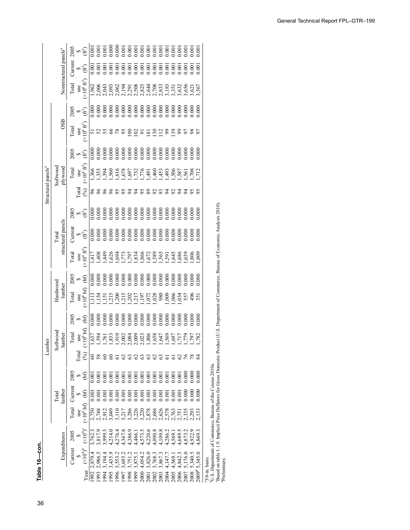| י<br>י |  |
|--------|--|
|        |  |
|        |  |

|                                |          |                                   | 2005         | $\approx 1$   |                                                 | 0.00    |         |                 |             |                |         |         |               |                                      |                |               |         |         |        |         |                  |                |                   |                   |                                                                                                                                                  |             |
|--------------------------------|----------|-----------------------------------|--------------|---------------|-------------------------------------------------|---------|---------|-----------------|-------------|----------------|---------|---------|---------------|--------------------------------------|----------------|---------------|---------|---------|--------|---------|------------------|----------------|-------------------|-------------------|--------------------------------------------------------------------------------------------------------------------------------------------------|-------------|
|                                |          | Nonstructural panels <sup>a</sup> | $C$ urrent   |               | $\bullet \oplus$                                |         |         |                 |             |                |         |         |               |                                      |                |               |         |         |        |         |                  |                |                   |                   |                                                                                                                                                  |             |
|                                |          |                                   | Total        |               | use<br>$(\times 10^6 \text{ ft}^2)$             |         |         |                 |             |                |         |         |               |                                      |                |               |         |         |        |         |                  |                |                   |                   |                                                                                                                                                  |             |
|                                |          |                                   | 005<br>20 की |               |                                                 |         |         |                 |             |                |         |         |               |                                      |                |               |         |         |        |         |                  |                |                   |                   |                                                                                                                                                  |             |
|                                |          | OSB                               | Total        |               | $\frac{\text{use}}{(\times 10^6 \text{ ft}^2)}$ |         |         |                 |             |                | 95      | 8       | $\frac{2}{9}$ |                                      | $\overline{8}$ |               | 22828   |         |        |         |                  | 58             |                   |                   |                                                                                                                                                  |             |
|                                |          |                                   | 2005         | બ્⊱           |                                                 |         |         |                 |             |                |         |         |               |                                      |                |               |         |         |        |         |                  |                |                   |                   |                                                                                                                                                  |             |
|                                | Softwood | plywood                           | Total        | use           | $(10^6 \text{ ft}^2)$                           |         |         |                 |             |                |         |         |               |                                      |                |               |         |         |        |         |                  |                |                   |                   |                                                                                                                                                  |             |
| Structural panels <sup>a</sup> |          |                                   |              | <b>Total</b>  | (6)                                             |         |         |                 |             |                |         |         |               |                                      |                | 283           |         |         |        |         |                  |                |                   |                   |                                                                                                                                                  |             |
|                                |          |                                   |              |               | 2005<br>∢⊕                                      |         |         |                 |             |                |         |         |               |                                      |                |               |         |         |        |         |                  |                |                   |                   |                                                                                                                                                  |             |
|                                | Total    | structural panels                 | $C$ urrent   |               | ৵∉                                              |         |         |                 |             |                |         |         |               |                                      |                |               |         |         |        |         |                  |                |                   |                   |                                                                                                                                                  |             |
|                                |          |                                   | Total        |               | $\frac{\text{use}}{(\times 10^6 \text{ ft}^2)}$ | 17      |         |                 |             |                |         |         |               |                                      |                |               |         |         |        |         |                  |                |                   |                   | uct (U.S. Department of Commerce, Bureau of Economic Analysis 2010).                                                                             |             |
|                                |          |                                   | 2005         | $\frac{6}{6}$ |                                                 |         |         |                 |             |                |         |         |               |                                      |                |               |         |         |        |         |                  |                |                   |                   |                                                                                                                                                  |             |
|                                | Hardwood | lumber                            | Total        |               | $\frac{\text{use}}{(x10^6 \text{ bf})}$         | 113     |         |                 |             |                |         |         |               |                                      |                |               |         |         |        |         |                  |                |                   |                   |                                                                                                                                                  |             |
|                                |          |                                   | 2005         |               | $\approx 5$                                     |         |         |                 |             |                |         |         |               |                                      |                |               |         |         |        |         |                  |                |                   |                   |                                                                                                                                                  |             |
| ber                            | Softwood | lumber                            | Total        | use           | $(\times 10^6\,\mathrm{b\mathrm{f}})$           |         |         |                 |             |                |         |         |               |                                      |                |               |         |         |        |         |                  |                |                   |                   |                                                                                                                                                  |             |
| Lumb                           |          |                                   |              | <b>Cotal</b>  | $(\%)$                                          |         |         |                 |             |                |         |         |               |                                      |                | $\mathcal{L}$ |         |         |        |         | 76               |                |                   |                   |                                                                                                                                                  |             |
|                                |          |                                   | 2005         | ∽             | E                                               | 0.00    |         |                 |             |                |         |         |               |                                      |                | 0.000         |         | 0.000   |        | 0.001   | 500 <sub>1</sub> | 0.000          | 00(               |                   |                                                                                                                                                  |             |
|                                | Total    | lumber                            | Current      | S             | Ê                                               | 0.00    | 00.1    | $\overline{00}$ |             | $\overline{0}$ | 00.1    | 0.001   | 00(           | 00(                                  | 00(            | 0.001         | 0.001   | 0.001   | 00.1   | 00.1    | 00(              | 00(            | $\overline{000}$  |                   |                                                                                                                                                  |             |
|                                |          |                                   | Total        | use           | $(*106 bf)$                                     | 2,750   | 2,748   | 2.912           | $\check{a}$ |                | 3,21    | 3,286   | 322           | 220<br>237862683<br>23762751<br>2020 |                |               |         |         |        |         |                  | 2,335<br>2,293 |                   |                   |                                                                                                                                                  |             |
|                                |          | Expenditures                      | 2005         |               | $(\times 10^9)^c$                               | 3,762.3 | 3,817.9 | \$,999.5        | 4,214.0     | 4,276.4        | 1,367.8 | 1,386.9 | ,466.         | 1,573.5<br>1,220.6                   |                | 1,090.8       |         | 1,286.2 | ,569.  | .689.   | ,873.            | 0.229          | ,869.3            |                   |                                                                                                                                                  |             |
|                                |          |                                   | Current      | $\bullet$     | $(\times 10^9)^b$                               | 2,879.4 | 2,986.5 | ,194.           | 435.        | 3,553.         | ,693.   | ,751.   | 1,875.        | 4,054.                               | 3,826.0        | 3,768.3       | 3,867.3 | 4,147.  | 4,569. | 4,842.3 | 5,176.           | 5,340.         | 5,345.0           |                   | Based on table 1.1.9. Implicit Price Deflators for Gross Domestic Produ<br><sup>b</sup> U.S. Department of Commerce, Bureau of the Census 2010a. |             |
|                                |          |                                   |              |               | Year                                            | 1992    | 1993    | 1994            | 1995        | 1996           | 1997    | 1998    | 1999          | 2000                                 | <b>2001</b>    | 2002          | 2003    | 2004    | 2005   | 2006    | 2007             | 2008           | 2009 <sup>d</sup> | $3/8$ -in. basis. |                                                                                                                                                  | Preliminary |

General Technical Report FPL–GTR–199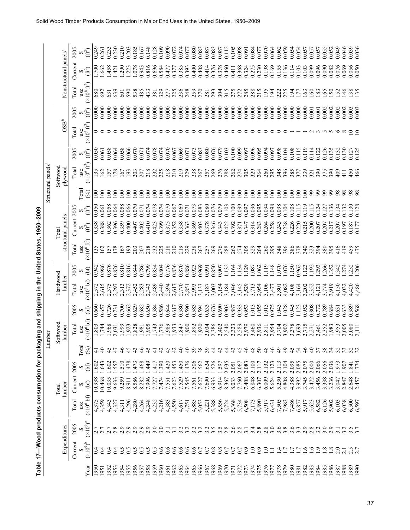| č<br>i                                                                                                                                   |
|------------------------------------------------------------------------------------------------------------------------------------------|
| $\frac{1}{2}$<br>i                                                                                                                       |
|                                                                                                                                          |
|                                                                                                                                          |
| ֖֖֖֖֖֖֖֖֖֖֧֧֧֧֪֪֦֧֧֧֖֧֧֧֚֚֚֚֚֚֚֡֝֟֝֬֝֓֝֬֝֬֝֓֝֬֝֓֝֬֝֓֝֬֝֬֝֓֝֬֝֝֬֝֬֝<br>֧֪֪֪֖֧֧֧֧֧֧֪֧֖֧֪ׅ֖֧֚֚֝֝֝֬֝֬֝֬֝֬֝֬֝֬֝<br>֧֧֖֖֖֖֖֖֖֖֖֖֚֚֚֚֚֚֝֬֝֬֝֝֬֝ |
|                                                                                                                                          |
|                                                                                                                                          |
|                                                                                                                                          |
| ֧֚֝<br>֧֧֧֧ׅ֧֚֚֚֚֚֚֚֚֚֚֚֚֚֚֚֚֚֚֚֚֚֚֚֚֚֚֚֚֚֝֝֝֓֜֝                                                                                         |
|                                                                                                                                          |
|                                                                                                                                          |
|                                                                                                                                          |
|                                                                                                                                          |
| $\overline{a}$                                                                                                                           |
| I                                                                                                                                        |
| $\sim$<br>$\vdots$                                                                                                                       |

|                                                    | Nonstructural panels <sup>a</sup>                     | 2005    | Ê                                            | 0.249            | 0.261            | 0.233            | 0.230           | 0.210           | 0.203                       | 0.185<br>0.167          | 0.148              | 0.128                                                                                                                                                                                                                                                                     | 0.109              | 0.090             | 0.072      | 0.074          | 0.07               | 0.080  | 0.083                   | 0.087  | 0.083  | 0.087  | 0.112            | 0.105<br>0.098  | 0.091    | 0.084            | 0.077              | 0.070            | 0.064                                              | 0.059<br>0.062 | 0.054          | 0.054          | 0.057          | 0.057          | 0.057                         | 0.055         | 0.052           | 0.049                 | 0.046                              | 0.039            |
|----------------------------------------------------|-------------------------------------------------------|---------|----------------------------------------------|------------------|------------------|------------------|-----------------|-----------------|-----------------------------|-------------------------|--------------------|---------------------------------------------------------------------------------------------------------------------------------------------------------------------------------------------------------------------------------------------------------------------------|--------------------|-------------------|------------|----------------|--------------------|--------|-------------------------|--------|--------|--------|------------------|-----------------|----------|------------------|--------------------|------------------|----------------------------------------------------|----------------|----------------|----------------|----------------|----------------|-------------------------------|---------------|-----------------|-----------------------|------------------------------------|------------------|
|                                                    |                                                       | Current | $\vec{e}$                                    | $\overline{200}$ | .662             | 458              | $\overline{42}$ | .290            | 1.078<br>.223               | 0.943                   | 0.816              | 0.696                                                                                                                                                                                                                                                                     | 0.584<br>0.477     |                   | 0.377      | 0.385          | 0.393              | 0.400  | 0.408                   | 0.414  | 0.376  | 0.378  | 0.460            | 0.368<br>0.411  | 0.324    | 0.275            |                    | 0.198            | 0.169                                              | 0.155<br>0.136 | 0.114          | 0.103          | 0.103          | 0.099          | 0.096                         | 0.090         | 0.082           | 0.076                 | 0.069<br>0.056                     |                  |
|                                                    |                                                       | Total   | use<br>$(x10^6 \text{ ft}^2)$                | 680              | 692              | 631              | 639             | 601             | 590<br>538                  | 485                     | 433                | 381                                                                                                                                                                                                                                                                       | 329                | 277               | 225        | 236            | 248                | 259    | 270                     | 281    | 293    | 304    | 315<br>275       | 272             | 285      | 288              | 215                | 195              | $\overline{5}$<br>222                              | 225            | $\overline{5}$ | E              | $\mathfrak{S}$ | $\frac{60}{2}$ | $\frac{83}{2}$                | $\mathcal{S}$ | $\overline{50}$ | $\tilde{\mathcal{S}}$ | $\frac{38}{135}$<br>$\frac{46}{5}$ |                  |
|                                                    |                                                       | 2005    | $(\hat{\mathbb{H}})$                         | 0.000            | 0.000            | 0.000            | 0.000           | 0.000           | 0.000<br>0.000              | 0.000                   | 0.000              | 0.000                                                                                                                                                                                                                                                                     | 0.000              | 0.000             | 0.000      | 0.000          | 0.000              | 0.000  | 0.000                   | 0.000  | 0.000  | 0.000  | 0.000<br>0.000   | 0.000           | 0.000    | 0.000            | 0.000              | 0.000            | 0.000<br>0.000                                     | 0.000          | 0.000          | 0.000          | 0.000          | 0.001          | 0.001                         | 0.002         | 0.002           | 0.002                 | 0.003<br>0.002                     |                  |
|                                                    | $\rm \textbf{OSB}^b$                                  | Total   | $(x10^6 \text{ ft}^2)$<br>use                |                  | ၁ ဝ              |                  |                 |                 |                             |                         |                    |                                                                                                                                                                                                                                                                           |                    |                   |            |                |                    |        |                         |        |        |        | ᅌ                |                 |          |                  |                    |                  |                                                    |                |                |                |                |                |                               |               |                 |                       |                                    |                  |
|                                                    |                                                       | 2005    | (fč)                                         | 0.050            | 0.061            | 0.058            | 0.064           | 0.058           | 0.066<br>0.070              | 0.071                   | 0.074              | 0.078                                                                                                                                                                                                                                                                     | 0.074              | 0.070             | 0.067      | 0.069          | 0.071              | 0.073  | 0.083                   | 0.080  | 0.076  | 0.079  | 0.103            | 0.099<br>0.100  | 0.097    | 0.096            | 0.095              | 0.094            | 0.098<br>0.097                                     | 0.104          | 0.108          | 0.115          | 0.119          | 0.114          | 0.122                         | 0.126         | 0.135           | 0.132                 | 0.130                              | 0.127            |
|                                                    | Structural panels <sup>a</sup><br>Softwood<br>plywood | Total   | $(\times 10^6 \text{ ft}^2)$<br>use          | 35               | $\mathcal{S}$    | 57               | 78              | $\overline{67}$ | $\mathfrak{S}$<br>203       | 207                     | 218                | 232                                                                                                                                                                                                                                                                       | 225                | $\frac{218}{210}$ |            | 219            | 229                | 238    | 267                     | 257    |        | 26882  |                  | 274             | 305      | 3348             |                    |                  | 295                                                | 348            | 385            | 377            | 339            | 321            | 390                           | 375           | 390             | $\frac{1}{2}$         | 450<br>$\overline{11}$             |                  |
|                                                    |                                                       |         | Total<br>(%)                                 | <u>ទ</u>         | $\infty$         | $\infty$         | $\infty$        | $\infty$        | $\infty$<br>$\infty$        | $\infty$                | $\delta$           | $\delta$                                                                                                                                                                                                                                                                  | $\infty$           | $\geq$            | $\epsilon$ | $\geq$         | $\epsilon$         | $\geq$ | $\geq$                  | $\geq$ | $\geq$ | $\geq$ | $\geq$<br>$\geq$ | $\epsilon$      | $\geq$   | $\geq$           | $\geq$             | $\geq$           | $\geq$<br>$\geq$                                   | $\geq$         | $\geq$         | $\geq$         | $\geq$         | 99             | $\mathfrak{g}$                | 99            | 99              | 98                    |                                    | $\frac{8}{8}$    |
|                                                    |                                                       | 2005    | $(\hat{\cal H}^2)$                           | 0.050            | 0.061            | 0.058            | 0.064           | 0.058           | 0.066<br>0.070              | 0.071                   | 0.074              | 0.078                                                                                                                                                                                                                                                                     | 0.074              | 0.070             | 0.067      | 0.069          | 0.071              | 0.073  | 0.083                   | 0.080  | 0.076  | 0.079  | 0.103<br>0.100   | 0.099           | 0.097    | 0.096            | 0.095              | 0.094            | 0.098                                              | 0.098<br>0.104 | 0.108          | 0.115          | 0.119          | 0.115          | 0.124                         | 0.127         | 0.136           | 0.134                 | 0.132                              | 0.130            |
|                                                    | structural panels<br>Total                            | Current | $(\hat{\mathbb{H}}^2)$                       | 0.338            | 0.388            | 0.362            | 0.396           | 0.359           | 0.400<br>0.407              | 0.402                   | 0.410              | 0.423                                                                                                                                                                                                                                                                     | 0.399              | 0.375             | 0.352      | 0.358          | 0.363              | 0.369  | 0.403                   | 0.378  | 0.346  | 0.343  | 0.422            | 0.392<br>0.371  | 0.347    | 0.314            | 0.283              | 0.264            | 0.258<br>0.243                                     | 0.238          | 0.226          | 0.220          | 0.215          | 0.200          | 0.207                         | 0.207         | 0.217           | 0.207                 | 0.197                              | 0.187            |
| aging and shipping in the United States, 1950-2009 |                                                       | Total   | $(\times 10^6~\text{ft}^2)$<br>$_{\rm{use}}$ | 135              | 62               | 57               | 78              | 67              | $\overline{93}$<br>203      | 207                     | 218                | 232                                                                                                                                                                                                                                                                       | 225                | 218               | 210        | 219            | 229                | 238    | 267                     | 257    | 269    | 276    | 262              | 274             | 305      | 329              | 264<br>260         |                  | 295<br>348                                         | 396            | 386            | 378            | 340            | 323            | 394                           | 380           | 395             | 416                   | 419                                | 459<br>475       |
|                                                    |                                                       | 2005    | (bf)                                         | 0.942            | 0.986            | 0.876            | 0.826           | 0.810           | 0.816<br>0.844              | 0.786                   | 0.799              | 0.834                                                                                                                                                                                                                                                                     | 0.804              | 0.776             | 0.836      | 0.870          | 0.886              |        | 0.969                   | 0.991  | 0.850  | 0.907  | 1.132<br>1164    | 1.134           | 1129     | .087             | 1.062              |                  | 1.148                                              | .076           | 1.150          |                | 1.123          | .192           | .293                          | .266<br>352   |                 | $342$<br>$274$        |                                    | $.252$<br>$.206$ |
|                                                    | Hardwood<br>lumber                                    | Total   | $(\times 10^6\,\mathrm{bf})$<br>use          |                  | 2,572<br>2,615   | 2,375            | 2,297           | 2,313           | 2,372                       | 2,452<br>2,283          | 2,343              | 2,489                                                                                                                                                                                                                                                                     | 2,440              | 2,394             | 2,617      | 2,770          | 2,851              | 2,993  | 3,133                   | 3,187  | 3,003  | 3,154  | 3,184            | 3,046<br>3,145  | 3,529    | 3,713            | 2,954              | 3,106            | 3,477                                              | 4,082<br>3,801 | 4,108          | 3,164          | 3,202          | 3,352          | 4,121                         | 3,774         | 3,919           | 4,150                 | 4,032                              | ,420             |
|                                                    |                                                       | 2005    | (bf)                                         | 0.660            | 0.657            | 0.726            | 0.731           | 0.700           | 0.662<br>0.629              | 0.682                   | 0.650              | 0.584                                                                                                                                                                                                                                                                     | 0.586              | 0.644             | 0.617      | 0.580          | 0.590              | 0.583  | 0.594                   | 0.633  | 0.676  | 0.690  | 0.903<br>0.887   | 0.933           | 0.953    | 1.013            | 0.055              | 1.013            | 0.975<br>0.043                                     | 1.028          | 0.945          | 1.123          | 0.952          | 0.808          | 0.772                         | 0.789         | 0.684           | 0.631                 | 0.633                              | 0.589            |
|                                                    |                                                       | Total   | (x10 <sup>6</sup> bf)<br>use                 | 1,803            | ,744             | ,968             | 2,031           | 1,999           | ,828<br>1,923               |                         | $\frac{1}{186}$    | 743                                                                                                                                                                                                                                                                       | ,776               | ,989              | ,933       | ,847           | 900                | ,892   | ,920                    | 2,034  | 2,386  | 2,402  | 2,540            | 2,589<br>2,323  | 2,979    | 3,460            | 2,936              | 2,811            | 2,954                                              | 3,704<br>3,902 | 3,378          | 3,693          | 2,715          | 2,271          | 2,461                         | 2,352         | 1,983           | 1,953                 | 2,005                              | 2,080            |
|                                                    | Softwood<br>lumber<br>umber<br>د                      |         |                                              |                  |                  |                  |                 |                 |                             |                         |                    |                                                                                                                                                                                                                                                                           |                    |                   |            |                |                    |        |                         |        |        |        |                  |                 |          |                  |                    |                  |                                                    |                |                |                |                |                |                               |               |                 |                       |                                    |                  |
|                                                    |                                                       |         | Total<br>$($ % $)$                           | ╤                | $\Theta$         | 45               | 47              | 46              | 45<br>43                    |                         |                    |                                                                                                                                                                                                                                                                           |                    |                   |            |                |                    | 39     |                         | 39     |        |        |                  | 45              |          | 48               | $50\,$             | 48               | $\ddot{ }$                                         | $\ddot{ }$     | 45             |                |                | $\Theta$       |                               | 38            | $\mathcal{L}$   | 23                    | 32                                 |                  |
|                                                    |                                                       | 2005    | (bf)                                         | .602             | .643             | .602             | 557             | 510             | 478<br>473                  | 468                     | 449                | $-417$                                                                                                                                                                                                                                                                    | .390               | 1.420             | .453       | 450            | 1.476              | 1.506  | 1.562                   | 1.624  | 1.526  | 1.597  | 2.035<br>2.051   | 2.067           | 2.083    | 2.100            | 2.117              | 2.132            | 2.123                                              | 2.113<br>2.104 | 2.095          | 2.085          | 2.075          | 2.000          | 2.066                         | 2.056         | 2.036           | 1.973                 | 1.841<br>774<br>1.907              |                  |
|                                                    | lumber<br>Total                                       | Current | (bf)                                         | 10.938           | 10.468           | 0.035            | 9.633           | 9.259           | 8.586<br>8.911              | 8.282                   | 7.996              | 7.727<br>7.474                                                                                                                                                                                                                                                            |                    | 7.551<br>7.623    |            | 7.529<br>7.545 |                    |        | 7.561<br>7.627<br>7.690 |        | 6.933  | 6.914  | 8.033<br>8.367   | 7.760           | 7.408    | 6.848            | 6.307              | 6.009            | 5.624                                              | 5.230<br>4.808 | 4.388          | 3.992          | 3.745          | 3.472<br>3.456 |                               | 3.338         | 3.236           | 3.047                 | 2.847                              | 2.648            |
| Table 17-Wood products consumption for pack        |                                                       | Total   | (x10 <sup>6</sup> bf)<br>use                 | 4,375            | 4,359            | 4,343            | 4,327<br>4,311  |                 |                             | 88848<br>438424<br>4444 |                    | $\begin{array}{cccc}\n 1.332 & 0.000 & 0.000 & 0.000 & 0.000 & 0.000 & 0.000 & 0.000 & 0.000 & 0.000 & 0.000 & 0.000 & 0.000 & 0.000 & 0.000 & 0.000 & 0.000 & 0.000 & 0.000 & 0.000 & 0.000 & 0.000 & 0.000 & 0.000 & 0.000 & 0.000 & 0.000 & 0.000 & 0.000 & 0.000 & 0$ |                    |                   |            |                |                    |        |                         |        |        |        |                  |                 |          | $6,508$<br>7,173 | $5,890$<br>$5,917$ |                  | 5,885<br>7,588<br>7,486<br>6,857<br>6,857<br>6,711 |                |                |                |                |                | 5,623<br>5,582<br>5,902       |               |                 | 6,103                 | 6,038<br>6,500<br>6,597            |                  |
|                                                    |                                                       | 2005    | $(10^9)^c$                                   |                  | i ri             | $\sim$           | $\sim$          | $\sim$          | $\circ$<br>$\sim$<br>$\sim$ | $\sim$                  | $\sim$             |                                                                                                                                                                                                                                                                           |                    |                   |            |                | 3.2                |        | 22225<br>2225           |        |        |        | 2.8              | $\frac{0}{2.8}$ |          | 7788006          |                    |                  |                                                    |                |                |                | 2.9            |                | $2.\overline{3}.\overline{2}$ | 3.0           | 2.9             |                       |                                    |                  |
|                                                    | Expenditures                                          | Current | $(\times 10^9)^b$                            | $\frac{4}{1}$    | $\overline{0.4}$ | $\overline{0.4}$ | 0.4             | 0.5             | 0.5<br>0.5                  | S<br>ö                  | S<br>$\dot{\circ}$ | ö                                                                                                                                                                                                                                                                         | ७<br>$\dot{\circ}$ | ö                 | ö          | ö              | ७<br>$\dot{\circ}$ | ७<br>Ö | 0.7                     | 0.7    | 0.8    | 0.8    | 0.7<br>0.7       | 0.7             | $_{0.9}$ | $\overline{1.0}$ | $_{0.9}$           | $\overline{1.0}$ | $\Box$                                             | $\frac{1}{4}$  | $\overline{C}$ | $\overline{C}$ | $\tilde{S}$    |                | $\frac{6}{1}$                 | 1.8           | 1.8             | 2.0                   | 2.1                                | 2.5<br>2.7       |
|                                                    |                                                       |         | Year                                         | 1950             | 1951             | 1952             | 1953            | 1954            | 1956<br>1955                | 1957                    | 1958               | 1959                                                                                                                                                                                                                                                                      | 1960               | 1961              | 1962       | 1963           | 1964               | 1965   | 1966                    | 1967   | 1968   | 1969   | 1970<br>1971     | 1972            | 1973     | 1974             | 1975               | 1976             | 1977                                               | 1978<br>1979   | 1980           | 1981           | 1982           | 1983           | 1984                          | 1985          | 1986            | 1987                  | 1988<br>1989                       |                  |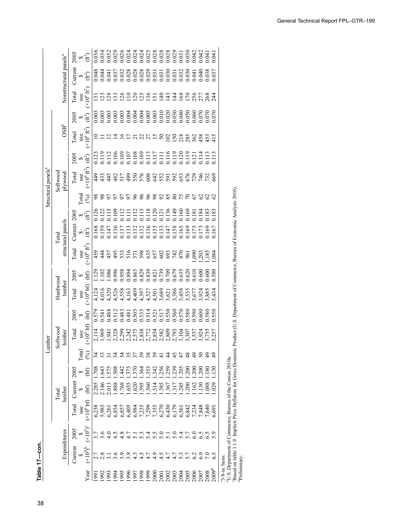| ֖֖֖֚֚֚֚֚֚֚֚֚֚֡֝<br>֧֚֚֚֝<br>ׇׇ֧֖֖֖֖֖֖֧֖֖֧֖֚֚֚֚֚֚֚֚֚֚֚֚֚֚֚֚֚֚֚֚֚֚֚֚֚֚֚֚֚֚֚֚֚֚֚֝֝֝֝֝֝֝֬֝֝֬ |  |
|------------------------------------------------------------------------------------------|--|
|                                                                                          |  |
|                                                                                          |  |
|                                                                                          |  |

| 0.036<br>2005<br>$\mathfrak{F}$<br>Nonstructural panels <sup>a</sup><br>Current<br>∞'∉े<br>$^{\prime}\times10^{6}\:\text{f}\text{f}^{2}$<br><b>Total</b><br>use<br><u>금금국</u><br>SE SE SE<br>22000<br>$\tilde{\mathcal{S}}$<br>$\sim$<br>ă<br>$\tilde{\mathfrak{D}}$<br>$\overline{5}$<br>$\overline{13}$<br>آم<br>$\sum_{s=1}^{\infty}$<br>$OSB^b$<br>$\times 10^6\,\mathrm{ft}^2$<br>Total<br>use<br>$\frac{2}{5}$<br>2005<br>$\mathfrak{F}_{\mathfrak{S}}$<br>$\times 10^6$ ft $^2$<br>plywood<br>Total<br>use<br>449<br>9<br>133<br>45<br>$rac{82}{517}$<br>$\frac{5}{6}$<br>55<br>576<br>[ctal<br>(%)<br>888<br>98<br>88<br>$\frac{22}{113}$<br>111<br>1111<br>1112<br>$18^\circ$<br>$\frac{20}{2}$<br>2005<br>∾ स<br>structural panels<br><b>Current</b><br>0.159<br>0.147<br>0.136<br>0.137<br>0.133<br>0.168<br>0.16<br>$\approx \textcircled{f}$<br>$\times 10^6$ ft <sup>2</sup><br>Total<br>use<br>$\begin{array}{l} 34443352583528258324 \\ 245235255258355825834 \\ \end{array}$<br>1.580<br>2005<br>(bf)<br>$\leftrightarrow$<br>lumber<br>(x10 <sup>6</sup> bf)<br>Total<br>use<br>0.579<br>0.541<br>0.488<br>2005<br>.512<br>.55(<br>$\frac{1}{2}$<br>$\times 10^6$ bf)<br>Total<br>2,114<br>1,969<br>1,941<br>umber<br>use<br>E<br>374<br>48<br>$\frac{8}{3}$<br>130<br>399<br><b>543</b><br>575<br>.364<br>20 <sup>5</sup><br>$\ddot{4}$<br>37 <sup>2</sup><br>$35^\circ$<br>200<br>$\overline{20}$<br>18(<br>Current 2005<br>.371<br>34.7<br>$\tilde{5}$<br>(bf)<br>$\bullet$<br>2.146<br>595<br>2.285<br>1.768<br>1.655<br>.620<br>1.560<br>1.385<br>1.367<br>1.317<br>.245<br>$\frac{62}{1}$ $\frac{8}{1}$ $\frac{8}{1}$<br>.029<br>1.888<br>.514<br>200<br>(bf)<br>lumber<br>$\leftrightarrow$<br>$(×106$ bf)<br>Total<br>$_{\text{usc}}$<br>$(10^9)^c$<br>2005<br>Expenditures<br>7, 9, 9,<br>7, 9, 9,<br>volodrowag<br>Nolodrowag |                   |  | Total |  | Softwood<br>Lumber | Hardwood |  | Total | Structural panels <sup>a</sup> | Softwood |  |  |  |
|-----------------------------------------------------------------------------------------------------------------------------------------------------------------------------------------------------------------------------------------------------------------------------------------------------------------------------------------------------------------------------------------------------------------------------------------------------------------------------------------------------------------------------------------------------------------------------------------------------------------------------------------------------------------------------------------------------------------------------------------------------------------------------------------------------------------------------------------------------------------------------------------------------------------------------------------------------------------------------------------------------------------------------------------------------------------------------------------------------------------------------------------------------------------------------------------------------------------------------------------------------------------------------------------------------------------------------------------------------------------------------------------------------------------------------------------------------------------------------------------------------------------------------------------------------------------------------------------------------------------------------------------------------------------------------------------------------------------------------------------------------------------------------------------------------------------------------------------------------------|-------------------|--|-------|--|--------------------|----------|--|-------|--------------------------------|----------|--|--|--|
|                                                                                                                                                                                                                                                                                                                                                                                                                                                                                                                                                                                                                                                                                                                                                                                                                                                                                                                                                                                                                                                                                                                                                                                                                                                                                                                                                                                                                                                                                                                                                                                                                                                                                                                                                                                                                                                           |                   |  |       |  |                    |          |  |       |                                |          |  |  |  |
|                                                                                                                                                                                                                                                                                                                                                                                                                                                                                                                                                                                                                                                                                                                                                                                                                                                                                                                                                                                                                                                                                                                                                                                                                                                                                                                                                                                                                                                                                                                                                                                                                                                                                                                                                                                                                                                           | Current           |  |       |  |                    |          |  |       |                                |          |  |  |  |
|                                                                                                                                                                                                                                                                                                                                                                                                                                                                                                                                                                                                                                                                                                                                                                                                                                                                                                                                                                                                                                                                                                                                                                                                                                                                                                                                                                                                                                                                                                                                                                                                                                                                                                                                                                                                                                                           |                   |  |       |  |                    |          |  |       |                                |          |  |  |  |
|                                                                                                                                                                                                                                                                                                                                                                                                                                                                                                                                                                                                                                                                                                                                                                                                                                                                                                                                                                                                                                                                                                                                                                                                                                                                                                                                                                                                                                                                                                                                                                                                                                                                                                                                                                                                                                                           | $(\times 10^9)^b$ |  |       |  |                    |          |  |       |                                |          |  |  |  |
|                                                                                                                                                                                                                                                                                                                                                                                                                                                                                                                                                                                                                                                                                                                                                                                                                                                                                                                                                                                                                                                                                                                                                                                                                                                                                                                                                                                                                                                                                                                                                                                                                                                                                                                                                                                                                                                           |                   |  |       |  |                    |          |  |       |                                |          |  |  |  |
|                                                                                                                                                                                                                                                                                                                                                                                                                                                                                                                                                                                                                                                                                                                                                                                                                                                                                                                                                                                                                                                                                                                                                                                                                                                                                                                                                                                                                                                                                                                                                                                                                                                                                                                                                                                                                                                           |                   |  |       |  |                    |          |  |       |                                |          |  |  |  |
|                                                                                                                                                                                                                                                                                                                                                                                                                                                                                                                                                                                                                                                                                                                                                                                                                                                                                                                                                                                                                                                                                                                                                                                                                                                                                                                                                                                                                                                                                                                                                                                                                                                                                                                                                                                                                                                           |                   |  |       |  |                    |          |  |       |                                |          |  |  |  |
|                                                                                                                                                                                                                                                                                                                                                                                                                                                                                                                                                                                                                                                                                                                                                                                                                                                                                                                                                                                                                                                                                                                                                                                                                                                                                                                                                                                                                                                                                                                                                                                                                                                                                                                                                                                                                                                           |                   |  |       |  |                    |          |  |       |                                |          |  |  |  |
|                                                                                                                                                                                                                                                                                                                                                                                                                                                                                                                                                                                                                                                                                                                                                                                                                                                                                                                                                                                                                                                                                                                                                                                                                                                                                                                                                                                                                                                                                                                                                                                                                                                                                                                                                                                                                                                           |                   |  |       |  |                    |          |  |       |                                |          |  |  |  |
|                                                                                                                                                                                                                                                                                                                                                                                                                                                                                                                                                                                                                                                                                                                                                                                                                                                                                                                                                                                                                                                                                                                                                                                                                                                                                                                                                                                                                                                                                                                                                                                                                                                                                                                                                                                                                                                           |                   |  |       |  |                    |          |  |       |                                |          |  |  |  |
|                                                                                                                                                                                                                                                                                                                                                                                                                                                                                                                                                                                                                                                                                                                                                                                                                                                                                                                                                                                                                                                                                                                                                                                                                                                                                                                                                                                                                                                                                                                                                                                                                                                                                                                                                                                                                                                           |                   |  |       |  |                    |          |  |       |                                |          |  |  |  |
|                                                                                                                                                                                                                                                                                                                                                                                                                                                                                                                                                                                                                                                                                                                                                                                                                                                                                                                                                                                                                                                                                                                                                                                                                                                                                                                                                                                                                                                                                                                                                                                                                                                                                                                                                                                                                                                           |                   |  |       |  |                    |          |  |       |                                |          |  |  |  |
|                                                                                                                                                                                                                                                                                                                                                                                                                                                                                                                                                                                                                                                                                                                                                                                                                                                                                                                                                                                                                                                                                                                                                                                                                                                                                                                                                                                                                                                                                                                                                                                                                                                                                                                                                                                                                                                           |                   |  |       |  |                    |          |  |       |                                |          |  |  |  |
|                                                                                                                                                                                                                                                                                                                                                                                                                                                                                                                                                                                                                                                                                                                                                                                                                                                                                                                                                                                                                                                                                                                                                                                                                                                                                                                                                                                                                                                                                                                                                                                                                                                                                                                                                                                                                                                           |                   |  |       |  |                    |          |  |       |                                |          |  |  |  |
|                                                                                                                                                                                                                                                                                                                                                                                                                                                                                                                                                                                                                                                                                                                                                                                                                                                                                                                                                                                                                                                                                                                                                                                                                                                                                                                                                                                                                                                                                                                                                                                                                                                                                                                                                                                                                                                           |                   |  |       |  |                    |          |  |       |                                |          |  |  |  |
|                                                                                                                                                                                                                                                                                                                                                                                                                                                                                                                                                                                                                                                                                                                                                                                                                                                                                                                                                                                                                                                                                                                                                                                                                                                                                                                                                                                                                                                                                                                                                                                                                                                                                                                                                                                                                                                           |                   |  |       |  |                    |          |  |       |                                |          |  |  |  |
|                                                                                                                                                                                                                                                                                                                                                                                                                                                                                                                                                                                                                                                                                                                                                                                                                                                                                                                                                                                                                                                                                                                                                                                                                                                                                                                                                                                                                                                                                                                                                                                                                                                                                                                                                                                                                                                           |                   |  |       |  |                    |          |  |       |                                |          |  |  |  |
|                                                                                                                                                                                                                                                                                                                                                                                                                                                                                                                                                                                                                                                                                                                                                                                                                                                                                                                                                                                                                                                                                                                                                                                                                                                                                                                                                                                                                                                                                                                                                                                                                                                                                                                                                                                                                                                           |                   |  |       |  |                    |          |  |       |                                |          |  |  |  |
|                                                                                                                                                                                                                                                                                                                                                                                                                                                                                                                                                                                                                                                                                                                                                                                                                                                                                                                                                                                                                                                                                                                                                                                                                                                                                                                                                                                                                                                                                                                                                                                                                                                                                                                                                                                                                                                           |                   |  |       |  |                    |          |  |       |                                |          |  |  |  |
|                                                                                                                                                                                                                                                                                                                                                                                                                                                                                                                                                                                                                                                                                                                                                                                                                                                                                                                                                                                                                                                                                                                                                                                                                                                                                                                                                                                                                                                                                                                                                                                                                                                                                                                                                                                                                                                           |                   |  |       |  |                    |          |  |       |                                |          |  |  |  |
|                                                                                                                                                                                                                                                                                                                                                                                                                                                                                                                                                                                                                                                                                                                                                                                                                                                                                                                                                                                                                                                                                                                                                                                                                                                                                                                                                                                                                                                                                                                                                                                                                                                                                                                                                                                                                                                           |                   |  |       |  |                    |          |  |       |                                |          |  |  |  |
|                                                                                                                                                                                                                                                                                                                                                                                                                                                                                                                                                                                                                                                                                                                                                                                                                                                                                                                                                                                                                                                                                                                                                                                                                                                                                                                                                                                                                                                                                                                                                                                                                                                                                                                                                                                                                                                           |                   |  |       |  |                    |          |  |       |                                |          |  |  |  |
|                                                                                                                                                                                                                                                                                                                                                                                                                                                                                                                                                                                                                                                                                                                                                                                                                                                                                                                                                                                                                                                                                                                                                                                                                                                                                                                                                                                                                                                                                                                                                                                                                                                                                                                                                                                                                                                           |                   |  |       |  |                    |          |  |       |                                |          |  |  |  |

bU.S. Department of Commerce, Bureau of the Census 2010a.

 $B<sub>38</sub>$  of table 1.1.9 Implicit Price Deflators for Gross Domestic Product (11.8) Department of Commerce. Bureau of Economic Analysis 2010 cBased on table 1.1.9. Implicit Price Deflators for Gross Domestic Product (U.S. Department of Commerce, Bureau of Economic Analysis 2010). <sup>b</sup>U.S. Department of Commerce, Bureau of the Census 2010a.<br>"Based on table 1.1.9. Implicit Price Deflators for Gross Domestic Product (U.S. Department of Commerce, Bureau of Economic Analysis 2010).<br>"Preliminary.

1972 0.7 2.8 5,734 7.8 5,734 7.889 0.933 3,145 1.134 274 0.371 0.099 100 274 0.099 1.134 273 0.000 272 0.371 0.098 0.099 1.134 274 0.099 1.134 274 0.099 0 0.099 1.134 273 0.098 0.098 0.098 0.098 0.000 272 0.368 0.098 0.098

General Technical Report FPL–GTR–199